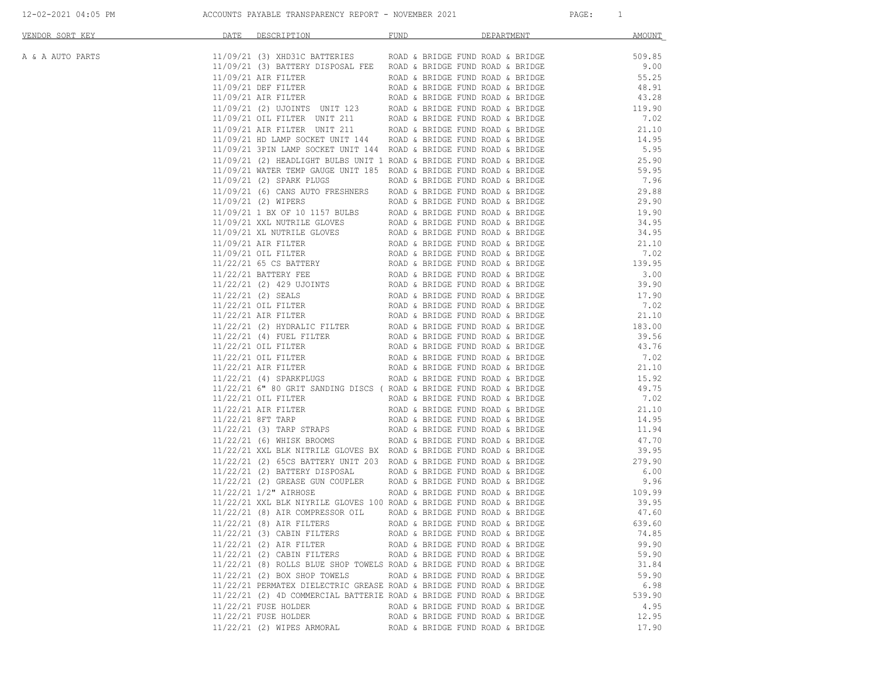| 11/09/21 (3) XHD31C BATTERIES ROAD & BRIDGE FUND ROAD & BRIDGE<br>11/09/21 (3) BATTERY DISPOSAL FEE ROAD & BRIDGE FUND ROAD & BRIDGE<br>ROAD & BRIDGE FUND ROAD & BRIDGE<br>ROAD & BRIDGE FUND ROAD & BRIDGE | 509.85<br>9.00<br>55.25                                                                                                                                                                                                                                                                                                                                                                                                                                                                                                                                                                                                                                                                                                                                                                                                                                                                                                                                                                                                                                                                                                                                                                                                                                                                                                                                                                                                                                                                                                                                                                                                                                                                                                                                                                                                                                                                                                                                                                                                                                                                                                                                                                                                                                                                                                                                                                                                                                                                                                                                                                                                                                                                                                                                                                                                                                           |
|--------------------------------------------------------------------------------------------------------------------------------------------------------------------------------------------------------------|-------------------------------------------------------------------------------------------------------------------------------------------------------------------------------------------------------------------------------------------------------------------------------------------------------------------------------------------------------------------------------------------------------------------------------------------------------------------------------------------------------------------------------------------------------------------------------------------------------------------------------------------------------------------------------------------------------------------------------------------------------------------------------------------------------------------------------------------------------------------------------------------------------------------------------------------------------------------------------------------------------------------------------------------------------------------------------------------------------------------------------------------------------------------------------------------------------------------------------------------------------------------------------------------------------------------------------------------------------------------------------------------------------------------------------------------------------------------------------------------------------------------------------------------------------------------------------------------------------------------------------------------------------------------------------------------------------------------------------------------------------------------------------------------------------------------------------------------------------------------------------------------------------------------------------------------------------------------------------------------------------------------------------------------------------------------------------------------------------------------------------------------------------------------------------------------------------------------------------------------------------------------------------------------------------------------------------------------------------------------------------------------------------------------------------------------------------------------------------------------------------------------------------------------------------------------------------------------------------------------------------------------------------------------------------------------------------------------------------------------------------------------------------------------------------------------------------------------------------------------|
|                                                                                                                                                                                                              |                                                                                                                                                                                                                                                                                                                                                                                                                                                                                                                                                                                                                                                                                                                                                                                                                                                                                                                                                                                                                                                                                                                                                                                                                                                                                                                                                                                                                                                                                                                                                                                                                                                                                                                                                                                                                                                                                                                                                                                                                                                                                                                                                                                                                                                                                                                                                                                                                                                                                                                                                                                                                                                                                                                                                                                                                                                                   |
|                                                                                                                                                                                                              |                                                                                                                                                                                                                                                                                                                                                                                                                                                                                                                                                                                                                                                                                                                                                                                                                                                                                                                                                                                                                                                                                                                                                                                                                                                                                                                                                                                                                                                                                                                                                                                                                                                                                                                                                                                                                                                                                                                                                                                                                                                                                                                                                                                                                                                                                                                                                                                                                                                                                                                                                                                                                                                                                                                                                                                                                                                                   |
|                                                                                                                                                                                                              |                                                                                                                                                                                                                                                                                                                                                                                                                                                                                                                                                                                                                                                                                                                                                                                                                                                                                                                                                                                                                                                                                                                                                                                                                                                                                                                                                                                                                                                                                                                                                                                                                                                                                                                                                                                                                                                                                                                                                                                                                                                                                                                                                                                                                                                                                                                                                                                                                                                                                                                                                                                                                                                                                                                                                                                                                                                                   |
|                                                                                                                                                                                                              | 48.91                                                                                                                                                                                                                                                                                                                                                                                                                                                                                                                                                                                                                                                                                                                                                                                                                                                                                                                                                                                                                                                                                                                                                                                                                                                                                                                                                                                                                                                                                                                                                                                                                                                                                                                                                                                                                                                                                                                                                                                                                                                                                                                                                                                                                                                                                                                                                                                                                                                                                                                                                                                                                                                                                                                                                                                                                                                             |
|                                                                                                                                                                                                              | 43.28                                                                                                                                                                                                                                                                                                                                                                                                                                                                                                                                                                                                                                                                                                                                                                                                                                                                                                                                                                                                                                                                                                                                                                                                                                                                                                                                                                                                                                                                                                                                                                                                                                                                                                                                                                                                                                                                                                                                                                                                                                                                                                                                                                                                                                                                                                                                                                                                                                                                                                                                                                                                                                                                                                                                                                                                                                                             |
|                                                                                                                                                                                                              | 119.90                                                                                                                                                                                                                                                                                                                                                                                                                                                                                                                                                                                                                                                                                                                                                                                                                                                                                                                                                                                                                                                                                                                                                                                                                                                                                                                                                                                                                                                                                                                                                                                                                                                                                                                                                                                                                                                                                                                                                                                                                                                                                                                                                                                                                                                                                                                                                                                                                                                                                                                                                                                                                                                                                                                                                                                                                                                            |
|                                                                                                                                                                                                              | 7.02                                                                                                                                                                                                                                                                                                                                                                                                                                                                                                                                                                                                                                                                                                                                                                                                                                                                                                                                                                                                                                                                                                                                                                                                                                                                                                                                                                                                                                                                                                                                                                                                                                                                                                                                                                                                                                                                                                                                                                                                                                                                                                                                                                                                                                                                                                                                                                                                                                                                                                                                                                                                                                                                                                                                                                                                                                                              |
|                                                                                                                                                                                                              | 21.10                                                                                                                                                                                                                                                                                                                                                                                                                                                                                                                                                                                                                                                                                                                                                                                                                                                                                                                                                                                                                                                                                                                                                                                                                                                                                                                                                                                                                                                                                                                                                                                                                                                                                                                                                                                                                                                                                                                                                                                                                                                                                                                                                                                                                                                                                                                                                                                                                                                                                                                                                                                                                                                                                                                                                                                                                                                             |
|                                                                                                                                                                                                              | 14.95                                                                                                                                                                                                                                                                                                                                                                                                                                                                                                                                                                                                                                                                                                                                                                                                                                                                                                                                                                                                                                                                                                                                                                                                                                                                                                                                                                                                                                                                                                                                                                                                                                                                                                                                                                                                                                                                                                                                                                                                                                                                                                                                                                                                                                                                                                                                                                                                                                                                                                                                                                                                                                                                                                                                                                                                                                                             |
|                                                                                                                                                                                                              | 5.95                                                                                                                                                                                                                                                                                                                                                                                                                                                                                                                                                                                                                                                                                                                                                                                                                                                                                                                                                                                                                                                                                                                                                                                                                                                                                                                                                                                                                                                                                                                                                                                                                                                                                                                                                                                                                                                                                                                                                                                                                                                                                                                                                                                                                                                                                                                                                                                                                                                                                                                                                                                                                                                                                                                                                                                                                                                              |
|                                                                                                                                                                                                              | 25.90                                                                                                                                                                                                                                                                                                                                                                                                                                                                                                                                                                                                                                                                                                                                                                                                                                                                                                                                                                                                                                                                                                                                                                                                                                                                                                                                                                                                                                                                                                                                                                                                                                                                                                                                                                                                                                                                                                                                                                                                                                                                                                                                                                                                                                                                                                                                                                                                                                                                                                                                                                                                                                                                                                                                                                                                                                                             |
|                                                                                                                                                                                                              | 59.95                                                                                                                                                                                                                                                                                                                                                                                                                                                                                                                                                                                                                                                                                                                                                                                                                                                                                                                                                                                                                                                                                                                                                                                                                                                                                                                                                                                                                                                                                                                                                                                                                                                                                                                                                                                                                                                                                                                                                                                                                                                                                                                                                                                                                                                                                                                                                                                                                                                                                                                                                                                                                                                                                                                                                                                                                                                             |
|                                                                                                                                                                                                              | 7.96<br>29.88                                                                                                                                                                                                                                                                                                                                                                                                                                                                                                                                                                                                                                                                                                                                                                                                                                                                                                                                                                                                                                                                                                                                                                                                                                                                                                                                                                                                                                                                                                                                                                                                                                                                                                                                                                                                                                                                                                                                                                                                                                                                                                                                                                                                                                                                                                                                                                                                                                                                                                                                                                                                                                                                                                                                                                                                                                                     |
|                                                                                                                                                                                                              | 29.90                                                                                                                                                                                                                                                                                                                                                                                                                                                                                                                                                                                                                                                                                                                                                                                                                                                                                                                                                                                                                                                                                                                                                                                                                                                                                                                                                                                                                                                                                                                                                                                                                                                                                                                                                                                                                                                                                                                                                                                                                                                                                                                                                                                                                                                                                                                                                                                                                                                                                                                                                                                                                                                                                                                                                                                                                                                             |
|                                                                                                                                                                                                              | 19.90                                                                                                                                                                                                                                                                                                                                                                                                                                                                                                                                                                                                                                                                                                                                                                                                                                                                                                                                                                                                                                                                                                                                                                                                                                                                                                                                                                                                                                                                                                                                                                                                                                                                                                                                                                                                                                                                                                                                                                                                                                                                                                                                                                                                                                                                                                                                                                                                                                                                                                                                                                                                                                                                                                                                                                                                                                                             |
|                                                                                                                                                                                                              | 34.95                                                                                                                                                                                                                                                                                                                                                                                                                                                                                                                                                                                                                                                                                                                                                                                                                                                                                                                                                                                                                                                                                                                                                                                                                                                                                                                                                                                                                                                                                                                                                                                                                                                                                                                                                                                                                                                                                                                                                                                                                                                                                                                                                                                                                                                                                                                                                                                                                                                                                                                                                                                                                                                                                                                                                                                                                                                             |
|                                                                                                                                                                                                              | 34.95                                                                                                                                                                                                                                                                                                                                                                                                                                                                                                                                                                                                                                                                                                                                                                                                                                                                                                                                                                                                                                                                                                                                                                                                                                                                                                                                                                                                                                                                                                                                                                                                                                                                                                                                                                                                                                                                                                                                                                                                                                                                                                                                                                                                                                                                                                                                                                                                                                                                                                                                                                                                                                                                                                                                                                                                                                                             |
|                                                                                                                                                                                                              | 21.10                                                                                                                                                                                                                                                                                                                                                                                                                                                                                                                                                                                                                                                                                                                                                                                                                                                                                                                                                                                                                                                                                                                                                                                                                                                                                                                                                                                                                                                                                                                                                                                                                                                                                                                                                                                                                                                                                                                                                                                                                                                                                                                                                                                                                                                                                                                                                                                                                                                                                                                                                                                                                                                                                                                                                                                                                                                             |
|                                                                                                                                                                                                              | 7.02                                                                                                                                                                                                                                                                                                                                                                                                                                                                                                                                                                                                                                                                                                                                                                                                                                                                                                                                                                                                                                                                                                                                                                                                                                                                                                                                                                                                                                                                                                                                                                                                                                                                                                                                                                                                                                                                                                                                                                                                                                                                                                                                                                                                                                                                                                                                                                                                                                                                                                                                                                                                                                                                                                                                                                                                                                                              |
|                                                                                                                                                                                                              | 139.95                                                                                                                                                                                                                                                                                                                                                                                                                                                                                                                                                                                                                                                                                                                                                                                                                                                                                                                                                                                                                                                                                                                                                                                                                                                                                                                                                                                                                                                                                                                                                                                                                                                                                                                                                                                                                                                                                                                                                                                                                                                                                                                                                                                                                                                                                                                                                                                                                                                                                                                                                                                                                                                                                                                                                                                                                                                            |
|                                                                                                                                                                                                              | 3.00                                                                                                                                                                                                                                                                                                                                                                                                                                                                                                                                                                                                                                                                                                                                                                                                                                                                                                                                                                                                                                                                                                                                                                                                                                                                                                                                                                                                                                                                                                                                                                                                                                                                                                                                                                                                                                                                                                                                                                                                                                                                                                                                                                                                                                                                                                                                                                                                                                                                                                                                                                                                                                                                                                                                                                                                                                                              |
|                                                                                                                                                                                                              | 39.90                                                                                                                                                                                                                                                                                                                                                                                                                                                                                                                                                                                                                                                                                                                                                                                                                                                                                                                                                                                                                                                                                                                                                                                                                                                                                                                                                                                                                                                                                                                                                                                                                                                                                                                                                                                                                                                                                                                                                                                                                                                                                                                                                                                                                                                                                                                                                                                                                                                                                                                                                                                                                                                                                                                                                                                                                                                             |
|                                                                                                                                                                                                              | 17.90                                                                                                                                                                                                                                                                                                                                                                                                                                                                                                                                                                                                                                                                                                                                                                                                                                                                                                                                                                                                                                                                                                                                                                                                                                                                                                                                                                                                                                                                                                                                                                                                                                                                                                                                                                                                                                                                                                                                                                                                                                                                                                                                                                                                                                                                                                                                                                                                                                                                                                                                                                                                                                                                                                                                                                                                                                                             |
|                                                                                                                                                                                                              | 7.02                                                                                                                                                                                                                                                                                                                                                                                                                                                                                                                                                                                                                                                                                                                                                                                                                                                                                                                                                                                                                                                                                                                                                                                                                                                                                                                                                                                                                                                                                                                                                                                                                                                                                                                                                                                                                                                                                                                                                                                                                                                                                                                                                                                                                                                                                                                                                                                                                                                                                                                                                                                                                                                                                                                                                                                                                                                              |
|                                                                                                                                                                                                              | 21.10                                                                                                                                                                                                                                                                                                                                                                                                                                                                                                                                                                                                                                                                                                                                                                                                                                                                                                                                                                                                                                                                                                                                                                                                                                                                                                                                                                                                                                                                                                                                                                                                                                                                                                                                                                                                                                                                                                                                                                                                                                                                                                                                                                                                                                                                                                                                                                                                                                                                                                                                                                                                                                                                                                                                                                                                                                                             |
|                                                                                                                                                                                                              | 183.00                                                                                                                                                                                                                                                                                                                                                                                                                                                                                                                                                                                                                                                                                                                                                                                                                                                                                                                                                                                                                                                                                                                                                                                                                                                                                                                                                                                                                                                                                                                                                                                                                                                                                                                                                                                                                                                                                                                                                                                                                                                                                                                                                                                                                                                                                                                                                                                                                                                                                                                                                                                                                                                                                                                                                                                                                                                            |
|                                                                                                                                                                                                              | 39.56                                                                                                                                                                                                                                                                                                                                                                                                                                                                                                                                                                                                                                                                                                                                                                                                                                                                                                                                                                                                                                                                                                                                                                                                                                                                                                                                                                                                                                                                                                                                                                                                                                                                                                                                                                                                                                                                                                                                                                                                                                                                                                                                                                                                                                                                                                                                                                                                                                                                                                                                                                                                                                                                                                                                                                                                                                                             |
|                                                                                                                                                                                                              | 43.76                                                                                                                                                                                                                                                                                                                                                                                                                                                                                                                                                                                                                                                                                                                                                                                                                                                                                                                                                                                                                                                                                                                                                                                                                                                                                                                                                                                                                                                                                                                                                                                                                                                                                                                                                                                                                                                                                                                                                                                                                                                                                                                                                                                                                                                                                                                                                                                                                                                                                                                                                                                                                                                                                                                                                                                                                                                             |
|                                                                                                                                                                                                              | 7.02                                                                                                                                                                                                                                                                                                                                                                                                                                                                                                                                                                                                                                                                                                                                                                                                                                                                                                                                                                                                                                                                                                                                                                                                                                                                                                                                                                                                                                                                                                                                                                                                                                                                                                                                                                                                                                                                                                                                                                                                                                                                                                                                                                                                                                                                                                                                                                                                                                                                                                                                                                                                                                                                                                                                                                                                                                                              |
|                                                                                                                                                                                                              | 21.10                                                                                                                                                                                                                                                                                                                                                                                                                                                                                                                                                                                                                                                                                                                                                                                                                                                                                                                                                                                                                                                                                                                                                                                                                                                                                                                                                                                                                                                                                                                                                                                                                                                                                                                                                                                                                                                                                                                                                                                                                                                                                                                                                                                                                                                                                                                                                                                                                                                                                                                                                                                                                                                                                                                                                                                                                                                             |
|                                                                                                                                                                                                              | 15.92                                                                                                                                                                                                                                                                                                                                                                                                                                                                                                                                                                                                                                                                                                                                                                                                                                                                                                                                                                                                                                                                                                                                                                                                                                                                                                                                                                                                                                                                                                                                                                                                                                                                                                                                                                                                                                                                                                                                                                                                                                                                                                                                                                                                                                                                                                                                                                                                                                                                                                                                                                                                                                                                                                                                                                                                                                                             |
|                                                                                                                                                                                                              | 49.75                                                                                                                                                                                                                                                                                                                                                                                                                                                                                                                                                                                                                                                                                                                                                                                                                                                                                                                                                                                                                                                                                                                                                                                                                                                                                                                                                                                                                                                                                                                                                                                                                                                                                                                                                                                                                                                                                                                                                                                                                                                                                                                                                                                                                                                                                                                                                                                                                                                                                                                                                                                                                                                                                                                                                                                                                                                             |
|                                                                                                                                                                                                              | 7.02                                                                                                                                                                                                                                                                                                                                                                                                                                                                                                                                                                                                                                                                                                                                                                                                                                                                                                                                                                                                                                                                                                                                                                                                                                                                                                                                                                                                                                                                                                                                                                                                                                                                                                                                                                                                                                                                                                                                                                                                                                                                                                                                                                                                                                                                                                                                                                                                                                                                                                                                                                                                                                                                                                                                                                                                                                                              |
|                                                                                                                                                                                                              | 21.10                                                                                                                                                                                                                                                                                                                                                                                                                                                                                                                                                                                                                                                                                                                                                                                                                                                                                                                                                                                                                                                                                                                                                                                                                                                                                                                                                                                                                                                                                                                                                                                                                                                                                                                                                                                                                                                                                                                                                                                                                                                                                                                                                                                                                                                                                                                                                                                                                                                                                                                                                                                                                                                                                                                                                                                                                                                             |
|                                                                                                                                                                                                              | 14.95                                                                                                                                                                                                                                                                                                                                                                                                                                                                                                                                                                                                                                                                                                                                                                                                                                                                                                                                                                                                                                                                                                                                                                                                                                                                                                                                                                                                                                                                                                                                                                                                                                                                                                                                                                                                                                                                                                                                                                                                                                                                                                                                                                                                                                                                                                                                                                                                                                                                                                                                                                                                                                                                                                                                                                                                                                                             |
|                                                                                                                                                                                                              | 11.94                                                                                                                                                                                                                                                                                                                                                                                                                                                                                                                                                                                                                                                                                                                                                                                                                                                                                                                                                                                                                                                                                                                                                                                                                                                                                                                                                                                                                                                                                                                                                                                                                                                                                                                                                                                                                                                                                                                                                                                                                                                                                                                                                                                                                                                                                                                                                                                                                                                                                                                                                                                                                                                                                                                                                                                                                                                             |
|                                                                                                                                                                                                              | 47.70                                                                                                                                                                                                                                                                                                                                                                                                                                                                                                                                                                                                                                                                                                                                                                                                                                                                                                                                                                                                                                                                                                                                                                                                                                                                                                                                                                                                                                                                                                                                                                                                                                                                                                                                                                                                                                                                                                                                                                                                                                                                                                                                                                                                                                                                                                                                                                                                                                                                                                                                                                                                                                                                                                                                                                                                                                                             |
|                                                                                                                                                                                                              | 39.95                                                                                                                                                                                                                                                                                                                                                                                                                                                                                                                                                                                                                                                                                                                                                                                                                                                                                                                                                                                                                                                                                                                                                                                                                                                                                                                                                                                                                                                                                                                                                                                                                                                                                                                                                                                                                                                                                                                                                                                                                                                                                                                                                                                                                                                                                                                                                                                                                                                                                                                                                                                                                                                                                                                                                                                                                                                             |
|                                                                                                                                                                                                              | 279.90                                                                                                                                                                                                                                                                                                                                                                                                                                                                                                                                                                                                                                                                                                                                                                                                                                                                                                                                                                                                                                                                                                                                                                                                                                                                                                                                                                                                                                                                                                                                                                                                                                                                                                                                                                                                                                                                                                                                                                                                                                                                                                                                                                                                                                                                                                                                                                                                                                                                                                                                                                                                                                                                                                                                                                                                                                                            |
|                                                                                                                                                                                                              | 6.00                                                                                                                                                                                                                                                                                                                                                                                                                                                                                                                                                                                                                                                                                                                                                                                                                                                                                                                                                                                                                                                                                                                                                                                                                                                                                                                                                                                                                                                                                                                                                                                                                                                                                                                                                                                                                                                                                                                                                                                                                                                                                                                                                                                                                                                                                                                                                                                                                                                                                                                                                                                                                                                                                                                                                                                                                                                              |
|                                                                                                                                                                                                              | 9.96                                                                                                                                                                                                                                                                                                                                                                                                                                                                                                                                                                                                                                                                                                                                                                                                                                                                                                                                                                                                                                                                                                                                                                                                                                                                                                                                                                                                                                                                                                                                                                                                                                                                                                                                                                                                                                                                                                                                                                                                                                                                                                                                                                                                                                                                                                                                                                                                                                                                                                                                                                                                                                                                                                                                                                                                                                                              |
|                                                                                                                                                                                                              | 109.99                                                                                                                                                                                                                                                                                                                                                                                                                                                                                                                                                                                                                                                                                                                                                                                                                                                                                                                                                                                                                                                                                                                                                                                                                                                                                                                                                                                                                                                                                                                                                                                                                                                                                                                                                                                                                                                                                                                                                                                                                                                                                                                                                                                                                                                                                                                                                                                                                                                                                                                                                                                                                                                                                                                                                                                                                                                            |
|                                                                                                                                                                                                              | 39.95<br>47.60                                                                                                                                                                                                                                                                                                                                                                                                                                                                                                                                                                                                                                                                                                                                                                                                                                                                                                                                                                                                                                                                                                                                                                                                                                                                                                                                                                                                                                                                                                                                                                                                                                                                                                                                                                                                                                                                                                                                                                                                                                                                                                                                                                                                                                                                                                                                                                                                                                                                                                                                                                                                                                                                                                                                                                                                                                                    |
|                                                                                                                                                                                                              | 639.60                                                                                                                                                                                                                                                                                                                                                                                                                                                                                                                                                                                                                                                                                                                                                                                                                                                                                                                                                                                                                                                                                                                                                                                                                                                                                                                                                                                                                                                                                                                                                                                                                                                                                                                                                                                                                                                                                                                                                                                                                                                                                                                                                                                                                                                                                                                                                                                                                                                                                                                                                                                                                                                                                                                                                                                                                                                            |
|                                                                                                                                                                                                              | 74.85                                                                                                                                                                                                                                                                                                                                                                                                                                                                                                                                                                                                                                                                                                                                                                                                                                                                                                                                                                                                                                                                                                                                                                                                                                                                                                                                                                                                                                                                                                                                                                                                                                                                                                                                                                                                                                                                                                                                                                                                                                                                                                                                                                                                                                                                                                                                                                                                                                                                                                                                                                                                                                                                                                                                                                                                                                                             |
|                                                                                                                                                                                                              | 99.90                                                                                                                                                                                                                                                                                                                                                                                                                                                                                                                                                                                                                                                                                                                                                                                                                                                                                                                                                                                                                                                                                                                                                                                                                                                                                                                                                                                                                                                                                                                                                                                                                                                                                                                                                                                                                                                                                                                                                                                                                                                                                                                                                                                                                                                                                                                                                                                                                                                                                                                                                                                                                                                                                                                                                                                                                                                             |
|                                                                                                                                                                                                              | 59.90                                                                                                                                                                                                                                                                                                                                                                                                                                                                                                                                                                                                                                                                                                                                                                                                                                                                                                                                                                                                                                                                                                                                                                                                                                                                                                                                                                                                                                                                                                                                                                                                                                                                                                                                                                                                                                                                                                                                                                                                                                                                                                                                                                                                                                                                                                                                                                                                                                                                                                                                                                                                                                                                                                                                                                                                                                                             |
|                                                                                                                                                                                                              | 31.84                                                                                                                                                                                                                                                                                                                                                                                                                                                                                                                                                                                                                                                                                                                                                                                                                                                                                                                                                                                                                                                                                                                                                                                                                                                                                                                                                                                                                                                                                                                                                                                                                                                                                                                                                                                                                                                                                                                                                                                                                                                                                                                                                                                                                                                                                                                                                                                                                                                                                                                                                                                                                                                                                                                                                                                                                                                             |
|                                                                                                                                                                                                              | 59.90                                                                                                                                                                                                                                                                                                                                                                                                                                                                                                                                                                                                                                                                                                                                                                                                                                                                                                                                                                                                                                                                                                                                                                                                                                                                                                                                                                                                                                                                                                                                                                                                                                                                                                                                                                                                                                                                                                                                                                                                                                                                                                                                                                                                                                                                                                                                                                                                                                                                                                                                                                                                                                                                                                                                                                                                                                                             |
|                                                                                                                                                                                                              | 6.98                                                                                                                                                                                                                                                                                                                                                                                                                                                                                                                                                                                                                                                                                                                                                                                                                                                                                                                                                                                                                                                                                                                                                                                                                                                                                                                                                                                                                                                                                                                                                                                                                                                                                                                                                                                                                                                                                                                                                                                                                                                                                                                                                                                                                                                                                                                                                                                                                                                                                                                                                                                                                                                                                                                                                                                                                                                              |
|                                                                                                                                                                                                              | 539.90                                                                                                                                                                                                                                                                                                                                                                                                                                                                                                                                                                                                                                                                                                                                                                                                                                                                                                                                                                                                                                                                                                                                                                                                                                                                                                                                                                                                                                                                                                                                                                                                                                                                                                                                                                                                                                                                                                                                                                                                                                                                                                                                                                                                                                                                                                                                                                                                                                                                                                                                                                                                                                                                                                                                                                                                                                                            |
|                                                                                                                                                                                                              | 4.95                                                                                                                                                                                                                                                                                                                                                                                                                                                                                                                                                                                                                                                                                                                                                                                                                                                                                                                                                                                                                                                                                                                                                                                                                                                                                                                                                                                                                                                                                                                                                                                                                                                                                                                                                                                                                                                                                                                                                                                                                                                                                                                                                                                                                                                                                                                                                                                                                                                                                                                                                                                                                                                                                                                                                                                                                                                              |
|                                                                                                                                                                                                              | 12.95                                                                                                                                                                                                                                                                                                                                                                                                                                                                                                                                                                                                                                                                                                                                                                                                                                                                                                                                                                                                                                                                                                                                                                                                                                                                                                                                                                                                                                                                                                                                                                                                                                                                                                                                                                                                                                                                                                                                                                                                                                                                                                                                                                                                                                                                                                                                                                                                                                                                                                                                                                                                                                                                                                                                                                                                                                                             |
|                                                                                                                                                                                                              | 17.90                                                                                                                                                                                                                                                                                                                                                                                                                                                                                                                                                                                                                                                                                                                                                                                                                                                                                                                                                                                                                                                                                                                                                                                                                                                                                                                                                                                                                                                                                                                                                                                                                                                                                                                                                                                                                                                                                                                                                                                                                                                                                                                                                                                                                                                                                                                                                                                                                                                                                                                                                                                                                                                                                                                                                                                                                                                             |
|                                                                                                                                                                                                              | ROAD & BRIDGE FUND ROAD & BRIDGE<br>11/09/21 (2) UJOINTS UNIT 123 ROAD & BRIDGE FUND ROAD & BRIDGE<br>11/09/21 OIL FILTER UNIT 211 ROAD & BRIDGE FUND ROAD & BRIDGE<br>11/09/21 AIR FILTER UNIT 211 ROAD & BRIDGE FUND ROAD & BRIDGE 11/09/21 HD LAMP SOCKET UNIT 144 ROAD & BRIDGE FUND ROAD & BRIDGE<br>11/09/21 3PIN LAMP SOCKET UNIT 144 ROAD & BRIDGE FUND ROAD & BRIDGE<br>11/09/21 (2) HEADLIGHT BULBS UNIT 1 ROAD & BRIDGE FUND ROAD & BRIDGE<br>11/09/21 WATER TEMP GAUGE UNIT 185 ROAD & BRIDGE FUND ROAD & BRIDGE<br>ROAD & BRIDGE FUND ROAD & BRIDGE<br>11/09/21 (6) CANS AUTO FRESHNERS ROAD & BRIDGE FUND ROAD & BRIDGE<br>ROAD & BRIDGE FUND ROAD & BRIDGE<br>11/09/21 1 BX OF 10 1157 BULBS ROAD & BRIDGE FUND ROAD & BRIDGE<br>11/09/21 XXL NUTRILE GLOVES ROAD & BRIDGE FUND ROAD & BRIDGE 11/09/21 XL NUTRILE GLOVES ROAD & BRIDGE FUND ROAD & BRIDGE<br>ROAD & BRIDGE FUND ROAD & BRIDGE<br>ROAD & BRIDGE FUND ROAD & BRIDGE<br>ROAD & BRIDGE FUND ROAD & BRIDGE<br>ROAD & BRIDGE FUND ROAD & BRIDGE<br>11/22/21 (2) 429 UJOINTS ROAD & BRIDGE FUND ROAD & BRIDGE<br>$11/22/21\;\; (2)\;\; \text{SEALS}\;\; \text{ROAD\texttt{ & BRIDGE} \;\; \text{FUND\texttt{ RODA} \;\; \& BRIDGE} \\ 11/22/21\;\; 01L\;\; \text{FILTER} \;\; \text{ROAD\texttt{ & BRIDGE} \;\; \text{FUND\texttt{ RODA} \;\; \& BRIDGE} \\ 11/22/21\;\; (2)\;\; \text{HYDRALIC}\;\; \text{FILTER} \;\; \text{ROAD\texttt{ & BRIDGE} \;\; \text{FUND\texttt{ RODA} \;\; \& BRIDGE} \\$<br>ROAD & BRIDGE FUND ROAD & BRIDGE<br>ROAD & BRIDGE FUND ROAD & BRIDGE<br>ROAD & BRIDGE FUND ROAD & BRIDGE<br>11/22/21 6" 80 GRIT SANDING DISCS (ROAD & BRIDGE FUND ROAD & BRIDGE<br>ROAD & BRIDGE FUND ROAD & BRIDGE<br>ROAD & BRIDGE FUND ROAD & BRIDGE<br>ROAD & BRIDGE FUND ROAD & BRIDGE<br>11/22/21 (3) TARP STRAPS ROAD & BRIDGE FUND ROAD & BRIDGE 11/22/21 (6) WHISK BROOMS ROAD & BRIDGE FUND ROAD & BRIDGE<br>11/22/21 XXL BLK NITRILE GLOVES BX ROAD & BRIDGE FUND ROAD & BRIDGE<br>11/22/21 (2) 65CS BATTERY UNIT 203 ROAD & BRIDGE FUND ROAD & BRIDGE<br>11/22/21 (2) BATTERY DISPOSAL ROAD & BRIDGE FUND ROAD & BRIDGE<br>11/22/21 (2) GREASE GUN COUPLER ROAD & BRIDGE FUND ROAD & BRIDGE<br>ROAD & BRIDGE FUND ROAD & BRIDGE<br>11/22/21 XXL BLK NIYRILE GLOVES 100 ROAD & BRIDGE FUND ROAD & BRIDGE<br>ROAD & BRIDGE FUND ROAD & BRIDGE<br>ROAD & BRIDGE FUND ROAD & BRIDGE<br>ROAD & BRIDGE FUND ROAD & BRIDGE<br>ROAD & BRIDGE FUND ROAD & BRIDGE<br>ROAD & BRIDGE FUND ROAD & BRIDGE<br>11/22/21 (8) ROLLS BLUE SHOP TOWELS ROAD & BRIDGE FUND ROAD & BRIDGE<br>ROAD & BRIDGE FUND ROAD & BRIDGE<br>11/22/21 PERMATEX DIELECTRIC GREASE ROAD & BRIDGE FUND ROAD & BRIDGE<br>11/22/21 (2) 4D COMMERCIAL BATTERIE ROAD & BRIDGE FUND ROAD & BRIDGE<br>ROAD & BRIDGE FUND ROAD & BRIDGE<br>ROAD & BRIDGE FUND ROAD & BRIDGE<br>ROAD & BRIDGE FUND ROAD & BRIDGE |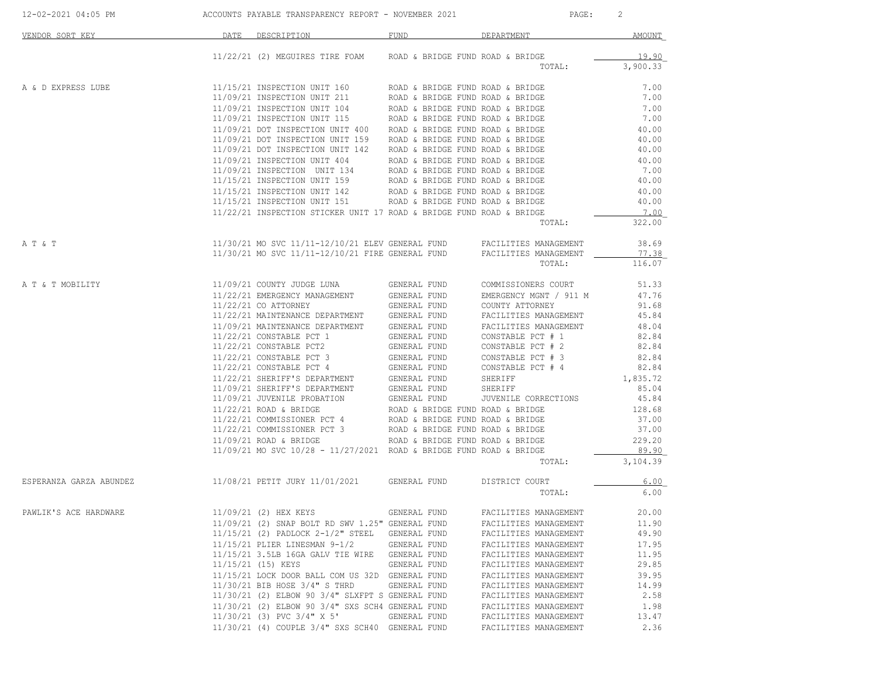| VENDOR SORT KEY                                                                        | DATE DESCRIPTION                                                                                                                                                                                                                                                                                                                                                                                   | FUND         | DEPARTMENT                                     | AMOUNT                 |
|----------------------------------------------------------------------------------------|----------------------------------------------------------------------------------------------------------------------------------------------------------------------------------------------------------------------------------------------------------------------------------------------------------------------------------------------------------------------------------------------------|--------------|------------------------------------------------|------------------------|
|                                                                                        |                                                                                                                                                                                                                                                                                                                                                                                                    |              |                                                |                        |
|                                                                                        | 11/22/21 (2) MEGUIRES TIRE FOAM ROAD & BRIDGE FUND ROAD & BRIDGE                                                                                                                                                                                                                                                                                                                                   |              |                                                | 19.90                  |
|                                                                                        |                                                                                                                                                                                                                                                                                                                                                                                                    |              | TOTAL:                                         | 3,900.33               |
| A & D EXPRESS LUBE                                                                     | $11/15/21 \ \texttt{INSPECTION \ UMIT} \ \ 104 \quad \texttt{ROAD} \ \ \&\ \mathtt{BRIDGE} \ \ 11/09/21 \ \ \texttt{INSPECTION \ UMIT} \ \ 104 \quad \texttt{ROAD} \ \& \ \mathtt{BRIDGE} \ \ 11/09/21 \ \ \texttt{INSPECTION \ UMIT} \ \ 104 \quad \texttt{ROAD} \ \& \ \mathtt{BRIDGE} \ \ 11/09/21 \ \ \texttt{INSPECTION \ UMIT} \ \ 105 \quad \texttt{ROAD} \ \& \ \mathtt{BRIDGE} \ \ 11/09$ |              |                                                | 7.00                   |
|                                                                                        |                                                                                                                                                                                                                                                                                                                                                                                                    |              |                                                | 7.00                   |
|                                                                                        |                                                                                                                                                                                                                                                                                                                                                                                                    |              |                                                | 7.00                   |
|                                                                                        |                                                                                                                                                                                                                                                                                                                                                                                                    |              |                                                | 7.00                   |
|                                                                                        |                                                                                                                                                                                                                                                                                                                                                                                                    |              |                                                | 40.00                  |
|                                                                                        |                                                                                                                                                                                                                                                                                                                                                                                                    |              |                                                | 40.00                  |
|                                                                                        |                                                                                                                                                                                                                                                                                                                                                                                                    |              |                                                | 40.00                  |
|                                                                                        |                                                                                                                                                                                                                                                                                                                                                                                                    |              |                                                | 40.00                  |
|                                                                                        |                                                                                                                                                                                                                                                                                                                                                                                                    |              |                                                | 7.00                   |
|                                                                                        |                                                                                                                                                                                                                                                                                                                                                                                                    |              |                                                | 40.00                  |
|                                                                                        |                                                                                                                                                                                                                                                                                                                                                                                                    |              |                                                | 40.00                  |
|                                                                                        |                                                                                                                                                                                                                                                                                                                                                                                                    |              |                                                | 40.00                  |
|                                                                                        |                                                                                                                                                                                                                                                                                                                                                                                                    |              |                                                | 7.00                   |
|                                                                                        |                                                                                                                                                                                                                                                                                                                                                                                                    |              | TOTAL:                                         | 322.00                 |
|                                                                                        |                                                                                                                                                                                                                                                                                                                                                                                                    |              |                                                |                        |
| A T & T                                                                                | $11/30/21$ MO SVC $11/11-12/10/21$ ELEV GENERAL FUND FACILITIES MANAGEMENT $11/30/21$ MO SVC $11/11-12/10/21$ FIRE GENERAL FUND FACILITIES MANAGEMENT $\qquad$                                                                                                                                                                                                                                     |              |                                                | 38.69                  |
|                                                                                        |                                                                                                                                                                                                                                                                                                                                                                                                    |              |                                                | 77.38<br>TOTAL: 116.07 |
|                                                                                        |                                                                                                                                                                                                                                                                                                                                                                                                    |              |                                                |                        |
| A T & T MOBILITY                                                                       |                                                                                                                                                                                                                                                                                                                                                                                                    |              |                                                |                        |
|                                                                                        |                                                                                                                                                                                                                                                                                                                                                                                                    |              |                                                |                        |
|                                                                                        |                                                                                                                                                                                                                                                                                                                                                                                                    |              |                                                |                        |
|                                                                                        |                                                                                                                                                                                                                                                                                                                                                                                                    |              |                                                |                        |
|                                                                                        |                                                                                                                                                                                                                                                                                                                                                                                                    |              |                                                |                        |
|                                                                                        |                                                                                                                                                                                                                                                                                                                                                                                                    |              |                                                |                        |
|                                                                                        |                                                                                                                                                                                                                                                                                                                                                                                                    |              |                                                |                        |
|                                                                                        |                                                                                                                                                                                                                                                                                                                                                                                                    |              |                                                |                        |
|                                                                                        |                                                                                                                                                                                                                                                                                                                                                                                                    |              |                                                |                        |
|                                                                                        |                                                                                                                                                                                                                                                                                                                                                                                                    |              |                                                |                        |
|                                                                                        |                                                                                                                                                                                                                                                                                                                                                                                                    |              |                                                |                        |
|                                                                                        |                                                                                                                                                                                                                                                                                                                                                                                                    |              |                                                |                        |
|                                                                                        |                                                                                                                                                                                                                                                                                                                                                                                                    |              |                                                |                        |
|                                                                                        |                                                                                                                                                                                                                                                                                                                                                                                                    |              |                                                |                        |
|                                                                                        |                                                                                                                                                                                                                                                                                                                                                                                                    |              |                                                |                        |
|                                                                                        |                                                                                                                                                                                                                                                                                                                                                                                                    |              |                                                |                        |
|                                                                                        | $11/09/21$ MO SVC $10/28$ - $11/27/2021$ ROAD & BRIDGE FUND ROAD & BRIDGE                                                                                                                                                                                                                                                                                                                          |              |                                                | 89.90                  |
|                                                                                        |                                                                                                                                                                                                                                                                                                                                                                                                    |              | TOTAL:                                         | 3,104.39               |
| ESPERANZA GARZA ABUNDEZ 600 11/08/21 PETIT JURY 11/01/2021 6ENERAL FUND DISTRICT COURT |                                                                                                                                                                                                                                                                                                                                                                                                    |              |                                                | 6.00                   |
|                                                                                        |                                                                                                                                                                                                                                                                                                                                                                                                    |              | TOTAL:                                         | 6.00                   |
|                                                                                        |                                                                                                                                                                                                                                                                                                                                                                                                    |              |                                                |                        |
| PAWLIK'S ACE HARDWARE                                                                  | 11/09/21 (2) HEX KEYS GENERAL FUND FACILITIES MANAGEMENT                                                                                                                                                                                                                                                                                                                                           |              |                                                | 20.00                  |
|                                                                                        | 11/09/21 (2) SNAP BOLT RD SWV 1.25" GENERAL FUND                                                                                                                                                                                                                                                                                                                                                   |              | FACILITIES MANAGEMENT                          | 11.90                  |
|                                                                                        | 11/15/21 (2) PADLOCK 2-1/2" STEEL                                                                                                                                                                                                                                                                                                                                                                  | GENERAL FUND | FACILITIES MANAGEMENT                          | 49.90                  |
|                                                                                        | 11/15/21 PLIER LINESMAN 9-1/2                                                                                                                                                                                                                                                                                                                                                                      | GENERAL FUND | FACILITIES MANAGEMENT                          | 17.95                  |
|                                                                                        | 11/15/21 3.5LB 16GA GALV TIE WIRE                                                                                                                                                                                                                                                                                                                                                                  | GENERAL FUND | FACILITIES MANAGEMENT                          | 11.95                  |
|                                                                                        | 11/15/21 (15) KEYS                                                                                                                                                                                                                                                                                                                                                                                 | GENERAL FUND | FACILITIES MANAGEMENT                          | 29.85                  |
|                                                                                        | 11/15/21 LOCK DOOR BALL COM US 32D GENERAL FUND<br>11/30/21 BIB HOSE 3/4" S THRD                                                                                                                                                                                                                                                                                                                   | GENERAL FUND | FACILITIES MANAGEMENT                          | 39.95<br>14.99         |
|                                                                                        | 11/30/21 (2) ELBOW 90 3/4" SLXFPT S GENERAL FUND                                                                                                                                                                                                                                                                                                                                                   |              | FACILITIES MANAGEMENT<br>FACILITIES MANAGEMENT | 2.58                   |
|                                                                                        | 11/30/21 (2) ELBOW 90 3/4" SXS SCH4 GENERAL FUND                                                                                                                                                                                                                                                                                                                                                   |              | FACILITIES MANAGEMENT                          | 1.98                   |
|                                                                                        | $11/30/21$ (3) PVC $3/4$ " X 5'                                                                                                                                                                                                                                                                                                                                                                    | GENERAL FUND | FACILITIES MANAGEMENT                          | 13.47                  |
|                                                                                        | 11/30/21 (4) COUPLE 3/4" SXS SCH40 GENERAL FUND                                                                                                                                                                                                                                                                                                                                                    |              | FACILITIES MANAGEMENT                          | 2.36                   |
|                                                                                        |                                                                                                                                                                                                                                                                                                                                                                                                    |              |                                                |                        |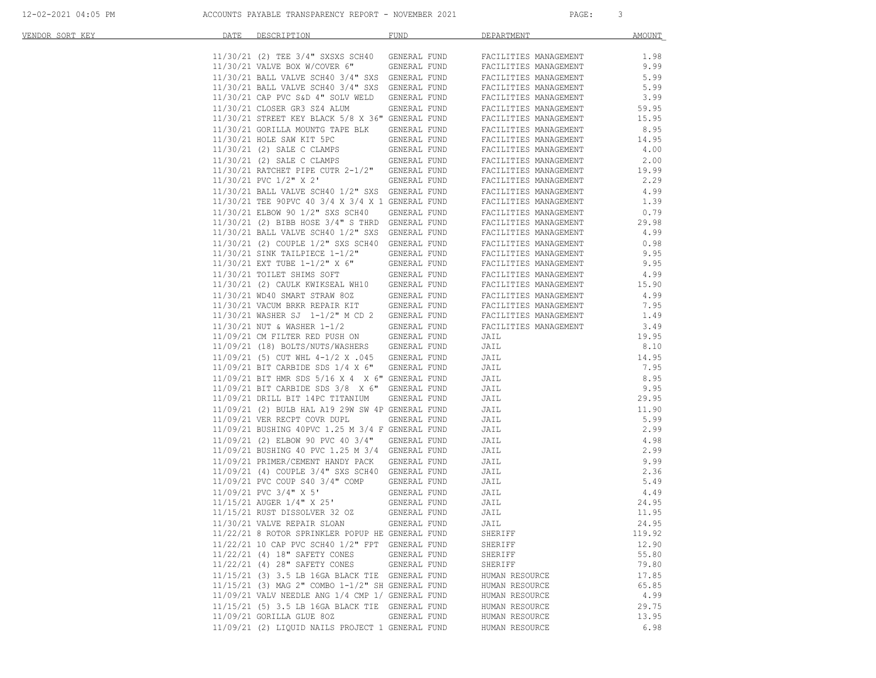| 12-02-2021 04:05 PM |  |
|---------------------|--|
|---------------------|--|

| VENDOR SORT KEY | DATE | DESCRIPTION                                                          | <b>FUND</b>                  | DEPARTMENT                                     | <b>AMOUNT</b> |
|-----------------|------|----------------------------------------------------------------------|------------------------------|------------------------------------------------|---------------|
|                 |      | 11/30/21 (2) TEE 3/4" SXSXS SCH40                                    | GENERAL FUND                 |                                                | 1.98          |
|                 |      | 11/30/21 VALVE BOX W/COVER 6"                                        | GENERAL FUND                 | FACILITIES MANAGEMENT<br>FACILITIES MANAGEMENT | 9.99          |
|                 |      | 11/30/21 BALL VALVE SCH40 3/4" SXS                                   | GENERAL FUND                 | FACILITIES MANAGEMENT                          | 5.99          |
|                 |      | 11/30/21 BALL VALVE SCH40 3/4" SXS                                   | GENERAL FUND                 | FACILITIES MANAGEMENT                          | 5.99          |
|                 |      | 11/30/21 CAP PVC S&D 4" SOLV WELD                                    | GENERAL FUND                 | FACILITIES MANAGEMENT                          | 3.99          |
|                 |      | 11/30/21 CLOSER GR3 SZ4 ALUM                                         | GENERAL FUND                 | FACILITIES MANAGEMENT                          | 59.95         |
|                 |      | 11/30/21 STREET KEY BLACK 5/8 X 36" GENERAL FUND                     |                              | FACILITIES MANAGEMENT                          | 15.95         |
|                 |      |                                                                      |                              |                                                |               |
|                 |      | 11/30/21 GORILLA MOUNTG TAPE BLK                                     | GENERAL FUND<br>GENERAL FUND | FACILITIES MANAGEMENT                          | 8.95          |
|                 |      | 11/30/21 HOLE SAW KIT 5PC<br>11/30/21 (2) SALE C CLAMPS              |                              | FACILITIES MANAGEMENT<br>FACILITIES MANAGEMENT | 14.95<br>4.00 |
|                 |      | 11/30/21 (2) SALE C CLAMPS                                           | GENERAL FUND                 |                                                | 2.00          |
|                 |      | 11/30/21 RATCHET PIPE CUTR 2-1/2"                                    | GENERAL FUND<br>GENERAL FUND | FACILITIES MANAGEMENT                          | 19.99         |
|                 |      | 11/30/21 PVC 1/2" X 2'                                               | GENERAL FUND                 | FACILITIES MANAGEMENT<br>FACILITIES MANAGEMENT | 2.29          |
|                 |      |                                                                      |                              |                                                | 4.99          |
|                 |      | 11/30/21 BALL VALVE SCH40 1/2" SXS GENERAL FUND                      |                              | FACILITIES MANAGEMENT                          |               |
|                 |      | 11/30/21 TEE 90PVC 40 3/4 X 3/4 X 1 GENERAL FUND                     |                              | FACILITIES MANAGEMENT                          | 1.39          |
|                 |      | 11/30/21 ELBOW 90 1/2" SXS SCH40                                     | GENERAL FUND                 | FACILITIES MANAGEMENT                          | 0.79          |
|                 |      | $11/30/21$ (2) BIBB HOSE $3/4$ " S THRD GENERAL FUND                 |                              | FACILITIES MANAGEMENT                          | 29.98         |
|                 |      | 11/30/21 BALL VALVE SCH40 1/2" SXS                                   | GENERAL FUND                 | FACILITIES MANAGEMENT                          | 4.99          |
|                 |      | 11/30/21 (2) COUPLE 1/2" SXS SCH40                                   | GENERAL FUND                 | FACILITIES MANAGEMENT                          | 0.98          |
|                 |      | $11/30/21$ SINK TAILPIECE $1-1/2$ "<br>11/30/21 EXT TUBE 1-1/2" X 6" | GENERAL FUND                 | FACILITIES MANAGEMENT                          | 9.95          |
|                 |      |                                                                      | GENERAL FUND                 | FACILITIES MANAGEMENT                          | 9.95          |
|                 |      | 11/30/21 TOILET SHIMS SOFT                                           | GENERAL FUND                 | FACILITIES MANAGEMENT                          | 4.99          |
|                 |      | 11/30/21 (2) CAULK KWIKSEAL WH10                                     | GENERAL FUND                 | FACILITIES MANAGEMENT                          | 15.90         |
|                 |      | 11/30/21 WD40 SMART STRAW 80Z                                        | GENERAL FUND                 | FACILITIES MANAGEMENT                          | 4.99          |
|                 |      | 11/30/21 VACUM BRKR REPAIR KIT                                       | GENERAL FUND                 | FACILITIES MANAGEMENT                          | 7.95          |
|                 |      | 11/30/21 WASHER SJ 1-1/2" M CD 2                                     | GENERAL FUND                 | FACILITIES MANAGEMENT                          | 1.49          |
|                 |      | 11/30/21 NUT & WASHER 1-1/2                                          | GENERAL FUND                 | FACILITIES MANAGEMENT                          | 3.49          |
|                 |      | 11/09/21 CM FILTER RED PUSH ON                                       | GENERAL FUND                 | JAIL                                           | 19.95         |
|                 |      | 11/09/21 (18) BOLTS/NUTS/WASHERS                                     | GENERAL FUND                 | JAIL                                           | 8.10          |
|                 |      | $11/09/21$ (5) CUT WHL 4-1/2 X .045                                  | GENERAL FUND                 | JAIL                                           | 14.95         |
|                 |      | $11/09/21$ BIT CARBIDE SDS $1/4$ X 6"                                | GENERAL FUND                 | JAIL                                           | 7.95          |
|                 |      | 11/09/21 BIT HMR SDS 5/16 X 4 X 6" GENERAL FUND                      |                              | JAIL                                           | 8.95          |
|                 |      | 11/09/21 BIT CARBIDE SDS 3/8 X 6" GENERAL FUND                       |                              | JAIL                                           | 9.95          |
|                 |      | 11/09/21 DRILL BIT 14PC TITANIUM                                     | GENERAL FUND                 | JAIL                                           | 29.95         |
|                 |      | 11/09/21 (2) BULB HAL A19 29W SW 4P GENERAL FUND                     |                              | JAIL                                           | 11.90         |
|                 |      | 11/09/21 VER RECPT COVR DUPL                                         | GENERAL FUND                 | JAIL                                           | 5.99          |
|                 |      | 11/09/21 BUSHING 40PVC 1.25 M 3/4 F GENERAL FUND                     |                              | JAIL                                           | 2.99          |
|                 |      | $11/09/21$ (2) ELBOW 90 PVC 40 3/4"                                  | GENERAL FUND                 | JAIL                                           | 4.98          |
|                 |      | 11/09/21 BUSHING 40 PVC 1.25 M 3/4 GENERAL FUND                      |                              | JAIL                                           | 2.99          |
|                 |      | 11/09/21 PRIMER/CEMENT HANDY PACK                                    | GENERAL FUND                 | JAIL                                           | 9.99          |
|                 |      | 11/09/21 (4) COUPLE 3/4" SXS SCH40                                   | GENERAL FUND                 | JAIL                                           | 2.36          |
|                 |      | 11/09/21 PVC COUP S40 3/4" COMP                                      | GENERAL FUND                 | JAIL                                           | 5.49          |
|                 |      | $11/09/21$ PVC $3/4$ " X 5'                                          | GENERAL FUND                 | JAIL                                           | 4.49          |
|                 |      | 11/15/21 AUGER 1/4" X 25'                                            | GENERAL FUND                 | JAIL                                           | 24.95         |
|                 |      | 11/15/21 RUST DISSOLVER 32 OZ                                        | GENERAL FUND                 | JAIL                                           | 11.95         |
|                 |      | 11/30/21 VALVE REPAIR SLOAN                                          | GENERAL FUND                 | JAIL                                           | 24.95         |
|                 |      | 11/22/21 8 ROTOR SPRINKLER POPUP HE GENERAL FUND                     |                              | SHERIFF                                        | 119.92        |
|                 |      | 11/22/21 10 CAP PVC SCH40 1/2" FPT GENERAL FUND                      |                              | SHERIFF                                        | 12.90         |
|                 |      | 11/22/21 (4) 18" SAFETY CONES                                        | GENERAL FUND                 | SHERIFF                                        | 55.80         |
|                 |      | 11/22/21 (4) 28" SAFETY CONES                                        | GENERAL FUND                 | SHERIFF                                        | 79.80         |
|                 |      | 11/15/21 (3) 3.5 LB 16GA BLACK TIE GENERAL FUND                      |                              | HUMAN RESOURCE                                 | 17.85         |
|                 |      | 11/15/21 (3) MAG 2" COMBO 1-1/2" SH GENERAL FUND                     |                              | HUMAN RESOURCE                                 | 65.85         |
|                 |      | 11/09/21 VALV NEEDLE ANG 1/4 CMP 1/ GENERAL FUND                     |                              | HUMAN RESOURCE                                 | 4.99          |
|                 |      | 11/15/21 (5) 3.5 LB 16GA BLACK TIE GENERAL FUND                      |                              | HUMAN RESOURCE                                 | 29.75         |
|                 |      | 11/09/21 GORILLA GLUE 80Z                                            | GENERAL FUND                 | HUMAN RESOURCE                                 | 13.95         |
|                 |      | 11/09/21 (2) LIQUID NAILS PROJECT 1 GENERAL FUND                     |                              | HUMAN RESOURCE                                 | 6.98          |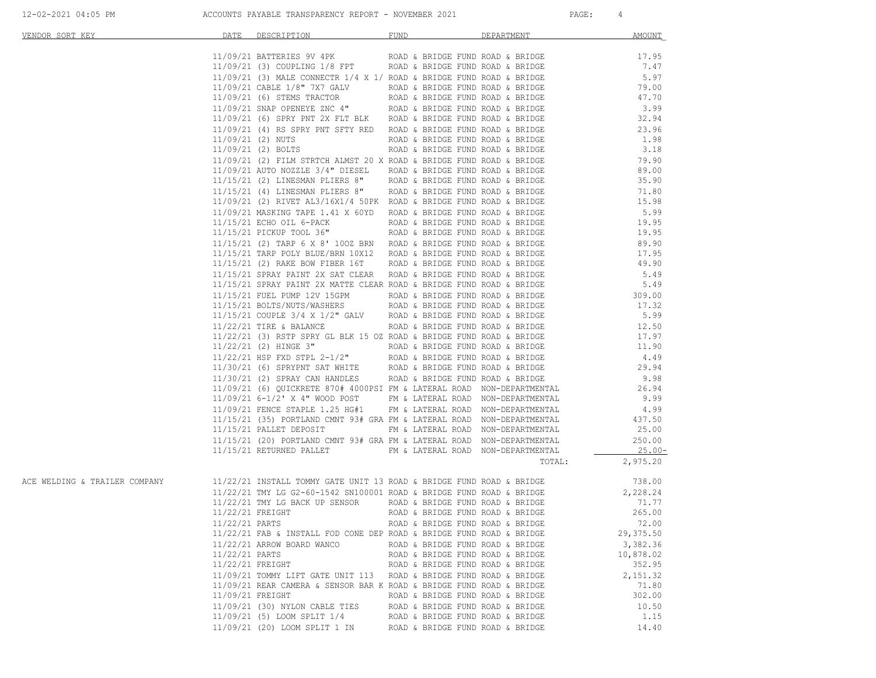| <u>VENDOR SORT KEY</u>                                                                                                                                                                        |                  | DATE DESCRIPTION                                                                                                                                                                                                                        | <b>FUND</b>                      | DEPARTMENT | AMOUNT                                   |
|-----------------------------------------------------------------------------------------------------------------------------------------------------------------------------------------------|------------------|-----------------------------------------------------------------------------------------------------------------------------------------------------------------------------------------------------------------------------------------|----------------------------------|------------|------------------------------------------|
|                                                                                                                                                                                               |                  |                                                                                                                                                                                                                                         |                                  |            |                                          |
|                                                                                                                                                                                               |                  |                                                                                                                                                                                                                                         |                                  |            | $17.95$<br>$7.47$                        |
|                                                                                                                                                                                               |                  |                                                                                                                                                                                                                                         |                                  |            |                                          |
|                                                                                                                                                                                               |                  |                                                                                                                                                                                                                                         |                                  |            |                                          |
|                                                                                                                                                                                               |                  |                                                                                                                                                                                                                                         |                                  |            |                                          |
|                                                                                                                                                                                               |                  |                                                                                                                                                                                                                                         |                                  |            |                                          |
|                                                                                                                                                                                               |                  |                                                                                                                                                                                                                                         |                                  |            |                                          |
|                                                                                                                                                                                               |                  |                                                                                                                                                                                                                                         |                                  |            |                                          |
|                                                                                                                                                                                               |                  |                                                                                                                                                                                                                                         |                                  |            |                                          |
|                                                                                                                                                                                               |                  |                                                                                                                                                                                                                                         |                                  |            |                                          |
|                                                                                                                                                                                               |                  |                                                                                                                                                                                                                                         |                                  |            |                                          |
|                                                                                                                                                                                               |                  |                                                                                                                                                                                                                                         |                                  |            |                                          |
|                                                                                                                                                                                               |                  |                                                                                                                                                                                                                                         |                                  |            |                                          |
|                                                                                                                                                                                               |                  |                                                                                                                                                                                                                                         |                                  |            |                                          |
|                                                                                                                                                                                               |                  |                                                                                                                                                                                                                                         |                                  |            |                                          |
|                                                                                                                                                                                               |                  |                                                                                                                                                                                                                                         |                                  |            |                                          |
|                                                                                                                                                                                               |                  |                                                                                                                                                                                                                                         |                                  |            |                                          |
|                                                                                                                                                                                               |                  |                                                                                                                                                                                                                                         |                                  |            |                                          |
|                                                                                                                                                                                               |                  |                                                                                                                                                                                                                                         |                                  |            |                                          |
|                                                                                                                                                                                               |                  |                                                                                                                                                                                                                                         |                                  |            |                                          |
|                                                                                                                                                                                               |                  |                                                                                                                                                                                                                                         |                                  |            |                                          |
|                                                                                                                                                                                               |                  |                                                                                                                                                                                                                                         |                                  |            |                                          |
|                                                                                                                                                                                               |                  |                                                                                                                                                                                                                                         |                                  |            |                                          |
|                                                                                                                                                                                               |                  |                                                                                                                                                                                                                                         |                                  |            |                                          |
|                                                                                                                                                                                               |                  |                                                                                                                                                                                                                                         |                                  |            |                                          |
|                                                                                                                                                                                               |                  |                                                                                                                                                                                                                                         |                                  |            |                                          |
|                                                                                                                                                                                               |                  |                                                                                                                                                                                                                                         |                                  |            |                                          |
|                                                                                                                                                                                               |                  |                                                                                                                                                                                                                                         |                                  |            |                                          |
|                                                                                                                                                                                               |                  |                                                                                                                                                                                                                                         |                                  |            |                                          |
|                                                                                                                                                                                               |                  |                                                                                                                                                                                                                                         |                                  |            |                                          |
|                                                                                                                                                                                               |                  |                                                                                                                                                                                                                                         |                                  |            |                                          |
|                                                                                                                                                                                               |                  |                                                                                                                                                                                                                                         |                                  |            |                                          |
|                                                                                                                                                                                               |                  |                                                                                                                                                                                                                                         |                                  |            |                                          |
|                                                                                                                                                                                               |                  |                                                                                                                                                                                                                                         |                                  |            |                                          |
|                                                                                                                                                                                               |                  |                                                                                                                                                                                                                                         |                                  |            |                                          |
|                                                                                                                                                                                               |                  |                                                                                                                                                                                                                                         |                                  |            |                                          |
|                                                                                                                                                                                               |                  |                                                                                                                                                                                                                                         |                                  |            |                                          |
|                                                                                                                                                                                               |                  |                                                                                                                                                                                                                                         |                                  |            | $\begin{array}{c c}\n25.00\n\end{array}$ |
|                                                                                                                                                                                               |                  | NATH PERCENTIFICAL SAME PRODUCT AND A SERIES PROVIDED AND A SERIES PRODUCT INTERFERENCE INTO 2012 (2) THE SERIES PRODUCT AND A SERIES PRODUCT AND A SERIES PRODUCT CONTROL CONTROL CONTROL CONTROL CONTROL CONTROL CONTROL CO           |                                  |            | TOTAL: 2,975.20                          |
|                                                                                                                                                                                               |                  |                                                                                                                                                                                                                                         |                                  |            |                                          |
| 0.38,00 ACE WELDING & TRAILER COMPANY 11/22/21 INSTALL TOMMY GATE UNIT 13 ROAD & BRIDGE FUND ROAD & BRIDGE 738<br>2,228.24 228.24 TMY LG 62-60-1542 SN100001 ROAD & BRIDGE FUND ROAD & BRIDGE |                  |                                                                                                                                                                                                                                         |                                  |            |                                          |
|                                                                                                                                                                                               |                  |                                                                                                                                                                                                                                         |                                  |            |                                          |
|                                                                                                                                                                                               |                  |                                                                                                                                                                                                                                         |                                  |            |                                          |
|                                                                                                                                                                                               |                  | 11/22/21 TMY LG BACK UP SENSOR ROAD & BRIDGE FUND ROAD & BRIDGE $71.77$<br>11/22/21 FREIGHT ROAD & BRIDGE FUND ROAD & BRIDGE $71.77$<br>11/22/21 FREIGHT ROAD & BRIDGE FUND ROAD & BRIDGE 265.00<br>11/22/21 PARTS ROAD & BRIDGE FUND R |                                  |            |                                          |
|                                                                                                                                                                                               |                  | 11/22/21 FAB & INSTALL FOD CONE DEP ROAD & BRIDGE FUND ROAD & BRIDGE                                                                                                                                                                    |                                  |            | 29,375.50                                |
|                                                                                                                                                                                               |                  | 11/22/21 ARROW BOARD WANCO                                                                                                                                                                                                              | ROAD & BRIDGE FUND ROAD & BRIDGE |            | 3,382.36                                 |
|                                                                                                                                                                                               | 11/22/21 PARTS   |                                                                                                                                                                                                                                         | ROAD & BRIDGE FUND ROAD & BRIDGE |            | 10,878.02                                |
|                                                                                                                                                                                               | 11/22/21 FREIGHT |                                                                                                                                                                                                                                         | ROAD & BRIDGE FUND ROAD & BRIDGE |            | 352.95                                   |
|                                                                                                                                                                                               |                  | 11/09/21 TOMMY LIFT GATE UNIT 113                                                                                                                                                                                                       | ROAD & BRIDGE FUND ROAD & BRIDGE |            | 2,151.32                                 |
|                                                                                                                                                                                               |                  | 11/09/21 REAR CAMERA & SENSOR BAR K ROAD & BRIDGE FUND ROAD & BRIDGE                                                                                                                                                                    |                                  |            | 71.80                                    |
|                                                                                                                                                                                               | 11/09/21 FREIGHT |                                                                                                                                                                                                                                         | ROAD & BRIDGE FUND ROAD & BRIDGE |            | 302.00                                   |
|                                                                                                                                                                                               |                  | 11/09/21 (30) NYLON CABLE TIES                                                                                                                                                                                                          | ROAD & BRIDGE FUND ROAD & BRIDGE |            | 10.50                                    |
|                                                                                                                                                                                               |                  | 11/09/21 (5) LOOM SPLIT 1/4                                                                                                                                                                                                             | ROAD & BRIDGE FUND ROAD & BRIDGE |            | 1.15                                     |
|                                                                                                                                                                                               |                  | 11/09/21 (20) LOOM SPLIT 1 IN                                                                                                                                                                                                           | ROAD & BRIDGE FUND ROAD & BRIDGE |            | 14.40                                    |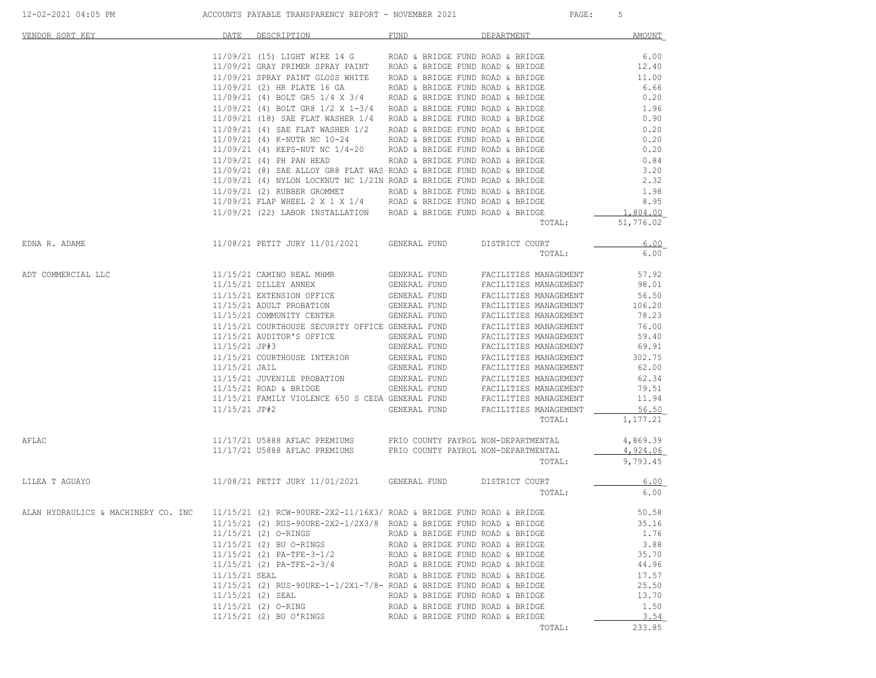| VENDOR SORT KEY                     | DATE          | DESCRIPTION                                                                                                                                              | FUND                                                                 | DEPARTMENT                                     | <b>AMOUNT</b>  |
|-------------------------------------|---------------|----------------------------------------------------------------------------------------------------------------------------------------------------------|----------------------------------------------------------------------|------------------------------------------------|----------------|
|                                     |               | $11/09/21$ (15) LIGHT WIRE 14 G ROAD & BRIDGE FUND ROAD & BRIDGE                                                                                         |                                                                      |                                                | 6.00           |
|                                     |               | $11/09/21$ GRAY PRIMER SPRAY PAINT ROAD & BRIDGE FUND ROAD & BRIDGE                                                                                      |                                                                      |                                                | 12.40          |
|                                     |               | 11/09/21 SPRAY PAINT GLOSS WHITE ROAD & BRIDGE FUND ROAD & BRIDGE                                                                                        |                                                                      |                                                | 11.00          |
|                                     |               | $11/09/21$ (2) HR PLATE 16 GA ROAD & BRIDGE FUND ROAD & BRIDGE                                                                                           |                                                                      |                                                | 6.66           |
|                                     |               | $11/09/21$ (4) BOLT GR5 1/4 X 3/4 ROAD & BRIDGE FUND ROAD & BRIDGE                                                                                       |                                                                      |                                                | 0.20           |
|                                     |               | $11/09/21$ (4) BOLT GR8 1/2 X 1-3/4 ROAD & BRIDGE FUND ROAD & BRIDGE<br>$11/09/21$ (18) SAE FLAT WASHER $1/4$ ROAD & BRIDGE FUND ROAD & BRIDGE           |                                                                      |                                                | 1.96<br>0.90   |
|                                     |               | $11/09/21$ (4) SAE FLAT WASHER $1/2$ ROAD & BRIDGE FUND ROAD & BRIDGE                                                                                    |                                                                      |                                                | 0.20           |
|                                     |               |                                                                                                                                                          |                                                                      |                                                | 0.20           |
|                                     |               | 11/09/21 (4) K-NUTR NC 10-24 ROAD & BRIDGE FUND ROAD & BRIDGE 11/09/21 (4) KEPS-NUT NC 1/4-20 ROAD & BRIDGE FUND ROAD & BRIDGE                           |                                                                      |                                                | 0.20           |
|                                     |               | 11/09/21 (4) PH PAN HEAD                                                                                                                                 | ROAD & BRIDGE FUND ROAD & BRIDGE                                     |                                                | 0.84           |
|                                     |               | 11/09/21 (8) SAE ALLOY GR8 FLAT WAS ROAD & BRIDGE FUND ROAD & BRIDGE                                                                                     |                                                                      |                                                | 3.20           |
|                                     |               | $11/09/21$ (4) NYLON LOCKNUT NC 1/2IN ROAD & BRIDGE FUND ROAD & BRIDGE                                                                                   |                                                                      |                                                | 2.32           |
|                                     |               | 11/09/21 (2) RUBBER GROMMET ROAD & BRIDGE FUND ROAD & BRIDGE                                                                                             |                                                                      |                                                | 1.98           |
|                                     |               | $11/09/21$ FLAP WHEEL 2 X 1 X 1/4 ROAD & BRIDGE FUND ROAD & BRIDGE                                                                                       |                                                                      |                                                | 8.95           |
|                                     |               | 11/09/21 (22) LABOR INSTALLATION ROAD & BRIDGE FUND ROAD & BRIDGE                                                                                        |                                                                      |                                                | 1,804.00       |
|                                     |               |                                                                                                                                                          |                                                                      | TOTAL:                                         | 51,776.02      |
| EDNA R. ADAME                       |               | 11/08/21 PETIT JURY 11/01/2021 GENERAL FUND                                                                                                              |                                                                      | DISTRICT COURT                                 | 6.00           |
|                                     |               |                                                                                                                                                          |                                                                      | TOTAL:                                         | 6.00           |
| ADT COMMERCIAL LLC                  |               | 11/15/21 CAMINO REAL MHMR                                                                                                                                | GENERAL FUND                                                         | FACILITIES MANAGEMENT                          | 57.92          |
|                                     |               | 11/15/21 DILLEY ANNEX                                                                                                                                    | GENERAL FUND                                                         | FACILITIES MANAGEMENT                          | 98.01          |
|                                     |               | 11/15/21 EXTENSION OFFICE                                                                                                                                | <b>GENERAL FUND</b>                                                  | FACILITIES MANAGEMENT                          | 56.50          |
|                                     |               | 11/15/21 ADULT PROBATION GENERAL FUND<br>11/15/21 COMMUNITY CENTER GENERAL FUND                                                                          |                                                                      | FACILITIES MANAGEMENT                          | 106.20         |
|                                     |               |                                                                                                                                                          |                                                                      | FACILITIES MANAGEMENT                          | 78.23          |
|                                     |               | 11/15/21 COURTHOUSE SECURITY OFFICE GENERAL FUND<br>11/15/21 AUDITOR'S OFFICE                                                                            |                                                                      | FACILITIES MANAGEMENT                          | 76.00          |
|                                     |               |                                                                                                                                                          | GENERAL FUND                                                         | FACILITIES MANAGEMENT<br>FACILITIES MANAGEMENT | 59.40<br>69.91 |
|                                     |               | 11/15/21 JP#3<br>11/15/21 COURTHOUSE INTERIOR GENERAL FUND<br>11/15/21 JAIL GENERAL FUND<br>11/15/21 JAIL GENERAL FUND                                   |                                                                      | FACILITIES MANAGEMENT                          | 302.75         |
|                                     |               |                                                                                                                                                          |                                                                      | FACILITIES MANAGEMENT                          | 62.00          |
|                                     |               |                                                                                                                                                          |                                                                      | FACILITIES MANAGEMENT                          | 62.34          |
|                                     |               |                                                                                                                                                          |                                                                      | FACILITIES MANAGEMENT                          | 79.51          |
|                                     |               | 11/15/21 FAMILY VIOLENCE 650 S CEDA GENERAL FUND<br>11/15/21 JP#2 GENERAL FUND FACILITIES MANAGEMENT<br>11/15/21 JP#2 GENERAL FUND FACILITIES MANAGEMENT |                                                                      |                                                | 11.94          |
|                                     |               |                                                                                                                                                          |                                                                      |                                                | 56.50          |
|                                     |               |                                                                                                                                                          |                                                                      | TOTAL:                                         | 1,177.21       |
| AFLAC                               |               | 11/17/21 U5888 AFLAC PREMIUMS FRIO COUNTY PAYROL NON-DEPARTMENTAL                                                                                        |                                                                      |                                                | 4,869.39       |
|                                     |               | 11/17/21 U5888 AFLAC PREMIUMS FRIO COUNTY PAYROL NON-DEPARTMENTAL                                                                                        |                                                                      |                                                | 4,924.06       |
|                                     |               |                                                                                                                                                          |                                                                      | TOTAL:                                         | 9,793.45       |
| LILEA T AGUAYO                      |               | 11/08/21 PETIT JURY 11/01/2021 GENERAL FUND                                                                                                              |                                                                      | DISTRICT COURT                                 | 6.00           |
|                                     |               |                                                                                                                                                          |                                                                      | TOTAL:                                         | 6.00           |
| ALAN HYDRAULICS & MACHINERY CO. INC |               | $11/15/21$ (2) RCW-90URE-2X2-11/16X3/ ROAD & BRIDGE FUND ROAD & BRIDGE                                                                                   |                                                                      |                                                | 50.58          |
|                                     |               | $11/15/21$ (2) RUS-90URE-2X2-1/2X3/8 ROAD & BRIDGE FUND ROAD & BRIDGE                                                                                    |                                                                      |                                                | 35.16          |
|                                     |               | 11/15/21 (2) O-RINGS                                                                                                                                     | ROAD & BRIDGE FUND ROAD & BRIDGE                                     |                                                | 1.76           |
|                                     |               | 11/15/21 (2) BU O-RINGS                                                                                                                                  | ROAD & BRIDGE FUND ROAD & BRIDGE                                     |                                                | 3.88           |
|                                     |               | 11/15/21 (2) PA-TFE-3-1/2                                                                                                                                | ROAD & BRIDGE FUND ROAD & BRIDGE                                     |                                                | 35.70          |
|                                     |               | $11/15/21$ (2) PA-TFE-2-3/4                                                                                                                              | ROAD & BRIDGE FUND ROAD & BRIDGE                                     |                                                | 44.96          |
|                                     | 11/15/21 SEAL |                                                                                                                                                          | ROAD & BRIDGE FUND ROAD & BRIDGE                                     |                                                | 17.57          |
|                                     |               | $11/15/21$ (2) RUS-90URE-1-1/2X1-7/8- ROAD & BRIDGE FUND ROAD & BRIDGE                                                                                   |                                                                      |                                                | 25.50          |
|                                     |               | 11/15/21 (2) SEAL<br>11/15/21 (2) O-RING                                                                                                                 | ROAD & BRIDGE FUND ROAD & BRIDGE<br>ROAD & BRIDGE FUND ROAD & BRIDGE |                                                | 13.70          |
|                                     |               | 11/15/21 (2) BU O'RINGS                                                                                                                                  | ROAD & BRIDGE FUND ROAD & BRIDGE                                     |                                                | 1.50<br>3.54   |
|                                     |               |                                                                                                                                                          |                                                                      | TOTAL:                                         | 233.85         |
|                                     |               |                                                                                                                                                          |                                                                      |                                                |                |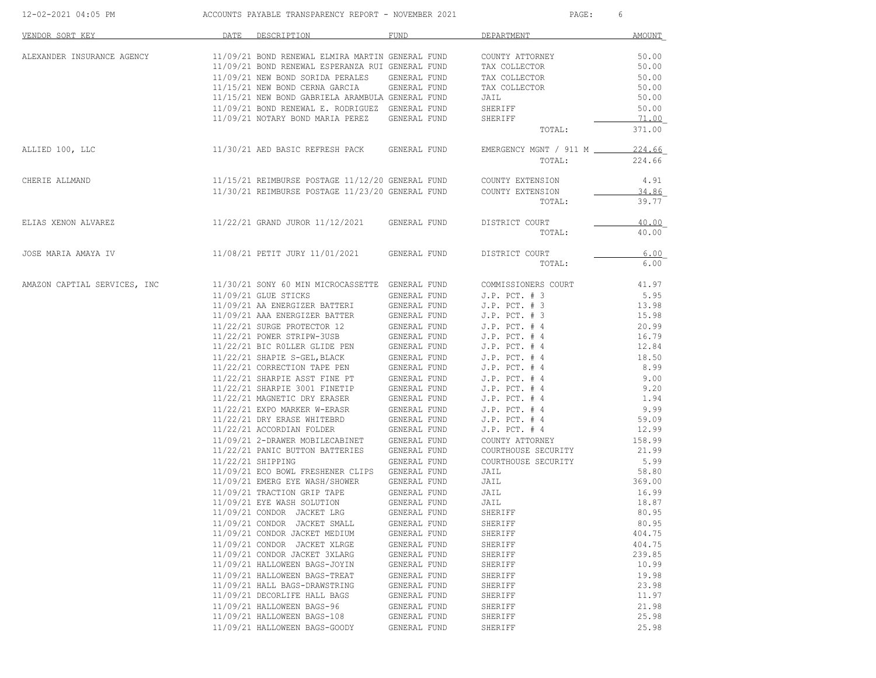| 12-02-2021 04:05 PM          | ACCOUNTS PAYABLE TRANSPARENCY REPORT - NOVEMBER 2021                                           |              | PAGE:                  | 6      |
|------------------------------|------------------------------------------------------------------------------------------------|--------------|------------------------|--------|
| VENDOR SORT KEY              | DATE DESCRIPTION                                                                               | FUND         | DEPARTMENT             | AMOUNT |
| ALEXANDER INSURANCE AGENCY   | 11/09/21 BOND RENEWAL ELMIRA MARTIN GENERAL FUND                                               |              | COUNTY ATTORNEY        | 50.00  |
|                              | 11/09/21 BOND RENEWAL ESPERANZA RUI GENERAL FUND                                               |              | TAX COLLECTOR          | 50.00  |
|                              | 11/09/21 NEW BOND SORIDA PERALES GENERAL FUND                                                  |              | TAX COLLECTOR          | 50.00  |
|                              | 11/15/21 NEW BOND CERNA GARCIA GENERAL FUND                                                    |              | TAX COLLECTOR          | 50.00  |
|                              | 11/15/21 NEW BOND GABRIELA ARAMBULA GENERAL FUND                                               |              | JAIL                   | 50.00  |
|                              | 11/09/21 BOND RENEWAL E. RODRIGUEZ GENERAL FUND                                                |              | SHERIFF                | 50.00  |
|                              | 11/09/21 NOTARY BOND MARIA PEREZ GENERAL FUND                                                  |              | SHERIFF                | 71.00  |
|                              |                                                                                                |              | TOTAL:                 | 371.00 |
| ALLIED 100, LLC              | 11/30/21 AED BASIC REFRESH PACK GENERAL FUND                                                   |              | EMERGENCY MGNT / 911 M | 224.66 |
|                              |                                                                                                |              | TOTAL:                 | 224.66 |
| CHERIE ALLMAND               | 11/15/21 REIMBURSE POSTAGE 11/12/20 GENERAL FUND COUNTY EXTENSION                              |              |                        | 4.91   |
|                              | 11/30/21 REIMBURSE POSTAGE 11/23/20 GENERAL FUND COUNTY EXTENSION                              |              |                        | 34.86  |
|                              |                                                                                                |              | TOTAL:                 | 39.77  |
| ELIAS XENON ALVAREZ          | 11/22/21 GRAND JUROR 11/12/2021 GENERAL FUND                                                   |              | DISTRICT COURT         | 40.00  |
|                              |                                                                                                |              | TOTAL:                 | 40.00  |
| JOSE MARIA AMAYA IV          | 11/08/21 PETIT JURY 11/01/2021                                                                 | GENERAL FUND | DISTRICT COURT         | 6.00   |
|                              |                                                                                                |              | TOTAL:                 | 6.00   |
| AMAZON CAPTIAL SERVICES, INC | 11/30/21 SONY 60 MIN MICROCASSETTE GENERAL FUND                                                |              | COMMISSIONERS COURT    | 41.97  |
|                              | 11/09/21 GLUE STICKS                                                                           | GENERAL FUND | $J.P.$ PCT. $# 3$      | 5.95   |
|                              | 11/09/21 AA ENERGIZER BATTERI GENERAL FUND                                                     |              | $J.P.$ PCT. $# 3$      | 13.98  |
|                              | 11/09/21 AAA ENERGIZER BATTER                                                                  | GENERAL FUND | J.P. $PCT. # 3$        | 15.98  |
|                              | 11/22/21 SURGE PROTECTOR 12                                                                    | GENERAL FUND | $J.P.$ PCT. $#4$       | 20.99  |
|                              | 11/22/21 POWER STRIPW-3USB                                                                     | GENERAL FUND | $J.P.$ PCT. $#4$       | 16.79  |
|                              | 11/22/21 BIC ROLLER GLIDE PEN                                                                  | GENERAL FUND | $J.P.$ PCT. $#4$       | 12.84  |
|                              | 11/22/21 SHAPIE S-GEL, BLACK                                                                   | GENERAL FUND | $J.P.$ PCT. $#4$       | 18.50  |
|                              |                                                                                                | GENERAL FUND | $J.P.$ PCT. $#4$       | 8.99   |
|                              | 11/22/21 CORRECTION TAPE PEN<br>11/22/21 SHARPIE ASST FINE PT<br>11/22/21 SHARPIE ASST FINE PT | GENERAL FUND | $J.P.$ PCT. $#4$       | 9.00   |
|                              | 11/22/21 SHARPIE 3001 FINETIP                                                                  | GENERAL FUND | $J.P.$ PCT. $#4$       | 9.20   |
|                              | 11/22/21 MAGNETIC DRY ERASER                                                                   | GENERAL FUND | $J.P.$ PCT. $#4$       | 1.94   |
|                              | 11/22/21 EXPO MARKER W-ERASR                                                                   | GENERAL FUND | $J.P.$ PCT. $#4$       | 9.99   |
|                              | 11/22/21 DRY ERASE WHITEBRD                                                                    | GENERAL FUND | $J.P.$ PCT. $#4$       | 59.09  |
|                              | 11/22/21 ACCORDIAN FOLDER                                                                      | GENERAL FUND | $J.P.$ PCT. $#4$       | 12.99  |
|                              | 11/09/21 2-DRAWER MOBILECABINET GENERAL FUND                                                   |              |                        | 158.99 |
|                              | 11/22/21 PANIC BUTTON BATTERIES                                                                |              | COUNTY ATTORNEY        |        |
|                              |                                                                                                | GENERAL FUND | COURTHOUSE SECURITY    | 21.99  |
|                              | 11/22/21 SHIPPING                                                                              | GENERAL FUND | COURTHOUSE SECURITY    | 5.99   |
|                              | 11/09/21 ECO BOWL FRESHENER CLIPS GENERAL FUND                                                 |              | JAIL                   | 58.80  |
|                              | 11/09/21 EMERG EYE WASH/SHOWER                                                                 | GENERAL FUND | JAIL                   | 369.00 |
|                              | 11/09/21 TRACTION GRIP TAPE                                                                    | GENERAL FUND | JAIL                   | 16.99  |
|                              | 11/09/21 EYE WASH SOLUTION                                                                     | GENERAL FUND | JAIL                   | 18.87  |
|                              | 11/09/21 CONDOR JACKET LRG                                                                     | GENERAL FUND | SHERIFF                | 80.95  |
|                              | 11/09/21 CONDOR JACKET SMALL                                                                   | GENERAL FUND | SHERIFF                | 80.95  |
|                              | 11/09/21 CONDOR JACKET MEDIUM                                                                  | GENERAL FUND | SHERIFF                | 404.75 |
|                              | 11/09/21 CONDOR JACKET XLRGE                                                                   | GENERAL FUND | SHERIFF                | 404.75 |
|                              | 11/09/21 CONDOR JACKET 3XLARG                                                                  | GENERAL FUND | SHERIFF                | 239.85 |
|                              | 11/09/21 HALLOWEEN BAGS-JOYIN                                                                  | GENERAL FUND | SHERIFF                | 10.99  |
|                              | 11/09/21 HALLOWEEN BAGS-TREAT                                                                  | GENERAL FUND | SHERIFF                | 19.98  |
|                              | 11/09/21 HALL BAGS-DRAWSTRING                                                                  | GENERAL FUND | SHERIFF                | 23.98  |
|                              | 11/09/21 DECORLIFE HALL BAGS                                                                   | GENERAL FUND | SHERIFF                | 11.97  |
|                              | 11/09/21 HALLOWEEN BAGS-96                                                                     | GENERAL FUND | SHERIFF                | 21.98  |
|                              | 11/09/21 HALLOWEEN BAGS-108                                                                    | GENERAL FUND | SHERIFF                | 25.98  |
|                              | 11/09/21 HALLOWEEN BAGS-GOODY                                                                  | GENERAL FUND | SHERIFF                | 25.98  |
|                              |                                                                                                |              |                        |        |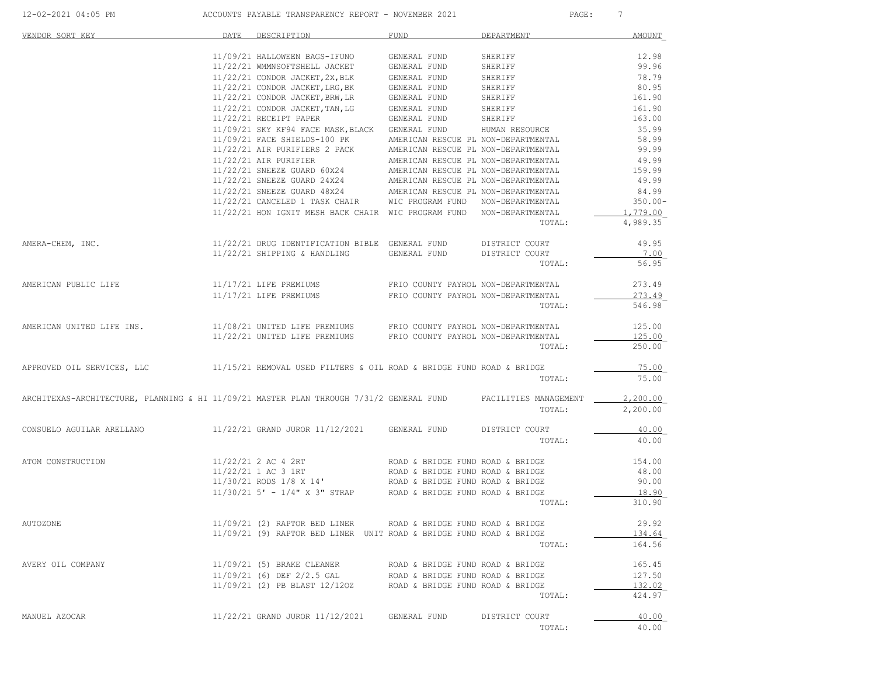| 12-02-2021 04:05 PM | ACCOUNTS PAYABLE TRANSPARENCY REPORT - NOVEMBER 2021 | PAGE |  |
|---------------------|------------------------------------------------------|------|--|

| VENDOR SORT KEY                                                                                               | DATE | DESCRIPTION                                                                                                                                                                          | <b>FUND</b>                         | DEPARTMENT     | <b>AMOUNT</b> |
|---------------------------------------------------------------------------------------------------------------|------|--------------------------------------------------------------------------------------------------------------------------------------------------------------------------------------|-------------------------------------|----------------|---------------|
|                                                                                                               |      | 11/09/21 HALLOWEEN BAGS-IFUNO                                                                                                                                                        | GENERAL FUND                        | SHERIFF        | 12.98         |
|                                                                                                               |      |                                                                                                                                                                                      |                                     | SHERIFF        | 99.96         |
|                                                                                                               |      | $11/22/21$ WMMNSOFTSHELL JACKET GENERAL FUND<br>$11/22/21$ CONDOR JACKET, 2X, BLK GENERAL FUND                                                                                       |                                     | SHERIFF        | 78.79         |
|                                                                                                               |      | 11/22/21 CONDOR JACKET, LRG, BK                                                                                                                                                      | GENERAL FUND                        | SHERIFF        | 80.95         |
|                                                                                                               |      | 11/22/21 CONDOR JACKET, BRW, LR                                                                                                                                                      | GENERAL FUND                        | SHERIFF        | 161.90        |
|                                                                                                               |      | 11/22/21 CONDOR JACKET, TAN, LG                                                                                                                                                      | GENERAL FUND                        | SHERIFF        | 161.90        |
|                                                                                                               |      | 11/22/21 RECEIPT PAPER                                                                                                                                                               | GENERAL FUND                        | SHERIFF        | 163.00        |
|                                                                                                               |      | 11/09/21 SKY KF94 FACE MASK, BLACK GENERAL FUND                                                                                                                                      |                                     | HUMAN RESOURCE | 35.99         |
|                                                                                                               |      | 11/09/21 FACE SHIELDS-100 PK                                                                                                                                                         | AMERICAN RESCUE PL NON-DEPARTMENTAL |                | 58.99         |
|                                                                                                               |      | $11/22/21$ AIR PURIFIERS 2 PACK                                                                                                                                                      | AMERICAN RESCUE PL NON-DEPARTMENTAL |                | 99.99         |
|                                                                                                               |      | 11/22/21 AIR PURIFIER                                                                                                                                                                | AMERICAN RESCUE PL NON-DEPARTMENTAL |                | 49.99         |
|                                                                                                               |      | 11/22/21 SNEEZE GUARD 60X24                                                                                                                                                          | AMERICAN RESCUE PL NON-DEPARTMENTAL |                | 159.99        |
|                                                                                                               |      |                                                                                                                                                                                      |                                     |                | 49.99         |
|                                                                                                               |      | $11/22/21 \hbox{ SNEEZE GUARD} \hbox{ 24X24} \hbox{ AMERICAN RESCUE PL NON-DEPARTMENTAL} \\ 11/22/21 \hbox{ SNEEZE GUARD} \hbox{ 48X24} \hbox{ AMERICAN RESCUE PL NON-DEPARTMENTAL}$ |                                     |                | 84.99         |
|                                                                                                               |      | 11/22/21 CANCELED 1 TASK CHAIR WIC PROGRAM FUND NON-DEPARTMENTAL                                                                                                                     |                                     |                | $350.00 -$    |
|                                                                                                               |      | 11/22/21 HON IGNIT MESH BACK CHAIR WIC PROGRAM FUND NON-DEPARTMENTAL                                                                                                                 |                                     |                | 1,779.00      |
|                                                                                                               |      |                                                                                                                                                                                      |                                     | TOTAL:         | 4,989.35      |
| AMERA-CHEM, INC.                                                                                              |      | 11/22/21 DRUG IDENTIFICATION BIBLE GENERAL FUND                                                                                                                                      |                                     | DISTRICT COURT | 49.95         |
|                                                                                                               |      | 11/22/21 SHIPPING & HANDLING                                                                                                                                                         | GENERAL FUND                        | DISTRICT COURT | 7.00          |
|                                                                                                               |      |                                                                                                                                                                                      |                                     | TOTAL:         | 56.95         |
| AMERICAN PUBLIC LIFE                                                                                          |      | 11/17/21 LIFE PREMIUMS                                                                                                                                                               | FRIO COUNTY PAYROL NON-DEPARTMENTAL |                | 273.49        |
|                                                                                                               |      | 11/17/21 LIFE PREMIUMS                                                                                                                                                               | FRIO COUNTY PAYROL NON-DEPARTMENTAL |                | 273.49        |
|                                                                                                               |      |                                                                                                                                                                                      |                                     | TOTAL:         | 546.98        |
| AMERICAN UNITED LIFE INS.                                                                                     |      |                                                                                                                                                                                      |                                     |                | 125.00        |
|                                                                                                               |      | $11/08/21$ UNITED LIFE PREMIUMS FRIO COUNTY PAYROL NON-DEPARTMENTAL $11/22/21$ UNITED LIFE PREMIUMS FRIO COUNTY PAYROL NON-DEPARTMENTAL                                              |                                     |                | 125.00        |
|                                                                                                               |      |                                                                                                                                                                                      |                                     | TOTAL:         | 250.00        |
| APPROVED OIL SERVICES, LLC                                                                                    |      | 11/15/21 REMOVAL USED FILTERS & OIL ROAD & BRIDGE FUND ROAD & BRIDGE                                                                                                                 |                                     |                | 75.00         |
|                                                                                                               |      |                                                                                                                                                                                      |                                     | TOTAL:         | 75.00         |
| ARCHITEXAS-ARCHITECTURE, PLANNING & HI 11/09/21 MASTER PLAN THROUGH 7/31/2 GENERAL FUND FACILITIES MANAGEMENT |      |                                                                                                                                                                                      |                                     |                | 2,200.00      |
|                                                                                                               |      |                                                                                                                                                                                      |                                     | TOTAL:         | 2,200.00      |
| CONSUELO AGUILAR ARELLANO                                                                                     |      | 11/22/21 GRAND JUROR 11/12/2021 GENERAL FUND                                                                                                                                         |                                     | DISTRICT COURT | 40.00         |
|                                                                                                               |      |                                                                                                                                                                                      |                                     | TOTAL:         | 40.00         |
| ATOM CONSTRUCTION                                                                                             |      | 11/22/21 2 AC 4 2RT                                                                                                                                                                  | ROAD & BRIDGE FUND ROAD & BRIDGE    |                | 154.00        |
|                                                                                                               |      | 11/22/21 1 AC 3 1RT                                                                                                                                                                  | ROAD & BRIDGE FUND ROAD & BRIDGE    |                | 48.00         |
|                                                                                                               |      | 11/22/21 1 AC 3 IN1<br>11/30/21 RODS 1/8 X 14' ROAD & BRIDGE FUND ROAD & BRIDGE                                                                                                      |                                     |                | 90.00         |
|                                                                                                               |      | $11/30/21$ 5' - $1/4$ " X 3" STRAP ROAD & BRIDGE FUND ROAD & BRIDGE                                                                                                                  |                                     |                | 18.90         |
|                                                                                                               |      |                                                                                                                                                                                      |                                     | TOTAL:         | 310.90        |
| AUTOZONE                                                                                                      |      | 11/09/21 (2) RAPTOR BED LINER                                                                                                                                                        | ROAD & BRIDGE FUND ROAD & BRIDGE    |                | 29.92         |
|                                                                                                               |      | 11/09/21 (9) RAPTOR BED LINER UNIT ROAD & BRIDGE FUND ROAD & BRIDGE                                                                                                                  |                                     |                | 134.64        |
|                                                                                                               |      |                                                                                                                                                                                      |                                     | TOTAL:         | 164.56        |
| AVERY OIL COMPANY                                                                                             |      | 11/09/21 (5) BRAKE CLEANER                                                                                                                                                           | ROAD & BRIDGE FUND ROAD & BRIDGE    |                | 165.45        |
|                                                                                                               |      | 11/09/21 (6) DEF 2/2.5 GAL                                                                                                                                                           | ROAD & BRIDGE FUND ROAD & BRIDGE    |                | 127.50        |
|                                                                                                               |      | 11/09/21 (2) PB BLAST 12/1202                                                                                                                                                        | ROAD & BRIDGE FUND ROAD & BRIDGE    |                | 132.02        |
|                                                                                                               |      |                                                                                                                                                                                      |                                     | TOTAL:         | 424.97        |
| MANUEL AZOCAR                                                                                                 |      | 11/22/21 GRAND JUROR 11/12/2021                                                                                                                                                      | GENERAL FUND                        | DISTRICT COURT | 40.00         |
|                                                                                                               |      |                                                                                                                                                                                      |                                     | TOTAL:         | 40.00         |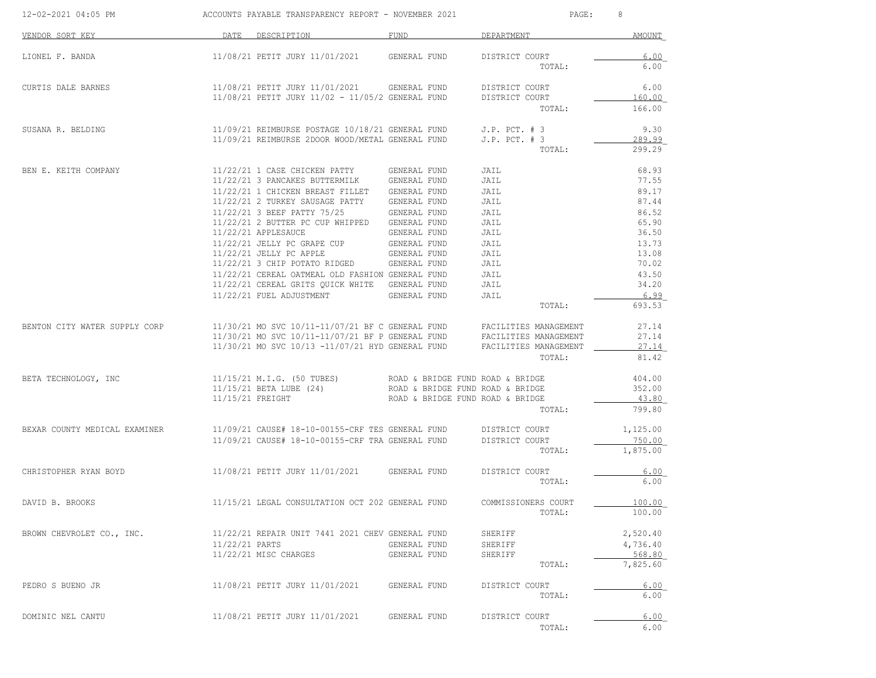| 12-02-2021 04:05 PM           |                  | ACCOUNTS PAYABLE TRANSPARENCY REPORT - NOVEMBER 2021                | 8<br>PAGE:                       |                          |                    |
|-------------------------------|------------------|---------------------------------------------------------------------|----------------------------------|--------------------------|--------------------|
| VENDOR SORT KEY               | DATE             | DESCRIPTION                                                         | FUND                             | DEPARTMENT               | <b>AMOUNT</b>      |
| LIONEL F. BANDA               |                  | 11/08/21 PETIT JURY 11/01/2021                                      | GENERAL FUND                     | DISTRICT COURT<br>TOTAL: | 6.00<br>6.00       |
|                               |                  |                                                                     |                                  |                          |                    |
| CURTIS DALE BARNES            |                  | 11/08/21 PETIT JURY 11/01/2021                                      | GENERAL FUND                     | DISTRICT COURT           | 6.00               |
|                               |                  | 11/08/21 PETIT JURY 11/02 - 11/05/2 GENERAL FUND                    |                                  | DISTRICT COURT<br>TOTAL: | 160.00<br>166.00   |
| SUSANA R. BELDING             |                  | 11/09/21 REIMBURSE POSTAGE 10/18/21 GENERAL FUND                    |                                  | $J.P.$ PCT. $# 3$        | 9.30               |
|                               |                  | 11/09/21 REIMBURSE 2DOOR WOOD/METAL GENERAL FUND                    |                                  | $J.P.$ PCT. $# 3$        | 289.99             |
|                               |                  |                                                                     |                                  | TOTAL:                   | 299.29             |
| BEN E. KEITH COMPANY          |                  | 11/22/21 1 CASE CHICKEN PATTY                                       | GENERAL FUND                     | JAIL                     | 68.93              |
|                               |                  | 11/22/21 3 PANCAKES BUTTERMILK                                      | GENERAL FUND                     | JAIL                     | 77.55              |
|                               |                  | 11/22/21 1 CHICKEN BREAST FILLET<br>11/22/21 2 TURKEY SAUSAGE PATTY | GENERAL FUND                     | JAIL                     | 89.17<br>87.44     |
|                               |                  | 11/22/21 3 BEEF PATTY 75/25                                         | GENERAL FUND<br>GENERAL FUND     | JAIL<br>JAIL             | 86.52              |
|                               |                  | 11/22/21 2 BUTTER PC CUP WHIPPED                                    | GENERAL FUND                     | JAIL                     | 65.90              |
|                               |                  | 11/22/21 APPLESAUCE                                                 | GENERAL FUND                     | JAIL                     | 36.50              |
|                               |                  | 11/22/21 JELLY PC GRAPE CUP                                         | GENERAL FUND                     | JAIL                     | 13.73              |
|                               |                  | 11/22/21 JELLY PC APPLE                                             | GENERAL FUND                     | JAIL                     | 13.08              |
|                               |                  | 11/22/21 3 CHIP POTATO RIDGED GENERAL FUND                          |                                  | JAIL                     | 70.02              |
|                               |                  | 11/22/21 CEREAL OATMEAL OLD FASHION GENERAL FUND                    |                                  | JAIL                     | 43.50              |
|                               |                  | 11/22/21 CEREAL GRITS QUICK WHITE GENERAL FUND                      |                                  | JAIL                     | 34.20              |
|                               |                  | 11/22/21 FUEL ADJUSTMENT                                            | GENERAL FUND                     | JAIL                     | 6.99               |
|                               |                  |                                                                     |                                  | TOTAL:                   | 693.53             |
| BENTON CITY WATER SUPPLY CORP |                  | $11/30/21$ MO SVC $10/11-11/07/21$ BF C GENERAL FUND                |                                  | FACILITIES MANAGEMENT    | 27.14              |
|                               |                  | 11/30/21 MO SVC 10/11-11/07/21 BF P GENERAL FUND                    |                                  | FACILITIES MANAGEMENT    | 27.14              |
|                               |                  | 11/30/21 MO SVC 10/13 -11/07/21 HYD GENERAL FUND                    |                                  | FACILITIES MANAGEMENT    | 27.14              |
|                               |                  |                                                                     |                                  | TOTAL:                   | 81.42              |
| BETA TECHNOLOGY, INC          |                  | 11/15/21 M.I.G. (50 TUBES)                                          | ROAD & BRIDGE FUND ROAD & BRIDGE |                          | 404.00             |
|                               |                  | 11/15/21 BETA LUBE (24)                                             | ROAD & BRIDGE FUND ROAD & BRIDGE |                          | 352.00             |
|                               | 11/15/21 FREIGHT |                                                                     | ROAD & BRIDGE FUND ROAD & BRIDGE |                          | 43.80              |
|                               |                  |                                                                     |                                  | TOTAL:                   | 799.80             |
| BEXAR COUNTY MEDICAL EXAMINER |                  | 11/09/21 CAUSE# 18-10-00155-CRF TES GENERAL FUND                    |                                  | DISTRICT COURT           | 1,125.00           |
|                               |                  | 11/09/21 CAUSE# 18-10-00155-CRF TRA GENERAL FUND                    |                                  | DISTRICT COURT           | 750.00             |
|                               |                  |                                                                     |                                  | TOTAL:                   | 1,875.00           |
| CHRISTOPHER RYAN BOYD         |                  | 11/08/21 PETIT JURY 11/01/2021 GENERAL FUND                         |                                  | DISTRICT COURT           | 6.00               |
|                               |                  |                                                                     |                                  | TOTAL:                   | 6.00               |
| DAVID B. BROOKS               |                  | 11/15/21 LEGAL CONSULTATION OCT 202 GENERAL FUND                    |                                  | COMMISSIONERS COURT      | 100.00             |
|                               |                  |                                                                     |                                  | TOTAL:                   | 100.00             |
| BROWN CHEVROLET CO., INC.     |                  | 11/22/21 REPAIR UNIT 7441 2021 CHEV GENERAL FUND                    |                                  | SHERIFF                  | 2,520.40           |
|                               | 11/22/21 PARTS   |                                                                     | GENERAL FUND                     | SHERIFF                  | 4,736.40           |
|                               |                  | 11/22/21 MISC CHARGES                                               | GENERAL FUND                     | SHERIFF<br>TOTAL:        | 568.80<br>7,825.60 |
|                               |                  |                                                                     |                                  |                          |                    |
| PEDRO S BUENO JR              |                  | 11/08/21 PETIT JURY 11/01/2021                                      | GENERAL FUND                     | DISTRICT COURT           | 6.00               |
|                               |                  |                                                                     |                                  | TOTAL:                   | 6.00               |
| DOMINIC NEL CANTU             |                  | 11/08/21 PETIT JURY 11/01/2021                                      | GENERAL FUND                     | DISTRICT COURT           | 6.00               |
|                               |                  |                                                                     |                                  | TOTAL:                   | 6.00               |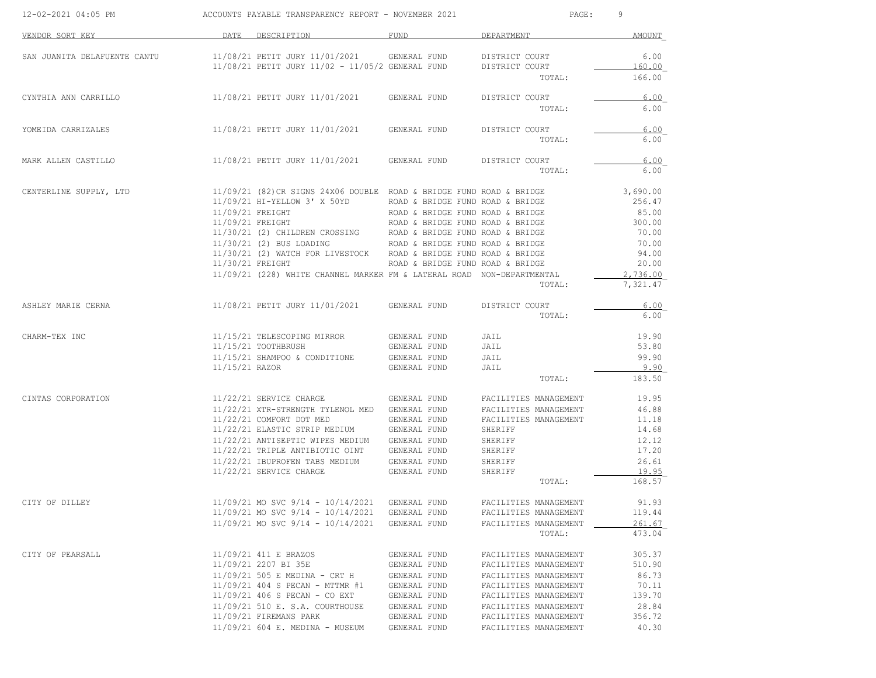| 12-02-2021 04:05 PM          |                                      | ACCOUNTS PAYABLE TRANSPARENCY REPORT - NOVEMBER 2021                   |                                  | PAGE:                 | 9               |
|------------------------------|--------------------------------------|------------------------------------------------------------------------|----------------------------------|-----------------------|-----------------|
| VENDOR SORT KEY              |                                      | DATE DESCRIPTION                                                       | FUND                             | DEPARTMENT            | AMOUNT          |
| SAN JUANITA DELAFUENTE CANTU |                                      | 11/08/21 PETIT JURY 11/01/2021                                         | GENERAL FUND                     | DISTRICT COURT        | 6.00            |
|                              |                                      | 11/08/21 PETIT JURY 11/02 - 11/05/2 GENERAL FUND                       |                                  | DISTRICT COURT        | 160.00          |
|                              |                                      |                                                                        |                                  | TOTAL:                | 166.00          |
| CYNTHIA ANN CARRILLO         |                                      | 11/08/21 PETIT JURY 11/01/2021 GENERAL FUND                            |                                  | DISTRICT COURT        | 6.00            |
|                              |                                      |                                                                        |                                  | TOTAL:                | 6.00            |
| YOMEIDA CARRIZALES           |                                      | 11/08/21 PETIT JURY 11/01/2021                                         | GENERAL FUND                     | DISTRICT COURT        | 6.00            |
|                              |                                      |                                                                        |                                  | TOTAL:                | 6.00            |
| MARK ALLEN CASTILLO          |                                      | 11/08/21 PETIT JURY 11/01/2021                                         | GENERAL FUND                     | DISTRICT COURT        | 6.00            |
|                              |                                      |                                                                        |                                  | TOTAL:                | 6.00            |
| CENTERLINE SUPPLY, LTD       |                                      | 11/09/21 (82) CR SIGNS 24X06 DOUBLE ROAD & BRIDGE FUND ROAD & BRIDGE   |                                  |                       | 3,690.00        |
|                              |                                      | 11/09/21 HI-YELLOW 3' X 50YD ROAD & BRIDGE FUND ROAD & BRIDGE          |                                  |                       | 256.47          |
|                              | 11/09/21 FREIGHT<br>11/09/21 FREIGHT |                                                                        | ROAD & BRIDGE FUND ROAD & BRIDGE |                       | 85.00           |
|                              |                                      | 11/30/21 (2) CHILDREN CROSSING ROAD & BRIDGE FUND ROAD & BRIDGE        | ROAD & BRIDGE FUND ROAD & BRIDGE |                       | 300.00<br>70.00 |
|                              |                                      | 11/30/21 (2) BUS LOADING ROAD & BRIDGE FUND ROAD & BRIDGE              |                                  |                       | 70.00           |
|                              |                                      | 11/30/21 (2) WATCH FOR LIVESTOCK ROAD & BRIDGE FUND ROAD & BRIDGE      |                                  |                       | 94.00           |
|                              | 11/30/21 FREIGHT                     |                                                                        | ROAD & BRIDGE FUND ROAD & BRIDGE |                       | 20.00           |
|                              |                                      | 11/09/21 (228) WHITE CHANNEL MARKER FM & LATERAL ROAD NON-DEPARTMENTAL |                                  |                       | 2,736.00        |
|                              |                                      |                                                                        |                                  | TOTAL:                | 7,321.47        |
| ASHLEY MARIE CERNA           |                                      | 11/08/21 PETIT JURY 11/01/2021                                         | GENERAL FUND                     | DISTRICT COURT        | 6.00            |
|                              |                                      |                                                                        |                                  | TOTAL:                | 6.00            |
| CHARM-TEX INC                |                                      | 11/15/21 TELESCOPING MIRROR                                            | GENERAL FUND                     | JAIL                  | 19.90           |
|                              |                                      | 11/15/21 TOOTHBRUSH                                                    | GENERAL FUND                     | JAIL                  | 53.80           |
|                              |                                      | 11/15/21 SHAMPOO & CONDITIONE                                          | GENERAL FUND                     | JAIL                  | 99.90           |
|                              | 11/15/21 RAZOR                       |                                                                        | GENERAL FUND                     | JAIL<br>TOTAL:        | 9.90<br>183.50  |
|                              |                                      |                                                                        |                                  |                       |                 |
| CINTAS CORPORATION           |                                      | 11/22/21 SERVICE CHARGE                                                | GENERAL FUND                     | FACILITIES MANAGEMENT | 19.95           |
|                              |                                      | 11/22/21 XTR-STRENGTH TYLENOL MED GENERAL FUND                         |                                  | FACILITIES MANAGEMENT | 46.88           |
|                              |                                      | 11/22/21 COMFORT DOT MED<br>11/22/21 ELASTIC STRIP MEDIUM GENERAL FUND | GENERAL FUND                     | FACILITIES MANAGEMENT | 11.18<br>14.68  |
|                              |                                      | 11/22/21 ANTISEPTIC WIPES MEDIUM GENERAL FUND                          |                                  | SHERIFF<br>SHERIFF    | 12.12           |
|                              |                                      | 11/22/21 TRIPLE ANTIBIOTIC OINT GENERAL FUND                           |                                  | SHERIFF               | 17.20           |
|                              |                                      | 11/22/21 IBUPROFEN TABS MEDIUM                                         | GENERAL FUND                     | SHERIFF               | 26.61           |
|                              |                                      | 11/22/21 SERVICE CHARGE                                                | GENERAL FUND                     | SHERIFF               | 19.95           |
|                              |                                      |                                                                        |                                  | TOTAL:                | 168.57          |
| CITY OF DILLEY               |                                      | 11/09/21 MO SVC 9/14 - 10/14/2021                                      | GENERAL FUND                     | FACILITIES MANAGEMENT | 91.93           |
|                              |                                      | 11/09/21 MO SVC 9/14 - 10/14/2021                                      | GENERAL FUND                     | FACILITIES MANAGEMENT | 119.44          |
|                              |                                      | 11/09/21 MO SVC 9/14 - 10/14/2021                                      | GENERAL FUND                     | FACILITIES MANAGEMENT | 261.67          |
|                              |                                      |                                                                        |                                  | TOTAL:                | 473.04          |
| CITY OF PEARSALL             |                                      | 11/09/21 411 E BRAZOS                                                  | GENERAL FUND                     | FACILITIES MANAGEMENT | 305.37          |
|                              |                                      | 11/09/21 2207 BI 35E                                                   | GENERAL FUND                     | FACILITIES MANAGEMENT | 510.90          |
|                              |                                      | $11/09/21$ 505 E MEDINA - CRT H                                        | GENERAL FUND                     | FACILITIES MANAGEMENT | 86.73           |
|                              |                                      | 11/09/21 404 S PECAN - MTTMR #1                                        | GENERAL FUND                     | FACILITIES MANAGEMENT | 70.11           |
|                              |                                      | 11/09/21 406 S PECAN - CO EXT                                          | GENERAL FUND                     | FACILITIES MANAGEMENT | 139.70          |
|                              |                                      | 11/09/21 510 E. S.A. COURTHOUSE                                        | GENERAL FUND                     | FACILITIES MANAGEMENT | 28.84           |
|                              |                                      | 11/09/21 FIREMANS PARK                                                 | GENERAL FUND                     | FACILITIES MANAGEMENT | 356.72          |
|                              |                                      | 11/09/21 604 E. MEDINA - MUSEUM                                        | GENERAL FUND                     | FACILITIES MANAGEMENT | 40.30           |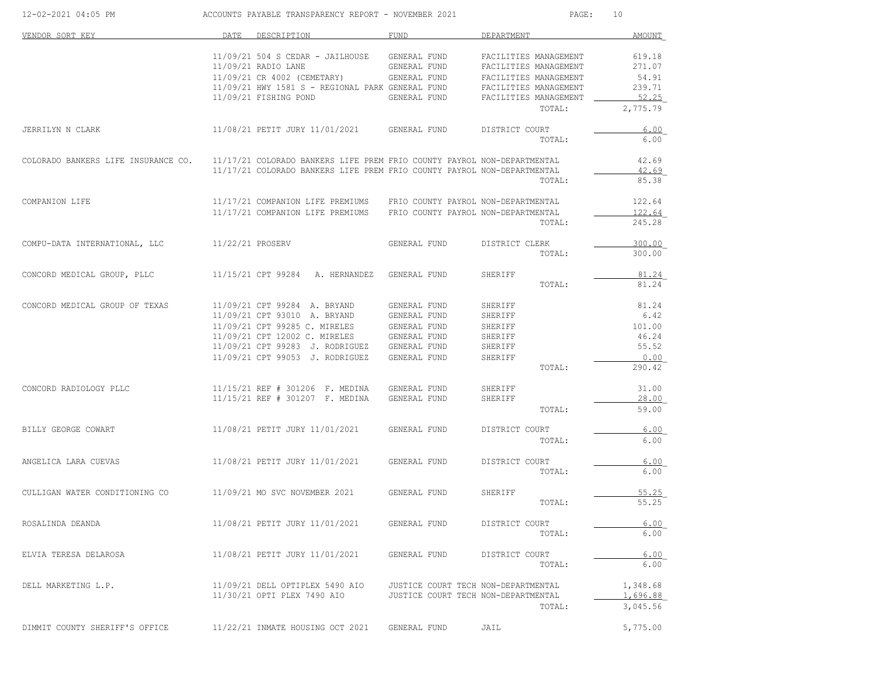| 12-02-2021 04:05 PM                                                       | ACCOUNTS PAYABLE TRANSPARENCY REPORT - NOVEMBER 2021                                         |                                     | PAGE:                               | 10               |
|---------------------------------------------------------------------------|----------------------------------------------------------------------------------------------|-------------------------------------|-------------------------------------|------------------|
| VENDOR SORT KEY                                                           | DATE DESCRIPTION                                                                             | FUND                                | DEPARTMENT                          | <b>AMOUNT</b>    |
|                                                                           | 11/09/21 504 S CEDAR - JAILHOUSE GENERAL FUND                                                |                                     | FACILITIES MANAGEMENT               | 619.18           |
|                                                                           | 11/09/21 RADIO LANE                                                                          | <b>GENERAL FUND</b>                 | FACILITIES MANAGEMENT               | 271.07           |
|                                                                           | 11/09/21 CR 4002 (CEMETARY) GENERAL FUND                                                     |                                     | FACILITIES MANAGEMENT               | 54.91            |
|                                                                           |                                                                                              |                                     | FACILITIES MANAGEMENT               | 239.71           |
|                                                                           | 11/09/21 HWY 1581 S - REGIONAL PARK GENERAL FUND<br>11/09/21 FISHING POND GENERAL FUND       |                                     | FACILITIES MANAGEMENT _             | 52.25            |
|                                                                           |                                                                                              |                                     | TOTAL:                              | 2,775.79         |
| JERRILYN N CLARK                                                          | 11/08/21 PETIT JURY 11/01/2021 GENERAL FUND                                                  |                                     | DISTRICT COURT                      | 6.00             |
|                                                                           |                                                                                              |                                     | TOTAL:                              | 6.00             |
| COLORADO BANKERS LIFE INSURANCE CO.                                       | 11/17/21 COLORADO BANKERS LIFE PREM FRIO COUNTY PAYROL NON-DEPARTMENTAL                      |                                     |                                     | 42.69            |
|                                                                           | 11/17/21 COLORADO BANKERS LIFE PREM FRIO COUNTY PAYROL NON-DEPARTMENTAL                      |                                     | TOTAL:                              | 42.69<br>85.38   |
| COMPANION LIFE                                                            | 11/17/21 COMPANION LIFE PREMIUMS FRIO COUNTY PAYROL NON-DEPARTMENTAL                         |                                     |                                     | 122.64           |
|                                                                           |                                                                                              |                                     |                                     |                  |
|                                                                           | 11/17/21 COMPANION LIFE PREMIUMS FRIO COUNTY PAYROL NON-DEPARTMENTAL                         |                                     | TOTAL:                              | 122.64<br>245.28 |
| COMPU-DATA INTERNATIONAL, LLC                                             | 11/22/21 PROSERV                                                                             | GENERAL FUND                        | DISTRICT CLERK                      | 300.00           |
|                                                                           |                                                                                              |                                     | TOTAL:                              | 300.00           |
| CONCORD MEDICAL GROUP, PLLC                                               | 11/15/21 CPT 99284 A. HERNANDEZ GENERAL FUND                                                 |                                     | SHERIFF                             | 81.24            |
|                                                                           |                                                                                              |                                     | TOTAL:                              | 81.24            |
| CONCORD MEDICAL GROUP OF TEXAS                                            | 11/09/21 CPT 99284 A. BRYAND                                                                 | GENERAL FUND                        | SHERIFF                             | 81.24            |
|                                                                           | 11/09/21 CPT 93010 A. BRYAND GENERAL FUND                                                    |                                     | SHERIFF                             | 6.42             |
|                                                                           | $11/09/21$ CPT 99285 C. MIRELES GENERAL FUND<br>$11/09/21$ CPT 12002 C. MIRELES GENERAL FUND |                                     | SHERIFF                             | 101.00           |
|                                                                           |                                                                                              |                                     | SHERIFF                             | 46.24            |
|                                                                           | 11/09/21 CPT 99283 J. RODRIGUEZ GENERAL FUND                                                 |                                     | SHERIFF                             | 55.52            |
|                                                                           | 11/09/21 CPT 99053 J. RODRIGUEZ                                                              | GENERAL FUND                        | SHERIFF                             | 0.00             |
|                                                                           |                                                                                              |                                     | TOTAL:                              | 290.42           |
| CONCORD RADIOLOGY PLLC                                                    | 11/15/21 REF # 301206 F. MEDINA                                                              | GENERAL FUND                        | SHERIFF                             | 31.00            |
|                                                                           | 11/15/21 REF # 301207 F. MEDINA                                                              | GENERAL FUND                        | SHERIFF                             | 28.00            |
|                                                                           |                                                                                              |                                     | TOTAL:                              | 59.00            |
| BILLY GEORGE COWART                                                       | 11/08/21 PETIT JURY 11/01/2021 GENERAL FUND                                                  |                                     | DISTRICT COURT                      | 6.00             |
|                                                                           |                                                                                              |                                     | TOTAL:                              | 6.00             |
| ANGELICA LARA CUEVAS                                                      | 11/08/21 PETIT JURY 11/01/2021 GENERAL FUND                                                  |                                     | DISTRICT COURT                      | 6.00             |
|                                                                           |                                                                                              |                                     | TOTAL:                              | 6.00             |
| CULLIGAN WATER CONDITIONING CO 11/09/21 MO SVC NOVEMBER 2021 GENERAL FUND |                                                                                              |                                     | SHERIFF                             | 55.25            |
|                                                                           |                                                                                              |                                     | TOTAL:                              | 55.25            |
| ROSALINDA DEANDA                                                          | 11/08/21 PETIT JURY 11/01/2021                                                               | GENERAL FUND                        | DISTRICT COURT                      | 6.00             |
|                                                                           |                                                                                              |                                     | TOTAL:                              | 6.00             |
| ELVIA TERESA DELAROSA                                                     | 11/08/21 PETIT JURY 11/01/2021                                                               | GENERAL FUND                        | DISTRICT COURT                      | 6.00             |
|                                                                           |                                                                                              |                                     | TOTAL:                              | 6.00             |
| DELL MARKETING L.P.                                                       | 11/09/21 DELL OPTIPLEX 5490 AIO                                                              |                                     | JUSTICE COURT TECH NON-DEPARTMENTAL | 1,348.68         |
|                                                                           | 11/30/21 OPTI PLEX 7490 AIO                                                                  | JUSTICE COURT TECH NON-DEPARTMENTAL |                                     | 1,696.88         |
|                                                                           |                                                                                              |                                     | TOTAL:                              | 3,045.56         |
| DIMMIT COUNTY SHERIFF'S OFFICE                                            | 11/22/21 INMATE HOUSING OCT 2021 GENERAL FUND                                                |                                     | JAIL                                | 5,775.00         |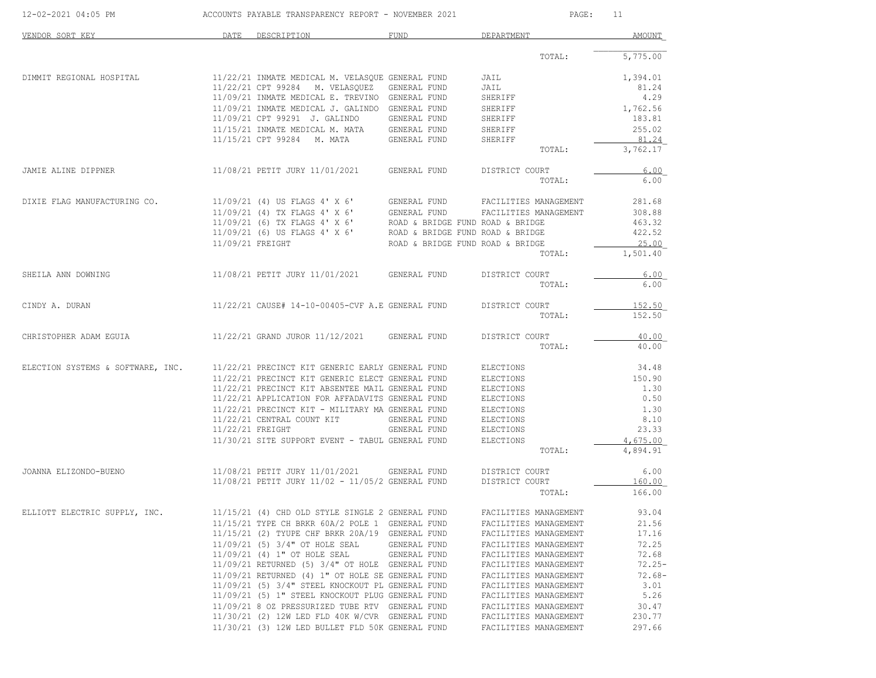| 12-02-2021 04:05 PM               | ACCOUNTS PAYABLE TRANSPARENCY REPORT - NOVEMBER 2021 |                                                                                                                                                                          |                                  |                                                | PAGE:<br>11          |
|-----------------------------------|------------------------------------------------------|--------------------------------------------------------------------------------------------------------------------------------------------------------------------------|----------------------------------|------------------------------------------------|----------------------|
| VENDOR SORT KEY                   |                                                      | DATE DESCRIPTION                                                                                                                                                         | <b>FUND</b>                      | DEPARTMENT                                     | AMOUNT               |
|                                   |                                                      |                                                                                                                                                                          |                                  | TOTAL:                                         | 5,775.00             |
| DIMMIT REGIONAL HOSPITAL          |                                                      | 11/22/21 INMATE MEDICAL M. VELASQUE GENERAL FUND                                                                                                                         |                                  | JAIL                                           | 1,394.01             |
|                                   |                                                      | 11/22/21 CPT 99284 M. VELASQUEZ GENERAL FUND                                                                                                                             |                                  | JAIL                                           | 81.24                |
|                                   |                                                      | 11/09/21 INMATE MEDICAL E. TREVINO GENERAL FUND                                                                                                                          |                                  | SHERIFF                                        | 4.29                 |
|                                   |                                                      | 11/09/21 INMATE MEDICAL J. GALINDO GENERAL FUND                                                                                                                          |                                  | SHERIFF                                        | 1,762.56             |
|                                   |                                                      | 11/09/21 CPT 99291 J. GALINDO                                                                                                                                            | GENERAL FUND                     | SHERIFF                                        | 183.81               |
|                                   |                                                      | 11/15/21 INMATE MEDICAL M. MATA<br>11/15/21 CPT 99284 M. MATA                                                                                                            | GENERAL FUND<br>GENERAL FUND     | SHERIFF<br>SHERIFF                             | 255.02<br>81.24      |
|                                   |                                                      |                                                                                                                                                                          |                                  | TOTAL:                                         | 3,762.17             |
| JAMIE ALINE DIPPNER               |                                                      | 11/08/21 PETIT JURY 11/01/2021                                                                                                                                           | GENERAL FUND                     | DISTRICT COURT                                 | 6.00                 |
|                                   |                                                      |                                                                                                                                                                          |                                  | TOTAL:                                         | 6.00                 |
| DIXIE FLAG MANUFACTURING CO.      |                                                      | 11/09/21 (4) US FLAGS 4' X 6'                                                                                                                                            | GENERAL FUND                     | FACILITIES MANAGEMENT                          | 281.68               |
|                                   |                                                      |                                                                                                                                                                          |                                  | FACILITIES MANAGEMENT                          | 308.88               |
|                                   |                                                      | 11/09/21 (4) OU FILAGS 4' X 6' GENERAL FUND<br>11/09/21 (4) TX FLAGS 4' X 6' GENERAL FUND ROAD & BRIDGE<br>2008 CLASS COMPUTERS 4' X 6' ROAD & BRIDGE FUND ROAD & BRIDGE |                                  |                                                | 463.32               |
|                                   |                                                      | 11/09/21 (6) US FLAGS 4' X 6'                                                                                                                                            | ROAD & BRIDGE FUND ROAD & BRIDGE |                                                | 422.52               |
|                                   | 11/09/21 FREIGHT                                     |                                                                                                                                                                          | ROAD & BRIDGE FUND ROAD & BRIDGE | TOTAL:                                         | 25.00<br>1,501.40    |
|                                   |                                                      |                                                                                                                                                                          |                                  |                                                |                      |
| SHEILA ANN DOWNING                |                                                      | 11/08/21 PETIT JURY 11/01/2021                                                                                                                                           | GENERAL FUND                     | DISTRICT COURT<br>TOTAL:                       | 6.00<br>6.00         |
|                                   |                                                      |                                                                                                                                                                          |                                  |                                                |                      |
| CINDY A. DURAN                    |                                                      | 11/22/21 CAUSE# 14-10-00405-CVF A.E GENERAL FUND                                                                                                                         |                                  | DISTRICT COURT                                 | 152.50               |
|                                   |                                                      |                                                                                                                                                                          |                                  | TOTAL:                                         | 152.50               |
| CHRISTOPHER ADAM EGUIA            |                                                      | 11/22/21 GRAND JUROR 11/12/2021                                                                                                                                          | GENERAL FUND                     | DISTRICT COURT                                 | 40.00                |
|                                   |                                                      |                                                                                                                                                                          |                                  | TOTAL:                                         | 40.00                |
| ELECTION SYSTEMS & SOFTWARE, INC. |                                                      | 11/22/21 PRECINCT KIT GENERIC EARLY GENERAL FUND                                                                                                                         |                                  | ELECTIONS                                      | 34.48                |
|                                   |                                                      | 11/22/21 PRECINCT KIT GENERIC ELECT GENERAL FUND                                                                                                                         |                                  | ELECTIONS                                      | 150.90               |
|                                   |                                                      | 11/22/21 PRECINCT KIT ABSENTEE MAIL GENERAL FUND                                                                                                                         |                                  | ELECTIONS                                      | 1.30                 |
|                                   |                                                      | 11/22/21 APPLICATION FOR AFFADAVITS GENERAL FUND                                                                                                                         |                                  | ELECTIONS                                      | 0.50                 |
|                                   |                                                      | 11/22/21 PRECINCT KIT - MILITARY MA GENERAL FUND                                                                                                                         |                                  | ELECTIONS                                      | 1.30                 |
|                                   |                                                      | 11/22/21 CENTRAL COUNT KIT                                                                                                                                               | GENERAL FUND                     | ELECTIONS                                      | 8.10                 |
|                                   | 11/22/21 FREIGHT                                     |                                                                                                                                                                          | GENERAL FUND                     | ELECTIONS                                      | 23.33                |
|                                   |                                                      | 11/30/21 SITE SUPPORT EVENT - TABUL GENERAL FUND                                                                                                                         |                                  | ELECTIONS<br>TOTAL:                            | 4,675.00<br>4,894.91 |
|                                   |                                                      |                                                                                                                                                                          |                                  |                                                |                      |
| JOANNA ELIZONDO-BUENO             |                                                      | 11/08/21 PETIT JURY 11/01/2021                                                                                                                                           | GENERAL FUND                     | DISTRICT COURT                                 | 6.00                 |
|                                   |                                                      | 11/08/21 PETIT JURY 11/02 - 11/05/2 GENERAL FUND                                                                                                                         |                                  | DISTRICT COURT                                 | 160.00               |
|                                   |                                                      |                                                                                                                                                                          |                                  | TOTAL:                                         | 166.00               |
| ELLIOTT ELECTRIC SUPPLY, INC.     |                                                      | 11/15/21 (4) CHD OLD STYLE SINGLE 2 GENERAL FUND                                                                                                                         |                                  | FACILITIES MANAGEMENT                          | 93.04                |
|                                   |                                                      | 11/15/21 TYPE CH BRKR 60A/2 POLE 1 GENERAL FUND                                                                                                                          |                                  | FACILITIES MANAGEMENT                          | 21.56                |
|                                   |                                                      | 11/15/21 (2) TYUPE CHF BRKR 20A/19 GENERAL FUND                                                                                                                          |                                  | FACILITIES MANAGEMENT                          | 17.16                |
|                                   |                                                      | 11/09/21 (5) 3/4" OT HOLE SEAL                                                                                                                                           | GENERAL FUND                     | FACILITIES MANAGEMENT                          | 72.25                |
|                                   |                                                      | 11/09/21 (4) 1" OT HOLE SEAL                                                                                                                                             | GENERAL FUND                     | FACILITIES MANAGEMENT                          | 72.68                |
|                                   |                                                      | 11/09/21 RETURNED (5) 3/4" OT HOLE GENERAL FUND                                                                                                                          |                                  | FACILITIES MANAGEMENT                          | $72.25 -$            |
|                                   |                                                      | 11/09/21 RETURNED (4) 1" OT HOLE SE GENERAL FUND<br>11/09/21 (5) 3/4" STEEL KNOCKOUT PL GENERAL FUND                                                                     |                                  | FACILITIES MANAGEMENT<br>FACILITIES MANAGEMENT | $72.68-$<br>3.01     |
|                                   |                                                      | 11/09/21 (5) 1" STEEL KNOCKOUT PLUG GENERAL FUND                                                                                                                         |                                  | FACILITIES MANAGEMENT                          | 5.26                 |
|                                   |                                                      | 11/09/21 8 OZ PRESSURIZED TUBE RTV GENERAL FUND                                                                                                                          |                                  | FACILITIES MANAGEMENT                          | 30.47                |
|                                   |                                                      | 11/30/21 (2) 12W LED FLD 40K W/CVR GENERAL FUND                                                                                                                          |                                  | FACILITIES MANAGEMENT                          | 230.77               |
|                                   |                                                      | 11/30/21 (3) 12W LED BULLET FLD 50K GENERAL FUND                                                                                                                         |                                  | FACILITIES MANAGEMENT                          | 297.66               |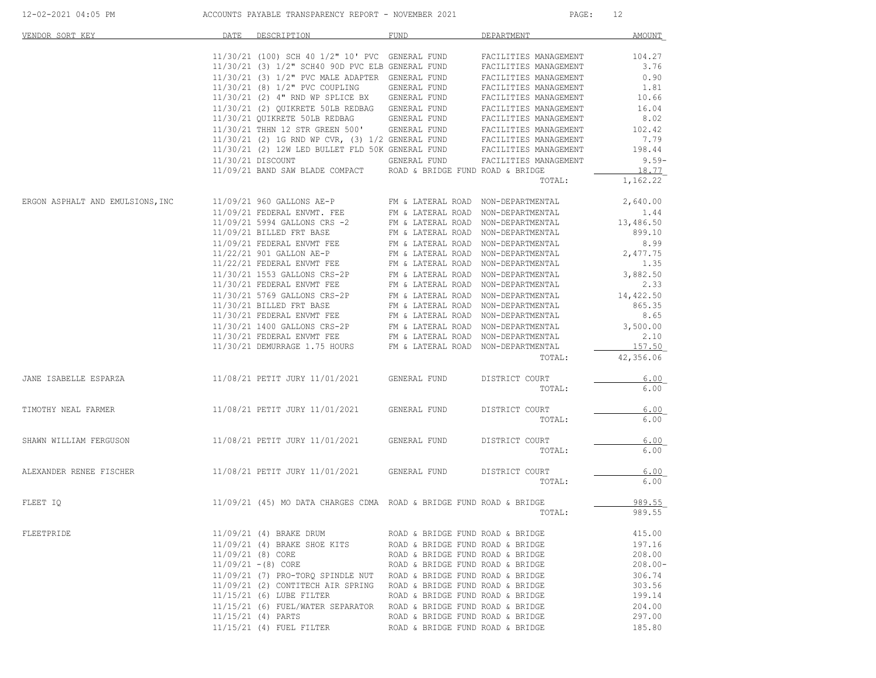| 12-02-2021 04:05 PM              |                       | ACCOUNTS PAYABLE TRANSPARENCY REPORT - NOVEMBER 2021                                                                                                                                                                                                                                                                                                            |                                  | PAGE:                                                                    | 12                  |
|----------------------------------|-----------------------|-----------------------------------------------------------------------------------------------------------------------------------------------------------------------------------------------------------------------------------------------------------------------------------------------------------------------------------------------------------------|----------------------------------|--------------------------------------------------------------------------|---------------------|
| VENDOR SORT KEY                  | DATE                  | DESCRIPTION                                                                                                                                                                                                                                                                                                                                                     | <b>FUND</b>                      | DEPARTMENT                                                               | <b>AMOUNT</b>       |
|                                  |                       | $11/30/21$ (100) SCH 40 $1/2$ " 10' PVC GENERAL FUND                                                                                                                                                                                                                                                                                                            |                                  | FACILITIES MANAGEMENT                                                    | 104.27              |
|                                  |                       | 11/30/21 (3) 1/2" SCH40 90D PVC ELB GENERAL FUND                                                                                                                                                                                                                                                                                                                |                                  | FACILITIES MANAGEMENT                                                    | 3.76                |
|                                  |                       | 11/30/21 (3) 1/2" PVC MALE ADAPTER GENERAL FUND<br>11/30/21 (8) 1/2" PVC COUPLING GENERAL FUND                                                                                                                                                                                                                                                                  |                                  | FACILITIES MANAGEMENT                                                    | 0.90                |
|                                  |                       | $11/30/21$ (8) $1/2$ " PVC COUPLING GENERAL FUND                                                                                                                                                                                                                                                                                                                |                                  | FACILITIES MANAGEMENT                                                    | 1.81                |
|                                  |                       | $11/30/21$ (2) 4" RND WP SPLICE BX GENERAL FUND                                                                                                                                                                                                                                                                                                                 |                                  | FACILITIES MANAGEMENT                                                    | 10.66               |
|                                  |                       | $11/30/21\;\; (2)\;\;\texttt{QUIKREFE}\;\;\texttt{50LB REDBAG}\qquad \texttt{GENERAL FUND}\qquad \texttt{FACILITIES MANASEMENT}\;$ $11/30/21\;\;\texttt{QUIKREFE}\;\;\texttt{50LB} \;\;\texttt{REDBAG}\qquad \texttt{GENERAL FUND}\qquad \texttt{FACILITIES} \;\;\texttt{MANAGEMENT}$                                                                           |                                  |                                                                          | 16.04               |
|                                  |                       |                                                                                                                                                                                                                                                                                                                                                                 |                                  |                                                                          | 8.02                |
|                                  |                       |                                                                                                                                                                                                                                                                                                                                                                 |                                  |                                                                          | 102.42<br>7.79      |
|                                  |                       |                                                                                                                                                                                                                                                                                                                                                                 |                                  |                                                                          | 198.44              |
|                                  |                       |                                                                                                                                                                                                                                                                                                                                                                 |                                  |                                                                          | $9.59 -$            |
|                                  |                       | 11/09/21 BAND SAW BLADE COMPACT ROAD & BRIDGE FUND ROAD & BRIDGE                                                                                                                                                                                                                                                                                                |                                  |                                                                          | 18.77               |
|                                  |                       |                                                                                                                                                                                                                                                                                                                                                                 |                                  | TOTAL:                                                                   | 1,162.22            |
| ERGON ASPHALT AND EMULSIONS, INC |                       | 11/09/21 960 GALLONS AE-P                                                                                                                                                                                                                                                                                                                                       |                                  | FM & LATERAL ROAD NON-DEPARTMENTAL<br>FM & LATERAL ROAD NON-DEPARTMENTAL | 2,640.00            |
|                                  |                       | 11/09/21 FEDERAL ENVMT. FEE                                                                                                                                                                                                                                                                                                                                     |                                  |                                                                          | 1.44                |
|                                  |                       | 11/09/21 5994 GALLONS CRS -2 $$\rm{FM}$ & LATERAL ROAD NON-DEPARTMENTAL 11/09/21 BILLED FRT BASE $$\rm{FM}$ & LATERAL ROAD NON-DEPARTMENTAL                                                                                                                                                                                                                     |                                  |                                                                          | 13,486.50           |
|                                  |                       |                                                                                                                                                                                                                                                                                                                                                                 |                                  |                                                                          | 899.10              |
|                                  |                       |                                                                                                                                                                                                                                                                                                                                                                 |                                  |                                                                          | 8.99                |
|                                  |                       |                                                                                                                                                                                                                                                                                                                                                                 |                                  |                                                                          | 2,477.75            |
|                                  |                       |                                                                                                                                                                                                                                                                                                                                                                 |                                  |                                                                          | 1.35                |
|                                  |                       |                                                                                                                                                                                                                                                                                                                                                                 |                                  |                                                                          | 3,882.50            |
|                                  |                       |                                                                                                                                                                                                                                                                                                                                                                 |                                  |                                                                          | 2.33                |
|                                  |                       | $11/30/21 5769 \text{ GALLONS CRS}-2P \hspace{1.5cm} \text{FM} \hspace{1.5cm} \text{\&} \hspace{1.5cm} \text{LATERAL ROAD} \hspace{1.5cm} \text{NON-DEPARTMENTAL} \\ 11/30/21 \hspace{1.5cm} \text{BILLED FRT BASE} \hspace{1.5cm} \text{FM} \hspace{1.5cm} \text{\&} \hspace{1.5cm} \text{LATERAL ROAD} \hspace{1.5cm} \text{NON-DEPARTMENTAL} \hspace{1.5cm}$ |                                  |                                                                          | 14,422.50           |
|                                  |                       |                                                                                                                                                                                                                                                                                                                                                                 |                                  |                                                                          | 865.35              |
|                                  |                       | $11/30/21 \mbox{ FEDERAL ENVMT FEE} \qquad \qquad {\tt FM} \mbox{ $\mbox{\Lap{\sc {\small k}}}$ A TERAL ROAD NON-DEPARTMEMTAL} \nonumber \\ 11/30/21 \mbox{ 1400 GALLONS CRS-2P} \qquad \qquad {\tt FM} \mbox{ $\mbox{\Lap{\sc {\small k}}}$ A TERAL ROAD NON-DEPARTMEMTAL}$                                                                                    |                                  |                                                                          | 8.65                |
|                                  |                       |                                                                                                                                                                                                                                                                                                                                                                 |                                  |                                                                          | 3,500.00            |
|                                  |                       | 11/30/21 FEDERAL ENVMT FEE FM & LATERAL ROAD NON-DEPARTMENTAL<br>11/30/21 DEMURRAGE 1.75 HOURS FM & LATERAL ROAD NON-DEPARTMENTAL                                                                                                                                                                                                                               |                                  |                                                                          | 2.10                |
|                                  |                       |                                                                                                                                                                                                                                                                                                                                                                 |                                  | TOTAL:                                                                   | 157.50<br>42,356.06 |
| JANE ISABELLE ESPARZA            |                       | 11/08/21 PETIT JURY 11/01/2021 GENERAL FUND                                                                                                                                                                                                                                                                                                                     |                                  | DISTRICT COURT                                                           | 6.00                |
|                                  |                       |                                                                                                                                                                                                                                                                                                                                                                 |                                  | TOTAL:                                                                   | 6.00                |
|                                  |                       |                                                                                                                                                                                                                                                                                                                                                                 |                                  |                                                                          | 6.00                |
| TIMOTHY NEAL FARMER              |                       | 11/08/21 PETIT JURY 11/01/2021 GENERAL FUND                                                                                                                                                                                                                                                                                                                     |                                  | DISTRICT COURT<br>TOTAL:                                                 | 6.00                |
|                                  |                       |                                                                                                                                                                                                                                                                                                                                                                 |                                  |                                                                          |                     |
| SHAWN WILLIAM FERGUSON           |                       | 11/08/21 PETIT JURY 11/01/2021 GENERAL FUND                                                                                                                                                                                                                                                                                                                     |                                  | DISTRICT COURT                                                           | 6.00                |
|                                  |                       |                                                                                                                                                                                                                                                                                                                                                                 |                                  | TOTAL:                                                                   | 6.00                |
| ALEXANDER RENEE FISCHER          |                       | 11/08/21 PETIT JURY 11/01/2021 GENERAL FUND                                                                                                                                                                                                                                                                                                                     |                                  | DISTRICT COURT                                                           | 6.00                |
|                                  |                       |                                                                                                                                                                                                                                                                                                                                                                 |                                  | TOTAL:                                                                   | 6.00                |
| FLEET IQ                         |                       | 11/09/21 (45) MO DATA CHARGES CDMA ROAD & BRIDGE FUND ROAD & BRIDGE                                                                                                                                                                                                                                                                                             |                                  |                                                                          | 989.55              |
|                                  |                       |                                                                                                                                                                                                                                                                                                                                                                 |                                  | TOTAL:                                                                   | 989.55              |
| FLEETPRIDE                       |                       | 11/09/21 (4) BRAKE DRUM                                                                                                                                                                                                                                                                                                                                         | ROAD & BRIDGE FUND ROAD & BRIDGE |                                                                          | 415.00              |
|                                  |                       | 11/09/21 (4) BRAKE SHOE KITS                                                                                                                                                                                                                                                                                                                                    | ROAD & BRIDGE FUND ROAD & BRIDGE |                                                                          | 197.16              |
|                                  | 11/09/21 (8) CORE     |                                                                                                                                                                                                                                                                                                                                                                 | ROAD & BRIDGE FUND ROAD & BRIDGE |                                                                          | 208.00              |
|                                  | $11/09/21 - (8)$ CORE |                                                                                                                                                                                                                                                                                                                                                                 | ROAD & BRIDGE FUND ROAD & BRIDGE |                                                                          | $208.00 -$          |
|                                  |                       | 11/09/21 (7) PRO-TORQ SPINDLE NUT ROAD & BRIDGE FUND ROAD & BRIDGE                                                                                                                                                                                                                                                                                              |                                  |                                                                          | 306.74              |
|                                  |                       | 11/09/21 (2) CONTITECH AIR SPRING ROAD & BRIDGE FUND ROAD & BRIDGE                                                                                                                                                                                                                                                                                              |                                  |                                                                          | 303.56              |
|                                  |                       | 11/15/21 (6) LUBE FILTER                                                                                                                                                                                                                                                                                                                                        | ROAD & BRIDGE FUND ROAD & BRIDGE |                                                                          | 199.14              |
|                                  |                       | 11/15/21 (6) FUEL/WATER SEPARATOR ROAD & BRIDGE FUND ROAD & BRIDGE                                                                                                                                                                                                                                                                                              |                                  |                                                                          | 204.00              |
|                                  | 11/15/21 (4) PARTS    |                                                                                                                                                                                                                                                                                                                                                                 | ROAD & BRIDGE FUND ROAD & BRIDGE |                                                                          | 297.00              |
|                                  |                       | 11/15/21 (4) FUEL FILTER                                                                                                                                                                                                                                                                                                                                        | ROAD & BRIDGE FUND ROAD & BRIDGE |                                                                          | 185.80              |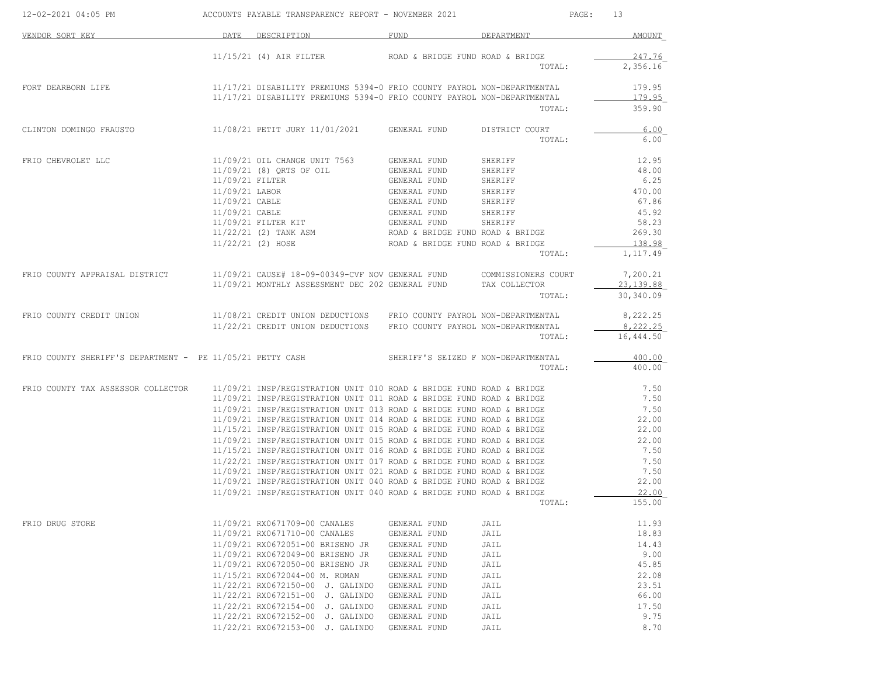| 12-02-2021 04:05 PM                                       |                 | ACCOUNTS PAYABLE TRANSPARENCY REPORT - NOVEMBER 2021                                                                                         |                                     |                         | PAGE:<br>13             |
|-----------------------------------------------------------|-----------------|----------------------------------------------------------------------------------------------------------------------------------------------|-------------------------------------|-------------------------|-------------------------|
| VENDOR SORT KEY                                           |                 | DATE DESCRIPTION                                                                                                                             | FUND                                | DEPARTMENT              | AMOUNT                  |
|                                                           |                 | $11/15/21$ (4) AIR FILTER                                                                                                                    | ROAD & BRIDGE FUND ROAD & BRIDGE    |                         | 247.76                  |
|                                                           |                 |                                                                                                                                              |                                     | TOTAL:                  | 2,356.16                |
| FORT DEARBORN LIFE                                        |                 | 11/17/21 DISABILITY PREMIUMS 5394-0 FRIO COUNTY PAYROL NON-DEPARTMENTAL                                                                      |                                     |                         | 179.95                  |
|                                                           |                 | 11/17/21 DISABILITY PREMIUMS 5394-0 FRIO COUNTY PAYROL NON-DEPARTMENTAL                                                                      |                                     | TOTAL:                  | 179.95<br>359.90        |
| CLINTON DOMINGO FRAUSTO                                   |                 | 11/08/21 PETIT JURY 11/01/2021                                                                                                               | GENERAL FUND                        | DISTRICT COURT          | 6.00                    |
|                                                           |                 |                                                                                                                                              |                                     | TOTAL:                  | 6.00                    |
| FRIO CHEVROLET LLC                                        |                 | 11/09/21 OIL CHANGE UNIT 7563                                                                                                                | GENERAL FUND                        | SHERIFF                 | 12.95                   |
|                                                           |                 | 11/09/21 (8) ORTS OF OIL                                                                                                                     | GENERAL FUND                        | SHERIFF                 | 48.00                   |
|                                                           | 11/09/21 FILTER |                                                                                                                                              | GENERAL FUND                        | SHERIFF                 | 6.25                    |
|                                                           | 11/09/21 LABOR  |                                                                                                                                              | GENERAL FUND                        | SHERIFF                 | 470.00                  |
|                                                           | 11/09/21 CABLE  |                                                                                                                                              | GENERAL FUND                        | SHERIFF                 | 67.86                   |
|                                                           |                 |                                                                                                                                              |                                     |                         |                         |
|                                                           | 11/09/21 CABLE  |                                                                                                                                              | GENERAL FUND                        | SHERIFF                 | 45.92                   |
|                                                           |                 | 11/09/21 FILTER KIT                                                                                                                          | GENERAL FUND                        | SHERIFF                 | 58.23                   |
|                                                           |                 | 11/22/21 (2) TANK ASM                                                                                                                        | ROAD & BRIDGE FUND ROAD & BRIDGE    |                         | 269.30                  |
|                                                           |                 | 11/22/21 (2) HOSE                                                                                                                            | ROAD & BRIDGE FUND ROAD & BRIDGE    |                         | 138.98                  |
|                                                           |                 |                                                                                                                                              |                                     | TOTAL:                  | 1,117.49                |
| FRIO COUNTY APPRAISAL DISTRICT                            |                 | 11/09/21 CAUSE# 18-09-00349-CVF NOV GENERAL FUND                                                                                             |                                     | COMMISSIONERS COURT     | 7,200.21                |
|                                                           |                 | 11/09/21 MONTHLY ASSESSMENT DEC 202 GENERAL FUND                                                                                             |                                     | TAX COLLECTOR<br>TOTAL: | 23, 139.88<br>30,340.09 |
|                                                           |                 |                                                                                                                                              |                                     |                         |                         |
| FRIO COUNTY CREDIT UNION                                  |                 | 11/08/21 CREDIT UNION DEDUCTIONS FRIO COUNTY PAYROL NON-DEPARTMENTAL                                                                         |                                     |                         | 8,222.25                |
|                                                           |                 | 11/22/21 CREDIT UNION DEDUCTIONS FRIO COUNTY PAYROL NON-DEPARTMENTAL                                                                         |                                     |                         | 8,222.25                |
|                                                           |                 |                                                                                                                                              |                                     | TOTAL:                  | 16,444.50               |
| FRIO COUNTY SHERIFF'S DEPARTMENT - PE 11/05/21 PETTY CASH |                 |                                                                                                                                              | SHERIFF'S SEIZED F NON-DEPARTMENTAL |                         | 400.00                  |
|                                                           |                 |                                                                                                                                              |                                     | TOTAL:                  | 400.00                  |
| FRIO COUNTY TAX ASSESSOR COLLECTOR                        |                 | 11/09/21 INSP/REGISTRATION UNIT 010 ROAD & BRIDGE FUND ROAD & BRIDGE                                                                         |                                     |                         | 7.50                    |
|                                                           |                 | 11/09/21 INSP/REGISTRATION UNIT 011 ROAD & BRIDGE FUND ROAD & BRIDGE                                                                         |                                     |                         | 7.50                    |
|                                                           |                 | 11/09/21 INSP/REGISTRATION UNIT 013 ROAD & BRIDGE FUND ROAD & BRIDGE                                                                         |                                     |                         | 7.50                    |
|                                                           |                 | 11/09/21 INSP/REGISTRATION UNIT 014 ROAD & BRIDGE FUND ROAD & BRIDGE                                                                         |                                     |                         | 22.00                   |
|                                                           |                 |                                                                                                                                              |                                     |                         | 22.00                   |
|                                                           |                 | 11/15/21 INSP/REGISTRATION UNIT 015 ROAD & BRIDGE FUND ROAD & BRIDGE<br>11/09/21 INSP/REGISTRATION UNIT 015 ROAD & BRIDGE FUND ROAD & BRIDGE |                                     |                         | 22.00                   |
|                                                           |                 | 11/15/21 INSP/REGISTRATION UNIT 016 ROAD & BRIDGE FUND ROAD & BRIDGE                                                                         |                                     |                         | 7.50                    |
|                                                           |                 | 11/22/21 INSP/REGISTRATION UNIT 017 ROAD & BRIDGE FUND ROAD & BRIDGE                                                                         |                                     |                         | 7.50                    |
|                                                           |                 |                                                                                                                                              |                                     |                         |                         |
|                                                           |                 | 11/09/21 INSP/REGISTRATION UNIT 021 ROAD & BRIDGE FUND ROAD & BRIDGE                                                                         |                                     |                         | 7.50                    |
|                                                           |                 | 11/09/21 INSP/REGISTRATION UNIT 040 ROAD & BRIDGE FUND ROAD & BRIDGE                                                                         |                                     |                         | 22.00                   |
|                                                           |                 | 11/09/21 INSP/REGISTRATION UNIT 040 ROAD & BRIDGE FUND ROAD & BRIDGE                                                                         |                                     |                         | 22.00                   |
|                                                           |                 |                                                                                                                                              |                                     | TOTAL:                  | 155.00                  |
| FRIO DRUG STORE                                           |                 | 11/09/21 RX0671709-00 CANALES                                                                                                                | GENERAL FUND                        | JAIL                    | 11.93                   |
|                                                           |                 | 11/09/21 RX0671710-00 CANALES                                                                                                                | GENERAL FUND                        | JAIL                    | 18.83                   |
|                                                           |                 | 11/09/21 RX0672051-00 BRISENO JR                                                                                                             | GENERAL FUND                        | JAIL                    | 14.43                   |
|                                                           |                 | 11/09/21 RX0672049-00 BRISENO JR                                                                                                             | GENERAL FUND                        | JAIL                    | 9.00                    |
|                                                           |                 | 11/09/21 RX0672050-00 BRISENO JR                                                                                                             | GENERAL FUND                        | JAIL                    | 45.85                   |
|                                                           |                 | 11/15/21 RX0672044-00 M. ROMAN                                                                                                               | GENERAL FUND                        | JAIL                    | 22.08                   |
|                                                           |                 | 11/22/21 RX0672150-00 J. GALINDO                                                                                                             | GENERAL FUND                        | JAIL                    | 23.51                   |
|                                                           |                 | 11/22/21 RX0672151-00 J. GALINDO                                                                                                             | GENERAL FUND                        | JAIL                    | 66.00                   |
|                                                           |                 | 11/22/21 RX0672154-00 J. GALINDO                                                                                                             | GENERAL FUND                        | JAIL                    | 17.50                   |
|                                                           |                 | 11/22/21 RX0672152-00 J. GALINDO                                                                                                             | GENERAL FUND                        | JAIL                    | 9.75                    |
|                                                           |                 |                                                                                                                                              |                                     |                         |                         |
|                                                           |                 | 11/22/21 RX0672153-00 J. GALINDO                                                                                                             | GENERAL FUND                        | JAIL                    | 8.70                    |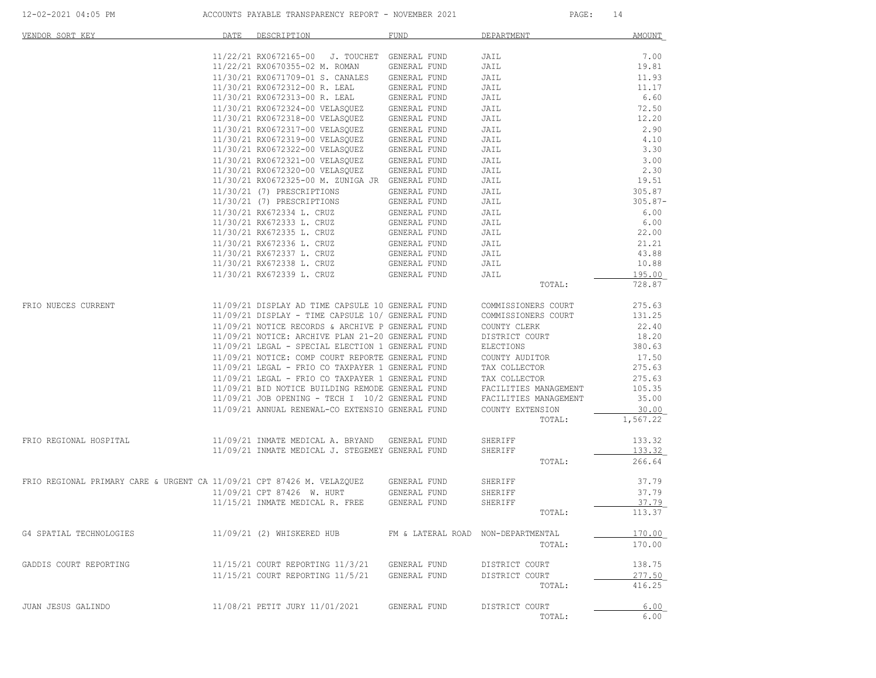| VENDOR SORT KEY                                                        | DATE | DESCRIPTION                                              | <b>FUND</b>                        | DEPARTMENT            | AMOUNT           |
|------------------------------------------------------------------------|------|----------------------------------------------------------|------------------------------------|-----------------------|------------------|
|                                                                        |      | 11/22/21 RX0672165-00 J. TOUCHET                         | GENERAL FUND                       | JAIL                  | 7.00             |
|                                                                        |      | 11/22/21 RX0670355-02 M. ROMAN                           | GENERAL FUND                       | JAIL                  | 19.81            |
|                                                                        |      | 11/30/21 RX0671709-01 S. CANALES                         | GENERAL FUND                       | JAIL                  | 11.93            |
|                                                                        |      | 11/30/21 RX0672312-00 R. LEAL                            | GENERAL FUND                       | JAIL                  | 11.17            |
|                                                                        |      | 11/30/21 RX0672313-00 R. LEAL                            | GENERAL FUND                       | JAIL                  | 6.60             |
|                                                                        |      | 11/30/21 RX0672324-00 VELASQUEZ                          | GENERAL FUND                       | JAIL                  | 72.50            |
|                                                                        |      | 11/30/21 RX0672318-00 VELASQUEZ                          | GENERAL FUND                       | JAIL                  | 12.20            |
|                                                                        |      | 11/30/21 RX0672317-00 VELASQUEZ                          | GENERAL FUND                       | JAIL                  | 2.90             |
|                                                                        |      | 11/30/21 RX0672319-00 VELASQUEZ                          | GENERAL FUND                       | JAIL                  | 4.10             |
|                                                                        |      | 11/30/21 RX0672322-00 VELASQUEZ                          | GENERAL FUND                       | JAIL                  | 3.30             |
|                                                                        |      | 11/30/21 RX0672321-00 VELASQUEZ                          | GENERAL FUND                       | JAIL                  | 3.00             |
|                                                                        |      | 11/30/21 RX0672320-00 VELASQUEZ                          | GENERAL FUND                       | JAIL                  | 2.30             |
|                                                                        |      | 11/30/21 RX0672325-00 M. ZUNIGA JR GENERAL FUND          | GENERAL FUND                       | JAIL                  | 19.51<br>305.87  |
|                                                                        |      | 11/30/21 (7) PRESCRIPTIONS<br>11/30/21 (7) PRESCRIPTIONS | GENERAL FUND                       | JAIL<br>JAIL          | $305.87 -$       |
|                                                                        |      | 11/30/21 RX672334 L. CRUZ                                | GENERAL FUND                       | JAIL                  | 6.00             |
|                                                                        |      | 11/30/21 RX672333 L. CRUZ                                | GENERAL FUND                       | JAIL                  | 6.00             |
|                                                                        |      | 11/30/21 RX672335 L. CRUZ                                | GENERAL FUND                       | JAIL                  | 22.00            |
|                                                                        |      | 11/30/21 RX672336 L. CRUZ                                | GENERAL FUND                       | JAIL                  | 21.21            |
|                                                                        |      | 11/30/21 RX672337 L. CRUZ                                | GENERAL FUND                       | JAIL                  | 43.88            |
|                                                                        |      | 11/30/21 RX672338 L. CRUZ                                | GENERAL FUND                       | JAIL                  | 10.88            |
|                                                                        |      | 11/30/21 RX672339 L. CRUZ                                | GENERAL FUND                       | JAIL                  | 195.00           |
|                                                                        |      |                                                          |                                    | TOTAL:                | 728.87           |
|                                                                        |      |                                                          |                                    |                       |                  |
| FRIO NUECES CURRENT                                                    |      | 11/09/21 DISPLAY AD TIME CAPSULE 10 GENERAL FUND         |                                    | COMMISSIONERS COURT   | 275.63           |
|                                                                        |      | 11/09/21 DISPLAY - TIME CAPSULE 10/ GENERAL FUND         |                                    | COMMISSIONERS COURT   | 131.25           |
|                                                                        |      | 11/09/21 NOTICE RECORDS & ARCHIVE P GENERAL FUND         |                                    | COUNTY CLERK          | 22.40            |
|                                                                        |      | 11/09/21 NOTICE: ARCHIVE PLAN 21-20 GENERAL FUND         |                                    | DISTRICT COURT        | 18.20            |
|                                                                        |      | 11/09/21 LEGAL - SPECIAL ELECTION 1 GENERAL FUND         |                                    | ELECTIONS             | 380.63           |
|                                                                        |      | 11/09/21 NOTICE: COMP COURT REPORTE GENERAL FUND         |                                    | COUNTY AUDITOR        | 17.50            |
|                                                                        |      | 11/09/21 LEGAL - FRIO CO TAXPAYER 1 GENERAL FUND         |                                    | TAX COLLECTOR         | 275.63           |
|                                                                        |      | 11/09/21 LEGAL - FRIO CO TAXPAYER 1 GENERAL FUND         |                                    | TAX COLLECTOR         | 275.63           |
|                                                                        |      | 11/09/21 BID NOTICE BUILDING REMODE GENERAL FUND         |                                    | FACILITIES MANAGEMENT | 105.35           |
|                                                                        |      | 11/09/21 JOB OPENING - TECH I 10/2 GENERAL FUND          |                                    | FACILITIES MANAGEMENT | 35.00            |
|                                                                        |      | 11/09/21 ANNUAL RENEWAL-CO EXTENSIO GENERAL FUND         |                                    | COUNTY EXTENSION      | 30.00            |
|                                                                        |      |                                                          |                                    | TOTAL:                | 1,567.22         |
| FRIO REGIONAL HOSPITAL                                                 |      | 11/09/21 INMATE MEDICAL A. BRYAND                        | GENERAL FUND                       | SHERIFF               | 133.32           |
|                                                                        |      | 11/09/21 INMATE MEDICAL J. STEGEMEY GENERAL FUND         |                                    | SHERIFF               | 133.32           |
|                                                                        |      |                                                          |                                    | TOTAL:                | 266.64           |
|                                                                        |      |                                                          |                                    |                       |                  |
| FRIO REGIONAL PRIMARY CARE & URGENT CA 11/09/21 CPT 87426 M. VELAZQUEZ |      |                                                          | GENERAL FUND                       | SHERIFF               | 37.79            |
|                                                                        |      | 11/09/21 CPT 87426 W. HURT                               | GENERAL FUND                       | SHERIFF               | 37.79            |
|                                                                        |      | 11/15/21 INMATE MEDICAL R. FREE                          | GENERAL FUND                       | SHERIFF               | 37.79            |
|                                                                        |      |                                                          |                                    | TOTAL:                | 113.37           |
|                                                                        |      |                                                          |                                    |                       |                  |
| G4 SPATIAL TECHNOLOGIES                                                |      | 11/09/21 (2) WHISKERED HUB                               | FM & LATERAL ROAD NON-DEPARTMENTAL |                       | 170.00           |
|                                                                        |      |                                                          |                                    | TOTAL:                | 170.00           |
|                                                                        |      |                                                          |                                    |                       |                  |
| GADDIS COURT REPORTING                                                 |      | 11/15/21 COURT REPORTING 11/3/21                         | GENERAL FUND                       | DISTRICT COURT        | 138.75           |
|                                                                        |      | 11/15/21 COURT REPORTING 11/5/21                         | GENERAL FUND                       | DISTRICT COURT        | 277.50<br>416.25 |
|                                                                        |      |                                                          |                                    | TOTAL:                |                  |
| JUAN JESUS GALINDO                                                     |      | 11/08/21 PETIT JURY 11/01/2021                           | GENERAL FUND                       | DISTRICT COURT        | 6.00             |
|                                                                        |      |                                                          |                                    | TOTAL:                | 6.00             |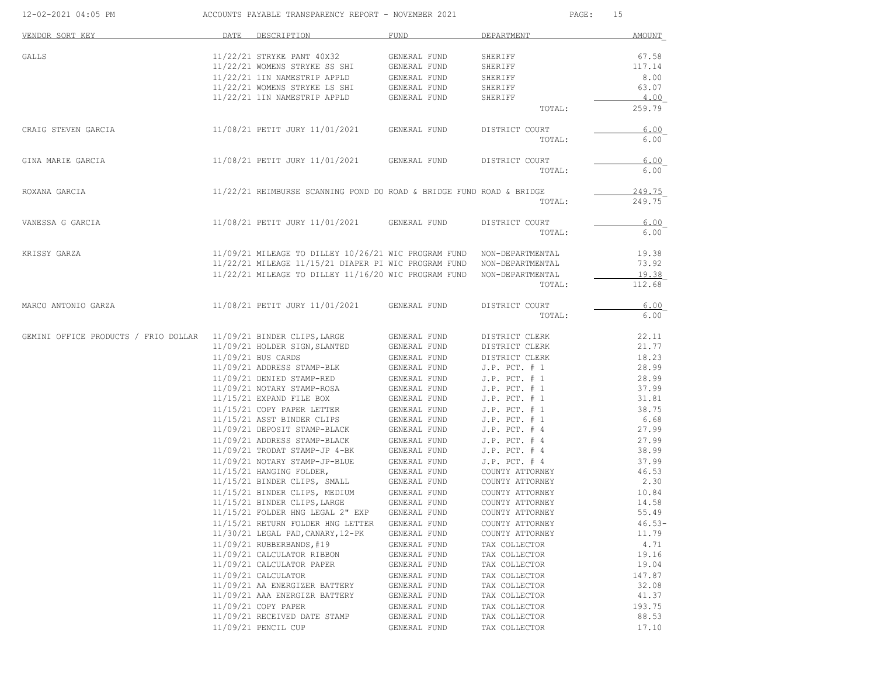| 12-02-2021 04:05 PM                                                             | ACCOUNTS PAYABLE TRANSPARENCY REPORT - NOVEMBER 2021 |                                                                       |                              | PAGE:<br>15                            |                |  |
|---------------------------------------------------------------------------------|------------------------------------------------------|-----------------------------------------------------------------------|------------------------------|----------------------------------------|----------------|--|
| VENDOR SORT KEY                                                                 | DATE                                                 | DESCRIPTION                                                           | FUND                         | DEPARTMENT                             | AMOUNT         |  |
| GALLS                                                                           |                                                      | 11/22/21 STRYKE PANT 40X32                                            | GENERAL FUND                 | SHERIFF                                | 67.58          |  |
|                                                                                 |                                                      | 11/22/21 WOMENS STRYKE SS SHI                                         | GENERAL FUND                 | SHERIFF                                | 117.14         |  |
|                                                                                 |                                                      | 11/22/21 1IN NAMESTRIP APPLD                                          | GENERAL FUND                 | SHERIFF                                | 8.00           |  |
|                                                                                 |                                                      | 11/22/21 WOMENS STRYKE LS SHI                                         | GENERAL FUND                 | SHERIFF                                | 63.07          |  |
|                                                                                 |                                                      | 11/22/21 1IN NAMESTRIP APPLD                                          | GENERAL FUND                 | SHERIFF                                | 4.00           |  |
|                                                                                 |                                                      |                                                                       |                              | TOTAL:                                 | 259.79         |  |
| CRAIG STEVEN GARCIA                                                             |                                                      | 11/08/21 PETIT JURY 11/01/2021                                        | GENERAL FUND                 | DISTRICT COURT                         | 6.00           |  |
|                                                                                 |                                                      |                                                                       |                              | TOTAL:                                 | 6.00           |  |
| GINA MARIE GARCIA                                                               |                                                      | 11/08/21 PETIT JURY 11/01/2021                                        | GENERAL FUND                 | DISTRICT COURT                         | 6.00           |  |
|                                                                                 |                                                      |                                                                       |                              | TOTAL:                                 | 6.00           |  |
| ROXANA GARCIA                                                                   |                                                      | 11/22/21 REIMBURSE SCANNING POND DO ROAD & BRIDGE FUND ROAD & BRIDGE  |                              |                                        | 249.75         |  |
|                                                                                 |                                                      |                                                                       |                              | TOTAL:                                 | 249.75         |  |
| VANESSA G GARCIA                                                                |                                                      | 11/08/21 PETIT JURY 11/01/2021 GENERAL FUND                           |                              | DISTRICT COURT                         | 6.00           |  |
|                                                                                 |                                                      |                                                                       |                              | TOTAL:                                 | 6.00           |  |
| KRISSY GARZA                                                                    |                                                      | 11/09/21 MILEAGE TO DILLEY 10/26/21 WIC PROGRAM FUND NON-DEPARTMENTAL |                              |                                        | 19.38          |  |
|                                                                                 |                                                      | 11/22/21 MILEAGE 11/15/21 DIAPER PI WIC PROGRAM FUND NON-DEPARTMENTAL |                              |                                        | 73.92          |  |
|                                                                                 |                                                      | 11/22/21 MILEAGE TO DILLEY 11/16/20 WIC PROGRAM FUND NON-DEPARTMENTAL |                              |                                        | 19.38          |  |
|                                                                                 |                                                      |                                                                       |                              | TOTAL:                                 | 112.68         |  |
| MARCO ANTONIO GARZA                                                             |                                                      | 11/08/21 PETIT JURY 11/01/2021                                        | GENERAL FUND                 | DISTRICT COURT                         | 6.00           |  |
|                                                                                 |                                                      |                                                                       |                              | TOTAL:                                 | 6.00           |  |
| GEMINI OFFICE PRODUCTS / FRIO DOLLAR               11/09/21 BINDER CLIPS, LARGE |                                                      |                                                                       | GENERAL FUND                 | DISTRICT CLERK                         | 22.11          |  |
|                                                                                 |                                                      | 11/09/21 HOLDER SIGN, SLANTED                                         | GENERAL FUND                 | DISTRICT CLERK                         | 21.77          |  |
|                                                                                 |                                                      | 11/09/21 BUS CARDS                                                    | GENERAL FUND                 | DISTRICT CLERK                         | 18.23          |  |
|                                                                                 |                                                      | 11/09/21 ADDRESS STAMP-BLK                                            | GENERAL FUND                 | $J.P.$ PCT. $# 1$                      | 28.99          |  |
|                                                                                 |                                                      | 11/09/21 DENIED STAMP-RED                                             | GENERAL FUND                 | $J.P.$ PCT. $# 1$                      | 28.99          |  |
|                                                                                 |                                                      | 11/09/21 NOTARY STAMP-ROSA<br>11/15/21 EXPAND FILE BOX                | GENERAL FUND<br>GENERAL FUND | $J.P.$ PCT. $# 1$<br>$J.P.$ PCT. $# 1$ | 37.99<br>31.81 |  |
|                                                                                 |                                                      | 11/15/21 COPY PAPER LETTER                                            | GENERAL FUND                 | $J.P.$ PCT. $# 1$                      | 38.75          |  |
|                                                                                 |                                                      | 11/15/21 ASST BINDER CLIPS                                            | GENERAL FUND                 | $J.P.$ PCT. $# 1$                      | 6.68           |  |
|                                                                                 |                                                      | 11/09/21 DEPOSIT STAMP-BLACK                                          | GENERAL FUND                 | $J.P.$ PCT. $#4$                       | 27.99          |  |
|                                                                                 |                                                      | 11/09/21 ADDRESS STAMP-BLACK                                          | GENERAL FUND                 | $J.P.$ PCT. $#4$                       | 27.99          |  |
|                                                                                 |                                                      | 11/09/21 TRODAT STAMP-JP 4-BK                                         | GENERAL FUND                 | $J.P.$ PCT. $#4$                       | 38.99          |  |
|                                                                                 |                                                      | 11/09/21 NOTARY STAMP-JP-BLUE                                         | GENERAL FUND                 | $J.P.$ PCT. $#4$                       | 37.99          |  |
|                                                                                 |                                                      | 11/15/21 HANGING FOLDER,                                              | GENERAL FUND                 | COUNTY ATTORNEY                        | 46.53          |  |
|                                                                                 |                                                      | 11/15/21 BINDER CLIPS, SMALL                                          | GENERAL FUND                 | COUNTY ATTORNEY                        | 2.30           |  |
|                                                                                 |                                                      | 11/15/21 BINDER CLIPS, MEDIUM                                         | GENERAL FUND                 | COUNTY ATTORNEY                        | 10.84          |  |
|                                                                                 |                                                      | 11/15/21 BINDER CLIPS, LARGE                                          | GENERAL FUND                 | COUNTY ATTORNEY                        | 14.58          |  |
|                                                                                 |                                                      | 11/15/21 FOLDER HNG LEGAL 2" EXP                                      | GENERAL FUND                 | COUNTY ATTORNEY                        | 55.49          |  |
|                                                                                 |                                                      | 11/15/21 RETURN FOLDER HNG LETTER                                     | GENERAL FUND                 | COUNTY ATTORNEY                        | $46.53-$       |  |
|                                                                                 |                                                      | 11/30/21 LEGAL PAD, CANARY, 12-PK                                     | GENERAL FUND                 | COUNTY ATTORNEY                        | 11.79          |  |
|                                                                                 |                                                      | 11/09/21 RUBBERBANDS, #19<br>11/09/21 CALCULATOR RIBBON               | GENERAL FUND                 | TAX COLLECTOR<br>TAX COLLECTOR         | 4.71<br>19.16  |  |
|                                                                                 |                                                      | 11/09/21 CALCULATOR PAPER                                             | GENERAL FUND<br>GENERAL FUND | TAX COLLECTOR                          | 19.04          |  |
|                                                                                 |                                                      | 11/09/21 CALCULATOR                                                   | GENERAL FUND                 | TAX COLLECTOR                          | 147.87         |  |
|                                                                                 |                                                      | 11/09/21 AA ENERGIZER BATTERY                                         | GENERAL FUND                 | TAX COLLECTOR                          | 32.08          |  |
|                                                                                 |                                                      | 11/09/21 AAA ENERGIZR BATTERY                                         | GENERAL FUND                 | TAX COLLECTOR                          | 41.37          |  |
|                                                                                 |                                                      | 11/09/21 COPY PAPER                                                   | GENERAL FUND                 | TAX COLLECTOR                          | 193.75         |  |
|                                                                                 |                                                      | 11/09/21 RECEIVED DATE STAMP                                          | GENERAL FUND                 | TAX COLLECTOR                          | 88.53          |  |
|                                                                                 |                                                      | 11/09/21 PENCIL CUP                                                   | GENERAL FUND                 | TAX COLLECTOR                          | 17.10          |  |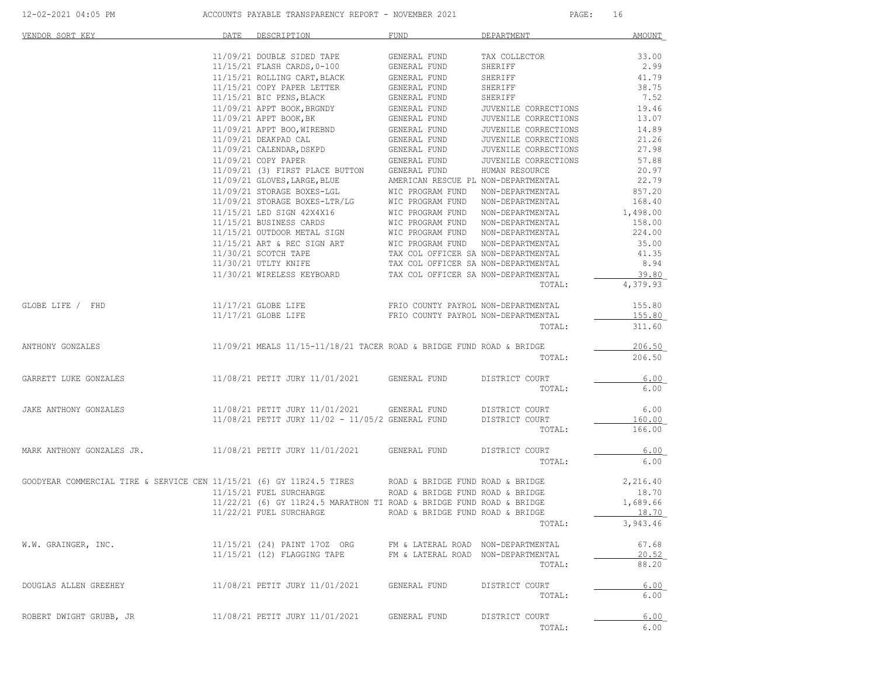| VENDOR SORT KEY                                                                                       | DATE | DESCRIPTION                                                                                                                                                                                                                                                                                                                                                                                                                                                                                                                                                           | <b>FUND</b>                                                                                                                                                                                                                                                                                           | DEPARTMENT                                                                                                                                                                                                                  | <b>AMOUNT</b>                                                                                                             |
|-------------------------------------------------------------------------------------------------------|------|-----------------------------------------------------------------------------------------------------------------------------------------------------------------------------------------------------------------------------------------------------------------------------------------------------------------------------------------------------------------------------------------------------------------------------------------------------------------------------------------------------------------------------------------------------------------------|-------------------------------------------------------------------------------------------------------------------------------------------------------------------------------------------------------------------------------------------------------------------------------------------------------|-----------------------------------------------------------------------------------------------------------------------------------------------------------------------------------------------------------------------------|---------------------------------------------------------------------------------------------------------------------------|
|                                                                                                       |      | 11/09/21 DOUBLE SIDED TAPE<br>$11/15/21$ FLASH CARDS, 0-100<br>11/15/21 ROLLING CART, BLACK<br>11/15/21 COPY PAPER LETTER<br>11/15/21 BIC PENS, BLACK<br>11/09/21 APPT BOOK, BRGNDY (GENERAL FUND<br>11/09/21 APPT BOOK, BRGNDY (GENERAL FUND<br>11/09/21 APPT BOOK, BK<br>11/09/21 APPT BOO, WIREBND<br>11/09/21 DEAKPAD CAL<br>11/09/21 CALENDAR, DSKPD<br>$11/09/21 \text{ COPY PAPER} \qquad \qquad \text{GENERAL FUND} \\ 11/09/21 \quad \text{(3) FIRST PLACE BUTTON} \qquad \text{GENERAL FUND}$<br>11/09/21 GLOVES, LARGE, BLUE<br>11/09/21 STORAGE BOXES-LGL | GENERAL FUND<br>GENERAL FUND<br>GENERAL FUND<br>GENERAL FUND<br>GENERAL FUND<br>GENERAL FUND<br>GENERAL FUND<br>GENERAL FUND<br>---------<br>GENERAL FUND<br>GENERAL FUND<br>GENERAL FUND<br>GENERAL FUND<br>GENERAL FUND<br>AMERICAN RESCUE PL NON-DEPARTMENTAL<br>WIC PROGRAM FUND NON-DEPARTMENTAL | TAX COLLECTOR<br>SHERIFF<br>SHERIFF<br>SHERIFF<br>SHERIFF<br>JUVENILE CORRECTIONS<br>JUVENILE CORRECTIONS<br>JUVENILE CORRECTIONS<br>JUVENILE CORRECTIONS<br>JUVENILE CORRECTIONS<br>JUVENILE CORRECTIONS<br>HUMAN RESOURCE | 33.00<br>2.99<br>41.79<br>38.75<br>7.52<br>19.46<br>13.07<br>14.89<br>21.26<br>27.98<br>57.88<br>20.97<br>22.79<br>857.20 |
|                                                                                                       |      | $11/9/21 STORAGE BOXES-LGL \\ 11/09/21 STORAGE BOXES-LTR/LG \\ 11/15/21 LED SIGNES CAPDS \\ 11/15/21 BED SIGNES CAPDS \\ 11/15/21 BUSINES CARS \\ 11/15/21 OUTDOOR METAL SIGN \\ 11/15/21 ART & REC SIGN ART \\ 11/30/21 SCOTCH TAPE \\ 11/30/21 UTLTY KNIFF \\ 11/30/21 UTLTY KNIFF \\ 11/30/21 UTLTT XNIFE \\ 11/30/21 TLTY KNIFF \\ 11/30/21 TLTY INITER \\ 11/30/21 TLTY$<br>11/30/21 WIRELESS KEYBOARD TAX COL OFFICER SA NON-DEPARTMENTAL                                                                                                                       |                                                                                                                                                                                                                                                                                                       | TOTAL:                                                                                                                                                                                                                      | 168.40<br>1,498.00<br>158.00<br>224.00<br>35.00<br>41.35<br>8.94<br>39.80<br>4,379.93                                     |
| GLOBE LIFE / FHD                                                                                      |      | 11/17/21 GLOBE LIFE<br>11/17/21 GLOBE LIFE                                                                                                                                                                                                                                                                                                                                                                                                                                                                                                                            | FRIO COUNTY PAYROL NON-DEPARTMENTAL<br>FRIO COUNTY PAYROL NON-DEPARTMENTAL                                                                                                                                                                                                                            | TOTAL:                                                                                                                                                                                                                      | 155.80<br>155.80<br>311.60                                                                                                |
| ANTHONY GONZALES                                                                                      |      | $11/09/21$ MEALS $11/15-11/18/21$ TACER ROAD & BRIDGE FUND ROAD & BRIDGE                                                                                                                                                                                                                                                                                                                                                                                                                                                                                              |                                                                                                                                                                                                                                                                                                       | TOTAL:                                                                                                                                                                                                                      | 206.50<br>206.50                                                                                                          |
| GARRETT LUKE GONZALES                                                                                 |      | 11/08/21 PETIT JURY 11/01/2021 GENERAL FUND                                                                                                                                                                                                                                                                                                                                                                                                                                                                                                                           |                                                                                                                                                                                                                                                                                                       | DISTRICT COURT<br>TOTAL:                                                                                                                                                                                                    | 6.00<br>6.00                                                                                                              |
| JAKE ANTHONY GONZALES                                                                                 |      | 11/08/21 PETIT JURY 11/01/2021 GENERAL FUND<br>11/08/21 PETIT JURY 11/02 - 11/05/2 GENERAL FUND                                                                                                                                                                                                                                                                                                                                                                                                                                                                       |                                                                                                                                                                                                                                                                                                       | DISTRICT COURT<br>DISTRICT COURT<br>TOTAL:                                                                                                                                                                                  | 6.00<br>160.00<br>166.00                                                                                                  |
| MARK ANTHONY GONZALES JR. 11/08/21 PETIT JURY 11/01/2021 GENERAL FUND                                 |      |                                                                                                                                                                                                                                                                                                                                                                                                                                                                                                                                                                       |                                                                                                                                                                                                                                                                                                       | DISTRICT COURT<br>TOTAL:                                                                                                                                                                                                    | 6.00<br>6.00                                                                                                              |
| GOODYEAR COMMERCIAL TIRE & SERVICE CEN 11/15/21 (6) GY 11R24.5 TIRES ROAD & BRIDGE FUND ROAD & BRIDGE |      | 11/15/21 FUEL SURCHARGE<br>11/22/21 (6) GY 11R24.5 MARATHON TI ROAD & BRIDGE FUND ROAD & BRIDGE<br>11/22/21 FUEL SURCHARGE                                                                                                                                                                                                                                                                                                                                                                                                                                            | ROAD & BRIDGE FUND ROAD & BRIDGE<br>ROAD & BRIDGE FUND ROAD & BRIDGE                                                                                                                                                                                                                                  | TOTAL:                                                                                                                                                                                                                      | 2,216.40<br>18.70<br>1,689.66<br>18.70<br>3,943.46                                                                        |
| W.W. GRAINGER, INC.                                                                                   |      | 11/15/21 (24) PAINT 170Z ORG<br>11/15/21 (12) FLAGGING TAPE                                                                                                                                                                                                                                                                                                                                                                                                                                                                                                           | FM & LATERAL ROAD NON-DEPARTMENTAL<br>FM & LATERAL ROAD NON-DEPARTMENTAL                                                                                                                                                                                                                              | TOTAL:                                                                                                                                                                                                                      | 67.68<br>20.52<br>88.20                                                                                                   |
| DOUGLAS ALLEN GREEHEY                                                                                 |      | 11/08/21 PETIT JURY 11/01/2021                                                                                                                                                                                                                                                                                                                                                                                                                                                                                                                                        | GENERAL FUND                                                                                                                                                                                                                                                                                          | DISTRICT COURT<br>TOTAL:                                                                                                                                                                                                    | 6.00<br>6.00                                                                                                              |
| ROBERT DWIGHT GRUBB, JR                                                                               |      | 11/08/21 PETIT JURY 11/01/2021                                                                                                                                                                                                                                                                                                                                                                                                                                                                                                                                        | GENERAL FUND                                                                                                                                                                                                                                                                                          | DISTRICT COURT<br>TOTAL:                                                                                                                                                                                                    | 6.00<br>6.00                                                                                                              |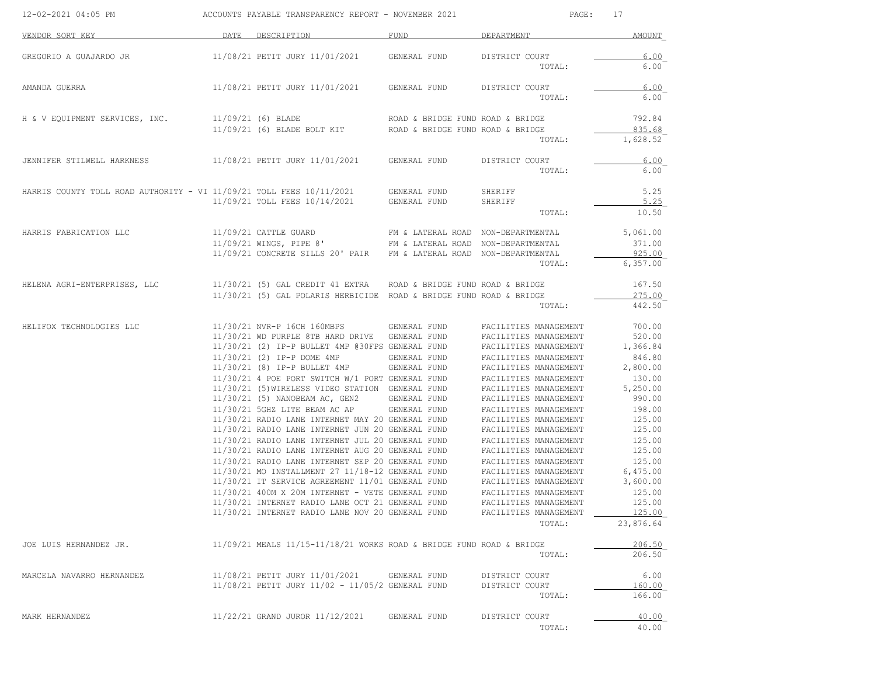| 12-02-2021 04:05 PM                                                  | ACCOUNTS PAYABLE TRANSPARENCY REPORT - NOVEMBER 2021 |                                                                                                                                                                                                                                                                                                                                                                                                                                                                                                                                                                                                                                                                                                                                                                                                                                                                                                                    |                                                                                               | PAGE:<br>17                                                                                                                                                                                                                                                                                                                                                                                                                                                                                       |                                                                                                                                                                                                                   |  |
|----------------------------------------------------------------------|------------------------------------------------------|--------------------------------------------------------------------------------------------------------------------------------------------------------------------------------------------------------------------------------------------------------------------------------------------------------------------------------------------------------------------------------------------------------------------------------------------------------------------------------------------------------------------------------------------------------------------------------------------------------------------------------------------------------------------------------------------------------------------------------------------------------------------------------------------------------------------------------------------------------------------------------------------------------------------|-----------------------------------------------------------------------------------------------|---------------------------------------------------------------------------------------------------------------------------------------------------------------------------------------------------------------------------------------------------------------------------------------------------------------------------------------------------------------------------------------------------------------------------------------------------------------------------------------------------|-------------------------------------------------------------------------------------------------------------------------------------------------------------------------------------------------------------------|--|
| VENDOR SORT KEY                                                      |                                                      | DATE DESCRIPTION                                                                                                                                                                                                                                                                                                                                                                                                                                                                                                                                                                                                                                                                                                                                                                                                                                                                                                   | FUND                                                                                          | DEPARTMENT                                                                                                                                                                                                                                                                                                                                                                                                                                                                                        | AMOUNT                                                                                                                                                                                                            |  |
| GREGORIO A GUAJARDO JR                                               |                                                      | 11/08/21 PETIT JURY 11/01/2021                                                                                                                                                                                                                                                                                                                                                                                                                                                                                                                                                                                                                                                                                                                                                                                                                                                                                     | GENERAL FUND                                                                                  | DISTRICT COURT<br>TOTAL:                                                                                                                                                                                                                                                                                                                                                                                                                                                                          | 6.00<br>6.00                                                                                                                                                                                                      |  |
| AMANDA GUERRA                                                        |                                                      | 11/08/21 PETIT JURY 11/01/2021                                                                                                                                                                                                                                                                                                                                                                                                                                                                                                                                                                                                                                                                                                                                                                                                                                                                                     | GENERAL FUND                                                                                  | DISTRICT COURT<br>TOTAL:                                                                                                                                                                                                                                                                                                                                                                                                                                                                          | 6.00<br>6.00                                                                                                                                                                                                      |  |
| H & V EQUIPMENT SERVICES, INC.                                       |                                                      | 11/09/21 (6) BLADE<br>11/09/21 (6) BLADE BOLT KIT                                                                                                                                                                                                                                                                                                                                                                                                                                                                                                                                                                                                                                                                                                                                                                                                                                                                  | ROAD & BRIDGE FUND ROAD & BRIDGE<br>ROAD & BRIDGE FUND ROAD & BRIDGE                          | TOTAL:                                                                                                                                                                                                                                                                                                                                                                                                                                                                                            | 792.84<br>835.68<br>1,628.52                                                                                                                                                                                      |  |
| JENNIFER STILWELL HARKNESS                                           |                                                      | 11/08/21 PETIT JURY 11/01/2021                                                                                                                                                                                                                                                                                                                                                                                                                                                                                                                                                                                                                                                                                                                                                                                                                                                                                     | GENERAL FUND                                                                                  | DISTRICT COURT<br>TOTAL:                                                                                                                                                                                                                                                                                                                                                                                                                                                                          | 6.00<br>6.00                                                                                                                                                                                                      |  |
| HARRIS COUNTY TOLL ROAD AUTHORITY - VI 11/09/21 TOLL FEES 10/11/2021 |                                                      | 11/09/21 TOLL FEES 10/14/2021                                                                                                                                                                                                                                                                                                                                                                                                                                                                                                                                                                                                                                                                                                                                                                                                                                                                                      | GENERAL FUND<br>GENERAL FUND                                                                  | SHERIFF<br>SHERIFF<br>TOTAL:                                                                                                                                                                                                                                                                                                                                                                                                                                                                      | 5.25<br>5.25<br>10.50                                                                                                                                                                                             |  |
| HARRIS FABRICATION LLC                                               |                                                      | 11/09/21 CATTLE GUARD<br>11/09/21 WINGS, PIPE 8'<br>11/09/21 CONCRETE SILLS 20' PAIR                                                                                                                                                                                                                                                                                                                                                                                                                                                                                                                                                                                                                                                                                                                                                                                                                               | FM & LATERAL ROAD NON-DEPARTMENTAL<br>FM & LATERAL ROAD<br>FM & LATERAL ROAD NON-DEPARTMENTAL | NON-DEPARTMENTAL<br>TOTAL:                                                                                                                                                                                                                                                                                                                                                                                                                                                                        | 5,061.00<br>371.00<br>925.00<br>6,357.00                                                                                                                                                                          |  |
| HELENA AGRI-ENTERPRISES, LLC                                         |                                                      | 11/30/21 (5) GAL CREDIT 41 EXTRA<br>11/30/21 (5) GAL POLARIS HERBICIDE ROAD & BRIDGE FUND ROAD & BRIDGE                                                                                                                                                                                                                                                                                                                                                                                                                                                                                                                                                                                                                                                                                                                                                                                                            | ROAD & BRIDGE FUND ROAD & BRIDGE                                                              | TOTAL:                                                                                                                                                                                                                                                                                                                                                                                                                                                                                            | 167.50<br>275.00<br>442.50                                                                                                                                                                                        |  |
| HELIFOX TECHNOLOGIES LLC                                             |                                                      | 11/30/21 NVR-P 16CH 160MBPS<br>11/30/21 WD PURPLE 8TB HARD DRIVE GENERAL FUND<br>11/30/21 (2) IP-P BULLET 4MP @30FPS GENERAL FUND<br>11/30/21 (2) IP-P DOME 4MP<br>11/30/21 (8) IP-P BULLET 4MP<br>11/30/21 4 POE PORT SWITCH W/1 PORT GENERAL FUND<br>11/30/21 (5) WIRELESS VIDEO STATION GENERAL FUND<br>11/30/21 (5) NANOBEAM AC, GEN2<br>11/30/21 5GHZ LITE BEAM AC AP<br>11/30/21 RADIO LANE INTERNET MAY 20 GENERAL FUND<br>11/30/21 RADIO LANE INTERNET JUN 20 GENERAL FUND<br>11/30/21 RADIO LANE INTERNET JUL 20 GENERAL FUND<br>11/30/21 RADIO LANE INTERNET AUG 20 GENERAL FUND<br>11/30/21 RADIO LANE INTERNET SEP 20 GENERAL FUND<br>11/30/21 MO INSTALLMENT 27 11/18-12 GENERAL FUND<br>11/30/21 IT SERVICE AGREEMENT 11/01 GENERAL FUND<br>11/30/21 400M X 20M INTERNET - VETE GENERAL FUND<br>11/30/21 INTERNET RADIO LANE OCT 21 GENERAL FUND<br>11/30/21 INTERNET RADIO LANE NOV 20 GENERAL FUND | GENERAL FUND<br>GENERAL FUND<br>GENERAL FUND<br>GENERAL FUND<br>GENERAL FUND                  | FACILITIES MANAGEMENT<br>FACILITIES MANAGEMENT<br>FACILITIES MANAGEMENT<br>FACILITIES MANAGEMENT<br>FACILITIES MANAGEMENT<br>FACILITIES MANAGEMENT<br>FACILITIES MANAGEMENT<br>FACILITIES MANAGEMENT<br>FACILITIES MANAGEMENT<br>FACILITIES MANAGEMENT<br>FACILITIES MANAGEMENT<br>FACILITIES MANAGEMENT<br>FACILITIES MANAGEMENT<br>FACILITIES MANAGEMENT<br>FACILITIES MANAGEMENT<br>FACILITIES MANAGEMENT<br>FACILITIES MANAGEMENT<br>FACILITIES MANAGEMENT<br>FACILITIES MANAGEMENT<br>TOTAL: | 700.00<br>520.00<br>1,366.84<br>846.80<br>2,800.00<br>130.00<br>5,250.00<br>990.00<br>198.00<br>125.00<br>125.00<br>125.00<br>125.00<br>125.00<br>6,475.00<br>3,600.00<br>125.00<br>125.00<br>125.00<br>23,876.64 |  |
| JOE LUIS HERNANDEZ JR.                                               |                                                      | 11/09/21 MEALS 11/15-11/18/21 WORKS ROAD & BRIDGE FUND ROAD & BRIDGE                                                                                                                                                                                                                                                                                                                                                                                                                                                                                                                                                                                                                                                                                                                                                                                                                                               |                                                                                               | TOTAL:                                                                                                                                                                                                                                                                                                                                                                                                                                                                                            | 206.50<br>206.50                                                                                                                                                                                                  |  |
| MARCELA NAVARRO HERNANDEZ                                            |                                                      | 11/08/21 PETIT JURY 11/01/2021<br>11/08/21 PETIT JURY 11/02 - 11/05/2 GENERAL FUND                                                                                                                                                                                                                                                                                                                                                                                                                                                                                                                                                                                                                                                                                                                                                                                                                                 | GENERAL FUND                                                                                  | DISTRICT COURT<br>DISTRICT COURT<br>TOTAL:                                                                                                                                                                                                                                                                                                                                                                                                                                                        | 6.00<br>160.00<br>166.00                                                                                                                                                                                          |  |
| MARK HERNANDEZ                                                       |                                                      | 11/22/21 GRAND JUROR 11/12/2021                                                                                                                                                                                                                                                                                                                                                                                                                                                                                                                                                                                                                                                                                                                                                                                                                                                                                    | GENERAL FUND                                                                                  | DISTRICT COURT<br>TOTAL:                                                                                                                                                                                                                                                                                                                                                                                                                                                                          | 40.00<br>40.00                                                                                                                                                                                                    |  |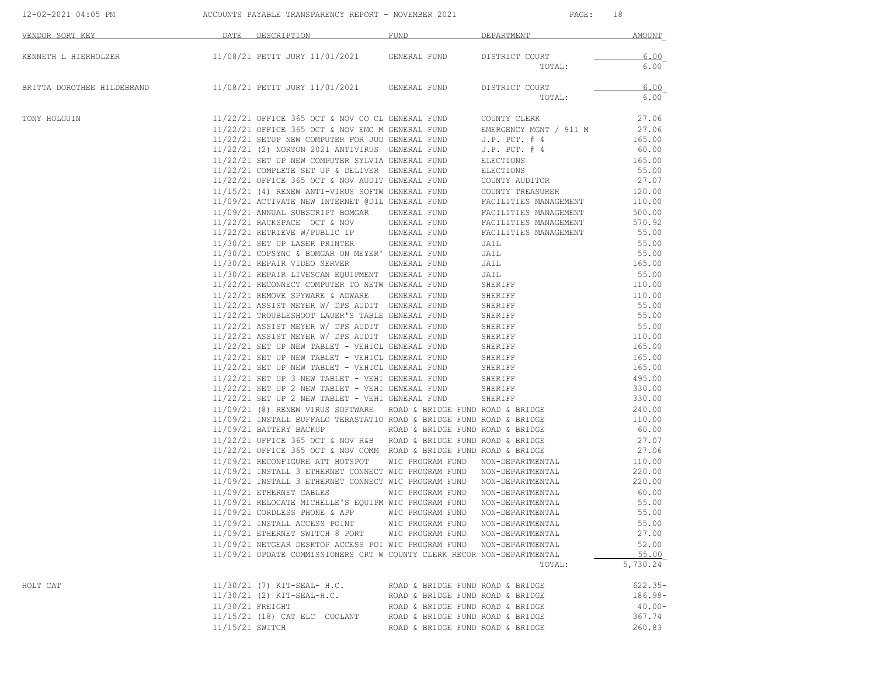| VENDOR SORT KEY            | DATE DESCRIPTION                                                                                                                | FUND                              | DEPARTMENT                                     | AMOUNT           |
|----------------------------|---------------------------------------------------------------------------------------------------------------------------------|-----------------------------------|------------------------------------------------|------------------|
| KENNETH L HIERHOLZER       | 11/08/21 PETIT JURY 11/01/2021 GENERAL FUND                                                                                     |                                   | DISTRICT COURT                                 | 6.00             |
|                            |                                                                                                                                 |                                   | TOTAL:                                         | 6.00             |
| BRITTA DOROTHEE HILDEBRAND | 11/08/21 PETIT JURY 11/01/2021 GENERAL FUND                                                                                     |                                   | DISTRICT COURT                                 | 6.00             |
|                            |                                                                                                                                 |                                   | TOTAL:                                         | 6.00             |
| TONY HOLGUIN               | 11/22/21 OFFICE 365 OCT & NOV CO CL GENERAL FUND COUNTY CLERK                                                                   |                                   |                                                | 27.06            |
|                            | 11/22/21 OFFICE 365 OCT & NOV EMC M GENERAL FUND                                                                                |                                   | EMERGENCY MGNT / 911 M                         | 27.06            |
|                            | 11/22/21 SETUP NEW COMPUTER FOR JUD GENERAL FUND                                                                                |                                   | $J.P.$ PCT. $#4$                               | 165.00           |
|                            | 11/22/21 (2) NORTON 2021 ANTIVIRUS GENERAL FUND                                                                                 |                                   | $J.P.$ PCT. $# 4$                              | 60.00            |
|                            | 11/22/21 SET UP NEW COMPUTER SYLVIA GENERAL FUND                                                                                |                                   | ELECTIONS                                      | 165.00           |
|                            | 11/22/21 COMPLETE SET UP & DELIVER GENERAL FUND                                                                                 |                                   | ELECTIONS                                      | 55.00            |
|                            | 11/22/21 OFFICE 365 OCT & NOV AUDIT GENERAL FUND                                                                                |                                   | COUNTY AUDITOR                                 | 27.07            |
|                            | 11/15/21 (4) RENEW ANTI-VIRUS SOFTW GENERAL FUND<br>11/09/21 ACTIVATE NEW INTERNET @DIL GENERAL FUND                            |                                   | COUNTY TREASURER                               | 120.00           |
|                            |                                                                                                                                 |                                   | FACILITIES MANAGEMENT                          | 110.00           |
|                            | 11/09/21 ANNUAL SUBSCRIPT BOMGAR GENERAL FUND<br>11/22/21 RACKSPACE OCT & NOV GENERAL FUND                                      |                                   | FACILITIES MANAGEMENT                          | 500.00<br>570.92 |
|                            | 11/22/21 RETRIEVE W/PUBLIC IP GENERAL FUND                                                                                      |                                   | FACILITIES MANAGEMENT<br>FACILITIES MANAGEMENT | 55.00            |
|                            | 11/30/21 SET UP LASER PRINTER GENERAL FUND                                                                                      |                                   | JAIL                                           | 55.00            |
|                            | 11/30/21 COPSYNC & BOMGAR ON MEYER' GENERAL FUND                                                                                |                                   | JAIL                                           | 55.00            |
|                            | 11/30/21 REPAIR VIDEO SERVER GENERAL FUND                                                                                       |                                   | JAIL                                           | 165.00           |
|                            | 11/30/21 REPAIR LIVESCAN EQUIPMENT GENERAL FUND                                                                                 |                                   | JAIL                                           | 55.00            |
|                            | 11/22/21 RECONNECT COMPUTER TO NETW GENERAL FUND                                                                                |                                   | SHERIFF                                        | 110.00           |
|                            | 11/22/21 REMOVE SPYWARE & ADWARE GENERAL FUND                                                                                   |                                   | SHERIFF                                        | 110.00           |
|                            | 11/22/21 ASSIST MEYER W/ DPS AUDIT GENERAL FUND                                                                                 |                                   | SHERIFF                                        | 55.00            |
|                            | 11/22/21 TROUBLESHOOT LAUER'S TABLE GENERAL FUND                                                                                |                                   | SHERIFF                                        | 55.00            |
|                            | 11/22/21 ASSIST MEYER W/ DPS AUDIT GENERAL FUND                                                                                 |                                   | SHERIFF                                        | 55.00            |
|                            | 11/22/21 ASSIST MEYER W/ DPS AUDIT GENERAL FUND                                                                                 |                                   | SHERIFF                                        | 110.00           |
|                            | 11/22/21 SET UP NEW TABLET - VEHICL GENERAL FUND                                                                                |                                   | SHERIFF                                        | 165.00           |
|                            |                                                                                                                                 |                                   | SHERIFF                                        | 165.00           |
|                            | 11/22/21 SET UP NEW TABLET - VEHICL GENERAL FUND<br>11/22/21 SET UP NEW TABLET - VEHICL GENERAL FUND                            |                                   | SHERIFF                                        | 165.00           |
|                            | 11/22/21 SET UP 3 NEW TABLET - VEHI GENERAL FUND                                                                                |                                   | SHERIFF                                        | 495.00           |
|                            | 11/22/21 SET UP 2 NEW TABLET - VEHI GENERAL FUND                                                                                |                                   | SHERIFF                                        | 330.00           |
|                            | 11/22/21 SET UP 2 NEW TABLET - VEHI GENERAL FUND                                                                                |                                   | SHERIFF                                        | 330.00           |
|                            | 11/09/21 (8) RENEW VIRUS SOFTWARE ROAD & BRIDGE FUND ROAD & BRIDGE                                                              |                                   |                                                | 240.00           |
|                            | 11/09/21 INSTALL BUFFALO TERASTATIO ROAD & BRIDGE FUND ROAD & BRIDGE                                                            |                                   |                                                | 110.00           |
|                            | 11/09/21 BATTERY BACKUP                                                                                                         | ROAD & BRIDGE FUND ROAD & BRIDGE  |                                                | 60.00            |
|                            | $11/22/21$ OFFICE 365 OCT & NOV R&B ROAD & BRIDGE FUND ROAD & BRIDGE                                                            |                                   |                                                | 27.07            |
|                            | 11/22/21 OFFICE 365 OCT & NOV COMM ROAD & BRIDGE FUND ROAD & BRIDGE                                                             |                                   |                                                | 27.06            |
|                            | 11/09/21 RECONFIGURE ATT HOTSPOT WIC PROGRAM FUND NON-DEPARTMENTAL                                                              |                                   |                                                | 110.00           |
|                            | 11/09/21 INSTALL 3 ETHERNET CONNECT WIC PROGRAM FUND                                                                            |                                   | NON-DEPARTMENTAL                               | 220.00           |
|                            | 11/09/21 INSTALL 3 ETHERNET CONNECT WIC PROGRAM FUND NON-DEPARTMENTAL                                                           |                                   |                                                | 220.00           |
|                            | 11/09/21 ETHERNET CABLES                                                                                                        | WIC PROGRAM FUND                  | NON-DEPARTMENTAL                               | 60.00            |
|                            | 11/09/21 RELOCATE MICHELLE'S EQUIPM WIC PROGRAM FUND                                                                            |                                   | NON-DEPARTMENTAL                               | 55.00            |
|                            | $11/09/21$ CORDLESS PHONE & APP                                                                                                 | WIC PROGRAM FUND                  | NON-DEPARTMENTAL                               | 55.00            |
|                            | 11/09/21 INSTALL ACCESS POINT                                                                                                   | WIC PROGRAM FUND NON-DEPARTMENTAL |                                                | 55.00            |
|                            | 11/09/21 ETHERNET SWITCH 8 PORT                                                                                                 | WIC PROGRAM FUND                  | NON-DEPARTMENTAL                               | 27.00            |
|                            | 11/09/21 NETGEAR DESKTOP ACCESS POI WIC PROGRAM FUND<br>11/09/21 UPDATE COMMISSIONERS CRT W COUNTY CLERK RECOR NON-DEPARTMENTAL |                                   | NON-DEPARTMENTAL                               | 52.00<br>55.00   |
|                            |                                                                                                                                 |                                   | TOTAL:                                         | 5,730.24         |
| HOLT CAT                   | 11/30/21 (7) KIT-SEAL- H.C.                                                                                                     | ROAD & BRIDGE FUND ROAD & BRIDGE  |                                                | $622.35 -$       |
|                            | $11/30/21$ (2) KIT-SEAL-H.C.                                                                                                    | ROAD & BRIDGE FUND ROAD & BRIDGE  |                                                | $186.98-$        |
|                            | 11/30/21 FREIGHT                                                                                                                | ROAD & BRIDGE FUND ROAD & BRIDGE  |                                                | $40.00 -$        |
|                            | 11/15/21 (18) CAT ELC COOLANT                                                                                                   | ROAD & BRIDGE FUND ROAD & BRIDGE  |                                                | 367.74           |
|                            | 11/15/21 SWITCH                                                                                                                 | ROAD & BRIDGE FUND ROAD & BRIDGE  |                                                | 260.83           |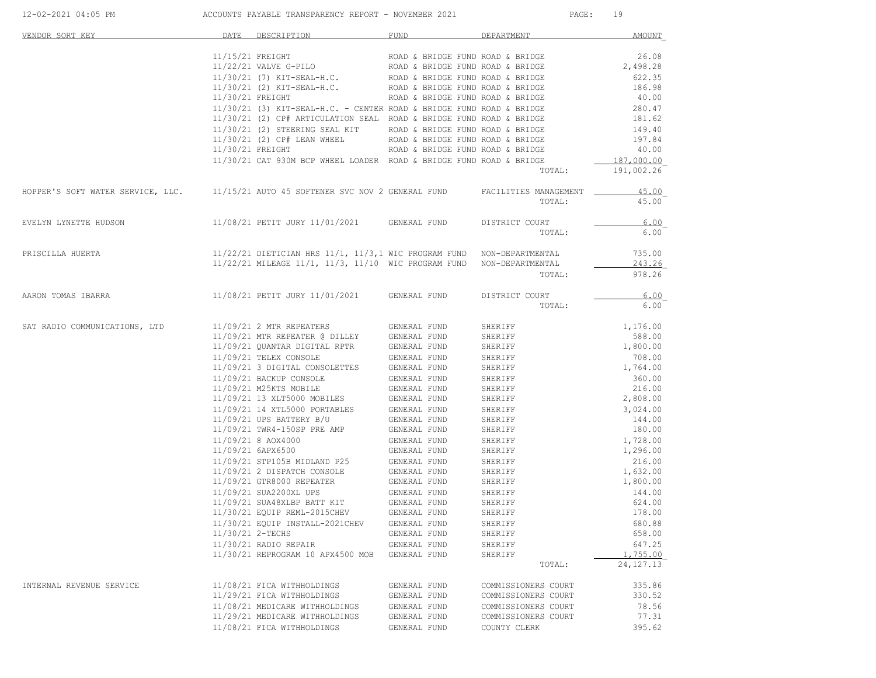| VENDOR SORT KEY                                                                                          | DATE             | DESCRIPTION                                                                                                                                                                                                                                                                                                                                                                                                                              | FUND                                                                 | DEPARTMENT          | AMOUNT                  |
|----------------------------------------------------------------------------------------------------------|------------------|------------------------------------------------------------------------------------------------------------------------------------------------------------------------------------------------------------------------------------------------------------------------------------------------------------------------------------------------------------------------------------------------------------------------------------------|----------------------------------------------------------------------|---------------------|-------------------------|
|                                                                                                          |                  |                                                                                                                                                                                                                                                                                                                                                                                                                                          |                                                                      |                     |                         |
|                                                                                                          | 11/15/21 FREIGHT |                                                                                                                                                                                                                                                                                                                                                                                                                                          | ROAD & BRIDGE FUND ROAD & BRIDGE<br>ROAD & BRIDGE FUND ROAD & BRIDGE |                     | 26.08                   |
|                                                                                                          |                  | 11/22/21 VALVE G-PILO<br>11/30/21 (7) KIT-SEAL-H.C. ROAD & BRIDGE FUND ROAD & BRIDGE                                                                                                                                                                                                                                                                                                                                                     |                                                                      |                     | 2,498.28                |
|                                                                                                          |                  |                                                                                                                                                                                                                                                                                                                                                                                                                                          |                                                                      |                     | 622.35                  |
|                                                                                                          |                  | 11/30/21 (2) KIT-SEAL-H.C.                                                                                                                                                                                                                                                                                                                                                                                                               | ROAD & BRIDGE FUND ROAD & BRIDGE                                     |                     | 186.98                  |
|                                                                                                          | 11/30/21 FREIGHT |                                                                                                                                                                                                                                                                                                                                                                                                                                          | ROAD & BRIDGE FUND ROAD & BRIDGE                                     |                     | 40.00                   |
|                                                                                                          |                  | $11/30/21$ (3) KIT-SEAL-H.C. - CENTER ROAD & BRIDGE FUND ROAD & BRIDGE                                                                                                                                                                                                                                                                                                                                                                   |                                                                      |                     | 280.47                  |
|                                                                                                          |                  | 11/30/21 (2) CP# ARTICULATION SEAL ROAD & BRIDGE FUND ROAD & BRIDGE                                                                                                                                                                                                                                                                                                                                                                      |                                                                      |                     | 181.62                  |
|                                                                                                          |                  | 11/30/21 (2) STEERING SEAL KIT ROAD & BRIDGE FUND ROAD & BRIDGE 11/30/21 (2) CP# LEAN WHEEL ROAD & BRIDGE FUND ROAD & BRIDGE                                                                                                                                                                                                                                                                                                             |                                                                      |                     | 149.40                  |
|                                                                                                          |                  |                                                                                                                                                                                                                                                                                                                                                                                                                                          |                                                                      |                     | 197.84                  |
|                                                                                                          |                  | 11/30/21 FREIGHT                                                                                                                                                                                                                                                                                                                                                                                                                         | ROAD & BRIDGE FUND ROAD & BRIDGE                                     |                     | 40.00                   |
|                                                                                                          |                  | 11/30/21 CAT 930M BCP WHEEL LOADER ROAD & BRIDGE FUND ROAD & BRIDGE                                                                                                                                                                                                                                                                                                                                                                      |                                                                      |                     | 187,000.00              |
|                                                                                                          |                  |                                                                                                                                                                                                                                                                                                                                                                                                                                          |                                                                      | TOTAL:              | 191,002.26              |
| HOPPER'S SOFT WATER SERVICE, LLC. 11/15/21 AUTO 45 SOFTENER SVC NOV 2 GENERAL FUND FACILITIES MANAGEMENT |                  |                                                                                                                                                                                                                                                                                                                                                                                                                                          |                                                                      |                     | 45.00                   |
|                                                                                                          |                  |                                                                                                                                                                                                                                                                                                                                                                                                                                          |                                                                      | TOTAL:              | 45.00                   |
| EVELYN LYNETTE HUDSON                                                                                    |                  | 11/08/21 PETIT JURY 11/01/2021 GENERAL FUND                                                                                                                                                                                                                                                                                                                                                                                              |                                                                      | DISTRICT COURT      | 6.00                    |
|                                                                                                          |                  |                                                                                                                                                                                                                                                                                                                                                                                                                                          |                                                                      | TOTAL:              | 6.00                    |
| PRISCILLA HUERTA                                                                                         |                  | 11/22/21 DIETICIAN HRS 11/1, 11/3,1 WIC PROGRAM FUND NON-DEPARTMENTAL                                                                                                                                                                                                                                                                                                                                                                    |                                                                      |                     | 735.00                  |
|                                                                                                          |                  | 11/22/21 MILEAGE 11/1, 11/3, 11/10 WIC PROGRAM FUND NON-DEPARTMENTAL                                                                                                                                                                                                                                                                                                                                                                     |                                                                      |                     | 243.26                  |
|                                                                                                          |                  |                                                                                                                                                                                                                                                                                                                                                                                                                                          |                                                                      | TOTAL:              | 978.26                  |
| AARON TOMAS IBARRA                                                                                       |                  | 11/08/21 PETIT JURY 11/01/2021 GENERAL FUND                                                                                                                                                                                                                                                                                                                                                                                              |                                                                      | DISTRICT COURT      | 6.00                    |
|                                                                                                          |                  |                                                                                                                                                                                                                                                                                                                                                                                                                                          |                                                                      | TOTAL:              | 6.00                    |
| SAT RADIO COMMUNICATIONS, LTD                                                                            |                  | 11/09/21 2 MTR REPEATERS                                                                                                                                                                                                                                                                                                                                                                                                                 | GENERAL FUND                                                         | SHERIFF             | 1,176.00                |
|                                                                                                          |                  |                                                                                                                                                                                                                                                                                                                                                                                                                                          |                                                                      | SHERIFF             | 588.00                  |
|                                                                                                          |                  |                                                                                                                                                                                                                                                                                                                                                                                                                                          |                                                                      | SHERIFF             | 1,800.00                |
|                                                                                                          |                  | $11/09/21 \text{ MTR REPEATER } @ DILLEY \text{ GENERAL FUND} \\ 11/09/21 \text{ QUANTAR DIGITAL RPTR} \text{ GENERAL FUND} \\ 11/09/21 \text{ TELEX CONSOLE} \text{GRIERRAL FUND}$                                                                                                                                                                                                                                                      |                                                                      | SHERIFF             | 708.00                  |
|                                                                                                          |                  |                                                                                                                                                                                                                                                                                                                                                                                                                                          | GENERAL FUND                                                         | SHERIFF             | 1,764.00                |
|                                                                                                          |                  | 11/09/21 3 DIGITAL CONSOLETTES<br>11/09/21 BACKUP CONSOLE                                                                                                                                                                                                                                                                                                                                                                                | GENERAL FUND                                                         | SHERIFF             | 360.00                  |
|                                                                                                          |                  | 11/09/21 M25KTS MOBILE                                                                                                                                                                                                                                                                                                                                                                                                                   | GENERAL FUND                                                         | SHERIFF             | 216.00                  |
|                                                                                                          |                  | 11/09/21 13 XLT5000 MOBILES                                                                                                                                                                                                                                                                                                                                                                                                              | GENERAL FUND                                                         | SHERIFF             | 2,808.00                |
|                                                                                                          |                  | 11/09/21 14 XTL5000 PORTABLES GENERAL FUND                                                                                                                                                                                                                                                                                                                                                                                               |                                                                      | SHERIFF             | 3,024.00                |
|                                                                                                          |                  | 11/09/21 UPS BATTERY B/U                                                                                                                                                                                                                                                                                                                                                                                                                 | GENERAL FUND                                                         | SHERIFF             | 144.00                  |
|                                                                                                          |                  | 11/09/21 TWR4-150SP PRE AMP                                                                                                                                                                                                                                                                                                                                                                                                              | GENERAL FUND                                                         | SHERIFF             | 180.00                  |
|                                                                                                          |                  | 11/09/21 8 AOX4000                                                                                                                                                                                                                                                                                                                                                                                                                       | GENERAL FUND                                                         | SHERIFF             | 1,728.00                |
|                                                                                                          |                  | 11/09/21 6APX6500                                                                                                                                                                                                                                                                                                                                                                                                                        | GENERAL FUND                                                         | SHERIFF             | 1,296.00                |
|                                                                                                          |                  | 11/09/21 STP105B MIDLAND P25                                                                                                                                                                                                                                                                                                                                                                                                             | GENERAL FUND                                                         | SHERIFF             | 216.00                  |
|                                                                                                          |                  | 11/09/21 2 DISPATCH CONSOLE                                                                                                                                                                                                                                                                                                                                                                                                              | GENERAL FUND                                                         | SHERIFF             | 1,632.00                |
|                                                                                                          |                  |                                                                                                                                                                                                                                                                                                                                                                                                                                          |                                                                      | SHERIFF             | 1,800.00                |
|                                                                                                          |                  | $11/09/21\begin{array}{l} {\tt GENERAL}\end{array} \begin{array}{l} {\tt GENERAL}\end{array} \begin{array}{l} {\tt GENERAL}\end{array} \begin{array}{l} {\tt UFD}\\ 11/09/21\end{array} \begin{array}{l} {\tt SUA2200XL}\end{array} \begin{array}{l} {\tt UPS}\end{array} \begin{array}{l} {\tt GENERAL}\end{array} \begin{array}{l} {\tt UFD}\\ {\tt GENERAL}\end{array} \begin{array}{l} {\tt UFD}\\ {\tt UFD}\end{array} \end{array}$ |                                                                      |                     |                         |
|                                                                                                          |                  |                                                                                                                                                                                                                                                                                                                                                                                                                                          |                                                                      | SHERIFF             | 144.00<br>624.00        |
|                                                                                                          |                  | 11/30/21 EOUIP REML-2015CHEV                                                                                                                                                                                                                                                                                                                                                                                                             |                                                                      | SHERIFF             | 178.00                  |
|                                                                                                          |                  |                                                                                                                                                                                                                                                                                                                                                                                                                                          | GENERAL FUND                                                         | SHERIFF             |                         |
|                                                                                                          |                  | 11/30/21 EQUIP INSTALL-2021CHEV                                                                                                                                                                                                                                                                                                                                                                                                          | GENERAL FUND                                                         | SHERIFF             | 680.88                  |
|                                                                                                          |                  | 11/30/21 2-TECHS                                                                                                                                                                                                                                                                                                                                                                                                                         | GENERAL FUND                                                         | SHERIFF             | 658.00                  |
|                                                                                                          |                  | 11/30/21 RADIO REPAIR                                                                                                                                                                                                                                                                                                                                                                                                                    | GENERAL FUND                                                         | SHERIFF             | 647.25                  |
|                                                                                                          |                  | 11/30/21 REPROGRAM 10 APX4500 MOB GENERAL FUND                                                                                                                                                                                                                                                                                                                                                                                           |                                                                      | SHERIFF<br>TOTAL:   | 1,755.00<br>24, 127. 13 |
|                                                                                                          |                  |                                                                                                                                                                                                                                                                                                                                                                                                                                          |                                                                      |                     |                         |
| INTERNAL REVENUE SERVICE                                                                                 |                  | 11/08/21 FICA WITHHOLDINGS                                                                                                                                                                                                                                                                                                                                                                                                               | GENERAL FUND                                                         | COMMISSIONERS COURT | 335.86                  |
|                                                                                                          |                  | 11/29/21 FICA WITHHOLDINGS                                                                                                                                                                                                                                                                                                                                                                                                               | GENERAL FUND                                                         | COMMISSIONERS COURT | 330.52                  |
|                                                                                                          |                  | 11/08/21 MEDICARE WITHHOLDINGS                                                                                                                                                                                                                                                                                                                                                                                                           | GENERAL FUND                                                         | COMMISSIONERS COURT | 78.56                   |
|                                                                                                          |                  | 11/29/21 MEDICARE WITHHOLDINGS                                                                                                                                                                                                                                                                                                                                                                                                           | GENERAL FUND                                                         | COMMISSIONERS COURT | 77.31                   |
|                                                                                                          |                  | 11/08/21 FICA WITHHOLDINGS                                                                                                                                                                                                                                                                                                                                                                                                               | GENERAL FUND                                                         | COUNTY CLERK        | 395.62                  |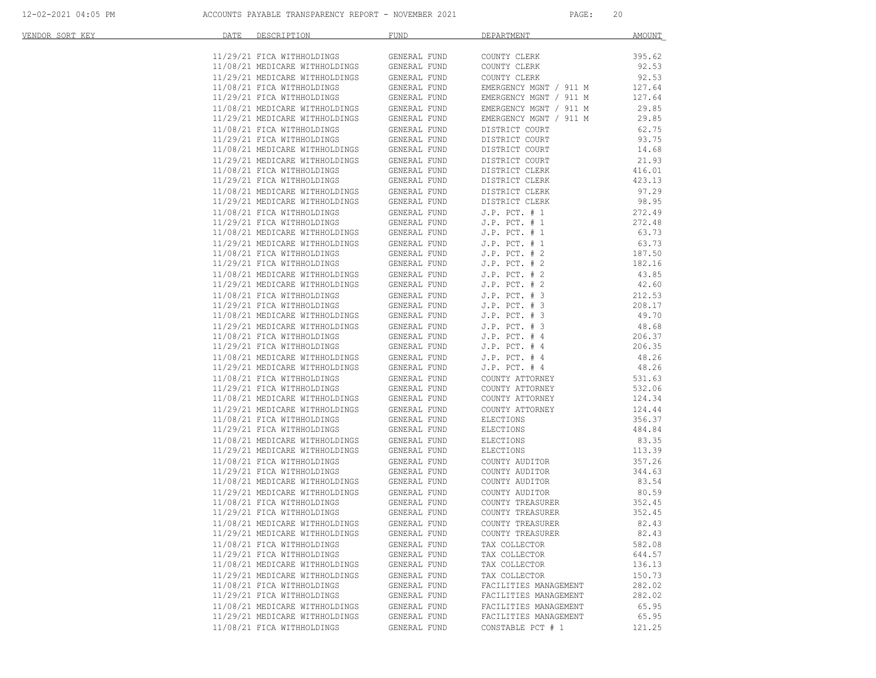| <u>VENDOR SORT KEY</u> | DATE | DESCRIPTION                                                      | <b>FUND</b>  | DEPARTMENT             | <b>AMOUNT</b> |
|------------------------|------|------------------------------------------------------------------|--------------|------------------------|---------------|
|                        |      |                                                                  |              |                        |               |
|                        |      | 11/29/21 FICA WITHHOLDINGS<br>11/08/21 MEDICARE WITHHOLDINGS     | GENERAL FUND | COUNTY CLERK           | 395.62        |
|                        |      |                                                                  | GENERAL FUND | COUNTY CLERK           | 92.53         |
|                        |      | 11/29/21 MEDICARE WITHHOLDINGS                                   | GENERAL FUND | COUNTY CLERK           | 92.53         |
|                        |      | 11/08/21 FICA WITHHOLDINGS                                       | GENERAL FUND | EMERGENCY MGNT / 911 M | 127.64        |
|                        |      | 11/29/21 FICA WITHHOLDINGS                                       | GENERAL FUND | EMERGENCY MGNT / 911 M | 127.64        |
|                        |      | 11/08/21 MEDICARE WITHHOLDINGS                                   | GENERAL FUND | EMERGENCY MGNT / 911 M | 29.85         |
|                        |      | 11/29/21 MEDICARE WITHHOLDINGS                                   | GENERAL FUND | EMERGENCY MGNT / 911 M | 29.85         |
|                        |      | 11/08/21 FICA WITHHOLDINGS                                       | GENERAL FUND | DISTRICT COURT         | 62.75         |
|                        |      | 11/29/21 FICA WITHHOLDINGS                                       | GENERAL FUND | DISTRICT COURT         | 93.75         |
|                        |      | 11/08/21 MEDICARE WITHHOLDINGS<br>11/29/21 MEDICARE WITHHOLDINGS | GENERAL FUND | DISTRICT COURT         | 14.68         |
|                        |      |                                                                  | GENERAL FUND | DISTRICT COURT         | 21.93         |
|                        |      | 11/08/21 FICA WITHHOLDINGS                                       | GENERAL FUND | DISTRICT CLERK         | 416.01        |
|                        |      | 11/29/21 FICA WITHHOLDINGS                                       | GENERAL FUND | DISTRICT CLERK         | 423.13        |
|                        |      | 11/08/21 MEDICARE WITHHOLDINGS                                   | GENERAL FUND | DISTRICT CLERK         | 97.29         |
|                        |      | 11/29/21 MEDICARE WITHHOLDINGS<br>11/08/21 FICA WITHHOLDINGS     | GENERAL FUND | DISTRICT CLERK         | 98.95         |
|                        |      | 11/08/21 FICA WITHHOLDINGS                                       | GENERAL FUND | $J.P.$ PCT. $# 1$      | 272.49        |
|                        |      | 11/29/21 FICA WITHHOLDINGS                                       | GENERAL FUND | $J.P.$ PCT. $# 1$      | 272.48        |
|                        |      | 11/08/21 MEDICARE WITHHOLDINGS                                   | GENERAL FUND | $J.P.$ PCT. $# 1$      | 63.73         |
|                        |      | 11/29/21 MEDICARE WITHHOLDINGS                                   | GENERAL FUND | $J.P.$ PCT. $# 1$      | 63.73         |
|                        |      | 11/08/21 FICA WITHHOLDINGS                                       | GENERAL FUND | $J.P.$ PCT. $# 2$      | 187.50        |
|                        |      | 11/29/21 FICA WITHHOLDINGS                                       | GENERAL FUND | $J.P.$ PCT. $# 2$      | 182.16        |
|                        |      | 11/08/21 MEDICARE WITHHOLDINGS                                   | GENERAL FUND | $J.P.$ PCT. $# 2$      | 43.85         |
|                        |      | 11/29/21 MEDICARE WITHHOLDINGS                                   | GENERAL FUND | $J.P.$ PCT. $# 2$      | 42.60         |
|                        |      |                                                                  |              |                        |               |
|                        |      | 11/08/21 FICA WITHHOLDINGS                                       | GENERAL FUND | $J.P.$ PCT. $# 3$      | 212.53        |
|                        |      |                                                                  | GENERAL FUND | $J.P.$ PCT. $# 3$      | 208.17        |
|                        |      | 11/29/21 FICA WITHOLDINGS<br>11/08/21 MEDICARE WITHHOLDINGS      | GENERAL FUND | $J.P.$ PCT. $# 3$      | 49.70         |
|                        |      |                                                                  | GENERAL FUND | $J.P.$ PCT. $# 3$      | 48.68         |
|                        |      | 11/08/21 FICA WITHHOLDINGS                                       | GENERAL FUND | $J.P.$ PCT. $#4$       | 206.37        |
|                        |      | 11/29/21 FICA WITHHOLDINGS                                       | GENERAL FUND | $J.P.$ PCT. $#4$       | 206.35        |
|                        |      | 11/08/21 MEDICARE WITHHOLDINGS                                   | GENERAL FUND | $J.P.$ PCT. $#4$       | 48.26         |
|                        |      | 11/29/21 MEDICARE WITHHOLDINGS                                   | GENERAL FUND | $J.P.$ PCT. $#4$       | 48.26         |
|                        |      | 11/08/21 FICA WITHHOLDINGS                                       | GENERAL FUND | COUNTY ATTORNEY        | 531.63        |
|                        |      | 11/29/21 FICA WITHHOLDINGS                                       | GENERAL FUND | COUNTY ATTORNEY        | 532.06        |
|                        |      | 11/08/21 MEDICARE WITHHOLDINGS                                   | GENERAL FUND | COUNTY ATTORNEY        | 124.34        |
|                        |      | 11/29/21 MEDICARE WITHHOLDINGS                                   | GENERAL FUND | COUNTY ATTORNEY        | 124.44        |
|                        |      | 11/08/21 FICA WITHHOLDINGS                                       | GENERAL FUND | ELECTIONS              | 356.37        |
|                        |      | 11/29/21 FICA WITHHOLDINGS                                       | GENERAL FUND | ELECTIONS              | 484.84        |
|                        |      | 11/08/21 MEDICARE WITHHOLDINGS                                   | GENERAL FUND | ELECTIONS              | 83.35         |
|                        |      | 11/29/21 MEDICARE WITHHOLDINGS                                   | GENERAL FUND | ELECTIONS              | 113.39        |
|                        |      | 11/08/21 FICA WITHHOLDINGS                                       | GENERAL FUND | COUNTY AUDITOR         | 357.26        |
|                        |      | 11/29/21 FICA WITHHOLDINGS                                       | GENERAL FUND | COUNTY AUDITOR         | 344.63        |
|                        |      |                                                                  | GENERAL FUND | COUNTY AUDITOR         | 83.54         |
|                        |      | 11/08/21 MEDICARE WITHHOLDINGS<br>11/99/21 MEDICARE WITHHOLDINGS | GENERAL FUND | COUNTY AUDITOR         | 80.59         |
|                        |      | 11/08/21 FICA WITHHOLDINGS                                       | GENERAL FUND | COUNTY TREASURER       | 352.45        |
|                        |      | 11/29/21 FICA WITHHOLDINGS                                       | GENERAL FUND | COUNTY TREASURER       | 352.45        |
|                        |      | 11/08/21 MEDICARE WITHHOLDINGS                                   | GENERAL FUND | COUNTY TREASURER       | 82.43         |
|                        |      | 11/29/21 MEDICARE WITHHOLDINGS                                   | GENERAL FUND | COUNTY TREASURER       | 82.43         |
|                        |      | 11/08/21 FICA WITHHOLDINGS                                       | GENERAL FUND | TAX COLLECTOR          | 582.08        |
|                        |      | 11/29/21 FICA WITHHOLDINGS                                       | GENERAL FUND | TAX COLLECTOR          | 644.57        |
|                        |      | 11/08/21 MEDICARE WITHHOLDINGS                                   | GENERAL FUND | TAX COLLECTOR          | 136.13        |
|                        |      |                                                                  |              |                        |               |
|                        |      | 11/29/21 MEDICARE WITHHOLDINGS                                   | GENERAL FUND | TAX COLLECTOR          | 150.73        |
|                        |      | 11/08/21 FICA WITHHOLDINGS                                       | GENERAL FUND | FACILITIES MANAGEMENT  | 282.02        |
|                        |      | 11/29/21 FICA WITHHOLDINGS                                       | GENERAL FUND | FACILITIES MANAGEMENT  | 282.02        |
|                        |      | 11/08/21 MEDICARE WITHHOLDINGS                                   | GENERAL FUND | FACILITIES MANAGEMENT  | 65.95         |
|                        |      | 11/29/21 MEDICARE WITHHOLDINGS                                   | GENERAL FUND | FACILITIES MANAGEMENT  | 65.95         |
|                        |      | 11/08/21 FICA WITHHOLDINGS                                       | GENERAL FUND | CONSTABLE PCT # 1      | 121.25        |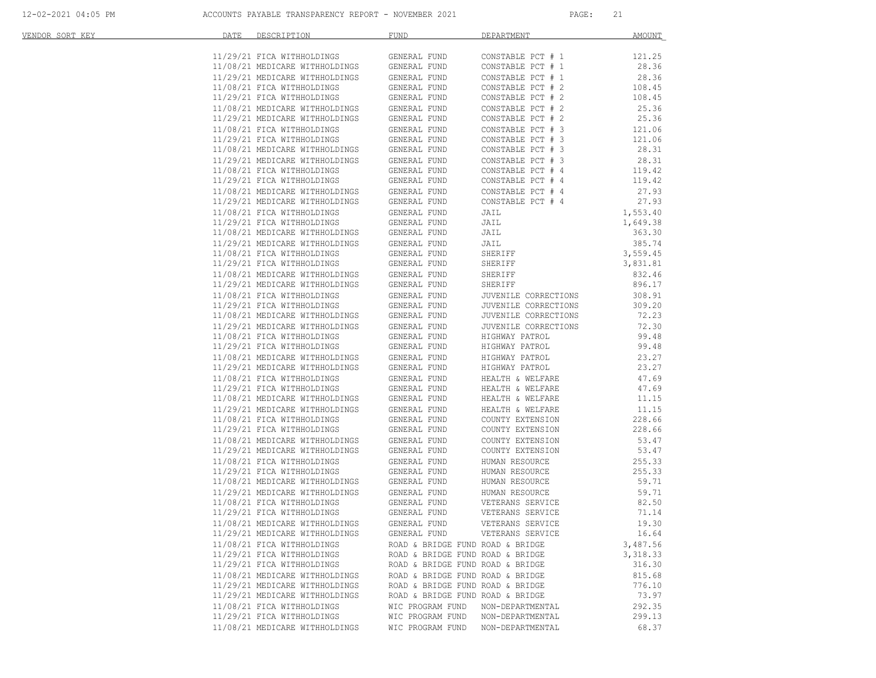| VENDOR SORT KEY | DATE | DESCRIPTION                                                      | <b>FUND</b>                      | DEPARTMENT                                   | <b>AMOUNT</b>      |
|-----------------|------|------------------------------------------------------------------|----------------------------------|----------------------------------------------|--------------------|
|                 |      | 11/29/21 FICA WITHHOLDINGS                                       | GENERAL FUND                     | CONSTABLE PCT # 1                            | 121.25             |
|                 |      | 11/08/21 MEDICARE WITHHOLDINGS                                   | GENERAL FUND                     | CONSTABLE PCT # 1                            | 28.36              |
|                 |      | 11/29/21 MEDICARE WITHHOLDINGS                                   | GENERAL FUND                     | CONSTABLE PCT # 1                            | 28.36              |
|                 |      | 11/08/21 FICA WITHHOLDINGS                                       | GENERAL FUND                     | CONSTABLE PCT # 2                            | 108.45             |
|                 |      | 11/29/21 FICA WITHHOLDINGS                                       | GENERAL FUND                     | CONSTABLE PCT # 2                            | 108.45             |
|                 |      | 11/08/21 MEDICARE WITHHOLDINGS                                   | GENERAL FUND                     | CONSTABLE PCT # 2                            | 25.36              |
|                 |      | 11/29/21 MEDICARE WITHHOLDINGS                                   | GENERAL FUND                     | CONSTABLE PCT # 2                            | 25.36              |
|                 |      | 11/08/21 FICA WITHHOLDINGS                                       | GENERAL FUND                     | CONSTABLE PCT # 3                            | 121.06             |
|                 |      | 11/29/21 FICA WITHHOLDINGS                                       | GENERAL FUND                     | CONSTABLE PCT # 3                            | 121.06             |
|                 |      | 11/08/21 MEDICARE WITHHOLDINGS                                   | GENERAL FUND                     | CONSTABLE PCT # 3                            | 28.31              |
|                 |      | 11/29/21 MEDICARE WITHHOLDINGS                                   | GENERAL FUND                     | CONSTABLE PCT # 3                            | 28.31              |
|                 |      | 11/08/21 FICA WITHHOLDINGS                                       | GENERAL FUND                     | CONSTABLE PCT # 4                            | 119.42             |
|                 |      | 11/29/21 FICA WITHHOLDINGS                                       | GENERAL FUND                     | CONSTABLE PCT # 4                            | 119.42             |
|                 |      | 11/08/21 MEDICARE WITHHOLDINGS                                   | GENERAL FUND                     | CONSTABLE PCT # 4                            | 27.93              |
|                 |      | 11/29/21 MEDICARE WITHHOLDINGS                                   | GENERAL FUND                     | CONSTABLE PCT # 4                            | 27.93              |
|                 |      |                                                                  |                                  |                                              |                    |
|                 |      | 11/08/21 FICA WITHHOLDINGS<br>11/29/21 FICA WITHHOLDINGS         | GENERAL FUND                     | JAIL                                         | 1,553.40           |
|                 |      | 11/08/21 MEDICARE WITHHOLDINGS                                   | GENERAL FUND<br>GENERAL FUND     | JAIL<br>JAIL                                 | 1,649.38<br>363.30 |
|                 |      |                                                                  |                                  |                                              |                    |
|                 |      | 11/29/21 MEDICARE WITHHOLDINGS                                   | GENERAL FUND                     | JAIL                                         | 385.74             |
|                 |      | 11/08/21 FICA WITHHOLDINGS<br>11/29/21 FICA WITHHOLDINGS         | GENERAL FUND<br>GENERAL FUND     | SHERIFF<br>SHERIFF                           | 3,559.45           |
|                 |      | 11/08/21 MEDICARE WITHHOLDINGS                                   |                                  | SHERIFF                                      | 3,831.81<br>832.46 |
|                 |      | 11/29/21 MEDICARE WITHHOLDINGS                                   | GENERAL FUND<br>GENERAL FUND     | SHERIFF                                      | 896.17             |
|                 |      |                                                                  |                                  |                                              |                    |
|                 |      | 11/08/21 FICA WITHHOLDINGS                                       | GENERAL FUND                     | JUVENILE CORRECTIONS                         | 308.91<br>309.20   |
|                 |      | 11/29/21 FICA WITHHOLDINGS<br>11/08/21 MEDICARE WITHHOLDINGS     | GENERAL FUND<br>GENERAL FUND     | JUVENILE CORRECTIONS<br>JUVENILE CORRECTIONS | 72.23              |
|                 |      | 11/29/21 MEDICARE WITHHOLDINGS                                   |                                  |                                              | 72.30              |
|                 |      |                                                                  | GENERAL FUND                     | JUVENILE CORRECTIONS                         |                    |
|                 |      | 11/08/21 FICA WITHHOLDINGS<br>11/29/21 FICA WITHHOLDINGS         | GENERAL FUND                     | HIGHWAY PATROL                               | 99.48<br>99.48     |
|                 |      |                                                                  | GENERAL FUND                     | HIGHWAY PATROL                               |                    |
|                 |      | 11/08/21 MEDICARE WITHHOLDINGS<br>11/29/21 MEDICARE WITHHOLDINGS | GENERAL FUND<br>GENERAL FUND     | HIGHWAY PATROL<br>HIGHWAY PATROL             | 23.27<br>23.27     |
|                 |      |                                                                  |                                  |                                              |                    |
|                 |      | 11/08/21 FICA WITHHOLDINGS                                       | GENERAL FUND                     | HEALTH & WELFARE                             | 47.69              |
|                 |      | 11/29/21 FICA WITHHOLDINGS<br>11/08/21 MEDICARE WITHHOLDINGS     | GENERAL FUND<br>GENERAL FUND     | HEALTH & WELFARE<br>HEALTH & WELFARE         | 47.69<br>11.15     |
|                 |      |                                                                  |                                  |                                              |                    |
|                 |      | 11/29/21 MEDICARE WITHHOLDINGS                                   | GENERAL FUND                     | HEALTH & WELFARE                             | 11.15              |
|                 |      | 11/08/21 FICA WITHHOLDINGS                                       | GENERAL FUND                     | COUNTY EXTENSION                             | 228.66<br>228.66   |
|                 |      | 11/29/21 FICA WITHHOLDINGS                                       | GENERAL FUND                     | COUNTY EXTENSION                             |                    |
|                 |      | 11/08/21 MEDICARE WITHHOLDINGS<br>11/29/21 MEDICARE WITHHOLDINGS | GENERAL FUND<br>GENERAL FUND     | COUNTY EXTENSION<br>COUNTY EXTENSION         | 53.47<br>53.47     |
|                 |      |                                                                  |                                  |                                              |                    |
|                 |      | 11/08/21 FICA WITHHOLDINGS<br>11/29/21 FICA WITHHOLDINGS         | GENERAL FUND                     | HUMAN RESOURCE                               | 255.33<br>255.33   |
|                 |      | 11/08/21 MEDICARE WITHHOLDINGS                                   | GENERAL FUND<br>GENERAL FUND     | HUMAN RESOURCE<br>HUMAN RESOURCE             | 59.71              |
|                 |      | 11/29/21 MEDICARE WITHHOLDINGS                                   |                                  |                                              |                    |
|                 |      |                                                                  | GENERAL FUND                     | HUMAN RESOURCE<br>VETERANS SERVICE           | 59.71              |
|                 |      | 11/08/21 FICA WITHHOLDINGS<br>11/29/21 FICA WITHHOLDINGS         | GENERAL FUND<br>GENERAL FUND     | VETERANS SERVICE                             | 82.50<br>71.14     |
|                 |      | 11/08/21 MEDICARE WITHHOLDINGS                                   | GENERAL FUND                     | VETERANS SERVICE                             | 19.30              |
|                 |      | 11/29/21 MEDICARE WITHHOLDINGS                                   | GENERAL FUND                     | VETERANS SERVICE                             | 16.64              |
|                 |      |                                                                  |                                  |                                              |                    |
|                 |      | 11/08/21 FICA WITHHOLDINGS                                       | ROAD & BRIDGE FUND ROAD & BRIDGE |                                              | 3,487.56           |
|                 |      | 11/29/21 FICA WITHHOLDINGS                                       | ROAD & BRIDGE FUND ROAD & BRIDGE |                                              | 3,318.33           |
|                 |      | 11/29/21 FICA WITHHOLDINGS                                       | ROAD & BRIDGE FUND ROAD & BRIDGE |                                              | 316.30             |
|                 |      | 11/08/21 MEDICARE WITHHOLDINGS<br>11/29/21 MEDICARE WITHHOLDINGS | ROAD & BRIDGE FUND ROAD & BRIDGE |                                              | 815.68             |
|                 |      |                                                                  | ROAD & BRIDGE FUND ROAD & BRIDGE |                                              | 776.10<br>73.97    |
|                 |      | 11/29/21 MEDICARE WITHHOLDINGS                                   | ROAD & BRIDGE FUND ROAD & BRIDGE |                                              |                    |
|                 |      | 11/08/21 FICA WITHHOLDINGS                                       | WIC PROGRAM FUND                 | NON-DEPARTMENTAL                             | 292.35             |
|                 |      | 11/29/21 FICA WITHHOLDINGS                                       | WIC PROGRAM FUND                 | NON-DEPARTMENTAL                             | 299.13             |
|                 |      | 11/08/21 MEDICARE WITHHOLDINGS                                   | WIC PROGRAM FUND                 | NON-DEPARTMENTAL                             | 68.37              |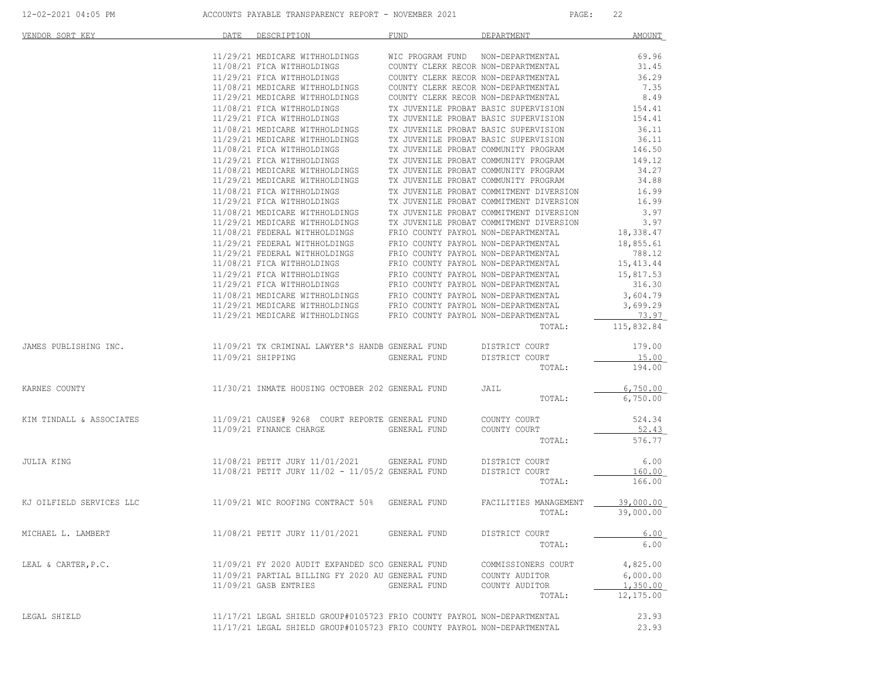| VENDOR SORT KEY                                                         | DATE | DESCRIPTION                                                                                                                                                                                | <b>FUND</b>                                                                | DEPARTMENT                                                                 | <b>AMOUNT</b> |
|-------------------------------------------------------------------------|------|--------------------------------------------------------------------------------------------------------------------------------------------------------------------------------------------|----------------------------------------------------------------------------|----------------------------------------------------------------------------|---------------|
|                                                                         |      | 11/29/21 MEDICARE WITHHOLDINGS                                                                                                                                                             | WIC PROGRAM FUND NON-DEPARTMENTAL                                          |                                                                            | 69.96         |
|                                                                         |      |                                                                                                                                                                                            |                                                                            |                                                                            | 31.45         |
|                                                                         |      | 11/08/21 FICA WITHHOLDINGS                                                                                                                                                                 | COUNTY CLERK RECOR NON-DEPARTMENTAL                                        |                                                                            |               |
|                                                                         |      | 11/29/21 FICA WITHHOLDINGS                                                                                                                                                                 | COUNTY CLERK RECOR NON-DEPARTMENTAL<br>COUNTY CLERK RECOR NON-DEPARTMENTAL |                                                                            | 36.29         |
|                                                                         |      | 11/08/21 MEDICARE WITHHOLDINGS                                                                                                                                                             |                                                                            |                                                                            | 7.35          |
|                                                                         |      | 11/29/21 MEDICARE WITHHOLDINGS                                                                                                                                                             |                                                                            | COUNTY CLERK RECOR NON-DEPARTMENTAL                                        | 8.49          |
|                                                                         |      | 11/08/21 FICA WITHHOLDINGS                                                                                                                                                                 |                                                                            | TX JUVENILE PROBAT BASIC SUPERVISION                                       | 154.41        |
|                                                                         |      | 11/29/21 FICA WITHHOLDINGS                                                                                                                                                                 |                                                                            | TX JUVENILE PROBAT BASIC SUPERVISION                                       | 154.41        |
|                                                                         |      | 11/08/21 MEDICARE WITHHOLDINGS                                                                                                                                                             |                                                                            | TX JUVENILE PROBAT BASIC SUPERVISION                                       | 36.11         |
|                                                                         |      | 11/29/21 MEDICARE WITHHOLDINGS                                                                                                                                                             |                                                                            | TX JUVENILE PROBAT BASIC SUPERVISION                                       | 36.11         |
|                                                                         |      | 11/08/21 FICA WITHHOLDINGS                                                                                                                                                                 |                                                                            | TX JUVENILE PROBAT COMMUNITY PROGRAM                                       | 146.50        |
|                                                                         |      | 11/29/21 FICA WITHHOLDINGS                                                                                                                                                                 |                                                                            | TX JUVENILE PROBAT COMMUNITY PROGRAM                                       | 149.12        |
|                                                                         |      | 11/08/21 MEDICARE WITHHOLDINGS                                                                                                                                                             |                                                                            | TX JUVENILE PROBAT COMMUNITY PROGRAM                                       | 34.27         |
|                                                                         |      | 11/29/21 MEDICARE WITHHOLDINGS                                                                                                                                                             |                                                                            | TX JUVENILE PROBAT COMMUNITY PROGRAM                                       | 34.88         |
|                                                                         |      | 11/08/21 FICA WITHHOLDINGS                                                                                                                                                                 |                                                                            | TX JUVENILE PROBAT COMMITMENT DIVERSION                                    | 16.99         |
|                                                                         |      |                                                                                                                                                                                            |                                                                            | TX JUVENILE PROBAT COMMITMENT DIVERSION                                    | 16.99         |
|                                                                         |      | $11/08/21 \text{ MEDICARE WITHHOLDINGS}$ $11/29/21 \text{ MEDICARE WITHHOLDINGS}$                                                                                                          |                                                                            | TX JUVENILE PROBAT COMMITMENT DIVERSION                                    | 3.97          |
|                                                                         |      | 11/29/21 MEDICARE WITHHOLDINGS                                                                                                                                                             |                                                                            | TX JUVENILE PROBAT COMMITMENT DIVERSION                                    | 3.97          |
|                                                                         |      | 11/08/21 FEDERAL WITHHOLDINGS                                                                                                                                                              | FRIO COUNTY PAYROL NON-DEPARTMENTAL                                        |                                                                            | 18,338.47     |
|                                                                         |      | 11/29/21 FEDERAL WITHHOLDINGS                                                                                                                                                              |                                                                            | FRIO COUNTY PAYROL NON-DEPARTMENTAL                                        | 18,855.61     |
|                                                                         |      | 11/29/21 FEDERAL WITHHOLDINGS                                                                                                                                                              |                                                                            | FRIO COUNTY PAYROL NON-DEPARTMENTAL<br>FRIO COUNTY PAYROL NON-DEPARTMENTAL | 788.12        |
|                                                                         |      | 11/08/21 FICA WITHHOLDINGS                                                                                                                                                                 |                                                                            |                                                                            | 15, 413.44    |
|                                                                         |      | $11/29/21$ FICA WITHHOLDINGS FRIO COUNTY PAYROL NON-DEPARTMENTAL $11/29/21$ FICA WITHHOLDINGS FRIO COUNTY PAYROL NON-DEPARTMENTAL                                                          |                                                                            |                                                                            | 15,817.53     |
|                                                                         |      |                                                                                                                                                                                            |                                                                            |                                                                            | 316.30        |
|                                                                         |      | $11/08/21 \text{ MEDICARE WITHHOLDINGS} \hspace{1.5cm} \text{FRIO COUNT PAYROL NON-NENFRIL} \\ 11/29/21 \text{ MEDICARE WITHHOLDINGS} \hspace{1.5cm} \text{FRIO COUNT PAYROL NON-NENFRIL}$ |                                                                            |                                                                            | 3,604.79      |
|                                                                         |      |                                                                                                                                                                                            |                                                                            |                                                                            | 3,699.29      |
|                                                                         |      | 11/29/21 MEDICARE WITHHOLDINGS FRIO COUNTY PAYROL NON-DEPARTMENTAL                                                                                                                         |                                                                            |                                                                            | 73.97         |
|                                                                         |      |                                                                                                                                                                                            |                                                                            | TOTAL:                                                                     | 115,832.84    |
| JAMES PUBLISHING INC.                                                   |      | 11/09/21 TX CRIMINAL LAWYER'S HANDB GENERAL FUND                                                                                                                                           |                                                                            | DISTRICT COURT                                                             | 179.00        |
|                                                                         |      | 11/09/21 SHIPPING                                                                                                                                                                          | GENERAL FUND                                                               | DISTRICT COURT                                                             | 15.00         |
|                                                                         |      |                                                                                                                                                                                            |                                                                            | TOTAL:                                                                     | 194.00        |
| KARNES COUNTY                                                           |      | 11/30/21 INMATE HOUSING OCTOBER 202 GENERAL FUND                                                                                                                                           |                                                                            | JAIL                                                                       | 6,750.00      |
|                                                                         |      |                                                                                                                                                                                            |                                                                            | TOTAL:                                                                     | 6,750.00      |
|                                                                         |      |                                                                                                                                                                                            |                                                                            |                                                                            |               |
| KIM TINDALL & ASSOCIATES                                                |      | 11/09/21 CAUSE# 9268 COURT REPORTE GENERAL FUND                                                                                                                                            |                                                                            | COUNTY COURT                                                               | 524.34        |
|                                                                         |      | 11/09/21 FINANCE CHARGE                                                                                                                                                                    | GENERAL FUND                                                               | COUNTY COURT                                                               | 52.43         |
|                                                                         |      |                                                                                                                                                                                            |                                                                            | TOTAL:                                                                     | 576.77        |
|                                                                         |      |                                                                                                                                                                                            |                                                                            |                                                                            |               |
| JULIA KING                                                              |      | 11/08/21 PETIT JURY 11/01/2021 GENERAL FUND                                                                                                                                                |                                                                            | DISTRICT COURT                                                             | 6.00          |
|                                                                         |      | 11/08/21 PETIT JURY 11/02 - 11/05/2 GENERAL FUND                                                                                                                                           |                                                                            | DISTRICT COURT                                                             | 160.00        |
|                                                                         |      |                                                                                                                                                                                            |                                                                            | TOTAL:                                                                     | 166.00        |
| KJ OILFIELD SERVICES LLC 11/09/21 WIC ROOFING CONTRACT 50% GENERAL FUND |      |                                                                                                                                                                                            |                                                                            | FACILITIES MANAGEMENT                                                      | 39,000.00     |
|                                                                         |      |                                                                                                                                                                                            |                                                                            | TOTAL:                                                                     | 39,000.00     |
|                                                                         |      |                                                                                                                                                                                            |                                                                            |                                                                            |               |
| MICHAEL L. LAMBERT                                                      |      | 11/08/21 PETIT JURY 11/01/2021                                                                                                                                                             | GENERAL FUND                                                               | DISTRICT COURT                                                             | 6.00          |
|                                                                         |      |                                                                                                                                                                                            |                                                                            | TOTAL:                                                                     | 6.00          |
| LEAL & CARTER, P.C.                                                     |      | 11/09/21 FY 2020 AUDIT EXPANDED SCO GENERAL FUND                                                                                                                                           |                                                                            | COMMISSIONERS COURT                                                        | 4,825.00      |
|                                                                         |      | 11/09/21 PARTIAL BILLING FY 2020 AU GENERAL FUND                                                                                                                                           |                                                                            | COUNTY AUDITOR                                                             | 6,000.00      |
|                                                                         |      | 11/09/21 GASB ENTRIES                                                                                                                                                                      | GENERAL FUND                                                               | COUNTY AUDITOR                                                             | 1,350.00      |
|                                                                         |      |                                                                                                                                                                                            |                                                                            | TOTAL:                                                                     | 12,175.00     |
|                                                                         |      |                                                                                                                                                                                            |                                                                            |                                                                            |               |
| LEGAL SHIELD                                                            |      | 11/17/21 LEGAL SHIELD GROUP#0105723 FRIO COUNTY PAYROL NON-DEPARTMENTAL                                                                                                                    |                                                                            |                                                                            | 23.93         |
|                                                                         |      | 11/17/21 LEGAL SHIELD GROUP#0105723 FRIO COUNTY PAYROL NON-DEPARTMENTAL                                                                                                                    |                                                                            |                                                                            | 23.93         |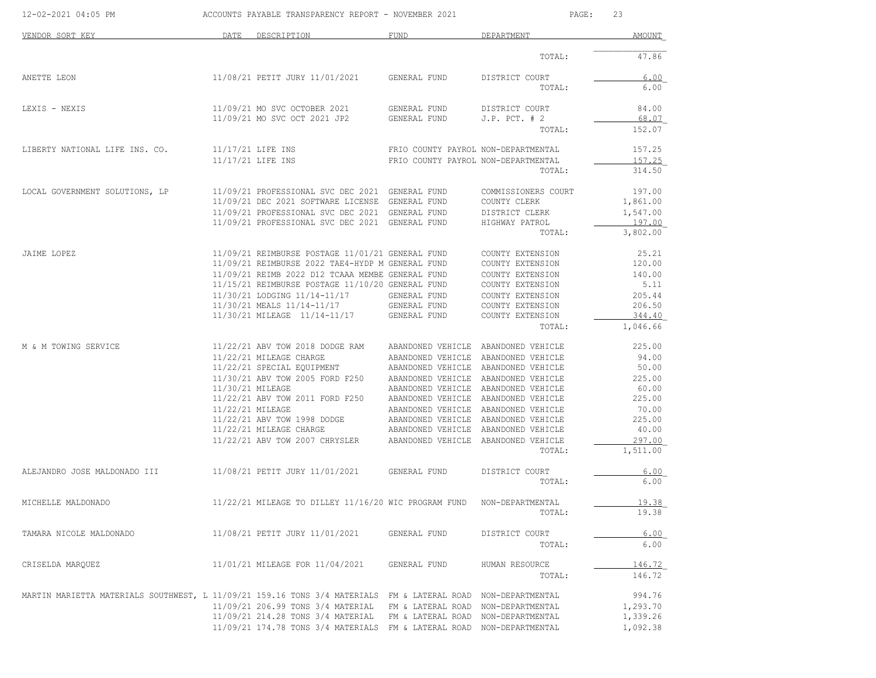| 12-02-2021 04:05 PM                                                                         |                  | ACCOUNTS PAYABLE TRANSPARENCY REPORT - NOVEMBER 2021 |                                     | PAGE:               | 23       |
|---------------------------------------------------------------------------------------------|------------------|------------------------------------------------------|-------------------------------------|---------------------|----------|
| VENDOR SORT KEY                                                                             | DATE             | DESCRIPTION                                          | FUND                                | DEPARTMENT          | AMOUNT   |
|                                                                                             |                  |                                                      |                                     | TOTAL:              | 47.86    |
| ANETTE LEON                                                                                 |                  | 11/08/21 PETIT JURY 11/01/2021                       | GENERAL FUND                        | DISTRICT COURT      | 6.00     |
|                                                                                             |                  |                                                      |                                     | TOTAL:              | 6.00     |
| LEXIS - NEXIS                                                                               |                  | 11/09/21 MO SVC OCTOBER 2021                         | GENERAL FUND                        | DISTRICT COURT      | 84.00    |
|                                                                                             |                  | 11/09/21 MO SVC OCT 2021 JP2                         | GENERAL FUND                        | $J.P.$ PCT. $# 2$   | 68.07    |
|                                                                                             |                  |                                                      |                                     | TOTAL:              | 152.07   |
| LIBERTY NATIONAL LIFE INS. CO.                                                              |                  | 11/17/21 LIFE INS                                    | FRIO COUNTY PAYROL NON-DEPARTMENTAL |                     | 157.25   |
|                                                                                             |                  | 11/17/21 LIFE INS                                    | FRIO COUNTY PAYROL NON-DEPARTMENTAL |                     | 157.25   |
|                                                                                             |                  |                                                      |                                     | TOTAL:              | 314.50   |
| LOCAL GOVERNMENT SOLUTIONS, LP                                                              |                  | 11/09/21 PROFESSIONAL SVC DEC 2021 GENERAL FUND      |                                     | COMMISSIONERS COURT | 197.00   |
|                                                                                             |                  | 11/09/21 DEC 2021 SOFTWARE LICENSE GENERAL FUND      |                                     | COUNTY CLERK        | 1,861.00 |
|                                                                                             |                  | 11/09/21 PROFESSIONAL SVC DEC 2021 GENERAL FUND      |                                     | DISTRICT CLERK      | 1,547.00 |
|                                                                                             |                  | 11/09/21 PROFESSIONAL SVC DEC 2021 GENERAL FUND      |                                     | HIGHWAY PATROL      | 197.00   |
|                                                                                             |                  |                                                      |                                     | TOTAL:              | 3,802.00 |
| JAIME LOPEZ                                                                                 |                  | 11/09/21 REIMBURSE POSTAGE 11/01/21 GENERAL FUND     |                                     | COUNTY EXTENSION    | 25.21    |
|                                                                                             |                  | 11/09/21 REIMBURSE 2022 TAE4-HYDP M GENERAL FUND     |                                     | COUNTY EXTENSION    | 120.00   |
|                                                                                             |                  | 11/09/21 REIMB 2022 D12 TCAAA MEMBE GENERAL FUND     |                                     | COUNTY EXTENSION    | 140.00   |
|                                                                                             |                  | 11/15/21 REIMBURSE POSTAGE 11/10/20 GENERAL FUND     |                                     | COUNTY EXTENSION    | 5.11     |
|                                                                                             |                  | 11/30/21 LODGING 11/14-11/17                         | GENERAL FUND                        | COUNTY EXTENSION    | 205.44   |
|                                                                                             |                  | 11/30/21 MEALS 11/14-11/17                           | GENERAL FUND                        | COUNTY EXTENSION    | 206.50   |
|                                                                                             |                  | 11/30/21 MILEAGE 11/14-11/17                         | GENERAL FUND                        | COUNTY EXTENSION    | 344.40   |
|                                                                                             |                  |                                                      |                                     | TOTAL:              | 1,046.66 |
|                                                                                             |                  |                                                      |                                     |                     |          |
| M & M TOWING SERVICE                                                                        |                  | 11/22/21 ABV TOW 2018 DODGE RAM                      | ABANDONED VEHICLE ABANDONED VEHICLE |                     | 225.00   |
|                                                                                             |                  | 11/22/21 MILEAGE CHARGE                              | ABANDONED VEHICLE                   | ABANDONED VEHICLE   | 94.00    |
|                                                                                             |                  | 11/22/21 SPECIAL EQUIPMENT                           | ABANDONED VEHICLE ABANDONED VEHICLE |                     | 50.00    |
|                                                                                             |                  | 11/30/21 ABV TOW 2005 FORD F250                      | ABANDONED VEHICLE ABANDONED VEHICLE |                     | 225.00   |
|                                                                                             | 11/30/21 MILEAGE |                                                      | ABANDONED VEHICLE ABANDONED VEHICLE |                     | 60.00    |
|                                                                                             |                  | 11/22/21 ABV TOW 2011 FORD F250                      | ABANDONED VEHICLE ABANDONED VEHICLE |                     | 225.00   |
|                                                                                             | 11/22/21 MILEAGE |                                                      | ABANDONED VEHICLE                   | ABANDONED VEHICLE   | 70.00    |
|                                                                                             |                  | 11/22/21 ABV TOW 1998 DODGE                          | ABANDONED VEHICLE                   | ABANDONED VEHICLE   | 225.00   |
|                                                                                             |                  | 11/22/21 MILEAGE CHARGE                              | ABANDONED VEHICLE                   | ABANDONED VEHICLE   | 40.00    |
|                                                                                             |                  | 11/22/21 ABV TOW 2007 CHRYSLER                       | ABANDONED VEHICLE                   | ABANDONED VEHICLE   | 297.00   |
|                                                                                             |                  |                                                      |                                     | TOTAL:              | 1,511.00 |
| ALEJANDRO JOSE MALDONADO III                                                                |                  | 11/08/21 PETIT JURY 11/01/2021                       | GENERAL FUND                        | DISTRICT COURT      | 6.00     |
|                                                                                             |                  |                                                      |                                     | TOTAL:              | 6.00     |
| MICHELLE MALDONADO                                                                          |                  | 11/22/21 MILEAGE TO DILLEY 11/16/20 WIC PROGRAM FUND |                                     | NON-DEPARTMENTAL    | 19.38    |
|                                                                                             |                  |                                                      |                                     | TOTAL:              | 19.38    |
|                                                                                             |                  |                                                      |                                     |                     |          |
| TAMARA NICOLE MALDONADO                                                                     |                  | 11/08/21 PETIT JURY 11/01/2021                       | GENERAL FUND                        | DISTRICT COURT      | 6.00     |
|                                                                                             |                  |                                                      |                                     | TOTAL:              | 6.00     |
| CRISELDA MARQUEZ                                                                            |                  | 11/01/21 MILEAGE FOR 11/04/2021                      | GENERAL FUND                        | HUMAN RESOURCE      | 146.72   |
|                                                                                             |                  |                                                      |                                     | TOTAL:              | 146.72   |
| MARTIN MARIETTA MATERIALS SOUTHWEST, L 11/09/21 159.16 TONS 3/4 MATERIALS FM & LATERAL ROAD |                  |                                                      |                                     | NON-DEPARTMENTAL    | 994.76   |
|                                                                                             |                  | 11/09/21 206.99 TONS 3/4 MATERIAL                    | FM & LATERAL ROAD                   | NON-DEPARTMENTAL    | 1,293.70 |
|                                                                                             |                  | 11/09/21 214.28 TONS 3/4 MATERIAL                    | FM & LATERAL ROAD                   | NON-DEPARTMENTAL    | 1,339.26 |
|                                                                                             |                  |                                                      |                                     |                     | 1,092.38 |
|                                                                                             |                  | 11/09/21 174.78 TONS 3/4 MATERIALS FM & LATERAL ROAD |                                     | NON-DEPARTMENTAL    |          |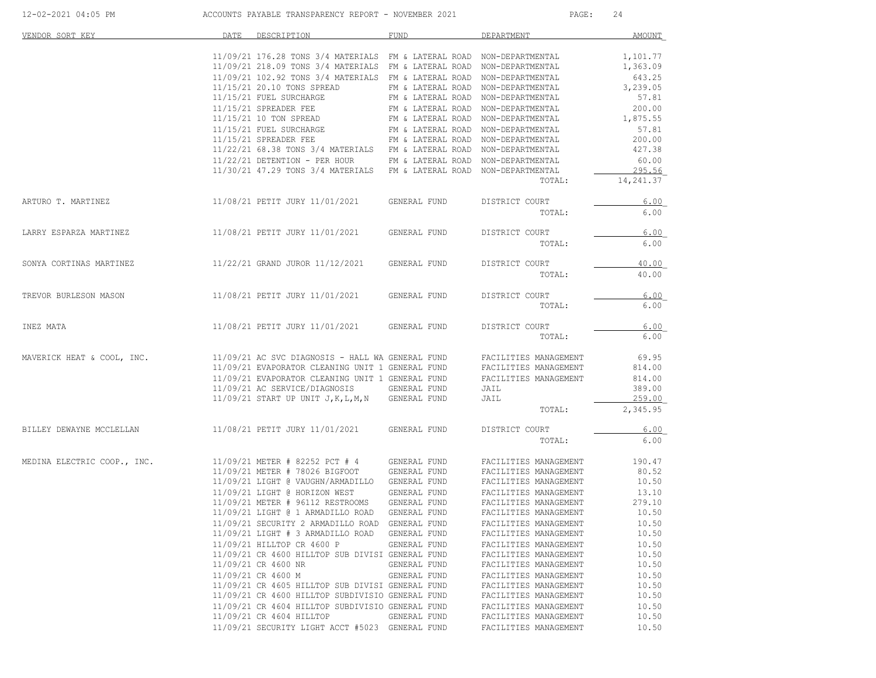| 12-02-2021 04:05 PM         | ACCOUNTS PAYABLE TRANSPARENCY REPORT - NOVEMBER 2021                                                                                     | PAGE:<br>24                        |                                                |                 |
|-----------------------------|------------------------------------------------------------------------------------------------------------------------------------------|------------------------------------|------------------------------------------------|-----------------|
| VENDOR SORT KEY             | DATE<br>DESCRIPTION                                                                                                                      | FUND                               | DEPARTMENT                                     | <b>AMOUNT</b>   |
|                             | 11/09/21 176.28 TONS 3/4 MATERIALS FM & LATERAL ROAD NON-DEPARTMENTAL                                                                    |                                    |                                                | 1,101.77        |
|                             | 11/09/21 218.09 TONS 3/4 MATERIALS FM & LATERAL ROAD NON-DEPARTMENTAL                                                                    |                                    |                                                | 1,363.09        |
|                             | 11/09/21 102.92 TONS 3/4 MATERIALS FM & LATERAL ROAD NON-DEPARTMENTAL                                                                    |                                    |                                                | 643.25          |
|                             | 11/15/21 20.10 TONS SPREAD                                                                                                               | FM & LATERAL ROAD NON-DEPARTMENTAL |                                                | 3,239.05        |
|                             | 11/15/21 FUEL SURCHARGE                                                                                                                  | FM & LATERAL ROAD NON-DEPARTMENTAL |                                                | 57.81           |
|                             | $11/15/21$ SPREADER FEE                                                                                                                  | FM & LATERAL ROAD NON-DEPARTMENTAL |                                                | 200.00          |
|                             | 11/15/21 10 TON SPREAD                                                                                                                   | FM & LATERAL ROAD NON-DEPARTMENTAL |                                                | 1,875.55        |
|                             | 11/15/21 FUEL SURCHARGE                                                                                                                  | FM & LATERAL ROAD NON-DEPARTMENTAL |                                                | 57.81           |
|                             | $11/15/21$ SPREADER FEE                                                                                                                  | FM & LATERAL ROAD NON-DEPARTMENTAL |                                                | 200.00          |
|                             | 11/22/21 68.38 TONS 3/4 MATERIALS FM & LATERAL ROAD NON-DEPARTMENTAL<br>11/22/21 DETENTION - PER HOUR FM & LATERAL ROAD NON-DEPARTMENTAL |                                    |                                                | 427.38          |
|                             | 11/30/21 47.29 TONS 3/4 MATERIALS FM & LATERAL ROAD NON-DEPARTMENTAL                                                                     |                                    |                                                | 60.00<br>295.56 |
|                             |                                                                                                                                          |                                    | TOTAL:                                         | 14,241.37       |
| ARTURO T. MARTINEZ          | 11/08/21 PETIT JURY 11/01/2021                                                                                                           | GENERAL FUND                       | DISTRICT COURT                                 | 6.00            |
|                             |                                                                                                                                          |                                    | TOTAL:                                         | 6.00            |
| LARRY ESPARZA MARTINEZ      | 11/08/21 PETIT JURY 11/01/2021                                                                                                           | GENERAL FUND                       | DISTRICT COURT                                 | 6.00            |
|                             |                                                                                                                                          |                                    | TOTAL:                                         | 6.00            |
| SONYA CORTINAS MARTINEZ     | 11/22/21 GRAND JUROR 11/12/2021                                                                                                          | GENERAL FUND                       | DISTRICT COURT                                 | 40.00           |
|                             |                                                                                                                                          |                                    | TOTAL:                                         | 40.00           |
| TREVOR BURLESON MASON       | 11/08/21 PETIT JURY 11/01/2021                                                                                                           | GENERAL FUND                       | DISTRICT COURT                                 | 6.00            |
|                             |                                                                                                                                          |                                    | TOTAL:                                         | 6.00            |
| INEZ MATA                   | 11/08/21 PETIT JURY 11/01/2021                                                                                                           | GENERAL FUND                       | DISTRICT COURT                                 | 6.00            |
|                             |                                                                                                                                          |                                    | TOTAL:                                         | 6.00            |
| MAVERICK HEAT & COOL, INC.  | 11/09/21 AC SVC DIAGNOSIS - HALL WA GENERAL FUND                                                                                         |                                    | FACILITIES MANAGEMENT                          | 69.95           |
|                             | 11/09/21 EVAPORATOR CLEANING UNIT 1 GENERAL FUND                                                                                         |                                    | FACILITIES MANAGEMENT                          | 814.00          |
|                             | 11/09/21 EVAPORATOR CLEANING UNIT 1 GENERAL FUND                                                                                         |                                    | FACILITIES MANAGEMENT                          | 814.00          |
|                             | 11/09/21 AC SERVICE/DIAGNOSIS                                                                                                            | GENERAL FUND                       | JAIL                                           | 389.00          |
|                             | 11/09/21 START UP UNIT J, K, L, M, N GENERAL FUND                                                                                        |                                    | JAIL                                           | 259.00          |
|                             |                                                                                                                                          |                                    | TOTAL:                                         | 2,345.95        |
| BILLEY DEWAYNE MCCLELLAN    | 11/08/21 PETIT JURY 11/01/2021                                                                                                           | GENERAL FUND                       | DISTRICT COURT                                 | 6.00            |
|                             |                                                                                                                                          |                                    | TOTAL:                                         | 6.00            |
| MEDINA ELECTRIC COOP., INC. | 11/09/21 METER # 82252 PCT # 4                                                                                                           | GENERAL FUND                       | FACILITIES MANAGEMENT                          | 190.47          |
|                             | 11/09/21 METER # 78026 BIGFOOT                                                                                                           | GENERAL FUND                       | FACILITIES MANAGEMENT                          | 80.52           |
|                             | 11/09/21 LIGHT @ VAUGHN/ARMADILLO                                                                                                        | GENERAL FUND                       | FACILITIES MANAGEMENT                          | 10.50           |
|                             | 11/09/21 LIGHT @ HORIZON WEST                                                                                                            | GENERAL FUND                       | FACILITIES MANAGEMENT                          | 13.10           |
|                             | 11/09/21 METER # 96112 RESTROOMS                                                                                                         | GENERAL FUND                       | FACILITIES MANAGEMENT                          | 279.10          |
|                             | 11/09/21 LIGHT @ 1 ARMADILLO ROAD                                                                                                        | GENERAL FUND                       | FACILITIES MANAGEMENT                          | 10.50           |
|                             | 11/09/21 SECURITY 2 ARMADILLO ROAD                                                                                                       | GENERAL FUND                       | FACILITIES MANAGEMENT                          | 10.50           |
|                             | $11/09/21$ LIGHT # 3 ARMADILLO ROAD                                                                                                      | GENERAL FUND                       | FACILITIES MANAGEMENT                          | 10.50           |
|                             | 11/09/21 HILLTOP CR 4600 P<br>11/09/21 CR 4600 HILLTOP SUB DIVISI GENERAL FUND                                                           | GENERAL FUND                       | FACILITIES MANAGEMENT<br>FACILITIES MANAGEMENT | 10.50<br>10.50  |
|                             | 11/09/21 CR 4600 NR                                                                                                                      | GENERAL FUND                       | FACILITIES MANAGEMENT                          | 10.50           |
|                             | 11/09/21 CR 4600 M                                                                                                                       | GENERAL FUND                       | FACILITIES MANAGEMENT                          | 10.50           |
|                             | 11/09/21 CR 4605 HILLTOP SUB DIVISI GENERAL FUND                                                                                         |                                    | FACILITIES MANAGEMENT                          | 10.50           |
|                             | 11/09/21 CR 4600 HILLTOP SUBDIVISIO GENERAL FUND                                                                                         |                                    | FACILITIES MANAGEMENT                          | 10.50           |
|                             | 11/09/21 CR 4604 HILLTOP SUBDIVISIO GENERAL FUND                                                                                         |                                    | FACILITIES MANAGEMENT                          | 10.50           |
|                             | 11/09/21 CR 4604 HILLTOP                                                                                                                 | GENERAL FUND                       | FACILITIES MANAGEMENT                          | 10.50           |
|                             | 11/09/21 SECURITY LIGHT ACCT #5023 GENERAL FUND                                                                                          |                                    | FACILITIES MANAGEMENT                          | 10.50           |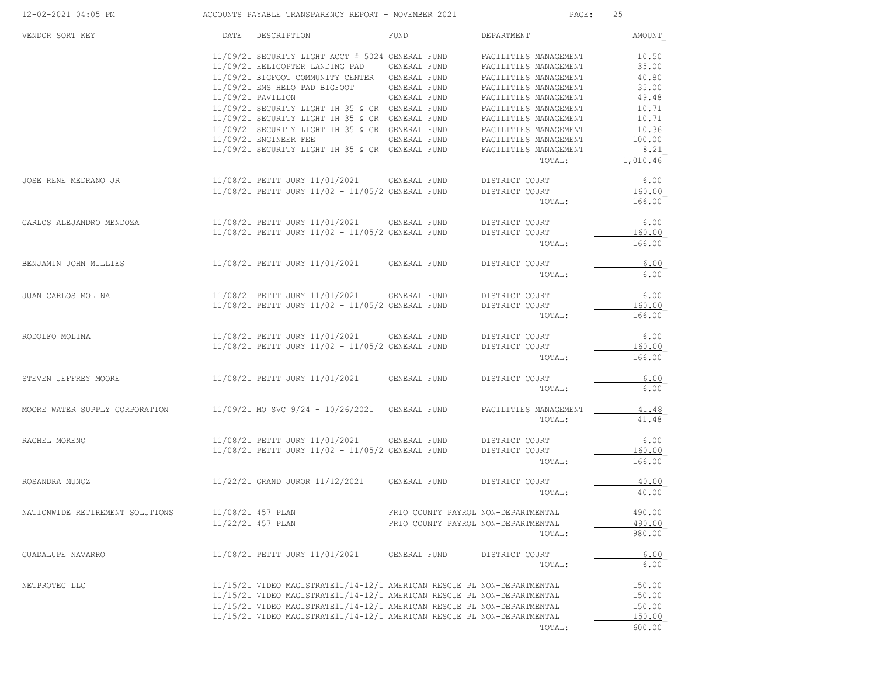| 12-02-2021 04:05 PM             | ACCOUNTS PAYABLE TRANSPARENCY REPORT - NOVEMBER 2021                    |                                     | PAGE:                 | 25       |
|---------------------------------|-------------------------------------------------------------------------|-------------------------------------|-----------------------|----------|
| VENDOR SORT KEY                 | DESCRIPTION<br>DATE                                                     | FUND                                | DEPARTMENT            | AMOUNT   |
|                                 | 11/09/21 SECURITY LIGHT ACCT # 5024 GENERAL FUND                        |                                     | FACILITIES MANAGEMENT | 10.50    |
|                                 | 11/09/21 HELICOPTER LANDING PAD                                         | GENERAL FUND                        | FACILITIES MANAGEMENT | 35.00    |
|                                 | 11/09/21 BIGFOOT COMMUNITY CENTER GENERAL FUND                          |                                     | FACILITIES MANAGEMENT | 40.80    |
|                                 | 11/09/21 EMS HELO PAD BIGFOOT                                           | GENERAL FUND                        | FACILITIES MANAGEMENT | 35.00    |
|                                 | 11/09/21 PAVILION                                                       | GENERAL FUND                        | FACILITIES MANAGEMENT | 49.48    |
|                                 |                                                                         |                                     |                       |          |
|                                 | 11/09/21 SECURITY LIGHT IH 35 & CR GENERAL FUND                         |                                     | FACILITIES MANAGEMENT | 10.71    |
|                                 | 11/09/21 SECURITY LIGHT IH 35 & CR GENERAL FUND                         |                                     | FACILITIES MANAGEMENT | 10.71    |
|                                 | 11/09/21 SECURITY LIGHT IH 35 & CR GENERAL FUND                         |                                     | FACILITIES MANAGEMENT | 10.36    |
|                                 | 11/09/21 ENGINEER FEE                                                   | GENERAL FUND                        | FACILITIES MANAGEMENT | 100.00   |
|                                 | 11/09/21 SECURITY LIGHT IH 35 & CR GENERAL FUND                         |                                     | FACILITIES MANAGEMENT | 8.21     |
|                                 |                                                                         |                                     | TOTAL:                | 1,010.46 |
| JOSE RENE MEDRANO JR            | 11/08/21 PETIT JURY 11/01/2021                                          | GENERAL FUND                        | DISTRICT COURT        | 6.00     |
|                                 | $11/08/21$ PETIT JURY $11/02 - 11/05/2$ GENERAL FUND                    |                                     | DISTRICT COURT        | 160.00   |
|                                 |                                                                         |                                     | TOTAL:                | 166.00   |
|                                 |                                                                         |                                     |                       |          |
| CARLOS ALEJANDRO MENDOZA        | 11/08/21 PETIT JURY 11/01/2021 GENERAL FUND                             |                                     | DISTRICT COURT        | 6.00     |
|                                 | $11/08/21$ PETIT JURY $11/02 - 11/05/2$ GENERAL FUND                    |                                     | DISTRICT COURT        | 160.00   |
|                                 |                                                                         |                                     | TOTAL:                | 166.00   |
| BENJAMIN JOHN MILLIES           | 11/08/21 PETIT JURY 11/01/2021                                          | GENERAL FUND                        | DISTRICT COURT        | 6.00     |
|                                 |                                                                         |                                     | TOTAL:                | 6.00     |
|                                 |                                                                         |                                     |                       |          |
| JUAN CARLOS MOLINA              | 11/08/21 PETIT JURY 11/01/2021                                          | GENERAL FUND                        | DISTRICT COURT        | 6.00     |
|                                 | 11/08/21 PETIT JURY 11/02 - 11/05/2 GENERAL FUND                        |                                     | DISTRICT COURT        | 160.00   |
|                                 |                                                                         |                                     | TOTAL:                | 166.00   |
| RODOLFO MOLINA                  | 11/08/21 PETIT JURY 11/01/2021                                          | GENERAL FUND                        | DISTRICT COURT        | 6.00     |
|                                 | 11/08/21 PETIT JURY 11/02 - 11/05/2 GENERAL FUND                        |                                     |                       |          |
|                                 |                                                                         |                                     | DISTRICT COURT        | 160.00   |
|                                 |                                                                         |                                     | TOTAL:                | 166.00   |
| STEVEN JEFFREY MOORE            | 11/08/21 PETIT JURY 11/01/2021                                          | GENERAL FUND                        | DISTRICT COURT        | 6.00     |
|                                 |                                                                         |                                     | TOTAL:                | 6.00     |
| MOORE WATER SUPPLY CORPORATION  | 11/09/21 MO SVC 9/24 - 10/26/2021                                       | GENERAL FUND                        | FACILITIES MANAGEMENT |          |
|                                 |                                                                         |                                     | TOTAL:                | 41.48    |
| RACHEL MORENO                   | 11/08/21 PETIT JURY 11/01/2021                                          | GENERAL FUND                        | DISTRICT COURT        | 6.00     |
|                                 | 11/08/21 PETIT JURY 11/02 - 11/05/2 GENERAL FUND                        |                                     | DISTRICT COURT        | 160.00   |
|                                 |                                                                         |                                     |                       |          |
|                                 |                                                                         |                                     | TOTAL:                | 166.00   |
| ROSANDRA MUNOZ                  | 11/22/21 GRAND JUROR 11/12/2021                                         | GENERAL FUND                        | DISTRICT COURT        | 40.00    |
|                                 |                                                                         |                                     | TOTAL:                | 40.00    |
|                                 |                                                                         |                                     |                       |          |
| NATIONWIDE RETIREMENT SOLUTIONS | 11/08/21 457 PLAN                                                       | FRIO COUNTY PAYROL NON-DEPARTMENTAL |                       | 490.00   |
|                                 | 11/22/21 457 PLAN                                                       | FRIO COUNTY PAYROL NON-DEPARTMENTAL |                       | 490.00   |
|                                 |                                                                         |                                     | TOTAL:                | 980.00   |
| GUADALUPE NAVARRO               | 11/08/21 PETIT JURY 11/01/2021                                          | GENERAL FUND                        | DISTRICT COURT        | 6.00     |
|                                 |                                                                         |                                     | TOTAL:                | 6.00     |
| NETPROTEC LLC                   | 11/15/21 VIDEO MAGISTRATE11/14-12/1 AMERICAN RESCUE PL NON-DEPARTMENTAL |                                     |                       | 150.00   |
|                                 | 11/15/21 VIDEO MAGISTRATE11/14-12/1 AMERICAN RESCUE PL NON-DEPARTMENTAL |                                     |                       | 150.00   |
|                                 | 11/15/21 VIDEO MAGISTRATE11/14-12/1 AMERICAN RESCUE PL NON-DEPARTMENTAL |                                     |                       | 150.00   |
|                                 | 11/15/21 VIDEO MAGISTRATE11/14-12/1 AMERICAN RESCUE PL NON-DEPARTMENTAL |                                     |                       | 150.00   |
|                                 |                                                                         |                                     |                       | 600.00   |
|                                 |                                                                         |                                     | TOTAL:                |          |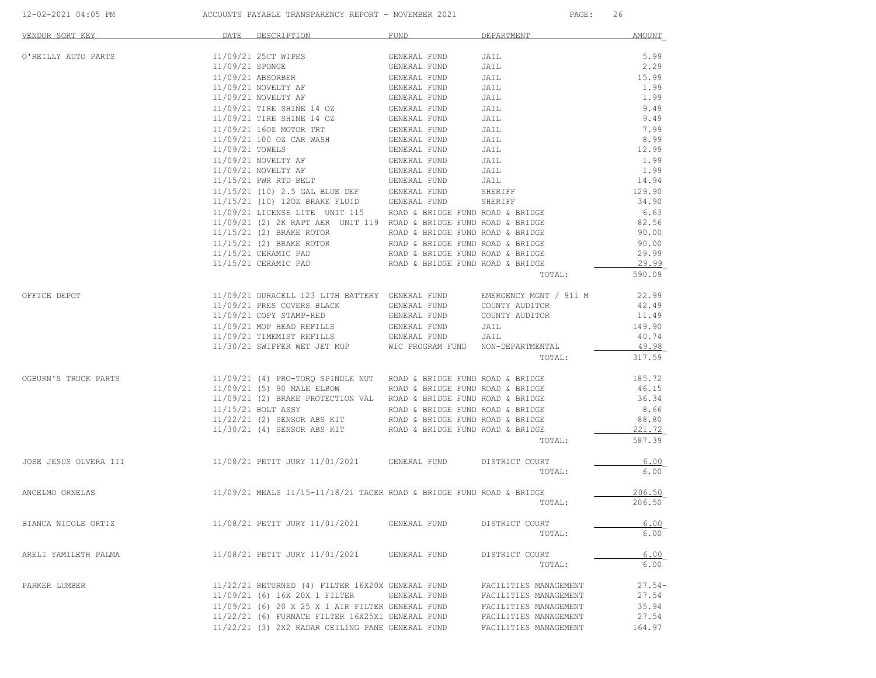| 11/09/21 25CT WIPES<br>O'REILLY AUTO PARTS<br>GENERAL FUND<br>JAIL<br>11/09/21 SPONGE<br>JAIL<br>GENERAL FUND<br>15.99<br>11/09/21 ABSORBER<br>GENERAL FUND<br>GENERAL FUND<br>JAIL<br>11/09/21 NOVELTY AF<br>JAIL<br>11/09/21 NOVELTY AF<br>GENERAL FUND<br>GENERAL FUND<br>JAIL<br>11/09/21 TIRE SHINE 14 OZ<br>JAIL<br>11/09/21 TIRE SHINE 14 OZ GENERAL FUND<br>JAIL<br>11/09/21 160Z MOTOR TRT<br>GENERAL FUND<br>JAIL<br>GENERAL FUND<br>11/09/21 100 OZ CAR WASH<br>JAIL<br>11/09/21 TOWELS<br>GENERAL FUND<br>JAIL<br>11/09/21 NOVELTY AF<br>GENERAL FUND<br>JAIL<br>$11/09/21 \quad \text{NOVELYY AF} \qquad \qquad \text{GENERAL FUND} \\ 11/15/21 \quad \text{PWR RTD BELT} \qquad \qquad \text{GENERAL FUND}$<br>JAIL<br><b>JAIL<br/>JAIL</b><br>$11/15/21$ (10) 2.5 GAL BLUE DEF GENERAL FUND<br>$11/15/21$ (10) 120Z BRAKE FLUID GENERAL FUND<br>SHERIFF<br>SHERIFF<br>11/09/21 LICENSE LITE UNIT 115 ROAD & BRIDGE FUND ROAD & BRIDGE<br>$11/09/21$ (2) 2K RAPT AER UNIT 119 ROAD & BRIDGE FUND ROAD & BRIDGE<br>$11/15/21$ (2) BRAKE ROTOR ROAD & BRIDGE FUND ROAD & BRIDGE<br>11/15/21 (2) BRAKE ROTOR<br>ROAD & BRIDGE FUND ROAD & BRIDGE<br>ROAD & BRIDGE FUND ROAD & BRIDGE<br>11/15/21 CERAMIC PAD<br>ROAD & BRIDGE FUND ROAD & BRIDGE<br>11/15/21 CERAMIC PAD<br>TOTAL:<br>OFFICE DEPOT<br>11/09/21 DURACELL 123 LITH BATTERY GENERAL FUND<br>EMERGENCY MGNT / 911 M<br>GENERAL FUND COUNTY AUDITOR<br>11/09/21 PRES COVERS BLACK<br>COUNTY AUDITOR<br>JAIL<br>11/09/21 COPY STAMP-RED<br>GENERAL FUND<br>--<br>GENERAL FUND<br>11/09/21 MOP HEAD REFILLS<br>11/09/21 TIMEMIST REFILLS<br>GENERAL FUND<br>JAIL<br>WIC PROGRAM FUND NON-DEPARTMENTAL<br>11/30/21 SWIFFER WET JET MOP<br>TOTAL:<br>OGBURN'S TRUCK PARTS<br>11/09/21 (4) PRO-TORQ SPINDLE NUT ROAD & BRIDGE FUND ROAD & BRIDGE<br>11/09/21 (5) 90 MALE ELBOW ROAD & BRIDGE FUND ROAD & BRIDGE<br>11/09/21 (2) BRAKE PROTECTION VAL ROAD & BRIDGE FUND ROAD & BRIDGE<br>11/15/21 BOLT ASSY<br>ROAD & BRIDGE FUND ROAD & BRIDGE<br>11/22/21 (2) SENSOR ABS KIT ROAD & BRIDGE FUND ROAD & BRIDGE<br>11/30/21 (4) SENSOR ABS KIT ROAD & BRIDGE FUND ROAD & BRIDGE<br>TOTAL:<br>11/08/21 PETIT JURY 11/01/2021 GENERAL FUND DISTRICT COURT<br>TOTAL:<br>$11/09/21$ MEALS $11/15-11/18/21$ TACER ROAD & BRIDGE FUND ROAD & BRIDGE<br>TOTAL:<br>11/08/21 PETIT JURY 11/01/2021<br>BIANCA NICOLE ORTIZ<br>GENERAL FUND<br>DISTRICT COURT<br>TOTAL:<br>11/08/21 PETIT JURY 11/01/2021 GENERAL FUND<br>DISTRICT COURT<br>TOTAL:<br>11/22/21 RETURNED (4) FILTER 16X20X GENERAL FUND<br>PARKER LUMBER<br>FACILITIES MANAGEMENT | VENDOR SORT KEY       | DATE DESCRIPTION | FUND DEPARTMENT |                       | MOUNT    |
|--------------------------------------------------------------------------------------------------------------------------------------------------------------------------------------------------------------------------------------------------------------------------------------------------------------------------------------------------------------------------------------------------------------------------------------------------------------------------------------------------------------------------------------------------------------------------------------------------------------------------------------------------------------------------------------------------------------------------------------------------------------------------------------------------------------------------------------------------------------------------------------------------------------------------------------------------------------------------------------------------------------------------------------------------------------------------------------------------------------------------------------------------------------------------------------------------------------------------------------------------------------------------------------------------------------------------------------------------------------------------------------------------------------------------------------------------------------------------------------------------------------------------------------------------------------------------------------------------------------------------------------------------------------------------------------------------------------------------------------------------------------------------------------------------------------------------------------------------------------------------------------------------------------------------------------------------------------------------------------------------------------------------------------------------------------------------------------------------------------------------------------------------------------------------------------------------------------------------------------------------------------------------------------------------------------------------------------------------------------------------------------------------------------------------------------------------------------------------------------------------------------------------------------------------------------------------------------------------------|-----------------------|------------------|-----------------|-----------------------|----------|
|                                                                                                                                                                                                                                                                                                                                                                                                                                                                                                                                                                                                                                                                                                                                                                                                                                                                                                                                                                                                                                                                                                                                                                                                                                                                                                                                                                                                                                                                                                                                                                                                                                                                                                                                                                                                                                                                                                                                                                                                                                                                                                                                                                                                                                                                                                                                                                                                                                                                                                                                                                                                        |                       |                  |                 |                       | 5.99     |
|                                                                                                                                                                                                                                                                                                                                                                                                                                                                                                                                                                                                                                                                                                                                                                                                                                                                                                                                                                                                                                                                                                                                                                                                                                                                                                                                                                                                                                                                                                                                                                                                                                                                                                                                                                                                                                                                                                                                                                                                                                                                                                                                                                                                                                                                                                                                                                                                                                                                                                                                                                                                        |                       |                  |                 |                       | 2.29     |
|                                                                                                                                                                                                                                                                                                                                                                                                                                                                                                                                                                                                                                                                                                                                                                                                                                                                                                                                                                                                                                                                                                                                                                                                                                                                                                                                                                                                                                                                                                                                                                                                                                                                                                                                                                                                                                                                                                                                                                                                                                                                                                                                                                                                                                                                                                                                                                                                                                                                                                                                                                                                        |                       |                  |                 |                       |          |
|                                                                                                                                                                                                                                                                                                                                                                                                                                                                                                                                                                                                                                                                                                                                                                                                                                                                                                                                                                                                                                                                                                                                                                                                                                                                                                                                                                                                                                                                                                                                                                                                                                                                                                                                                                                                                                                                                                                                                                                                                                                                                                                                                                                                                                                                                                                                                                                                                                                                                                                                                                                                        |                       |                  |                 |                       | 1.99     |
|                                                                                                                                                                                                                                                                                                                                                                                                                                                                                                                                                                                                                                                                                                                                                                                                                                                                                                                                                                                                                                                                                                                                                                                                                                                                                                                                                                                                                                                                                                                                                                                                                                                                                                                                                                                                                                                                                                                                                                                                                                                                                                                                                                                                                                                                                                                                                                                                                                                                                                                                                                                                        |                       |                  |                 |                       | 1.99     |
|                                                                                                                                                                                                                                                                                                                                                                                                                                                                                                                                                                                                                                                                                                                                                                                                                                                                                                                                                                                                                                                                                                                                                                                                                                                                                                                                                                                                                                                                                                                                                                                                                                                                                                                                                                                                                                                                                                                                                                                                                                                                                                                                                                                                                                                                                                                                                                                                                                                                                                                                                                                                        |                       |                  |                 |                       | 9.49     |
|                                                                                                                                                                                                                                                                                                                                                                                                                                                                                                                                                                                                                                                                                                                                                                                                                                                                                                                                                                                                                                                                                                                                                                                                                                                                                                                                                                                                                                                                                                                                                                                                                                                                                                                                                                                                                                                                                                                                                                                                                                                                                                                                                                                                                                                                                                                                                                                                                                                                                                                                                                                                        |                       |                  |                 |                       | 9.49     |
|                                                                                                                                                                                                                                                                                                                                                                                                                                                                                                                                                                                                                                                                                                                                                                                                                                                                                                                                                                                                                                                                                                                                                                                                                                                                                                                                                                                                                                                                                                                                                                                                                                                                                                                                                                                                                                                                                                                                                                                                                                                                                                                                                                                                                                                                                                                                                                                                                                                                                                                                                                                                        |                       |                  |                 |                       | 7.99     |
|                                                                                                                                                                                                                                                                                                                                                                                                                                                                                                                                                                                                                                                                                                                                                                                                                                                                                                                                                                                                                                                                                                                                                                                                                                                                                                                                                                                                                                                                                                                                                                                                                                                                                                                                                                                                                                                                                                                                                                                                                                                                                                                                                                                                                                                                                                                                                                                                                                                                                                                                                                                                        |                       |                  |                 |                       | 8.99     |
|                                                                                                                                                                                                                                                                                                                                                                                                                                                                                                                                                                                                                                                                                                                                                                                                                                                                                                                                                                                                                                                                                                                                                                                                                                                                                                                                                                                                                                                                                                                                                                                                                                                                                                                                                                                                                                                                                                                                                                                                                                                                                                                                                                                                                                                                                                                                                                                                                                                                                                                                                                                                        |                       |                  |                 |                       | 12.99    |
|                                                                                                                                                                                                                                                                                                                                                                                                                                                                                                                                                                                                                                                                                                                                                                                                                                                                                                                                                                                                                                                                                                                                                                                                                                                                                                                                                                                                                                                                                                                                                                                                                                                                                                                                                                                                                                                                                                                                                                                                                                                                                                                                                                                                                                                                                                                                                                                                                                                                                                                                                                                                        |                       |                  |                 |                       | 1.99     |
|                                                                                                                                                                                                                                                                                                                                                                                                                                                                                                                                                                                                                                                                                                                                                                                                                                                                                                                                                                                                                                                                                                                                                                                                                                                                                                                                                                                                                                                                                                                                                                                                                                                                                                                                                                                                                                                                                                                                                                                                                                                                                                                                                                                                                                                                                                                                                                                                                                                                                                                                                                                                        |                       |                  |                 |                       | 1.99     |
|                                                                                                                                                                                                                                                                                                                                                                                                                                                                                                                                                                                                                                                                                                                                                                                                                                                                                                                                                                                                                                                                                                                                                                                                                                                                                                                                                                                                                                                                                                                                                                                                                                                                                                                                                                                                                                                                                                                                                                                                                                                                                                                                                                                                                                                                                                                                                                                                                                                                                                                                                                                                        |                       |                  |                 |                       | 14.94    |
|                                                                                                                                                                                                                                                                                                                                                                                                                                                                                                                                                                                                                                                                                                                                                                                                                                                                                                                                                                                                                                                                                                                                                                                                                                                                                                                                                                                                                                                                                                                                                                                                                                                                                                                                                                                                                                                                                                                                                                                                                                                                                                                                                                                                                                                                                                                                                                                                                                                                                                                                                                                                        |                       |                  |                 |                       | 129.90   |
|                                                                                                                                                                                                                                                                                                                                                                                                                                                                                                                                                                                                                                                                                                                                                                                                                                                                                                                                                                                                                                                                                                                                                                                                                                                                                                                                                                                                                                                                                                                                                                                                                                                                                                                                                                                                                                                                                                                                                                                                                                                                                                                                                                                                                                                                                                                                                                                                                                                                                                                                                                                                        |                       |                  |                 |                       | 34.90    |
|                                                                                                                                                                                                                                                                                                                                                                                                                                                                                                                                                                                                                                                                                                                                                                                                                                                                                                                                                                                                                                                                                                                                                                                                                                                                                                                                                                                                                                                                                                                                                                                                                                                                                                                                                                                                                                                                                                                                                                                                                                                                                                                                                                                                                                                                                                                                                                                                                                                                                                                                                                                                        |                       |                  |                 |                       | 6.63     |
|                                                                                                                                                                                                                                                                                                                                                                                                                                                                                                                                                                                                                                                                                                                                                                                                                                                                                                                                                                                                                                                                                                                                                                                                                                                                                                                                                                                                                                                                                                                                                                                                                                                                                                                                                                                                                                                                                                                                                                                                                                                                                                                                                                                                                                                                                                                                                                                                                                                                                                                                                                                                        |                       |                  |                 |                       | 82.56    |
|                                                                                                                                                                                                                                                                                                                                                                                                                                                                                                                                                                                                                                                                                                                                                                                                                                                                                                                                                                                                                                                                                                                                                                                                                                                                                                                                                                                                                                                                                                                                                                                                                                                                                                                                                                                                                                                                                                                                                                                                                                                                                                                                                                                                                                                                                                                                                                                                                                                                                                                                                                                                        |                       |                  |                 |                       | 90.00    |
|                                                                                                                                                                                                                                                                                                                                                                                                                                                                                                                                                                                                                                                                                                                                                                                                                                                                                                                                                                                                                                                                                                                                                                                                                                                                                                                                                                                                                                                                                                                                                                                                                                                                                                                                                                                                                                                                                                                                                                                                                                                                                                                                                                                                                                                                                                                                                                                                                                                                                                                                                                                                        |                       |                  |                 |                       | 90.00    |
|                                                                                                                                                                                                                                                                                                                                                                                                                                                                                                                                                                                                                                                                                                                                                                                                                                                                                                                                                                                                                                                                                                                                                                                                                                                                                                                                                                                                                                                                                                                                                                                                                                                                                                                                                                                                                                                                                                                                                                                                                                                                                                                                                                                                                                                                                                                                                                                                                                                                                                                                                                                                        |                       |                  |                 |                       | 29.99    |
|                                                                                                                                                                                                                                                                                                                                                                                                                                                                                                                                                                                                                                                                                                                                                                                                                                                                                                                                                                                                                                                                                                                                                                                                                                                                                                                                                                                                                                                                                                                                                                                                                                                                                                                                                                                                                                                                                                                                                                                                                                                                                                                                                                                                                                                                                                                                                                                                                                                                                                                                                                                                        |                       |                  |                 |                       | 29.99    |
|                                                                                                                                                                                                                                                                                                                                                                                                                                                                                                                                                                                                                                                                                                                                                                                                                                                                                                                                                                                                                                                                                                                                                                                                                                                                                                                                                                                                                                                                                                                                                                                                                                                                                                                                                                                                                                                                                                                                                                                                                                                                                                                                                                                                                                                                                                                                                                                                                                                                                                                                                                                                        |                       |                  |                 |                       | 590.09   |
|                                                                                                                                                                                                                                                                                                                                                                                                                                                                                                                                                                                                                                                                                                                                                                                                                                                                                                                                                                                                                                                                                                                                                                                                                                                                                                                                                                                                                                                                                                                                                                                                                                                                                                                                                                                                                                                                                                                                                                                                                                                                                                                                                                                                                                                                                                                                                                                                                                                                                                                                                                                                        |                       |                  |                 |                       | 22.99    |
|                                                                                                                                                                                                                                                                                                                                                                                                                                                                                                                                                                                                                                                                                                                                                                                                                                                                                                                                                                                                                                                                                                                                                                                                                                                                                                                                                                                                                                                                                                                                                                                                                                                                                                                                                                                                                                                                                                                                                                                                                                                                                                                                                                                                                                                                                                                                                                                                                                                                                                                                                                                                        |                       |                  |                 |                       | 42.49    |
|                                                                                                                                                                                                                                                                                                                                                                                                                                                                                                                                                                                                                                                                                                                                                                                                                                                                                                                                                                                                                                                                                                                                                                                                                                                                                                                                                                                                                                                                                                                                                                                                                                                                                                                                                                                                                                                                                                                                                                                                                                                                                                                                                                                                                                                                                                                                                                                                                                                                                                                                                                                                        |                       |                  |                 |                       | 11.49    |
|                                                                                                                                                                                                                                                                                                                                                                                                                                                                                                                                                                                                                                                                                                                                                                                                                                                                                                                                                                                                                                                                                                                                                                                                                                                                                                                                                                                                                                                                                                                                                                                                                                                                                                                                                                                                                                                                                                                                                                                                                                                                                                                                                                                                                                                                                                                                                                                                                                                                                                                                                                                                        |                       |                  |                 |                       | 149.90   |
|                                                                                                                                                                                                                                                                                                                                                                                                                                                                                                                                                                                                                                                                                                                                                                                                                                                                                                                                                                                                                                                                                                                                                                                                                                                                                                                                                                                                                                                                                                                                                                                                                                                                                                                                                                                                                                                                                                                                                                                                                                                                                                                                                                                                                                                                                                                                                                                                                                                                                                                                                                                                        |                       |                  |                 |                       | 40.74    |
|                                                                                                                                                                                                                                                                                                                                                                                                                                                                                                                                                                                                                                                                                                                                                                                                                                                                                                                                                                                                                                                                                                                                                                                                                                                                                                                                                                                                                                                                                                                                                                                                                                                                                                                                                                                                                                                                                                                                                                                                                                                                                                                                                                                                                                                                                                                                                                                                                                                                                                                                                                                                        |                       |                  |                 |                       | 49.98    |
|                                                                                                                                                                                                                                                                                                                                                                                                                                                                                                                                                                                                                                                                                                                                                                                                                                                                                                                                                                                                                                                                                                                                                                                                                                                                                                                                                                                                                                                                                                                                                                                                                                                                                                                                                                                                                                                                                                                                                                                                                                                                                                                                                                                                                                                                                                                                                                                                                                                                                                                                                                                                        |                       |                  |                 |                       | 317.59   |
|                                                                                                                                                                                                                                                                                                                                                                                                                                                                                                                                                                                                                                                                                                                                                                                                                                                                                                                                                                                                                                                                                                                                                                                                                                                                                                                                                                                                                                                                                                                                                                                                                                                                                                                                                                                                                                                                                                                                                                                                                                                                                                                                                                                                                                                                                                                                                                                                                                                                                                                                                                                                        |                       |                  |                 |                       | 185.72   |
|                                                                                                                                                                                                                                                                                                                                                                                                                                                                                                                                                                                                                                                                                                                                                                                                                                                                                                                                                                                                                                                                                                                                                                                                                                                                                                                                                                                                                                                                                                                                                                                                                                                                                                                                                                                                                                                                                                                                                                                                                                                                                                                                                                                                                                                                                                                                                                                                                                                                                                                                                                                                        |                       |                  |                 |                       | 46.15    |
|                                                                                                                                                                                                                                                                                                                                                                                                                                                                                                                                                                                                                                                                                                                                                                                                                                                                                                                                                                                                                                                                                                                                                                                                                                                                                                                                                                                                                                                                                                                                                                                                                                                                                                                                                                                                                                                                                                                                                                                                                                                                                                                                                                                                                                                                                                                                                                                                                                                                                                                                                                                                        |                       |                  |                 |                       | 36.34    |
|                                                                                                                                                                                                                                                                                                                                                                                                                                                                                                                                                                                                                                                                                                                                                                                                                                                                                                                                                                                                                                                                                                                                                                                                                                                                                                                                                                                                                                                                                                                                                                                                                                                                                                                                                                                                                                                                                                                                                                                                                                                                                                                                                                                                                                                                                                                                                                                                                                                                                                                                                                                                        |                       |                  |                 |                       | 8.66     |
|                                                                                                                                                                                                                                                                                                                                                                                                                                                                                                                                                                                                                                                                                                                                                                                                                                                                                                                                                                                                                                                                                                                                                                                                                                                                                                                                                                                                                                                                                                                                                                                                                                                                                                                                                                                                                                                                                                                                                                                                                                                                                                                                                                                                                                                                                                                                                                                                                                                                                                                                                                                                        |                       |                  |                 |                       | 88.80    |
|                                                                                                                                                                                                                                                                                                                                                                                                                                                                                                                                                                                                                                                                                                                                                                                                                                                                                                                                                                                                                                                                                                                                                                                                                                                                                                                                                                                                                                                                                                                                                                                                                                                                                                                                                                                                                                                                                                                                                                                                                                                                                                                                                                                                                                                                                                                                                                                                                                                                                                                                                                                                        |                       |                  |                 |                       | 221.72   |
|                                                                                                                                                                                                                                                                                                                                                                                                                                                                                                                                                                                                                                                                                                                                                                                                                                                                                                                                                                                                                                                                                                                                                                                                                                                                                                                                                                                                                                                                                                                                                                                                                                                                                                                                                                                                                                                                                                                                                                                                                                                                                                                                                                                                                                                                                                                                                                                                                                                                                                                                                                                                        |                       |                  |                 |                       | 587.39   |
|                                                                                                                                                                                                                                                                                                                                                                                                                                                                                                                                                                                                                                                                                                                                                                                                                                                                                                                                                                                                                                                                                                                                                                                                                                                                                                                                                                                                                                                                                                                                                                                                                                                                                                                                                                                                                                                                                                                                                                                                                                                                                                                                                                                                                                                                                                                                                                                                                                                                                                                                                                                                        | JOSE JESUS OLVERA III |                  |                 |                       | 6.00     |
|                                                                                                                                                                                                                                                                                                                                                                                                                                                                                                                                                                                                                                                                                                                                                                                                                                                                                                                                                                                                                                                                                                                                                                                                                                                                                                                                                                                                                                                                                                                                                                                                                                                                                                                                                                                                                                                                                                                                                                                                                                                                                                                                                                                                                                                                                                                                                                                                                                                                                                                                                                                                        |                       |                  |                 |                       | 6.00     |
|                                                                                                                                                                                                                                                                                                                                                                                                                                                                                                                                                                                                                                                                                                                                                                                                                                                                                                                                                                                                                                                                                                                                                                                                                                                                                                                                                                                                                                                                                                                                                                                                                                                                                                                                                                                                                                                                                                                                                                                                                                                                                                                                                                                                                                                                                                                                                                                                                                                                                                                                                                                                        | ANCELMO ORNELAS       |                  |                 |                       | 206.50   |
|                                                                                                                                                                                                                                                                                                                                                                                                                                                                                                                                                                                                                                                                                                                                                                                                                                                                                                                                                                                                                                                                                                                                                                                                                                                                                                                                                                                                                                                                                                                                                                                                                                                                                                                                                                                                                                                                                                                                                                                                                                                                                                                                                                                                                                                                                                                                                                                                                                                                                                                                                                                                        |                       |                  |                 |                       | 206.50   |
|                                                                                                                                                                                                                                                                                                                                                                                                                                                                                                                                                                                                                                                                                                                                                                                                                                                                                                                                                                                                                                                                                                                                                                                                                                                                                                                                                                                                                                                                                                                                                                                                                                                                                                                                                                                                                                                                                                                                                                                                                                                                                                                                                                                                                                                                                                                                                                                                                                                                                                                                                                                                        |                       |                  |                 |                       | 6.00     |
|                                                                                                                                                                                                                                                                                                                                                                                                                                                                                                                                                                                                                                                                                                                                                                                                                                                                                                                                                                                                                                                                                                                                                                                                                                                                                                                                                                                                                                                                                                                                                                                                                                                                                                                                                                                                                                                                                                                                                                                                                                                                                                                                                                                                                                                                                                                                                                                                                                                                                                                                                                                                        |                       |                  |                 |                       | 6.00     |
|                                                                                                                                                                                                                                                                                                                                                                                                                                                                                                                                                                                                                                                                                                                                                                                                                                                                                                                                                                                                                                                                                                                                                                                                                                                                                                                                                                                                                                                                                                                                                                                                                                                                                                                                                                                                                                                                                                                                                                                                                                                                                                                                                                                                                                                                                                                                                                                                                                                                                                                                                                                                        | ARELI YAMILETH PALMA  |                  |                 |                       | 6.00     |
|                                                                                                                                                                                                                                                                                                                                                                                                                                                                                                                                                                                                                                                                                                                                                                                                                                                                                                                                                                                                                                                                                                                                                                                                                                                                                                                                                                                                                                                                                                                                                                                                                                                                                                                                                                                                                                                                                                                                                                                                                                                                                                                                                                                                                                                                                                                                                                                                                                                                                                                                                                                                        |                       |                  |                 |                       | 6.00     |
|                                                                                                                                                                                                                                                                                                                                                                                                                                                                                                                                                                                                                                                                                                                                                                                                                                                                                                                                                                                                                                                                                                                                                                                                                                                                                                                                                                                                                                                                                                                                                                                                                                                                                                                                                                                                                                                                                                                                                                                                                                                                                                                                                                                                                                                                                                                                                                                                                                                                                                                                                                                                        |                       |                  |                 |                       | $27.54-$ |
| 11/09/21 (6) 16X 20X 1 FILTER GENERAL FUND                                                                                                                                                                                                                                                                                                                                                                                                                                                                                                                                                                                                                                                                                                                                                                                                                                                                                                                                                                                                                                                                                                                                                                                                                                                                                                                                                                                                                                                                                                                                                                                                                                                                                                                                                                                                                                                                                                                                                                                                                                                                                                                                                                                                                                                                                                                                                                                                                                                                                                                                                             |                       |                  |                 | FACILITIES MANAGEMENT | 27.54    |
| 11/09/21 (6) 20 X 25 X 1 AIR FILTER GENERAL FUND<br>FACILITIES MANAGEMENT                                                                                                                                                                                                                                                                                                                                                                                                                                                                                                                                                                                                                                                                                                                                                                                                                                                                                                                                                                                                                                                                                                                                                                                                                                                                                                                                                                                                                                                                                                                                                                                                                                                                                                                                                                                                                                                                                                                                                                                                                                                                                                                                                                                                                                                                                                                                                                                                                                                                                                                              |                       |                  |                 |                       | 35.94    |
| 11/22/21 (6) FURNACE FILTER 16X25X1 GENERAL FUND<br>FACILITIES MANAGEMENT                                                                                                                                                                                                                                                                                                                                                                                                                                                                                                                                                                                                                                                                                                                                                                                                                                                                                                                                                                                                                                                                                                                                                                                                                                                                                                                                                                                                                                                                                                                                                                                                                                                                                                                                                                                                                                                                                                                                                                                                                                                                                                                                                                                                                                                                                                                                                                                                                                                                                                                              |                       |                  |                 |                       | 27.54    |
| 11/22/21 (3) 2X2 RADAR CEILING PANE GENERAL FUND<br>FACILITIES MANAGEMENT                                                                                                                                                                                                                                                                                                                                                                                                                                                                                                                                                                                                                                                                                                                                                                                                                                                                                                                                                                                                                                                                                                                                                                                                                                                                                                                                                                                                                                                                                                                                                                                                                                                                                                                                                                                                                                                                                                                                                                                                                                                                                                                                                                                                                                                                                                                                                                                                                                                                                                                              |                       |                  |                 |                       | 164.97   |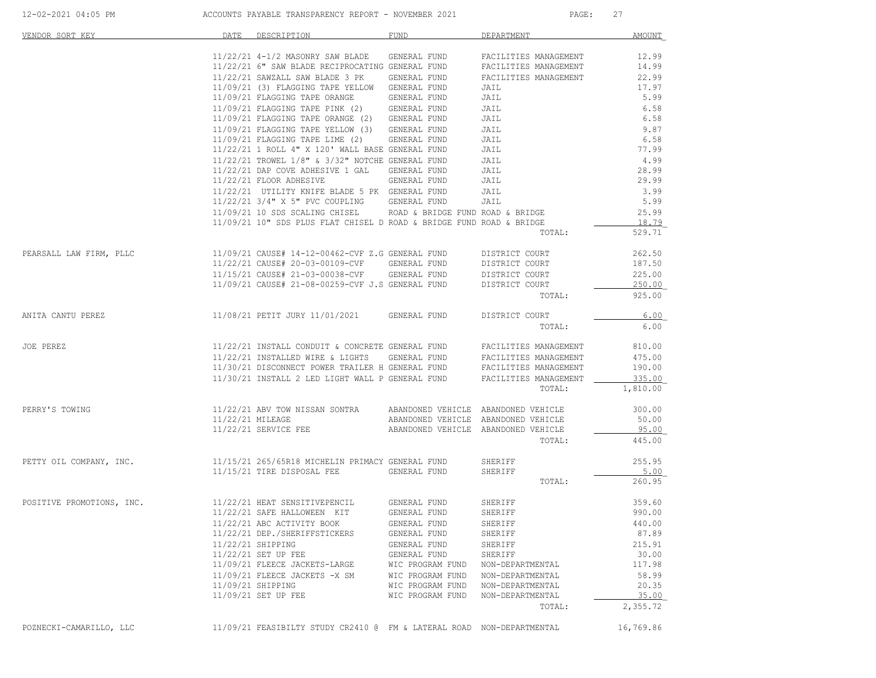| 12-02-2021 04:05 PM                                     | ACCOUNTS PAYABLE TRANSPARENCY REPORT - NOVEMBER 2021                                                                                                                         |                  | PAGE:                               | 27                |
|---------------------------------------------------------|------------------------------------------------------------------------------------------------------------------------------------------------------------------------------|------------------|-------------------------------------|-------------------|
| VENDOR SORT KEY                                         | DATE DESCRIPTION                                                                                                                                                             | FUND             | DEPARTMENT                          | AMOUNT            |
|                                                         | 11/22/21 4-1/2 MASONRY SAW BLADE GENERAL FUND                                                                                                                                |                  | FACILITIES MANAGEMENT               | 12.99             |
|                                                         | 11/22/21 6" SAW BLADE RECIPROCATING GENERAL FUND                                                                                                                             |                  | FACILITIES MANAGEMENT               | 14.99             |
|                                                         | 11/22/21 SAWZALL SAW BLADE 3 PK GENERAL FUND                                                                                                                                 |                  | FACILITIES MANAGEMENT               | 22.99             |
|                                                         | 11/09/21 (3) FLAGGING TAPE YELLOW GENERAL FUND                                                                                                                               |                  | JAIL                                | 17.97             |
|                                                         | $11/09/21\ \mbox{FIAGGING}\ \mbox{TAPE}\ \mbox{ORMGE}\ \mbox{GENERAL}\ \mbox{FUND} \\ 11/09/21\ \mbox{FIAGGING}\ \mbox{TAPE}\ \mbox{PINK}\ (2)\ \mbox{GENERAL}\ \mbox{FUND}$ |                  | JAIL                                | 5.99              |
|                                                         |                                                                                                                                                                              |                  | JAIL                                | 6.58              |
|                                                         | 11/09/21 FLAGGING TAPE ORANGE (2) GENERAL FUND                                                                                                                               |                  | JAIL                                | 6.58              |
|                                                         | 11/09/21 FLAGGING TAPE YELLOW (3) GENERAL FUND                                                                                                                               |                  | JAIL                                | 9.87              |
|                                                         | 11/09/21 FLAGGING TAPE LIME (2) GENERAL FUND                                                                                                                                 |                  | JAIL                                | 6.58              |
|                                                         | $11/22/21$ 1 ROLL 4" X 120' WALL BASE GENERAL FUND                                                                                                                           |                  | JAIL                                | 77.99             |
|                                                         | 11/22/21 TROWEL 1/8" & 3/32" NOTCHE GENERAL FUND                                                                                                                             |                  | JAIL                                | 4.99              |
|                                                         | 11/22/21 DAP COVE ADHESIVE 1 GAL GENERAL FUND JAIL                                                                                                                           |                  |                                     | 28.99             |
|                                                         | 11/22/21 FLOOR ADHESIVE GENERAL FUND                                                                                                                                         |                  | JAIL                                | 29.99             |
|                                                         | 11/22/21 UTILITY KNIFE BLADE 5 PK GENERAL FUND JAIL                                                                                                                          |                  |                                     | 3.99              |
|                                                         | 11/22/21 3/4" X 5" PVC COUPLING GENERAL FUND                                                                                                                                 |                  | JAIL                                | 5.99              |
|                                                         | 11/09/21 10 SDS SCALING CHISEL ROAD & BRIDGE FUND ROAD & BRIDGE                                                                                                              |                  |                                     | 25.99             |
|                                                         | 11/09/21 10" SDS PLUS FLAT CHISEL D ROAD & BRIDGE FUND ROAD & BRIDGE                                                                                                         |                  |                                     | 18.79             |
|                                                         |                                                                                                                                                                              |                  | TOTAL:                              | 529.71            |
| PEARSALL LAW FIRM, PLLC                                 | 11/09/21 CAUSE# 14-12-00462-CVF Z.G GENERAL FUND                                                                                                                             |                  | DISTRICT COURT                      | 262.50            |
|                                                         | 11/22/21 CAUSE# 20-03-00109-CVF GENERAL FUND                                                                                                                                 |                  | DISTRICT COURT                      | 187.50            |
|                                                         | 11/15/21 CAUSE# 21-03-00038-CVF GENERAL FUND                                                                                                                                 |                  | DISTRICT COURT                      | 225.00            |
|                                                         | 11/09/21 CAUSE# 21-08-00259-CVF J.S GENERAL FUND DISTRICT COURT                                                                                                              |                  |                                     | 250.00            |
|                                                         |                                                                                                                                                                              |                  | TOTAL:                              | 925.00            |
| ANITA CANTU PEREZ                                       | 11/08/21 PETIT JURY 11/01/2021 GENERAL FUND DISTRICT COURT                                                                                                                   |                  |                                     | 6.00              |
|                                                         |                                                                                                                                                                              |                  | TOTAL:                              | 6.00              |
| JOE PEREZ                                               | 11/22/21 INSTALL CONDUIT & CONCRETE GENERAL FUND FACILITIES MANAGEMENT                                                                                                       |                  |                                     | 810.00            |
|                                                         | $11/22/21$ INSTALLED WIRE & LIGHTS GENERAL FUND FACILITIES MANAGEMENT                                                                                                        |                  |                                     | 475.00            |
|                                                         |                                                                                                                                                                              |                  |                                     | 190.00            |
|                                                         | $11/30/21 DISCOMNECT POWER TRAILER H GENERAL FUND FACILITIES MANAGEMENT 11/30/21 INSTALL 2 LED LIGHT WALL P GENERAL FUND FACILITIES MANAGEMENT$                              |                  |                                     | 335.00            |
|                                                         |                                                                                                                                                                              |                  | TOTAL:                              | 1,810.00          |
| PERRY'S TOWING                                          | 11/22/21 ABV TOW NISSAN SONTRA ABANDONED VEHICLE ABANDONED VEHICLE                                                                                                           |                  |                                     | 300.00            |
|                                                         | 11/22/21 MILEAGE                                                                                                                                                             |                  | ABANDONED VEHICLE ABANDONED VEHICLE | 50.00             |
|                                                         | 11/22/21 SERVICE FEE ABANDONED VEHICLE ABANDONED VEHICLE                                                                                                                     |                  |                                     | 95.00             |
|                                                         |                                                                                                                                                                              |                  | TOTAL:                              | 445.00            |
| PETTY OIL COMPANY, INC.                                 | 11/15/21 265/65R18 MICHELIN PRIMACY GENERAL FUND                                                                                                                             |                  | SHERIFF                             | 255.95            |
|                                                         | 11/15/21 TIRE DISPOSAL FEE GENERAL FUND                                                                                                                                      |                  | SHERIFF                             | 5.00              |
|                                                         |                                                                                                                                                                              |                  | TOTAL:                              | 260.95            |
| POSITIVE PROMOTIONS, INC. 11/22/21 HEAT SENSITIVEPENCIL |                                                                                                                                                                              | GENERAL FUND     | SHERIFF                             | 359.60            |
|                                                         | 11/22/21 SAFE HALLOWEEN KIT                                                                                                                                                  | GENERAL FUND     | SHERIFF                             | 990.00            |
|                                                         | 11/22/21 ABC ACTIVITY BOOK                                                                                                                                                   | GENERAL FUND     | SHERIFF                             | 440.00            |
|                                                         | 11/22/21 DEP./SHERIFFSTICKERS                                                                                                                                                | GENERAL FUND     | SHERIFF                             | 87.89             |
|                                                         | 11/22/21 SHIPPING                                                                                                                                                            | GENERAL FUND     | SHERIFF                             | 215.91            |
|                                                         | 11/22/21 SET UP FEE                                                                                                                                                          | GENERAL FUND     | SHERIFF                             | 30.00             |
|                                                         | 11/09/21 FLEECE JACKETS-LARGE                                                                                                                                                | WIC PROGRAM FUND | NON-DEPARTMENTAL                    | 117.98            |
|                                                         | 11/09/21 FLEECE JACKETS -X SM                                                                                                                                                | WIC PROGRAM FUND | NON-DEPARTMENTAL                    | 58.99             |
|                                                         | 11/09/21 SHIPPING                                                                                                                                                            | WIC PROGRAM FUND | NON-DEPARTMENTAL                    | 20.35             |
|                                                         | 11/09/21 SET UP FEE                                                                                                                                                          | WIC PROGRAM FUND | NON-DEPARTMENTAL<br>TOTAL:          | 35.00<br>2,355.72 |
|                                                         |                                                                                                                                                                              |                  |                                     |                   |
| POZNECKI-CAMARILLO, LLC                                 | 11/09/21 FEASIBILTY STUDY CR2410 @ FM & LATERAL ROAD NON-DEPARTMENTAL                                                                                                        |                  |                                     | 16,769.86         |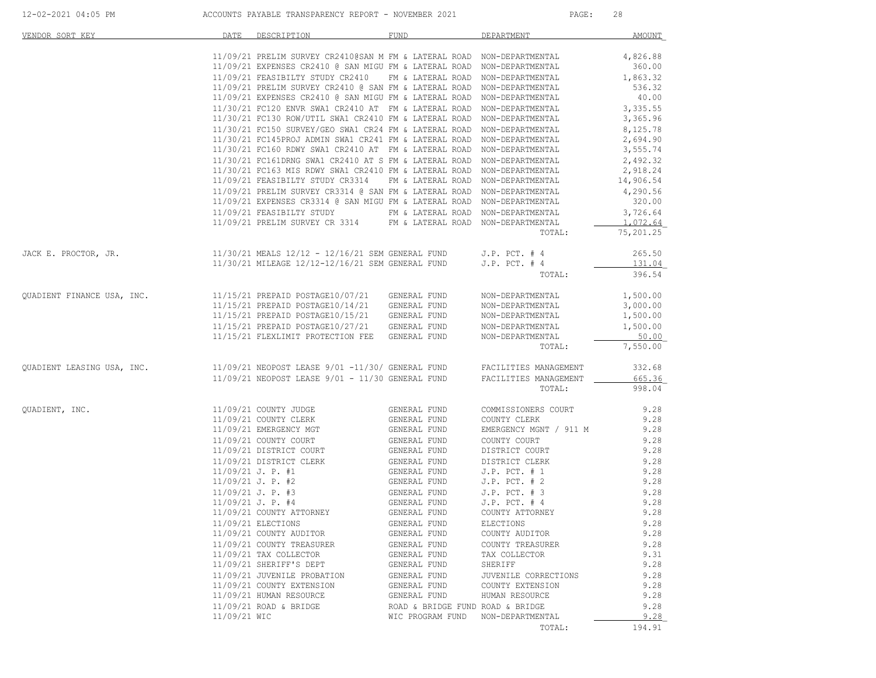| VENDOR SORT KEY            | DATE                | DESCRIPTION                                                                                                                                      | <b>FUND</b>                        | DEPARTMENT             | AMOUNT             |
|----------------------------|---------------------|--------------------------------------------------------------------------------------------------------------------------------------------------|------------------------------------|------------------------|--------------------|
|                            |                     |                                                                                                                                                  |                                    |                        |                    |
|                            |                     | 11/09/21 PRELIM SURVEY CR2410@SAN M FM & LATERAL ROAD NON-DEPARTMENTAL                                                                           |                                    |                        | 4,826.88           |
|                            |                     | 11/09/21 EXPENSES CR2410 @ SAN MIGU FM & LATERAL ROAD NON-DEPARTMENTAL                                                                           |                                    |                        | 360.00             |
|                            |                     | 11/09/21 FEASIBILTY STUDY CR2410 FM & LATERAL ROAD NON-DEPARTMENTAL                                                                              |                                    |                        | 1,863.32           |
|                            |                     | 11/09/21 PRELIM SURVEY CR2410 @ SAN FM & LATERAL ROAD NON-DEPARTMENTAL                                                                           |                                    |                        | 536.32             |
|                            |                     | 11/09/21 EXPENSES CR2410 @ SAN MIGU FM & LATERAL ROAD NON-DEPARTMENTAL                                                                           |                                    |                        | 40.00              |
|                            |                     | 11/30/21 FC120 ENVR SWA1 CR2410 AT FM & LATERAL ROAD NON-DEPARTMENTAL                                                                            |                                    |                        | 3,335.55           |
|                            |                     | 11/30/21 FC130 ROW/UTIL SWA1 CR2410 FM & LATERAL ROAD NON-DEPARTMENTAL                                                                           |                                    |                        | 3,365.96           |
|                            |                     | 11/30/21 FC150 SURVEY/GEO SWA1 CR24 FM & LATERAL ROAD NON-DEPARTMENTAL                                                                           |                                    |                        | 8,125.78           |
|                            |                     | 11/30/21 FC145PROJ ADMIN SWA1 CR241 FM & LATERAL ROAD NON-DEPARTMENTAL                                                                           |                                    |                        | 2,694.90           |
|                            |                     | 11/30/21 FC160 RDWY SWA1 CR2410 AT FM & LATERAL ROAD NON-DEPARTMENTAL                                                                            |                                    |                        | 3,555.74           |
|                            |                     | 11/30/21 FC161DRNG SWA1 CR2410 AT S FM & LATERAL ROAD NON-DEPARTMENTAL                                                                           |                                    |                        | 2,492.32           |
|                            |                     | 11/30/21 FC163 MIS RDWY SWA1 CR2410 FM & LATERAL ROAD NON-DEPARTMENTAL                                                                           |                                    |                        | 2,918.24           |
|                            |                     | 11/09/21 FEASIBILTY STUDY CR3314                                                                                                                 | FM & LATERAL ROAD NON-DEPARTMENTAL |                        | 14,906.54          |
|                            |                     | 11/09/21 PRELIM SURVEY CR3314 @ SAN FM & LATERAL ROAD NON-DEPARTMENTAL<br>11/09/21 EXPENSES CR3314 @ SAN MIGU FM & LATERAL ROAD NON-DEPARTMENTAL |                                    |                        | 4,290.56<br>320.00 |
|                            |                     |                                                                                                                                                  |                                    |                        | 3,726.64           |
|                            |                     | 11/09/21 FEASIBILTY STUDY FM & LATERAL ROAD NON-DEPARTMENTAL<br>$11/09/21$ PRELIM SURVEY CR 3314 FM & LATERAL ROAD NON-DEPARTMENTAL              |                                    |                        | 1,072.64           |
|                            |                     |                                                                                                                                                  |                                    | TOTAL:                 | 75,201.25          |
|                            |                     |                                                                                                                                                  |                                    |                        |                    |
| JACK E. PROCTOR, JR.       |                     | 11/30/21 MEALS 12/12 - 12/16/21 SEM GENERAL FUND                                                                                                 |                                    | $J.P.$ PCT. $#4$       | 265.50             |
|                            |                     | 11/30/21 MILEAGE 12/12-12/16/21 SEM GENERAL FUND                                                                                                 |                                    | $J.P.$ PCT. $#4$       | 131.04             |
|                            |                     |                                                                                                                                                  |                                    | TOTAL:                 | 396.54             |
|                            |                     |                                                                                                                                                  |                                    |                        |                    |
| QUADIENT FINANCE USA, INC. |                     | 11/15/21 PREPAID POSTAGE10/07/21 GENERAL FUND                                                                                                    |                                    | NON-DEPARTMENTAL       | 1,500.00           |
|                            |                     | 11/15/21 PREPAID POSTAGE10/14/21 GENERAL FUND                                                                                                    |                                    | NON-DEPARTMENTAL       | 3,000.00           |
|                            |                     | 11/15/21 PREPAID POSTAGE10/15/21 GENERAL FUND                                                                                                    |                                    | NON-DEPARTMENTAL       | 1,500.00           |
|                            |                     | 11/15/21 PREPAID POSTAGE10/27/21 GENERAL FUND                                                                                                    |                                    | NON-DEPARTMENTAL       | 1,500.00           |
|                            |                     | 11/15/21 FLEXLIMIT PROTECTION FEE GENERAL FUND                                                                                                   |                                    | NON-DEPARTMENTAL       | 50.00              |
|                            |                     |                                                                                                                                                  |                                    | TOTAL:                 | 7,550.00           |
|                            |                     | 11/09/21 NEOPOST LEASE 9/01 -11/30/ GENERAL FUND FACILITIES MANAGEMENT                                                                           |                                    |                        | 332.68             |
| QUADIENT LEASING USA, INC. |                     | 11/09/21 NEOPOST LEASE 9/01 - 11/30 GENERAL FUND                                                                                                 |                                    | FACILITIES MANAGEMENT  | 665.36             |
|                            |                     |                                                                                                                                                  |                                    | TOTAL:                 | 998.04             |
|                            |                     |                                                                                                                                                  |                                    |                        |                    |
| QUADIENT, INC.             |                     | 11/09/21 COUNTY JUDGE                                                                                                                            | GENERAL FUND                       | COMMISSIONERS COURT    | 9.28               |
|                            |                     | 11/09/21 COUNTY CLERK                                                                                                                            | GENERAL FUND                       | COUNTY CLERK           | 9.28               |
|                            |                     | 11/09/21 EMERGENCY MGT                                                                                                                           | GENERAL FUND                       | EMERGENCY MGNT / 911 M | 9.28               |
|                            |                     | 11/09/21 COUNTY COURT                                                                                                                            | GENERAL FUND                       | COUNTY COURT           | 9.28               |
|                            |                     | 11/09/21 DISTRICT COURT                                                                                                                          | GENERAL FUND                       | DISTRICT COURT         | 9.28               |
|                            |                     | 11/09/21 DISTRICT CLERK                                                                                                                          | GENERAL FUND                       | DISTRICT CLERK         | 9.28               |
|                            | $11/09/21$ J. P. #1 |                                                                                                                                                  | GENERAL FUND<br>GENERAL FUND       | $J.P.$ PCT. $# 1$      | 9.28               |
|                            |                     | 11/09/21 J. P. #2                                                                                                                                |                                    | $J.P.$ PCT. $# 2$      | 9.28               |
|                            | $11/09/21$ J. P. #3 |                                                                                                                                                  | .<br>GENERAL FUND<br>GENERAL FUND  | $J.P.$ PCT. $# 3$      | 9.28               |
|                            | $11/09/21$ J. P. #4 |                                                                                                                                                  |                                    | $J.P.$ PCT. $#4$       | 9.28               |
|                            |                     | 11/09/21 COUNTY ATTORNEY                                                                                                                         | GENERAL FUND                       | COUNTY ATTORNEY        | 9.28               |
|                            |                     | 11/09/21 ELECTIONS                                                                                                                               | GENERAL FUND                       | ELECTIONS              | 9.28               |
|                            |                     | 11/09/21 COUNTY AUDITOR                                                                                                                          | GENERAL FUND                       | COUNTY AUDITOR         | 9.28               |
|                            |                     | 11/09/21 COUNTY TREASURER                                                                                                                        | GENERAL FUND                       | COUNTY TREASURER       | 9.28               |
|                            |                     | 11/09/21 TAX COLLECTOR                                                                                                                           | GENERAL FUND                       | TAX COLLECTOR          | 9.31               |
|                            |                     | 11/09/21 SHERIFF'S DEPT                                                                                                                          | GENERAL FUND                       | SHERIFF                | 9.28               |
|                            |                     | 11/09/21 JUVENILE PROBATION                                                                                                                      | GENERAL FUND                       | JUVENILE CORRECTIONS   | 9.28               |
|                            |                     | 11/09/21 COUNTY EXTENSION                                                                                                                        | GENERAL FUND                       | COUNTY EXTENSION       | 9.28               |
|                            |                     | 11/09/21 HUMAN RESOURCE                                                                                                                          | GENERAL FUND                       | HUMAN RESOURCE         | 9.28               |
|                            | 11/09/21 WIC        | 11/09/21 ROAD & BRIDGE                                                                                                                           | ROAD & BRIDGE FUND ROAD & BRIDGE   |                        | 9.28               |
|                            |                     |                                                                                                                                                  | WIC PROGRAM FUND                   | NON-DEPARTMENTAL       | 9.28               |
|                            |                     |                                                                                                                                                  |                                    | TOTAL:                 | 194.91             |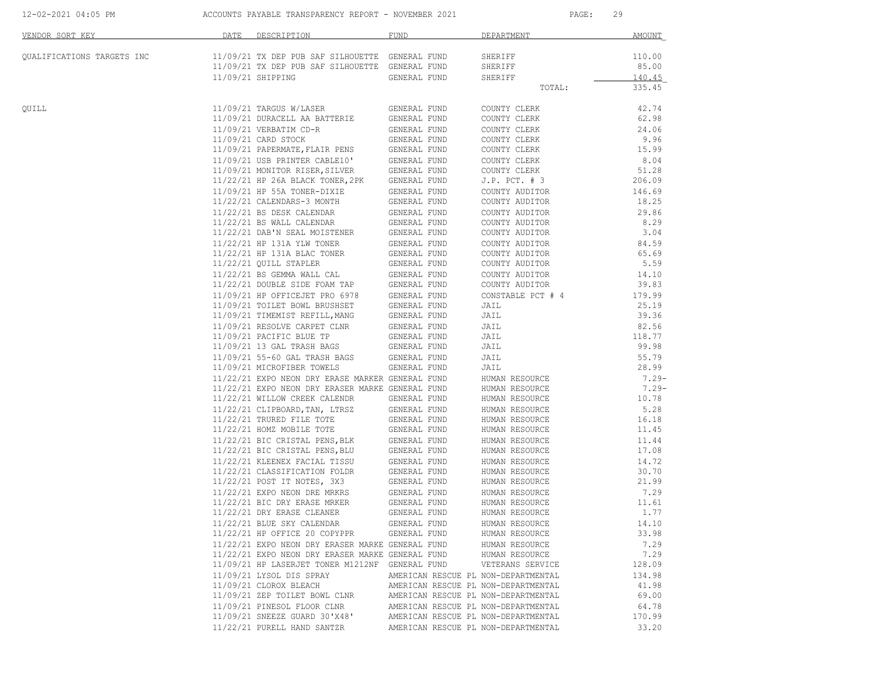|  | 12-02-2021 04:05 PM |  |  |
|--|---------------------|--|--|
|  |                     |  |  |

12-02-2021 12-02-2021 PAYABLE TRANSPARENCY REPORT - NOVEMBER 2021 PAGE: 29

| VENDOR SORT KEY            | DATE | DESCRIPTION                                                                                                                                                                                                                          | FUND                                | DEPARTMENT                       | <b>AMOUNT</b>   |
|----------------------------|------|--------------------------------------------------------------------------------------------------------------------------------------------------------------------------------------------------------------------------------------|-------------------------------------|----------------------------------|-----------------|
| QUALIFICATIONS TARGETS INC |      | 11/09/21 TX DEP PUB SAF SILHOUETTE GENERAL FUND                                                                                                                                                                                      |                                     | SHERIFF                          | 110.00          |
|                            |      | 11/09/21 TX DEP PUB SAR SILHOUETTE GENERAL FUND<br>11/09/21 TX DEP PUB SAF SILHOUETTE GENERAL FUND                                                                                                                                   |                                     | SHERIFF                          | 85.00           |
|                            |      | 11/09/21 SHIPPING                                                                                                                                                                                                                    | GENERAL FUND                        | SHERIFF                          | 140.45          |
|                            |      |                                                                                                                                                                                                                                      |                                     | TOTAL:                           | 335.45          |
| QUILL                      |      | 11/09/21 TARGUS W/LASER                                                                                                                                                                                                              | GENERAL FUND                        | COUNTY CLERK                     | 42.74           |
|                            |      | 11/09/21 DURACELL AA BATTERIE                                                                                                                                                                                                        | GENERAL FUND                        | COUNTY CLERK                     | 62.98           |
|                            |      | 11/09/21 VERBATIM CD-R                                                                                                                                                                                                               | <b>GENERAL FUND</b>                 | COUNTY CLERK                     | 24.06           |
|                            |      | 11/09/21 CARD STOCK<br>11/09/21 PAPERMATE, FLAIR PENS GENERAL FUND                                                                                                                                                                   | GENERAL FUND                        | COUNTY CLERK                     | 9.96<br>15.99   |
|                            |      |                                                                                                                                                                                                                                      |                                     | COUNTY CLERK<br>COUNTY CLERK     | 8.04            |
|                            |      |                                                                                                                                                                                                                                      |                                     | COUNTY CLERK                     | 51.28           |
|                            |      | 11/22/21 HP 26A BLACK TONER, 2PK                                                                                                                                                                                                     | GENERAL FUND                        | $J.P.$ PCT. $# 3$                | 206.09          |
|                            |      | 11/09/21 HP 55A TONER-DIXIE                                                                                                                                                                                                          | GENERAL FUND                        | COUNTY AUDITOR                   | 146.69          |
|                            |      | 11/22/21 CALENDARS-3 MONTH                                                                                                                                                                                                           | GENERAL FUND                        | COUNTY AUDITOR                   | 18.25           |
|                            |      |                                                                                                                                                                                                                                      | GENERAL FUND                        | COUNTY AUDITOR                   | 29.86           |
|                            |      | 11/22/21 BS DESK CALENDAR<br>11/22/21 BS WALL CALENDAR                                                                                                                                                                               | GENERAL FUND                        | COUNTY AUDITOR                   | 8.29            |
|                            |      | 11/22/21 BS WADD CHERACTE.<br>11/22/21 DAB'N SEAL MOISTENER<br>11/22/21 PAB'N SEAL MOISTENER                                                                                                                                         | GENERAL FUND                        | COUNTY AUDITOR                   | 3.04            |
|                            |      | 11/22/21 HP 131A YLW TONER                                                                                                                                                                                                           | GENERAL FUND                        | COUNTY AUDITOR                   | 84.59           |
|                            |      | 11/22/21 HP 131A BLAC TONER                                                                                                                                                                                                          | GENERAL FUND                        | COUNTY AUDITOR                   | 65.69           |
|                            |      | 11/22/21 QUILL STAPLER                                                                                                                                                                                                               | GENERAL FUND                        | COUNTY AUDITOR                   | 5.59            |
|                            |      |                                                                                                                                                                                                                                      |                                     | COUNTY AUDITOR                   | 14.10           |
|                            |      |                                                                                                                                                                                                                                      |                                     | COUNTY AUDITOR                   | 39.83           |
|                            |      | 11/09/21 HP OFFICEJET PRO 6978 GENERAL FUND                                                                                                                                                                                          |                                     | CONSTABLE PCT # 4                | 179.99          |
|                            |      |                                                                                                                                                                                                                                      |                                     | JAIL                             | 25.19<br>39.36  |
|                            |      |                                                                                                                                                                                                                                      |                                     | JAIL                             |                 |
|                            |      | $11/09/21 \begin{array}{llllll} \texttt{RESOLVE} & \texttt{CARPET} & \texttt{CRNERAL} & \texttt{FUND} \\ 11/09/21 & \texttt{PACIFIC} & \texttt{BLE TP} & \texttt{GENERAL} & \texttt{FUND} \end{array}$                               |                                     | JAIL<br>JAIL                     | 82.56<br>118.77 |
|                            |      | 11/09/21 13 GAL TRASH BAGS GENERAL FUND                                                                                                                                                                                              |                                     | JAIL                             | 99.98           |
|                            |      | 11/09/21 55-60 GAL TRASH BAGS                                                                                                                                                                                                        | <b>GENERAL FUND</b>                 | JAIL                             | 55.79           |
|                            |      | 11/09/21 MICROFIBER TOWELS                                                                                                                                                                                                           | GENERAL FUND                        | JAIL                             | 28.99           |
|                            |      | 11/22/21 EXPO NEON DRY ERASE MARKER GENERAL FUND                                                                                                                                                                                     |                                     | HUMAN RESOURCE                   | $7.29 -$        |
|                            |      | 11/22/21 EXPO NEON DRY ERASER MARKE GENERAL FUND                                                                                                                                                                                     |                                     | HUMAN RESOURCE                   | $7.29 -$        |
|                            |      | 11/22/21 WILLOW CREEK CALENDR                                                                                                                                                                                                        | GENERAL FUND                        | HUMAN RESOURCE                   | 10.78           |
|                            |      | 11/22/21 CLIPBOARD, TAN, LTRSZ                                                                                                                                                                                                       | GENERAL FUND                        | HUMAN RESOURCE                   | 5.28            |
|                            |      | 11/22/21 TRURED FILE TOTE                                                                                                                                                                                                            | GENERAL FUND                        | HUMAN RESOURCE                   | 16.18           |
|                            |      | 11/22/21 HOMZ MOBILE TOTE                                                                                                                                                                                                            | GENERAL FUND                        | HUMAN RESOURCE                   | 11.45           |
|                            |      | $11/22/21 \text{ BIC CRISTAL PENS, BLK} \hspace{1.5cm} \text{GENERAL FUND} \\ 11/22/21 \text{ BIC CRISTAL PENS, BLU} \hspace{1.5cm} \text{GENERAL FUND} \\ 11/22/21 \text{ KLEENEX FACIAL TISSU} \hspace{1.5cm} \text{GENERAL FUND}$ |                                     | HUMAN RESOURCE                   | 11.44           |
|                            |      |                                                                                                                                                                                                                                      |                                     | HUMAN RESOURCE                   | 17.08           |
|                            |      |                                                                                                                                                                                                                                      |                                     | HUMAN RESOURCE                   | 14.72           |
|                            |      | $11/22/21 \hbox{ CLASSIFICATION FOLDR} \hbox{ GENERAL FUND} \\ 11/22/21 \hbox{ POST IT NOTES, } 3X3 \hbox{ GENERAL FUND}$                                                                                                            |                                     | HUMAN RESOURCE                   | 30.70           |
|                            |      |                                                                                                                                                                                                                                      |                                     | HUMAN RESOURCE                   | 21.99           |
|                            |      | $11/22/21$ EXPO NEON DRE MRKRS GENERAL FUND<br>$11/22/21$ BIC DRY ERASE MRKER GENERAL FUND                                                                                                                                           |                                     | HUMAN RESOURCE<br>HUMAN RESOURCE | 7.29<br>11.61   |
|                            |      | 11/22/21 DRY ERASE CLEANER                                                                                                                                                                                                           | GENERAL FUND                        | HUMAN RESOURCE                   | 1.77            |
|                            |      | 11/22/21 BLUE SKY CALENDAR                                                                                                                                                                                                           | GENERAL FUND                        | HUMAN RESOURCE                   | 14.10           |
|                            |      | 11/22/21 HP OFFICE 20 COPYPPR                                                                                                                                                                                                        | GENERAL FUND                        | HUMAN RESOURCE                   | 33.98           |
|                            |      | 11/22/21 EXPO NEON DRY ERASER MARKE GENERAL FUND                                                                                                                                                                                     |                                     | HUMAN RESOURCE                   | 7.29            |
|                            |      | 11/22/21 EXPO NEON DRY ERASER MARKE GENERAL FUND                                                                                                                                                                                     |                                     | HUMAN RESOURCE                   | 7.29            |
|                            |      | 11/09/21 HP LASERJET TONER M1212NF GENERAL FUND                                                                                                                                                                                      |                                     | VETERANS SERVICE                 | 128.09          |
|                            |      | 11/09/21 LYSOL DIS SPRAY                                                                                                                                                                                                             | AMERICAN RESCUE PL NON-DEPARTMENTAL |                                  | 134.98          |
|                            |      | 11/09/21 CLOROX BLEACH                                                                                                                                                                                                               | AMERICAN RESCUE PL NON-DEPARTMENTAL |                                  | 41.98           |
|                            |      | 11/09/21 ZEP TOILET BOWL CLNR                                                                                                                                                                                                        | AMERICAN RESCUE PL NON-DEPARTMENTAL |                                  | 69.00           |
|                            |      | 11/09/21 PINESOL FLOOR CLNR                                                                                                                                                                                                          | AMERICAN RESCUE PL NON-DEPARTMENTAL |                                  | 64.78           |
|                            |      | 11/09/21 SNEEZE GUARD 30'X48'                                                                                                                                                                                                        | AMERICAN RESCUE PL NON-DEPARTMENTAL |                                  | 170.99          |
|                            |      | 11/22/21 PURELL HAND SANTZR                                                                                                                                                                                                          | AMERICAN RESCUE PL NON-DEPARTMENTAL |                                  | 33.20           |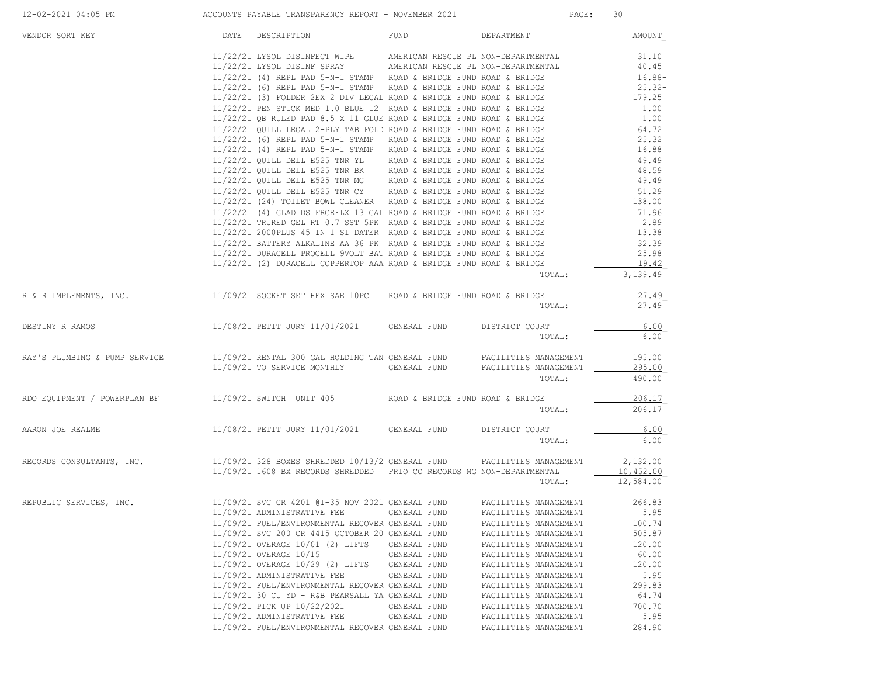| VENDOR SORT KEY                                                                                                                                                                                                                      | DATE | DESCRIPTION                                                                                                                                                                                                                        | FUND         | DEPARTMENT            | AMOUNT        |
|--------------------------------------------------------------------------------------------------------------------------------------------------------------------------------------------------------------------------------------|------|------------------------------------------------------------------------------------------------------------------------------------------------------------------------------------------------------------------------------------|--------------|-----------------------|---------------|
|                                                                                                                                                                                                                                      |      | $1/22/21$ LIVERTIES AMERICAN RESCUE PL NON-DEPARTMENTAL<br>11/22/21 LYSOL DISINF SPRAY AMERICAN RESCUE PL NON-DEPARTMENTAL<br>11/22/21 LYSOL DISINF SPRAY AMERICAN RESCUE PL NON-DEPARTMENTAL<br>11/22/21 (4) REPL PAD 5-N-1 STAMP |              |                       |               |
|                                                                                                                                                                                                                                      |      |                                                                                                                                                                                                                                    |              |                       |               |
|                                                                                                                                                                                                                                      |      |                                                                                                                                                                                                                                    |              |                       |               |
|                                                                                                                                                                                                                                      |      |                                                                                                                                                                                                                                    |              |                       |               |
|                                                                                                                                                                                                                                      |      |                                                                                                                                                                                                                                    |              |                       |               |
|                                                                                                                                                                                                                                      |      |                                                                                                                                                                                                                                    |              |                       |               |
|                                                                                                                                                                                                                                      |      |                                                                                                                                                                                                                                    |              |                       |               |
|                                                                                                                                                                                                                                      |      |                                                                                                                                                                                                                                    |              |                       |               |
|                                                                                                                                                                                                                                      |      |                                                                                                                                                                                                                                    |              |                       |               |
|                                                                                                                                                                                                                                      |      |                                                                                                                                                                                                                                    |              |                       |               |
|                                                                                                                                                                                                                                      |      |                                                                                                                                                                                                                                    |              |                       |               |
|                                                                                                                                                                                                                                      |      |                                                                                                                                                                                                                                    |              |                       |               |
|                                                                                                                                                                                                                                      |      |                                                                                                                                                                                                                                    |              |                       |               |
|                                                                                                                                                                                                                                      |      |                                                                                                                                                                                                                                    |              |                       |               |
|                                                                                                                                                                                                                                      |      |                                                                                                                                                                                                                                    |              |                       |               |
|                                                                                                                                                                                                                                      |      |                                                                                                                                                                                                                                    |              |                       |               |
|                                                                                                                                                                                                                                      |      |                                                                                                                                                                                                                                    |              |                       |               |
|                                                                                                                                                                                                                                      |      |                                                                                                                                                                                                                                    |              |                       |               |
|                                                                                                                                                                                                                                      |      |                                                                                                                                                                                                                                    |              |                       |               |
|                                                                                                                                                                                                                                      |      |                                                                                                                                                                                                                                    |              |                       |               |
|                                                                                                                                                                                                                                      |      | $11/22/21$ (2) DURACELL COPPERTOP AAA ROAD & BRIDGE FUND ROAD & BRIDGE                                                                                                                                                             |              |                       | 19.42         |
|                                                                                                                                                                                                                                      |      |                                                                                                                                                                                                                                    |              | TOTAL:                | 3,139.49      |
| R & R IMPLEMENTS, INC. 11/09/21 SOCKET SET HEX SAE 10PC ROAD & BRIDGE FUND ROAD & BRIDGE                                                                                                                                             |      |                                                                                                                                                                                                                                    |              |                       | 27.49         |
|                                                                                                                                                                                                                                      |      |                                                                                                                                                                                                                                    |              | TOTAL:                | 27.49         |
|                                                                                                                                                                                                                                      |      |                                                                                                                                                                                                                                    |              |                       | 6.00          |
|                                                                                                                                                                                                                                      |      |                                                                                                                                                                                                                                    |              | TOTAL:                | 6.00          |
| RAY'S PLUMBING & PUMP SERVICE 11/09/21 RENTAL 300 GAL HOLDING TAN GENERAL FUND FACILITIES MANAGEMENT 195.00<br>11/09/21 TO SERVICE MONTHLY GENERAL FUND FACILITIES MANAGEMENT 195.00                                                 |      |                                                                                                                                                                                                                                    |              |                       |               |
|                                                                                                                                                                                                                                      |      |                                                                                                                                                                                                                                    |              |                       |               |
|                                                                                                                                                                                                                                      |      |                                                                                                                                                                                                                                    |              |                       | TOTAL: 490.00 |
| RDO EQUIPMENT / POWERPLAN BF 11/09/21 SWITCH UNIT 405 ROAD & BRIDGE FUND ROAD & BRIDGE                                                                                                                                               |      |                                                                                                                                                                                                                                    |              |                       | 206.17        |
|                                                                                                                                                                                                                                      |      |                                                                                                                                                                                                                                    |              | TOTAL:                | 206.17        |
| AARON JOE REALME                                                                                                                                                                                                                     |      | 11/08/21 PETIT JURY 11/01/2021 GENERAL FUND DISTRICT COURT                                                                                                                                                                         |              |                       | 6.00          |
|                                                                                                                                                                                                                                      |      |                                                                                                                                                                                                                                    |              | TOTAL:                | 6.00          |
| RECORDS CONSULTANTS, INC. 11/09/21 328 BOXES SHREDDED 10/13/2 GENERAL FUND FACILITIES MANAGEMENT 2,132.00                                                                                                                            |      |                                                                                                                                                                                                                                    |              |                       |               |
|                                                                                                                                                                                                                                      |      | 11/09/21 1608 BX RECORDS SHREDDED FRIO CO RECORDS MG NON-DEPARTMENTAL                                                                                                                                                              |              |                       | 10,452.00     |
|                                                                                                                                                                                                                                      |      |                                                                                                                                                                                                                                    |              | TOTAL:                | 12,584.00     |
| REPUBLIC SERVICES, INC. 11/09/21 SVC CR 4201 @I-35 NOV 2021 GENERAL FUND FACILITIES MANAGEMENT 266.83<br>11/09/21 ADMINISTRATIVE FEE GENERAL FUND FACILITIES MANAGEMENT 5.95<br>11/09/21 FUEL/ENVIRONMENTAL RECOVER GENERAL FUND FAC |      |                                                                                                                                                                                                                                    |              |                       |               |
|                                                                                                                                                                                                                                      |      |                                                                                                                                                                                                                                    |              |                       |               |
|                                                                                                                                                                                                                                      |      |                                                                                                                                                                                                                                    |              |                       |               |
|                                                                                                                                                                                                                                      |      | 11/09/21 SVC 200 CR 4415 OCTOBER 20 GENERAL FUND                                                                                                                                                                                   |              | FACILITIES MANAGEMENT | 505.87        |
|                                                                                                                                                                                                                                      |      | 11/09/21 OVERAGE 10/01 (2) LIFTS                                                                                                                                                                                                   | GENERAL FUND | FACILITIES MANAGEMENT | 120.00        |
|                                                                                                                                                                                                                                      |      | 11/09/21 OVERAGE 10/15                                                                                                                                                                                                             | GENERAL FUND | FACILITIES MANAGEMENT | 60.00         |
|                                                                                                                                                                                                                                      |      | 11/09/21 OVERAGE 10/29 (2) LIFTS                                                                                                                                                                                                   | GENERAL FUND | FACILITIES MANAGEMENT | 120.00        |
|                                                                                                                                                                                                                                      |      | 11/09/21 ADMINISTRATIVE FEE                                                                                                                                                                                                        | GENERAL FUND | FACILITIES MANAGEMENT | 5.95          |
|                                                                                                                                                                                                                                      |      | 11/09/21 FUEL/ENVIRONMENTAL RECOVER GENERAL FUND                                                                                                                                                                                   |              | FACILITIES MANAGEMENT | 299.83        |
|                                                                                                                                                                                                                                      |      | 11/09/21 30 CU YD - R&B PEARSALL YA GENERAL FUND                                                                                                                                                                                   |              | FACILITIES MANAGEMENT | 64.74         |
|                                                                                                                                                                                                                                      |      | 11/09/21 PICK UP 10/22/2021                                                                                                                                                                                                        | GENERAL FUND | FACILITIES MANAGEMENT | 700.70        |
|                                                                                                                                                                                                                                      |      | 11/09/21 ADMINISTRATIVE FEE                                                                                                                                                                                                        | GENERAL FUND | FACILITIES MANAGEMENT | 5.95          |
|                                                                                                                                                                                                                                      |      | 11/09/21 FUEL/ENVIRONMENTAL RECOVER GENERAL FUND                                                                                                                                                                                   |              | FACILITIES MANAGEMENT | 284.90        |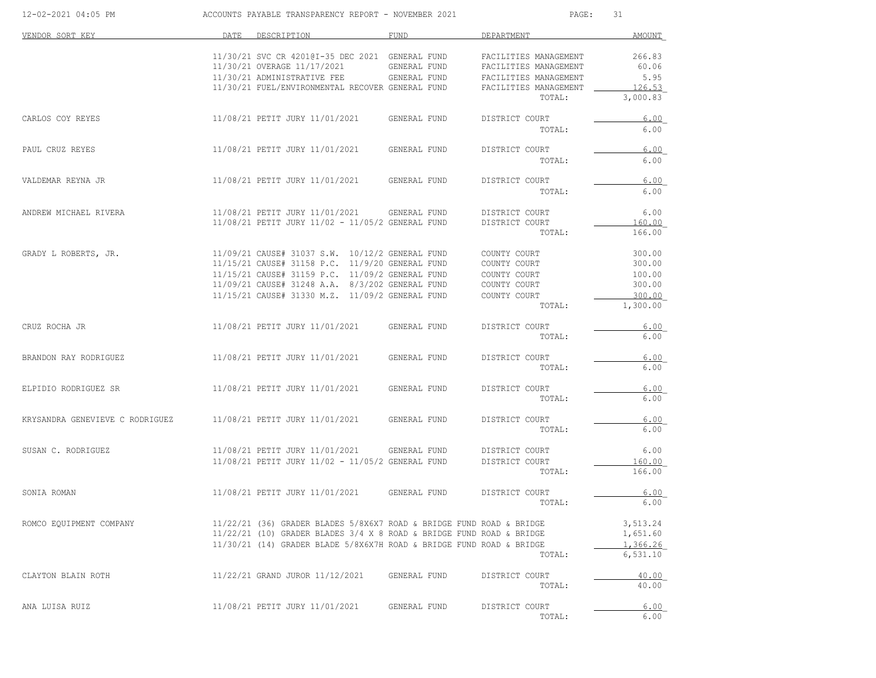| 12-02-2021 04:05 PM             | ACCOUNTS PAYABLE TRANSPARENCY REPORT - NOVEMBER 2021 |                                                                                                                                                |  |              |  | PAGE:<br>31                  |        |                      |
|---------------------------------|------------------------------------------------------|------------------------------------------------------------------------------------------------------------------------------------------------|--|--------------|--|------------------------------|--------|----------------------|
| VENDOR SORT KEY                 | DATE                                                 | DESCRIPTION                                                                                                                                    |  | FUND         |  | DEPARTMENT                   |        | AMOUNT               |
|                                 |                                                      | 11/30/21 SVC CR 42010I-35 DEC 2021 GENERAL FUND                                                                                                |  |              |  | FACILITIES MANAGEMENT        |        | 266.83               |
|                                 |                                                      | 11/30/21 OVERAGE 11/17/2021                                                                                                                    |  | GENERAL FUND |  | FACILITIES MANAGEMENT        |        | 60.06                |
|                                 |                                                      | 11/30/21 ADMINISTRATIVE FEE                                                                                                                    |  | GENERAL FUND |  | FACILITIES MANAGEMENT        |        | 5.95                 |
|                                 |                                                      | 11/30/21 FUEL/ENVIRONMENTAL RECOVER GENERAL FUND                                                                                               |  |              |  | FACILITIES MANAGEMENT        | TOTAL: | 126.53<br>3,000.83   |
| CARLOS COY REYES                |                                                      | 11/08/21 PETIT JURY 11/01/2021                                                                                                                 |  | GENERAL FUND |  | DISTRICT COURT               |        | 6.00                 |
|                                 |                                                      |                                                                                                                                                |  |              |  |                              | TOTAL: | 6.00                 |
| PAUL CRUZ REYES                 |                                                      | 11/08/21 PETIT JURY 11/01/2021                                                                                                                 |  | GENERAL FUND |  | DISTRICT COURT               |        | 6.00                 |
|                                 |                                                      |                                                                                                                                                |  |              |  |                              | TOTAL: | 6.00                 |
| VALDEMAR REYNA JR               |                                                      | 11/08/21 PETIT JURY 11/01/2021                                                                                                                 |  | GENERAL FUND |  | DISTRICT COURT               |        | 6.00                 |
|                                 |                                                      |                                                                                                                                                |  |              |  |                              | TOTAL: | 6.00                 |
| ANDREW MICHAEL RIVERA           |                                                      | 11/08/21 PETIT JURY 11/01/2021                                                                                                                 |  | GENERAL FUND |  | DISTRICT COURT               |        | 6.00                 |
|                                 |                                                      | 11/08/21 PETIT JURY 11/02 - 11/05/2 GENERAL FUND                                                                                               |  |              |  | DISTRICT COURT               |        | 160.00               |
|                                 |                                                      |                                                                                                                                                |  |              |  |                              | TOTAL: | 166.00               |
| GRADY L ROBERTS, JR.            |                                                      | 11/09/21 CAUSE# 31037 S.W. 10/12/2 GENERAL FUND<br>11/15/21 CAUSE# 31158 P.C. 11/9/20 GENERAL FUND                                             |  |              |  | COUNTY COURT<br>COUNTY COURT |        | 300.00<br>300.00     |
|                                 |                                                      | 11/15/21 CAUSE# 31159 P.C. 11/09/2 GENERAL FUND                                                                                                |  |              |  | COUNTY COURT                 |        | 100.00               |
|                                 |                                                      | 11/09/21 CAUSE# 31248 A.A. 8/3/202 GENERAL FUND                                                                                                |  |              |  | COUNTY COURT                 |        | 300.00               |
|                                 |                                                      | 11/15/21 CAUSE# 31330 M.Z. 11/09/2 GENERAL FUND                                                                                                |  |              |  | COUNTY COURT                 |        | 300.00               |
|                                 |                                                      |                                                                                                                                                |  |              |  |                              | TOTAL: | 1,300.00             |
| CRUZ ROCHA JR                   |                                                      | 11/08/21 PETIT JURY 11/01/2021                                                                                                                 |  | GENERAL FUND |  | DISTRICT COURT               |        | 6.00                 |
|                                 |                                                      |                                                                                                                                                |  |              |  |                              | TOTAL: | 6.00                 |
| BRANDON RAY RODRIGUEZ           |                                                      | 11/08/21 PETIT JURY 11/01/2021                                                                                                                 |  | GENERAL FUND |  | DISTRICT COURT               |        | 6.00                 |
|                                 |                                                      |                                                                                                                                                |  |              |  |                              | TOTAL: | 6.00                 |
| ELPIDIO RODRIGUEZ SR            |                                                      | 11/08/21 PETIT JURY 11/01/2021                                                                                                                 |  | GENERAL FUND |  | DISTRICT COURT               |        | 6.00                 |
|                                 |                                                      |                                                                                                                                                |  |              |  |                              | TOTAL: | 6.00                 |
| KRYSANDRA GENEVIEVE C RODRIGUEZ |                                                      | 11/08/21 PETIT JURY 11/01/2021                                                                                                                 |  | GENERAL FUND |  | DISTRICT COURT               |        | 6.00                 |
|                                 |                                                      |                                                                                                                                                |  |              |  |                              | TOTAL: | 6.00                 |
| SUSAN C. RODRIGUEZ              |                                                      | 11/08/21 PETIT JURY 11/01/2021 GENERAL FUND                                                                                                    |  |              |  | DISTRICT COURT               |        | 6.00                 |
|                                 |                                                      | 11/08/21 PETIT JURY 11/02 - 11/05/2 GENERAL FUND                                                                                               |  |              |  | DISTRICT COURT               |        | 160.00               |
|                                 |                                                      |                                                                                                                                                |  |              |  |                              | TOTAL: | 166.00               |
| SONIA ROMAN                     |                                                      | 11/08/21 PETIT JURY 11/01/2021                                                                                                                 |  | GENERAL FUND |  | DISTRICT COURT               |        | 6.00                 |
|                                 |                                                      |                                                                                                                                                |  |              |  |                              | TOTAL: | 6.00                 |
| ROMCO EQUIPMENT COMPANY         |                                                      | $11/22/21$ (36) GRADER BLADES 5/8X6X7 ROAD & BRIDGE FUND ROAD & BRIDGE                                                                         |  |              |  |                              |        | 3,513.24             |
|                                 |                                                      | $11/22/21$ (10) GRADER BLADES 3/4 X 8 ROAD & BRIDGE FUND ROAD & BRIDGE<br>11/30/21 (14) GRADER BLADE 5/8X6X7H ROAD & BRIDGE FUND ROAD & BRIDGE |  |              |  |                              |        | 1,651.60<br>1,366.26 |
|                                 |                                                      |                                                                                                                                                |  |              |  |                              | TOTAL: | 6,531.10             |
| CLAYTON BLAIN ROTH              |                                                      | 11/22/21 GRAND JUROR 11/12/2021                                                                                                                |  | GENERAL FUND |  | DISTRICT COURT               |        | 40.00                |
|                                 |                                                      |                                                                                                                                                |  |              |  |                              | TOTAL: | 40.00                |
| ANA LUISA RUIZ                  |                                                      | 11/08/21 PETIT JURY 11/01/2021                                                                                                                 |  | GENERAL FUND |  | DISTRICT COURT               |        | 6.00                 |
|                                 |                                                      |                                                                                                                                                |  |              |  |                              | TOTAL: | 6.00                 |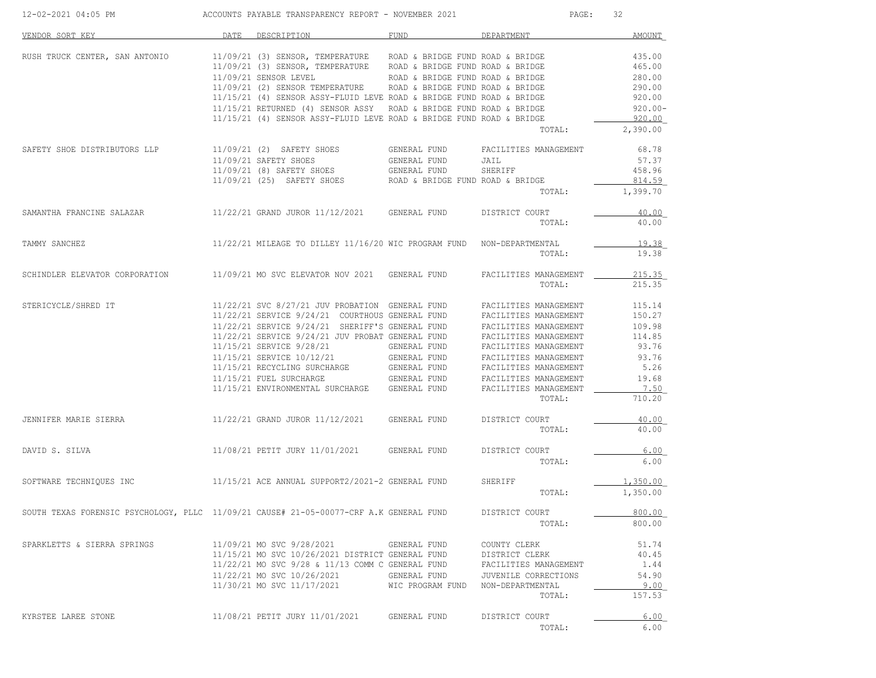| 12-02-2021 04:05 PM                                                                    |      | ACCOUNTS PAYABLE TRANSPARENCY REPORT - NOVEMBER 2021                                                                                                                                                                                                                                                                                                                                                                                                                                    | PAGE:                                             | 32                                                                                                                                                                                                                                      |                                                                                           |
|----------------------------------------------------------------------------------------|------|-----------------------------------------------------------------------------------------------------------------------------------------------------------------------------------------------------------------------------------------------------------------------------------------------------------------------------------------------------------------------------------------------------------------------------------------------------------------------------------------|---------------------------------------------------|-----------------------------------------------------------------------------------------------------------------------------------------------------------------------------------------------------------------------------------------|-------------------------------------------------------------------------------------------|
| VENDOR SORT KEY                                                                        | DATE | DESCRIPTION                                                                                                                                                                                                                                                                                                                                                                                                                                                                             | FUND                                              | DEPARTMENT                                                                                                                                                                                                                              | AMOUNT                                                                                    |
| RUSH TRUCK CENTER, SAN ANTONIO                                                         |      | 11/09/21 (3) SENSOR, TEMPERATURE ROAD & BRIDGE FUND ROAD & BRIDGE<br>11/09/21 (3) SENSOR, TEMPERATURE ROAD & BRIDGE FUND ROAD & BRIDGE<br>11/09/21 SENSOR LEVEL ROAD & BRIDGE FUND ROAD & BRIDGE 11/09/21 (2) SENSOR TEMPERATURE ROAD & BRIDGE FUND ROAD & BRIDGE<br>11/15/21 (4) SENSOR ASSY-FLUID LEVE ROAD & BRIDGE FUND ROAD & BRIDGE<br>11/15/21 RETURNED (4) SENSOR ASSY ROAD & BRIDGE FUND ROAD & BRIDGE<br>11/15/21 (4) SENSOR ASSY-FLUID LEVE ROAD & BRIDGE FUND ROAD & BRIDGE |                                                   | TOTAL:                                                                                                                                                                                                                                  | 435.00<br>465.00<br>280.00<br>290.00<br>920.00<br>$920.00 -$<br>920.00<br>2,390.00        |
| SAFETY SHOE DISTRIBUTORS LLP                                                           |      | 11/09/21 (2) SAFETY SHOES GENERAL FUND FACILITIES MANAGEMENT<br>$11/09/21\ \texttt{SAFETY} \ \texttt{SHOES} \qquad \qquad \texttt{GENERAL FUND} \\ 11/09/21\ \texttt{(8)} \ \texttt{SAFETY} \ \texttt{SHOES} \qquad \qquad \texttt{GENERAL FUND}$<br>$11/09/21$ (25) SAFETY SHOES ROAD & BRIDGE FUND ROAD & BRIDGE                                                                                                                                                                      |                                                   | JAIL<br>SHERIFF<br>TOTAL:                                                                                                                                                                                                               | 68.78<br>57.37<br>458.96<br>814.59<br>1,399.70                                            |
| SAMANTHA FRANCINE SALAZAR 11/22/21 GRAND JUROR 11/12/2021 GENERAL FUND                 |      |                                                                                                                                                                                                                                                                                                                                                                                                                                                                                         |                                                   | DISTRICT COURT<br>TOTAL:                                                                                                                                                                                                                | 40.00<br>40.00                                                                            |
| TAMMY SANCHEZ                                                                          |      | $11/22/21$ MILEAGE TO DILLEY $11/16/20$ WIC PROGRAM FUND NON-DEPARTMENTAL                                                                                                                                                                                                                                                                                                                                                                                                               |                                                   | TOTAL:                                                                                                                                                                                                                                  | 19.38<br>19.38                                                                            |
| SCHINDLER ELEVATOR CORPORATION                                                         |      | 11/09/21 MO SVC ELEVATOR NOV 2021 GENERAL FUND                                                                                                                                                                                                                                                                                                                                                                                                                                          |                                                   | FACILITIES MANAGEMENT<br>TOTAL:                                                                                                                                                                                                         | 215.35<br>215.35                                                                          |
| STERICYCLE/SHRED IT                                                                    |      | 11/22/21 SVC 8/27/21 JUV PROBATION GENERAL FUND<br>11/22/21 SERVICE 9/24/21 COURTHOUS GENERAL FUND<br>11/22/21 SERVICE 9/24/21 SHERIFF'S GENERAL FUND<br>11/22/21 SERVICE 9/24/21 JUV PROBAT GENERAL FUND<br>11/15/21 ENVIRONMENTAL SURCHARGE GENERAL FUND                                                                                                                                                                                                                              |                                                   | FACILITIES MANAGEMENT<br>FACILITIES MANAGEMENT<br>FACILITIES MANAGEMENT<br>FACILITIES MANAGEMENT<br>FACILITIES MANAGEMENT<br>FACILITIES MANAGEMENT<br>FACILITIES MANAGEMENT<br>FACILITIES MANAGEMENT<br>FACILITIES MANAGEMENT<br>TOTAL: | 115.14<br>150.27<br>109.98<br>114.85<br>93.76<br>93.76<br>5.26<br>19.68<br>7.50<br>710.20 |
| JENNIFER MARIE SIERRA                                                                  |      | $11/22/21$ GRAND JUROR $11/12/2021$ GENERAL FUND                                                                                                                                                                                                                                                                                                                                                                                                                                        |                                                   | DISTRICT COURT<br>TOTAL:                                                                                                                                                                                                                | 40.00<br>40.00                                                                            |
| DAVID S. SILVA                                                                         |      | 11/08/21 PETIT JURY 11/01/2021 GENERAL FUND                                                                                                                                                                                                                                                                                                                                                                                                                                             |                                                   | DISTRICT COURT<br>TOTAL:                                                                                                                                                                                                                | 6.00<br>6.00                                                                              |
| SOFTWARE TECHNIQUES INC 11/15/21 ACE ANNUAL SUPPORT2/2021-2 GENERAL FUND               |      |                                                                                                                                                                                                                                                                                                                                                                                                                                                                                         |                                                   | SHERIFF<br>TOTAL:                                                                                                                                                                                                                       | 1,350.00<br>1,350.00                                                                      |
| SOUTH TEXAS FORENSIC PSYCHOLOGY, PLLC 11/09/21 CAUSE# 21-05-00077-CRF A.K GENERAL FUND |      |                                                                                                                                                                                                                                                                                                                                                                                                                                                                                         |                                                   | DISTRICT COURT<br>TOTAL:                                                                                                                                                                                                                | 800.00<br>800.00                                                                          |
| SPARKLETTS & SIERRA SPRINGS                                                            |      | 11/09/21 MO SVC 9/28/2021<br>11/15/21 MO SVC 10/26/2021 DISTRICT GENERAL FUND<br>11/22/21 MO SVC 9/28 & 11/13 COMM C GENERAL FUND<br>11/22/21 MO SVC 10/26/2021 GENERAL FUND<br>11/30/21 MO SVC 11/17/2021                                                                                                                                                                                                                                                                              | GENERAL FUND<br>WIC PROGRAM FUND NON-DEPARTMENTAL | COUNTY CLERK<br>DISTRICT CLERK<br>FACILITIES MANAGEMENT<br>JUVENILE CORRECTIONS<br>TOTAL:                                                                                                                                               | 51.74<br>40.45<br>1.44<br>54.90<br>9.00<br>157.53                                         |
| KYRSTEE LAREE STONE                                                                    |      | 11/08/21 PETIT JURY 11/01/2021                                                                                                                                                                                                                                                                                                                                                                                                                                                          | GENERAL FUND                                      | DISTRICT COURT<br>TOTAL:                                                                                                                                                                                                                | 6.00<br>6.00                                                                              |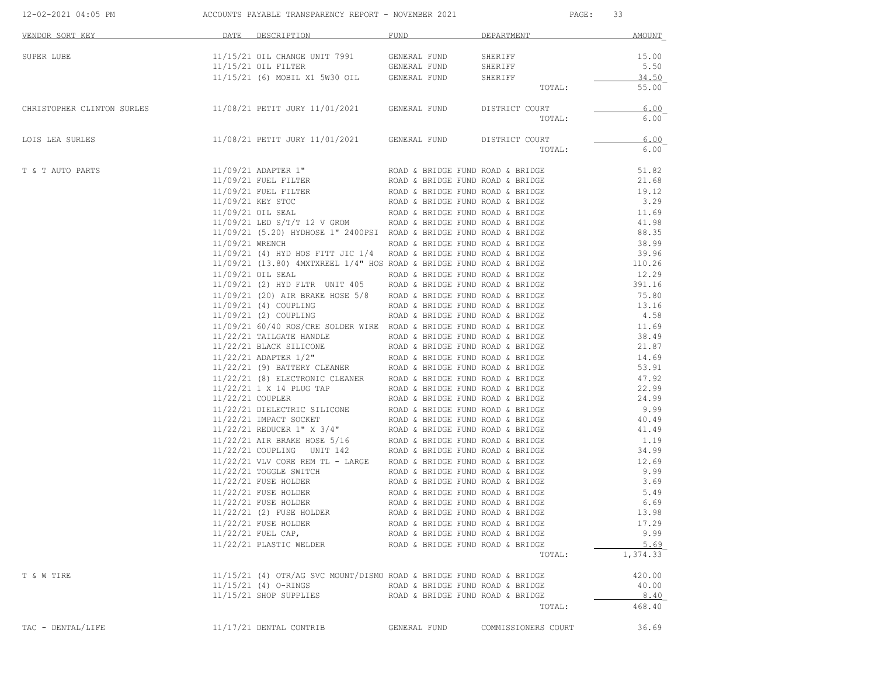| 12-02-2021 04:05 PM ACCOUNTS PAYABLE TRANSPARENCY REPORT - NOVEMBER 2021              |  |                                                                                                                                                                                                                                                                                                                                                                                   |                                  | PAGE: 33            |                |
|---------------------------------------------------------------------------------------|--|-----------------------------------------------------------------------------------------------------------------------------------------------------------------------------------------------------------------------------------------------------------------------------------------------------------------------------------------------------------------------------------|----------------------------------|---------------------|----------------|
| VENDOR SORT KEY                                                                       |  | DATE DESCRIPTION                                                                                                                                                                                                                                                                                                                                                                  | FUND FUND                        | DEPARTMENT          | AMOUNT         |
| SUPER LUBE                                                                            |  |                                                                                                                                                                                                                                                                                                                                                                                   |                                  |                     | 15.00          |
|                                                                                       |  |                                                                                                                                                                                                                                                                                                                                                                                   |                                  |                     | 5.50           |
|                                                                                       |  | 11/15/21 OIL CHANGE UNIT 7991 GENERAL FUND SHERIFF<br>11/15/21 OIL FILTER GENERAL FUND SHERIFF<br>11/15/21 (6) MOBIL X1 5W30 OIL GENERAL FUND SHERIFF                                                                                                                                                                                                                             |                                  |                     | 34.50          |
|                                                                                       |  |                                                                                                                                                                                                                                                                                                                                                                                   |                                  | TOTAL:              | 55.00          |
| CHRISTOPHER CLINTON SURLES 11/08/21 PETIT JURY 11/01/2021 GENERAL FUND DISTRICT COURT |  |                                                                                                                                                                                                                                                                                                                                                                                   |                                  |                     | 6.00           |
|                                                                                       |  |                                                                                                                                                                                                                                                                                                                                                                                   |                                  | TOTAL:              | 6.00           |
| LOIS LEA SURLES                                                                       |  | 11/08/21 PETIT JURY 11/01/2021 GENERAL FUND DISTRICT COURT                                                                                                                                                                                                                                                                                                                        |                                  |                     | 6.00           |
|                                                                                       |  |                                                                                                                                                                                                                                                                                                                                                                                   |                                  | TOTAL:              | 6.00           |
| T & T AUTO PARTS                                                                      |  | 11/09/21 ADAPTER 1"<br>11/09/21 FUEL FILTER ROAD & BRIDGE FUND ROAD & BRIDGE<br>11/09/21 FUEL FILTER ROAD & BRIDGE FUND ROAD & BRIDGE<br>11/09/21 KEY STOC ROAD & BRIDGE FUND ROAD & BRIDGE<br>11/09/21 OIL SEAL ROAD & BRIDGE FUND R                                                                                                                                             |                                  |                     | 51.82          |
|                                                                                       |  |                                                                                                                                                                                                                                                                                                                                                                                   |                                  |                     | 21.68          |
|                                                                                       |  |                                                                                                                                                                                                                                                                                                                                                                                   |                                  |                     | 19.12          |
|                                                                                       |  |                                                                                                                                                                                                                                                                                                                                                                                   |                                  |                     | 3.29           |
|                                                                                       |  |                                                                                                                                                                                                                                                                                                                                                                                   |                                  |                     | 11.69          |
|                                                                                       |  |                                                                                                                                                                                                                                                                                                                                                                                   |                                  |                     | 41.98<br>88.35 |
|                                                                                       |  |                                                                                                                                                                                                                                                                                                                                                                                   |                                  |                     |                |
|                                                                                       |  | 11/09/21 WRENCH<br>11/09/21 (4) HYD HOS FITT JIC 1/4 ROAD & BRIDGE FUND ROAD & BRIDGE<br>11/09/21 (13.80) 4MXTXREEL 1/4" HOS ROAD & BRIDGE FUND ROAD & BRIDGE<br>11/09/21 (13.80) 4MXTXREEL 1/4" HOS ROAD & BRIDGE FUND ROAD & BRIDGE<br>1                                                                                                                                        |                                  |                     |                |
|                                                                                       |  |                                                                                                                                                                                                                                                                                                                                                                                   |                                  |                     |                |
|                                                                                       |  |                                                                                                                                                                                                                                                                                                                                                                                   |                                  |                     |                |
|                                                                                       |  |                                                                                                                                                                                                                                                                                                                                                                                   |                                  |                     |                |
|                                                                                       |  |                                                                                                                                                                                                                                                                                                                                                                                   |                                  |                     |                |
|                                                                                       |  |                                                                                                                                                                                                                                                                                                                                                                                   |                                  |                     |                |
|                                                                                       |  |                                                                                                                                                                                                                                                                                                                                                                                   |                                  |                     |                |
|                                                                                       |  |                                                                                                                                                                                                                                                                                                                                                                                   |                                  |                     |                |
|                                                                                       |  |                                                                                                                                                                                                                                                                                                                                                                                   |                                  |                     |                |
|                                                                                       |  |                                                                                                                                                                                                                                                                                                                                                                                   |                                  |                     |                |
|                                                                                       |  |                                                                                                                                                                                                                                                                                                                                                                                   |                                  |                     |                |
|                                                                                       |  | $11/09/21\ (2) HYD FLTR \quad \mbox{UNIT 405 RADGE FUND RODA & BRIDGE F11/09/21\ (2) OIIR BRAKE HOSE 5/8 \nonumber \& BRIDEE FUND RODA & BRIDGE F11/09/21\ (4) COUPLING \nonumber \& BADAB & BRIDGE FUND RODA & BRIDGE F11/09/21\ (2) COUPLING \nonumber \& BODA & BRIDGE FUND RODA & BRIDGE F11/09/21\ (2) COUPLING \nonumber \& BODA & BRIDGE FUND RODA & BRIDGE F11/22/21 TAL$ |                                  |                     |                |
|                                                                                       |  |                                                                                                                                                                                                                                                                                                                                                                                   |                                  |                     |                |
|                                                                                       |  |                                                                                                                                                                                                                                                                                                                                                                                   |                                  |                     |                |
|                                                                                       |  |                                                                                                                                                                                                                                                                                                                                                                                   |                                  |                     |                |
|                                                                                       |  |                                                                                                                                                                                                                                                                                                                                                                                   |                                  |                     |                |
|                                                                                       |  |                                                                                                                                                                                                                                                                                                                                                                                   |                                  |                     |                |
|                                                                                       |  |                                                                                                                                                                                                                                                                                                                                                                                   |                                  |                     |                |
|                                                                                       |  |                                                                                                                                                                                                                                                                                                                                                                                   |                                  |                     |                |
|                                                                                       |  |                                                                                                                                                                                                                                                                                                                                                                                   |                                  |                     |                |
|                                                                                       |  |                                                                                                                                                                                                                                                                                                                                                                                   |                                  |                     |                |
|                                                                                       |  |                                                                                                                                                                                                                                                                                                                                                                                   |                                  |                     |                |
|                                                                                       |  | 1/22/21 VLV CORE REM TL - LARGE ROAD & BRIDGE FUND ROAD & BRIDGE<br>1/22/21 TOGGLE SWITCH ROAD & BRIDGE FUND ROAD & BRIDGE<br>1/22/21 FUSE HOLDER ROAD & BRIDGE FUND ROAD & BRIDGE 9.99<br>1/22/21 FUSE HOLDER ROAD & BRIDGE FUND ROA                                                                                                                                             |                                  |                     |                |
|                                                                                       |  |                                                                                                                                                                                                                                                                                                                                                                                   |                                  |                     |                |
|                                                                                       |  |                                                                                                                                                                                                                                                                                                                                                                                   |                                  |                     |                |
|                                                                                       |  | 11/22/21 FUSE HOLDER                                                                                                                                                                                                                                                                                                                                                              | ROAD & BRIDGE FUND ROAD & BRIDGE |                     | 6.69           |
|                                                                                       |  | 11/22/21 (2) FUSE HOLDER                                                                                                                                                                                                                                                                                                                                                          | ROAD & BRIDGE FUND ROAD & BRIDGE |                     | 13.98          |
|                                                                                       |  | 11/22/21 FUSE HOLDER                                                                                                                                                                                                                                                                                                                                                              | ROAD & BRIDGE FUND ROAD & BRIDGE |                     | 17.29          |
|                                                                                       |  | $11/22/21$ FUEL CAP,                                                                                                                                                                                                                                                                                                                                                              | ROAD & BRIDGE FUND ROAD & BRIDGE |                     | 9.99           |
|                                                                                       |  | 11/22/21 PLASTIC WELDER                                                                                                                                                                                                                                                                                                                                                           | ROAD & BRIDGE FUND ROAD & BRIDGE |                     | 5.69           |
|                                                                                       |  |                                                                                                                                                                                                                                                                                                                                                                                   |                                  | TOTAL:              | 1,374.33       |
| T & W TIRE                                                                            |  | 11/15/21 (4) OTR/AG SVC MOUNT/DISMO ROAD & BRIDGE FUND ROAD & BRIDGE                                                                                                                                                                                                                                                                                                              |                                  |                     | 420.00         |
|                                                                                       |  | 11/15/21 (4) O-RINGS                                                                                                                                                                                                                                                                                                                                                              | ROAD & BRIDGE FUND ROAD & BRIDGE |                     | 40.00          |
|                                                                                       |  | 11/15/21 SHOP SUPPLIES ROAD & BRIDGE FUND ROAD & BRIDGE                                                                                                                                                                                                                                                                                                                           |                                  |                     | 8.40           |
|                                                                                       |  |                                                                                                                                                                                                                                                                                                                                                                                   |                                  | TOTAL:              | 468.40         |
| TAC - DENTAL/LIFE                                                                     |  | 11/17/21 DENTAL CONTRIB                                                                                                                                                                                                                                                                                                                                                           | GENERAL FUND                     | COMMISSIONERS COURT | 36.69          |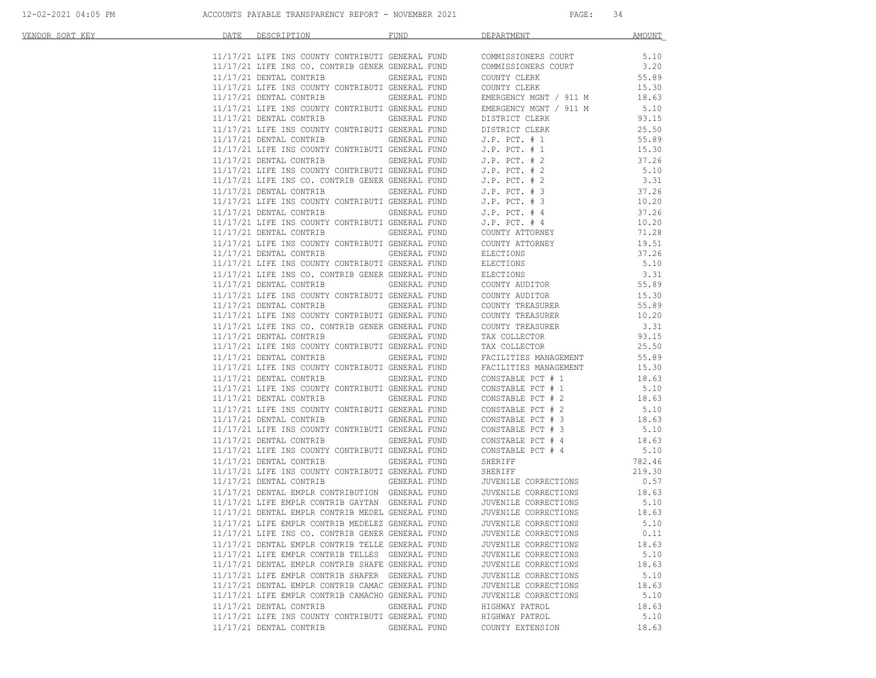| <u>VENDOR SORT KEY</u> | DATE DESCRIPTION                                                                                                                       | FUND <sub>2</sub>                        | DEPARTMENT                                                                                                                                                                                                                                                                                                                                                                                                              | AMOUNT            |
|------------------------|----------------------------------------------------------------------------------------------------------------------------------------|------------------------------------------|-------------------------------------------------------------------------------------------------------------------------------------------------------------------------------------------------------------------------------------------------------------------------------------------------------------------------------------------------------------------------------------------------------------------------|-------------------|
|                        |                                                                                                                                        |                                          |                                                                                                                                                                                                                                                                                                                                                                                                                         |                   |
|                        |                                                                                                                                        |                                          | $11/17/21 \text{ LIFE INS COUNTY CONTRIBUTI GENERAL FUND COMMISSIONERS COURT} \hspace{11/17/21 \text{ LIFE INS CO. CONTRIB GENERAL FUND COMMISSIONERS COURT} \hspace{13/17/21 \text{ LIFE INS CO. CONTRIB GENERAL FUND COMMISSIONERS COURT} \hspace{13/17/22 \text{ LIFE INS CO.} \hspace{13/17} \hspace{13/17} \hspace{13/17} \hspace{13/17} \hspace{13/17} \hspace{13/17} \hspace{13/17} \hspace{13/17} \hspace{13/1$ |                   |
|                        |                                                                                                                                        |                                          |                                                                                                                                                                                                                                                                                                                                                                                                                         |                   |
|                        | 11/17/21 DENTAL CONTRIB                                                                                                                | GENERAL FUND                             | COUNTY CLERK 55.89<br>COUNTY CLERK 15.30                                                                                                                                                                                                                                                                                                                                                                                |                   |
|                        | 11/17/21 LIFE INS COUNTY CONTRIBUTI GENERAL FUND                                                                                       |                                          |                                                                                                                                                                                                                                                                                                                                                                                                                         |                   |
|                        | $11/17/21$ DENTAL CONTRIB GENERAL FUND<br>$11/17/21$ LIFE INS COUNTY CONTRIBUTI GENERAL FUND<br>$11/17/21$ DENTAL CONTRIB GENERAL FUND |                                          | EMERGENCY MGNT / 911 M 18.63                                                                                                                                                                                                                                                                                                                                                                                            |                   |
|                        |                                                                                                                                        |                                          | EMERGENCY MGNT / 911 M                                                                                                                                                                                                                                                                                                                                                                                                  | 5.10              |
|                        |                                                                                                                                        |                                          | DISTRICT CLERK                                                                                                                                                                                                                                                                                                                                                                                                          | 93.15             |
|                        |                                                                                                                                        |                                          |                                                                                                                                                                                                                                                                                                                                                                                                                         | 25.50             |
|                        |                                                                                                                                        |                                          |                                                                                                                                                                                                                                                                                                                                                                                                                         | 55.89             |
|                        |                                                                                                                                        |                                          |                                                                                                                                                                                                                                                                                                                                                                                                                         | 15.30             |
|                        |                                                                                                                                        |                                          |                                                                                                                                                                                                                                                                                                                                                                                                                         | 37.26             |
|                        |                                                                                                                                        |                                          |                                                                                                                                                                                                                                                                                                                                                                                                                         | 5.10              |
|                        |                                                                                                                                        |                                          |                                                                                                                                                                                                                                                                                                                                                                                                                         | 3.31              |
|                        |                                                                                                                                        |                                          |                                                                                                                                                                                                                                                                                                                                                                                                                         | 37.26             |
|                        |                                                                                                                                        |                                          |                                                                                                                                                                                                                                                                                                                                                                                                                         | 10.20             |
|                        |                                                                                                                                        |                                          | 11/17/21 LIFE INS COUNTY CONTRIBUTI GENERAL FUND<br>11/17/21 LIFE INS COUNTY CONTRIBUTI GENERAL FUND<br>11/17/21 LIFE INS COUNTY CONTRIBUTI GENERAL FUND<br>1.P. PCT. #1<br>11/17/21 LIFE INS COUNTY CONTRIBUTI GENERAL FUND<br>11/17/21 LIFE                                                                                                                                                                           | 37.26             |
|                        | 11/17/21 LIFE INS COUNTY CONTRIBUTI GENERAL FUND<br>11/17/21 DENTAL CONTRIB GENERAL FUND                                               |                                          | J.P. PCT. # 4<br>COUNTY ATTORNEY                                                                                                                                                                                                                                                                                                                                                                                        | 10.20             |
|                        |                                                                                                                                        |                                          |                                                                                                                                                                                                                                                                                                                                                                                                                         | 71.28             |
|                        |                                                                                                                                        |                                          | $11/17/21$ LIFE INS COUNTY CONTRIBUTI GENERAL FUND COUNTY ATTORNEY 19.51<br>11/17/21 DENTAL CONTRIB GENERAL FUND ELECTIONS 37.26                                                                                                                                                                                                                                                                                        |                   |
|                        | 11/17/21 DENTAL CONTRIB GENERAL FUND                                                                                                   |                                          |                                                                                                                                                                                                                                                                                                                                                                                                                         |                   |
|                        |                                                                                                                                        |                                          | 11/17/21 LIFE INS COUNTY CONTRIBUTI GENERAL FUND<br>11/17/21 LIFE INS CO. CONTRIBUTI GENERAL FUND<br>11/17/21 LIFE INS CO. CONTRIB GENERAL FUND<br>11/17/21 DENTAL CONTRIB GENERAL FUND COUNTY AUDITOR 55.89<br>ELECTIONS<br>ELECTIONS                                                                                                                                                                                  |                   |
|                        |                                                                                                                                        |                                          |                                                                                                                                                                                                                                                                                                                                                                                                                         |                   |
|                        |                                                                                                                                        |                                          |                                                                                                                                                                                                                                                                                                                                                                                                                         |                   |
|                        | 11/17/21 LIFE INS COUNTY CONTRIBUTI GENERAL FUND                                                                                       |                                          |                                                                                                                                                                                                                                                                                                                                                                                                                         | 15.30             |
|                        | 11/17/21 DENTAL CONTRIB GENERAL FUND                                                                                                   |                                          | COUNTY AUDITOR<br>COUNTY TREASURER                                                                                                                                                                                                                                                                                                                                                                                      | 55.89             |
|                        |                                                                                                                                        |                                          |                                                                                                                                                                                                                                                                                                                                                                                                                         | 10.20             |
|                        |                                                                                                                                        |                                          | $11/17/21$ LIFE INS COUNTY CONTRIBUTI GENERAL FUND COUNTY TREASURER<br>$11/17/21$ LIFE INS CO. CONTRIB GENER GENERAL FUND COUNTY TREASURER                                                                                                                                                                                                                                                                              | 3.31              |
|                        | 11/17/21 DENTAL CONTRIB GENERAL FUND                                                                                                   |                                          | TAX COLLECTOR 93.15                                                                                                                                                                                                                                                                                                                                                                                                     |                   |
|                        | 11/17/21 LIFE INS COUNTY CONTRIBUTI GENERAL FUND                                                                                       | CENERAL FUND<br>GENERAL FUND<br>ALL FUND | TAX COLLECTOR                                                                                                                                                                                                                                                                                                                                                                                                           | 25.50             |
|                        | 11/17/21 DENTAL CONTRIB                                                                                                                |                                          | FACILITIES MANAGEMENT 55.89                                                                                                                                                                                                                                                                                                                                                                                             |                   |
|                        | 11/17/21 LIFE INS COUNTY CONTRIBUTI GENERAL FUND                                                                                       |                                          | FACILITIES MANAGEMENT                                                                                                                                                                                                                                                                                                                                                                                                   | 15.30             |
|                        | 11/17/21 DENTAL CONTRIB GENERAL FUND                                                                                                   |                                          | CONSTABLE PCT # 1                                                                                                                                                                                                                                                                                                                                                                                                       | 18.63             |
|                        | 11/17/21 LIFE INS COUNTY CONTRIBUTI GENERAL FUND                                                                                       |                                          |                                                                                                                                                                                                                                                                                                                                                                                                                         | 5.10              |
|                        | 11/17/21 DENTAL CONTRIB GENERAL FUND                                                                                                   |                                          | CONSTABLE PCT # 1<br>CONSTABLE PCT # 2                                                                                                                                                                                                                                                                                                                                                                                  | $3.10$<br>18.63   |
|                        | 11/17/21 LIFE INS COUNTY CONTRIBUTI GENERAL FUND                                                                                       |                                          |                                                                                                                                                                                                                                                                                                                                                                                                                         |                   |
|                        |                                                                                                                                        |                                          | CONSTABLE PCT # 2                                                                                                                                                                                                                                                                                                                                                                                                       | $5.10$<br>$18.63$ |
|                        | 11/17/21 DENTAL CONTRIB GENERAL FUND                                                                                                   |                                          | CONSTABLE PCT # 3<br>CONSTABLE PCT # 3                                                                                                                                                                                                                                                                                                                                                                                  | 5.10              |
|                        | 11/17/21 LIFE INS COUNTY CONTRIBUTI GENERAL FUND                                                                                       |                                          |                                                                                                                                                                                                                                                                                                                                                                                                                         |                   |
|                        | 11/17/21 DENTAL CONTRIB GENERAL FUND<br>11/17/21 LIFE INS COUNTY CONTRIBUTI GENERAL FUND                                               |                                          | CONSTABLE PCT # 4<br>CONSTABLE PCT # 4                                                                                                                                                                                                                                                                                                                                                                                  | 18.63             |
|                        |                                                                                                                                        |                                          |                                                                                                                                                                                                                                                                                                                                                                                                                         | 5.10              |
|                        | 11/17/21 DENTAL CONTRIB                                                                                                                |                                          | SHERIFF<br>SHERIFF                                                                                                                                                                                                                                                                                                                                                                                                      | 782.46            |
|                        |                                                                                                                                        |                                          |                                                                                                                                                                                                                                                                                                                                                                                                                         | 219.30            |
|                        |                                                                                                                                        |                                          |                                                                                                                                                                                                                                                                                                                                                                                                                         | 0.57              |
|                        |                                                                                                                                        |                                          |                                                                                                                                                                                                                                                                                                                                                                                                                         | 18.63             |
|                        |                                                                                                                                        |                                          |                                                                                                                                                                                                                                                                                                                                                                                                                         | 5.10              |
|                        |                                                                                                                                        |                                          |                                                                                                                                                                                                                                                                                                                                                                                                                         | 18.63             |
|                        | 11/17/21 LIFE EMPLR CONTRIB MEDELEZ GENERAL FUND                                                                                       |                                          | JUVENILE CORRECTIONS                                                                                                                                                                                                                                                                                                                                                                                                    | 5.10              |
|                        | 11/17/21 LIFE INS CO. CONTRIB GENER GENERAL FUND                                                                                       |                                          | JUVENILE CORRECTIONS                                                                                                                                                                                                                                                                                                                                                                                                    | 0.11              |
|                        | 11/17/21 DENTAL EMPLR CONTRIB TELLE GENERAL FUND                                                                                       |                                          | JUVENILE CORRECTIONS                                                                                                                                                                                                                                                                                                                                                                                                    | 18.63             |
|                        | 11/17/21 LIFE EMPLR CONTRIB TELLES GENERAL FUND                                                                                        |                                          | JUVENILE CORRECTIONS                                                                                                                                                                                                                                                                                                                                                                                                    | 5.10              |
|                        | 11/17/21 DENTAL EMPLR CONTRIB SHAFE GENERAL FUND                                                                                       |                                          | JUVENILE CORRECTIONS                                                                                                                                                                                                                                                                                                                                                                                                    | 18.63             |
|                        | 11/17/21 LIFE EMPLR CONTRIB SHAFER GENERAL FUND                                                                                        |                                          | JUVENILE CORRECTIONS                                                                                                                                                                                                                                                                                                                                                                                                    | 5.10              |
|                        | 11/17/21 DENTAL EMPLR CONTRIB CAMAC GENERAL FUND                                                                                       |                                          | JUVENILE CORRECTIONS                                                                                                                                                                                                                                                                                                                                                                                                    | 18.63             |
|                        | 11/17/21 LIFE EMPLR CONTRIB CAMACHO GENERAL FUND                                                                                       |                                          | JUVENILE CORRECTIONS                                                                                                                                                                                                                                                                                                                                                                                                    | 5.10              |
|                        | 11/17/21 DENTAL CONTRIB                                                                                                                | GENERAL FUND                             | HIGHWAY PATROL                                                                                                                                                                                                                                                                                                                                                                                                          | 18.63             |
|                        | 11/17/21 LIFE INS COUNTY CONTRIBUTI GENERAL FUND                                                                                       |                                          | HIGHWAY PATROL                                                                                                                                                                                                                                                                                                                                                                                                          | 5.10              |
|                        | 11/17/21 DENTAL CONTRIB                                                                                                                | GENERAL FUND                             | COUNTY EXTENSION                                                                                                                                                                                                                                                                                                                                                                                                        | 18.63             |
|                        |                                                                                                                                        |                                          |                                                                                                                                                                                                                                                                                                                                                                                                                         |                   |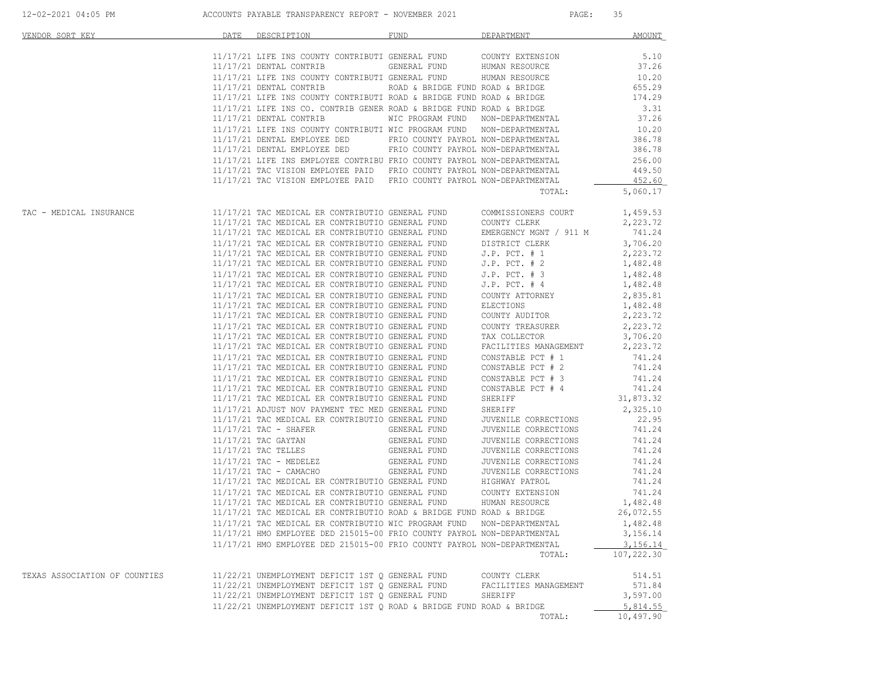| VENDOR SORT KEY MARINER AND THE SOURCE OF THE SOURCE OF THE SOURCE OF THE SOURCE OF THE SOURCE OF THE SOURCE O | DATE DESCRIPTION                                                                                                                                                                                                                                                                                                                     | FUND FUND | DEPARTMENT AMOUNT                                                                                                                 |                       |
|----------------------------------------------------------------------------------------------------------------|--------------------------------------------------------------------------------------------------------------------------------------------------------------------------------------------------------------------------------------------------------------------------------------------------------------------------------------|-----------|-----------------------------------------------------------------------------------------------------------------------------------|-----------------------|
|                                                                                                                |                                                                                                                                                                                                                                                                                                                                      |           |                                                                                                                                   |                       |
|                                                                                                                |                                                                                                                                                                                                                                                                                                                                      |           |                                                                                                                                   |                       |
|                                                                                                                |                                                                                                                                                                                                                                                                                                                                      |           |                                                                                                                                   |                       |
|                                                                                                                |                                                                                                                                                                                                                                                                                                                                      |           |                                                                                                                                   |                       |
|                                                                                                                |                                                                                                                                                                                                                                                                                                                                      |           |                                                                                                                                   |                       |
|                                                                                                                |                                                                                                                                                                                                                                                                                                                                      |           |                                                                                                                                   |                       |
|                                                                                                                |                                                                                                                                                                                                                                                                                                                                      |           |                                                                                                                                   |                       |
|                                                                                                                |                                                                                                                                                                                                                                                                                                                                      |           |                                                                                                                                   |                       |
|                                                                                                                |                                                                                                                                                                                                                                                                                                                                      |           |                                                                                                                                   |                       |
|                                                                                                                |                                                                                                                                                                                                                                                                                                                                      |           |                                                                                                                                   |                       |
|                                                                                                                |                                                                                                                                                                                                                                                                                                                                      |           |                                                                                                                                   |                       |
|                                                                                                                |                                                                                                                                                                                                                                                                                                                                      |           |                                                                                                                                   |                       |
|                                                                                                                |                                                                                                                                                                                                                                                                                                                                      |           |                                                                                                                                   |                       |
|                                                                                                                |                                                                                                                                                                                                                                                                                                                                      |           |                                                                                                                                   |                       |
|                                                                                                                |                                                                                                                                                                                                                                                                                                                                      |           | TOTAL:                                                                                                                            | 5,060.17              |
|                                                                                                                |                                                                                                                                                                                                                                                                                                                                      |           |                                                                                                                                   |                       |
|                                                                                                                |                                                                                                                                                                                                                                                                                                                                      |           |                                                                                                                                   |                       |
|                                                                                                                |                                                                                                                                                                                                                                                                                                                                      |           |                                                                                                                                   |                       |
|                                                                                                                |                                                                                                                                                                                                                                                                                                                                      |           |                                                                                                                                   |                       |
|                                                                                                                |                                                                                                                                                                                                                                                                                                                                      |           |                                                                                                                                   |                       |
|                                                                                                                |                                                                                                                                                                                                                                                                                                                                      |           |                                                                                                                                   |                       |
|                                                                                                                |                                                                                                                                                                                                                                                                                                                                      |           |                                                                                                                                   |                       |
|                                                                                                                |                                                                                                                                                                                                                                                                                                                                      |           |                                                                                                                                   |                       |
|                                                                                                                |                                                                                                                                                                                                                                                                                                                                      |           |                                                                                                                                   |                       |
|                                                                                                                |                                                                                                                                                                                                                                                                                                                                      |           |                                                                                                                                   |                       |
|                                                                                                                |                                                                                                                                                                                                                                                                                                                                      |           |                                                                                                                                   |                       |
|                                                                                                                |                                                                                                                                                                                                                                                                                                                                      |           |                                                                                                                                   |                       |
|                                                                                                                |                                                                                                                                                                                                                                                                                                                                      |           |                                                                                                                                   |                       |
|                                                                                                                | 11/17/21 TAC MEDICAL ER CONTRIBUTIO GENERAL FUND                                                                                                                                                                                                                                                                                     |           | TAX COLLECTOR                                                                                                                     | 3,706.20              |
|                                                                                                                | 11/17/21 TAC MEDICAL ER CONTRIBUTIO GENERAL FUND                                                                                                                                                                                                                                                                                     |           | TAX COLLECTOR<br>FACILITIES MANAGEMENT                                                                                            | 2,223.72              |
|                                                                                                                | 11/17/21 TAC MEDICAL ER CONTRIBUTIO GENERAL FUND                                                                                                                                                                                                                                                                                     |           |                                                                                                                                   |                       |
|                                                                                                                | 11/17/21 TAC MEDICAL ER CONTRIBUTIO GENERAL FUND                                                                                                                                                                                                                                                                                     |           |                                                                                                                                   |                       |
|                                                                                                                | 11/17/21 TAC MEDICAL ER CONTRIBUTIO GENERAL FUND                                                                                                                                                                                                                                                                                     |           | CONSTABLE PCT # 1 741.24<br>CONSTABLE PCT # 2 741.24<br>CONSTABLE PCT # 3 741.24<br>CONSTABLE PCT # 4 741.24<br>SHERIFF 31,873.32 |                       |
|                                                                                                                | 11/17/21 TAC MEDICAL ER CONTRIBUTIO GENERAL FUND                                                                                                                                                                                                                                                                                     |           |                                                                                                                                   |                       |
|                                                                                                                | 11/17/21 TAC MEDICAL ER CONTRIBUTIO GENERAL FUND                                                                                                                                                                                                                                                                                     |           |                                                                                                                                   |                       |
|                                                                                                                |                                                                                                                                                                                                                                                                                                                                      |           |                                                                                                                                   |                       |
|                                                                                                                | 11/17/21 ADJUST NOV PAYMENT TEC MED GENERAL FUND<br>11/17/21 TAC MEDICAL ER CONTRIBUTIO GENERAL FUND                                                                                                                                                                                                                                 |           | SHERIFF                                                                                                                           | 2,325.10              |
|                                                                                                                |                                                                                                                                                                                                                                                                                                                                      |           |                                                                                                                                   |                       |
|                                                                                                                |                                                                                                                                                                                                                                                                                                                                      |           |                                                                                                                                   |                       |
|                                                                                                                |                                                                                                                                                                                                                                                                                                                                      |           |                                                                                                                                   |                       |
|                                                                                                                |                                                                                                                                                                                                                                                                                                                                      |           |                                                                                                                                   |                       |
|                                                                                                                |                                                                                                                                                                                                                                                                                                                                      |           |                                                                                                                                   |                       |
|                                                                                                                |                                                                                                                                                                                                                                                                                                                                      |           |                                                                                                                                   |                       |
|                                                                                                                |                                                                                                                                                                                                                                                                                                                                      |           |                                                                                                                                   |                       |
|                                                                                                                |                                                                                                                                                                                                                                                                                                                                      |           |                                                                                                                                   |                       |
|                                                                                                                | $11/17/21 TAC MEDICAL ER CONTREBUTIO GENERRAL FUND\n11/17/21 TAC MEDICAL ER CONTREBUTIO GENERRAL FUND\n11/17/21 TAC TELLES\n11/17/21 TAC TELLES\n11/17/21 TAC TELLES\n11/17/21 TAC TELLES\n11/17/21 TAC TELLES\n11/17/21 TAC TELLES\n11/17/21 TAC TELLES\n11/17/21 TAC TELLES\n11/17/21 TAC TEDELEX\n11/17/21 TAC MEDICAL ER CONTRE$ |           |                                                                                                                                   | 1,482.48<br>26,072.55 |
|                                                                                                                | 11/17/21 TAC MEDICAL ER CONTRIBUTIO ROAD & BRIDGE FUND ROAD & BRIDGE                                                                                                                                                                                                                                                                 |           |                                                                                                                                   |                       |
|                                                                                                                | 11/17/21 TAC MEDICAL ER CONTRIBUTIO WIC PROGRAM FUND NON-DEPARTMENTAL                                                                                                                                                                                                                                                                |           |                                                                                                                                   | 1,482.48              |
|                                                                                                                | 11/17/21 HMO EMPLOYEE DED 215015-00 FRIO COUNTY PAYROL NON-DEPARTMENTAL                                                                                                                                                                                                                                                              |           |                                                                                                                                   | 3,156.14              |
|                                                                                                                | 11/17/21 HMO EMPLOYEE DED 215015-00 FRIO COUNTY PAYROL NON-DEPARTMENTAL                                                                                                                                                                                                                                                              |           |                                                                                                                                   | 3,156.14              |
|                                                                                                                |                                                                                                                                                                                                                                                                                                                                      |           | TOTAL:                                                                                                                            | 107,222.30            |
|                                                                                                                |                                                                                                                                                                                                                                                                                                                                      |           |                                                                                                                                   |                       |
| TEXAS ASSOCIATION OF COUNTIES                                                                                  | 11/22/21 UNEMPLOYMENT DEFICIT 1ST Q GENERAL FUND                                                                                                                                                                                                                                                                                     |           | COUNTY CLERK                                                                                                                      | 514.51                |
|                                                                                                                | 11/22/21 UNEMPLOYMENT DEFICIT 1ST Q GENERAL FUND                                                                                                                                                                                                                                                                                     |           | FACILITIES MANAGEMENT                                                                                                             | 571.84                |
|                                                                                                                | 11/22/21 UNEMPLOYMENT DEFICIT 1ST Q GENERAL FUND                                                                                                                                                                                                                                                                                     |           | SHERIFF                                                                                                                           | 3,597.00              |
|                                                                                                                | 11/22/21 UNEMPLOYMENT DEFICIT 1ST O ROAD & BRIDGE FUND ROAD & BRIDGE                                                                                                                                                                                                                                                                 |           |                                                                                                                                   | 5,814.55              |
|                                                                                                                |                                                                                                                                                                                                                                                                                                                                      |           | TOTAL:                                                                                                                            | 10,497.90             |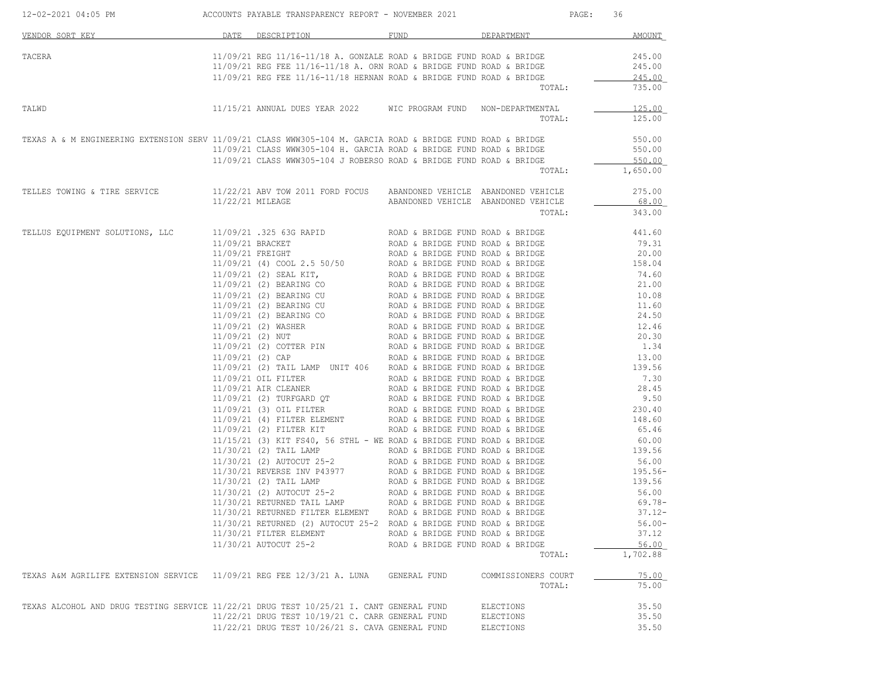| 12-02-2021 04:05 PM ACCOUNTS PAYABLE TRANSPARENCY REPORT - NOVEMBER 2021                                           |                                                                                                                                                                                                                                           |                                  |                                     | PAGE: 36          |
|--------------------------------------------------------------------------------------------------------------------|-------------------------------------------------------------------------------------------------------------------------------------------------------------------------------------------------------------------------------------------|----------------------------------|-------------------------------------|-------------------|
| VENDOR SORT KEY                                                                                                    | DATE DESCRIPTION                                                                                                                                                                                                                          | FUND                             | DEPARTMENT                          | AMOUNT            |
| TACERA                                                                                                             | $11/09/21$ REG $11/16-11/18$ A. GONZALE ROAD & BRIDGE FUND ROAD & BRIDGE $245.00$<br>$11/09/21$ REG FEE $11/16-11/18$ A. ORN ROAD & BRIDGE FUND ROAD & BRIDGE $245.00$                                                                    |                                  |                                     |                   |
|                                                                                                                    | $11/09/21$ REG FEE $11/16-11/18$ HERNAN ROAD & BRIDGE FUND ROAD & BRIDGE                                                                                                                                                                  |                                  | TOTAL:                              | 245.00<br>735.00  |
| TALWD                                                                                                              | 11/15/21 ANNUAL DUES YEAR 2022 MIC PROGRAM FUND NON-DEPARTMENTAL                                                                                                                                                                          |                                  | TOTAL:                              | 125.00<br>125.00  |
| TEXAS A & M ENGINEERING EXTENSION SERV 11/09/21 CLASS WWW305-104 M. GARCIA ROAD & BRIDGE FUND ROAD & BRIDGE 550.00 |                                                                                                                                                                                                                                           |                                  |                                     |                   |
|                                                                                                                    | 11/09/21 CLASS WWW305-104 H. GARCIA ROAD & BRIDGE FUND ROAD & BRIDGE                                                                                                                                                                      |                                  |                                     | 550.00            |
|                                                                                                                    |                                                                                                                                                                                                                                           |                                  |                                     | 550.00            |
|                                                                                                                    | 11/09/21 CLASS WWW305-104 J ROBERSO ROAD & BRIDGE FUND ROAD & BRIDGE TOTAL:                                                                                                                                                               |                                  |                                     | 1,650.00          |
| TELLES TOWING & TIRE SERVICE                                                                                       | 11/22/21 ABV TOW 2011 FORD FOCUS ABANDONED VEHICLE ABANDONED VEHICLE                                                                                                                                                                      |                                  |                                     | 275.00            |
|                                                                                                                    | 11/22/21 MILEAGE                                                                                                                                                                                                                          |                                  | ABANDONED VEHICLE ABANDONED VEHICLE | 68.00             |
|                                                                                                                    |                                                                                                                                                                                                                                           |                                  | TOTAL:                              | 343.00            |
| TELLUS EQUIPMENT SOLUTIONS, LLC                                                                                    | $11/09/21$ .325 63G RAPID ROAD & BRIDGE FUND ROAD & BRIDGE 441.60                                                                                                                                                                         |                                  |                                     |                   |
|                                                                                                                    |                                                                                                                                                                                                                                           |                                  |                                     |                   |
|                                                                                                                    |                                                                                                                                                                                                                                           |                                  |                                     |                   |
|                                                                                                                    |                                                                                                                                                                                                                                           |                                  |                                     |                   |
|                                                                                                                    |                                                                                                                                                                                                                                           |                                  |                                     |                   |
|                                                                                                                    |                                                                                                                                                                                                                                           |                                  |                                     |                   |
|                                                                                                                    |                                                                                                                                                                                                                                           |                                  |                                     |                   |
|                                                                                                                    |                                                                                                                                                                                                                                           |                                  |                                     |                   |
|                                                                                                                    |                                                                                                                                                                                                                                           |                                  |                                     |                   |
|                                                                                                                    |                                                                                                                                                                                                                                           |                                  |                                     |                   |
|                                                                                                                    |                                                                                                                                                                                                                                           |                                  |                                     |                   |
|                                                                                                                    |                                                                                                                                                                                                                                           |                                  |                                     |                   |
|                                                                                                                    |                                                                                                                                                                                                                                           |                                  |                                     |                   |
|                                                                                                                    |                                                                                                                                                                                                                                           |                                  |                                     |                   |
|                                                                                                                    |                                                                                                                                                                                                                                           |                                  |                                     |                   |
|                                                                                                                    |                                                                                                                                                                                                                                           |                                  |                                     |                   |
|                                                                                                                    |                                                                                                                                                                                                                                           |                                  |                                     |                   |
|                                                                                                                    | 11/09/21 (2) TAIL LAMP UNIT 406 ROAD & BRIDGE FUND ROAD & BRIDGE (199/21 OIL FILTER<br>11/09/21 OIL FILTER<br>11/09/21 OIL FILTER<br>11/09/21 AIR CLEANER<br>11/09/21 (2) TUREGARD OT<br>ROAD & BRIDGE FUND ROAD & BRIDGE<br>11/09/21 (3) |                                  |                                     |                   |
|                                                                                                                    |                                                                                                                                                                                                                                           |                                  |                                     |                   |
|                                                                                                                    |                                                                                                                                                                                                                                           |                                  |                                     |                   |
|                                                                                                                    |                                                                                                                                                                                                                                           |                                  |                                     |                   |
|                                                                                                                    | 11/15/21 (2) RIT FS40, 56 STHL - WE ROAD & BRIDGE FUND ROAD & BRIDGE 60.00<br>11/30/21 (2) TAIL LAMP ROAD & BRIDGE FUND ROAD & BRIDGE 139.56<br>11/30/21 (2) AUTOCUT 25-2 ROAD & BRIDGE FUND ROAD & BRIDGE 56.00<br>11/30/21 (2) TAIL L   |                                  |                                     |                   |
|                                                                                                                    |                                                                                                                                                                                                                                           |                                  |                                     |                   |
|                                                                                                                    |                                                                                                                                                                                                                                           |                                  |                                     |                   |
|                                                                                                                    |                                                                                                                                                                                                                                           |                                  |                                     |                   |
|                                                                                                                    | 11/30/21 RETURNED TAIL LAMP                                                                                                                                                                                                               | ROAD & BRIDGE FUND ROAD & BRIDGE |                                     | $69.78 -$         |
|                                                                                                                    | 11/30/21 RETURNED FILTER ELEMENT                                                                                                                                                                                                          | ROAD & BRIDGE FUND ROAD & BRIDGE |                                     | $37.12 -$         |
|                                                                                                                    | 11/30/21 RETURNED (2) AUTOCUT 25-2 ROAD & BRIDGE FUND ROAD & BRIDGE                                                                                                                                                                       |                                  |                                     | $56.00 -$         |
|                                                                                                                    | 11/30/21 FILTER ELEMENT                                                                                                                                                                                                                   | ROAD & BRIDGE FUND ROAD & BRIDGE |                                     | 37.12             |
|                                                                                                                    | 11/30/21 AUTOCUT 25-2                                                                                                                                                                                                                     | ROAD & BRIDGE FUND ROAD & BRIDGE | TOTAL:                              | 56.00<br>1,702.88 |
|                                                                                                                    |                                                                                                                                                                                                                                           |                                  |                                     |                   |
| TEXAS A&M AGRILIFE EXTENSION SERVICE                                                                               | 11/09/21 REG FEE 12/3/21 A. LUNA                                                                                                                                                                                                          | GENERAL FUND                     | COMMISSIONERS COURT<br>TOTAL:       | 75.00<br>75.00    |
|                                                                                                                    |                                                                                                                                                                                                                                           |                                  |                                     |                   |
| TEXAS ALCOHOL AND DRUG TESTING SERVICE 11/22/21 DRUG TEST 10/25/21 I. CANT GENERAL FUND                            |                                                                                                                                                                                                                                           |                                  | <b>ELECTIONS</b>                    | 35.50             |
|                                                                                                                    | 11/22/21 DRUG TEST 10/19/21 C. CARR GENERAL FUND                                                                                                                                                                                          |                                  | ELECTIONS                           | 35.50             |
|                                                                                                                    | 11/22/21 DRUG TEST 10/26/21 S. CAVA GENERAL FUND                                                                                                                                                                                          |                                  | <b>ELECTIONS</b>                    | 35.50             |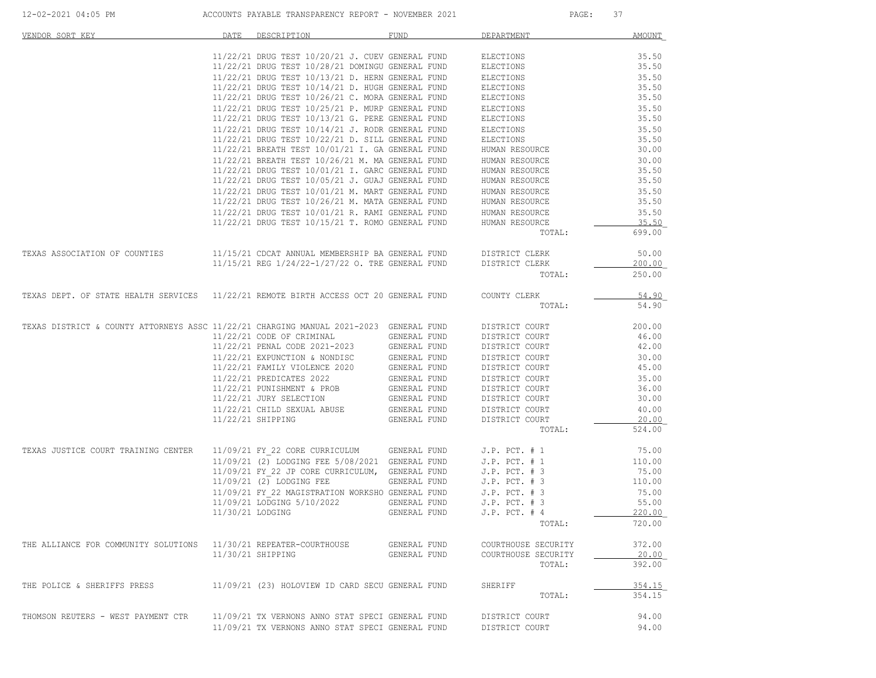| VENDOR SORT KEY                                                                        | DATE             | DESCRIPTION                                                                                          | <b>FUND</b>  | DEPARTMENT                       | <b>AMOUNT</b>  |
|----------------------------------------------------------------------------------------|------------------|------------------------------------------------------------------------------------------------------|--------------|----------------------------------|----------------|
|                                                                                        |                  | 11/22/21 DRUG TEST 10/20/21 J. CUEV GENERAL FUND                                                     |              | ELECTIONS                        | 35.50          |
|                                                                                        |                  | 11/22/21 DRUG TEST 10/28/21 DOMINGU GENERAL FUND                                                     |              | ELECTIONS                        | 35.50          |
|                                                                                        |                  | 11/22/21 DRUG TEST 10/13/21 D. HERN GENERAL FUND                                                     |              | ELECTIONS                        | 35.50          |
|                                                                                        |                  | 11/22/21 DRUG TEST 10/14/21 D. HUGH GENERAL FUND                                                     |              | ELECTIONS                        | 35.50          |
|                                                                                        |                  | 11/22/21 DRUG TEST 10/26/21 C. MORA GENERAL FUND                                                     |              | ELECTIONS                        | 35.50          |
|                                                                                        |                  | 11/22/21 DRUG TEST 10/25/21 P. MURP GENERAL FUND                                                     |              | ELECTIONS                        | 35.50          |
|                                                                                        |                  | 11/22/21 DRUG TEST 10/13/21 G. PERE GENERAL FUND                                                     |              | ELECTIONS                        | 35.50          |
|                                                                                        |                  | 11/22/21 DRUG TEST 10/14/21 J. RODR GENERAL FUND                                                     |              | ELECTIONS                        | 35.50          |
|                                                                                        |                  | 11/22/21 DRUG TEST 10/22/21 D. SILL GENERAL FUND                                                     |              | ELECTIONS                        | 35.50          |
|                                                                                        |                  | 11/22/21 BREATH TEST 10/01/21 I. GA GENERAL FUND                                                     |              | HUMAN RESOURCE                   | 30.00          |
|                                                                                        |                  | 11/22/21 BREATH TEST 10/26/21 M. MA GENERAL FUND                                                     |              | HUMAN RESOURCE                   | 30.00          |
|                                                                                        |                  | 11/22/21 DRUG TEST 10/01/21 I. GARC GENERAL FUND                                                     |              | HUMAN RESOURCE                   | 35.50          |
|                                                                                        |                  | 11/22/21 DRUG TEST 10/05/21 J. GUAJ GENERAL FUND                                                     |              | HUMAN RESOURCE                   | 35.50<br>35.50 |
|                                                                                        |                  | 11/22/21 DRUG TEST 10/01/21 M. MART GENERAL FUND<br>11/22/21 DRUG TEST 10/26/21 M. MATA GENERAL FUND |              | HUMAN RESOURCE<br>HUMAN RESOURCE | 35.50          |
|                                                                                        |                  | 11/22/21 DRUG TEST 10/01/21 R. RAMI GENERAL FUND                                                     |              |                                  | 35.50          |
|                                                                                        |                  | 11/22/21 DRUG TEST 10/15/21 T. ROMO GENERAL FUND                                                     |              | HUMAN RESOURCE<br>HUMAN RESOURCE | 35.50          |
|                                                                                        |                  |                                                                                                      |              | TOTAL:                           | 699.00         |
|                                                                                        |                  |                                                                                                      |              |                                  |                |
| TEXAS ASSOCIATION OF COUNTIES                                                          |                  | 11/15/21 CDCAT ANNUAL MEMBERSHIP BA GENERAL FUND                                                     |              | DISTRICT CLERK                   | 50.00          |
|                                                                                        |                  | 11/15/21 REG 1/24/22-1/27/22 O. TRE GENERAL FUND                                                     |              | DISTRICT CLERK                   | 200.00         |
|                                                                                        |                  |                                                                                                      |              | TOTAL:                           | 250.00         |
| TEXAS DEPT. OF STATE HEALTH SERVICES 11/22/21 REMOTE BIRTH ACCESS OCT 20 GENERAL FUND  |                  |                                                                                                      |              | COUNTY CLERK                     | 54.90          |
|                                                                                        |                  |                                                                                                      |              | TOTAL:                           | 54.90          |
| TEXAS DISTRICT & COUNTY ATTORNEYS ASSC 11/22/21 CHARGING MANUAL 2021-2023 GENERAL FUND |                  |                                                                                                      |              | DISTRICT COURT                   | 200.00         |
|                                                                                        |                  | 11/22/21 CODE OF CRIMINAL                                                                            | GENERAL FUND | DISTRICT COURT                   | 46.00          |
|                                                                                        |                  |                                                                                                      | GENERAL FUND | DISTRICT COURT                   | 42.00          |
|                                                                                        |                  | 11/22/21 PENAL CODE 2021-2023<br>11/22/21 EXPUNCTION & NONDISC<br>11/22/21 EXPUNCTION & NONDISC      | GENERAL FUND | DISTRICT COURT                   | 30.00          |
|                                                                                        |                  | 11/22/21 FAMILY VIOLENCE 2020                                                                        | GENERAL FUND | DISTRICT COURT                   | 45.00          |
|                                                                                        |                  | 11/22/21 PREDICATES 2022                                                                             | GENERAL FUND | DISTRICT COURT                   | 35.00          |
|                                                                                        |                  | 11/22/21 PUNISHMENT & PROB                                                                           | GENERAL FUND | DISTRICT COURT                   | 36.00          |
|                                                                                        |                  | 11/22/21 JURY SELECTION                                                                              | GENERAL FUND | DISTRICT COURT                   | 30.00          |
|                                                                                        |                  | 11/22/21 CHILD SEXUAL ABUSE                                                                          | GENERAL FUND | DISTRICT COURT                   | 40.00          |
|                                                                                        |                  | 11/22/21 SHIPPING                                                                                    | GENERAL FUND | DISTRICT COURT                   | 20.00          |
|                                                                                        |                  |                                                                                                      |              | TOTAL:                           | 524.00         |
| TEXAS JUSTICE COURT TRAINING CENTER                                                    |                  | 11/09/21 FY 22 CORE CURRICULUM GENERAL FUND                                                          |              | $J.P.$ PCT. $# 1$                | 75.00          |
|                                                                                        |                  | 11/09/21 (2) LODGING FEE 5/08/2021 GENERAL FUND                                                      |              | $J.P.$ PCT. $# 1$                | 110.00         |
|                                                                                        |                  | 11/09/21 FY 22 JP CORE CURRICULUM, GENERAL FUND                                                      |              | $J.P.$ PCT. $# 3$                | 75.00          |
|                                                                                        |                  | 11/09/21 (2) LODGING FEE                                                                             | GENERAL FUND | $J.P.$ PCT. $# 3$                | 110.00         |
|                                                                                        |                  | 11/09/21 FY 22 MAGISTRATION WORKSHO GENERAL FUND                                                     |              | $J.P.$ PCT. $# 3$                | 75.00          |
|                                                                                        |                  | 11/09/21 LODGING 5/10/2022                                                                           | GENERAL FUND | $J.P.$ PCT. $# 3$                | 55.00          |
|                                                                                        | 11/30/21 LODGING |                                                                                                      | GENERAL FUND | $J.P.$ PCT. $#4$                 | 220.00         |
|                                                                                        |                  |                                                                                                      |              | TOTAL:                           | 720.00         |
| THE ALLIANCE FOR COMMUNITY SOLUTIONS 11/30/21 REPEATER-COURTHOUSE                      |                  |                                                                                                      | GENERAL FUND | COURTHOUSE SECURITY              | 372.00         |
|                                                                                        |                  | 11/30/21 SHIPPING                                                                                    | GENERAL FUND | COURTHOUSE SECURITY              | 20.00          |
|                                                                                        |                  |                                                                                                      |              | TOTAL:                           | 392.00         |
| THE POLICE & SHERIFFS PRESS                                                            |                  | 11/09/21 (23) HOLOVIEW ID CARD SECU GENERAL FUND                                                     |              | SHERIFF                          | 354.15         |
|                                                                                        |                  |                                                                                                      |              | TOTAL:                           | 354.15         |
| THOMSON REUTERS - WEST PAYMENT CTR                                                     |                  | 11/09/21 TX VERNONS ANNO STAT SPECI GENERAL FUND                                                     |              | DISTRICT COURT                   | 94.00          |
|                                                                                        |                  | 11/09/21 TX VERNONS ANNO STAT SPECI GENERAL FUND                                                     |              | DISTRICT COURT                   | 94.00          |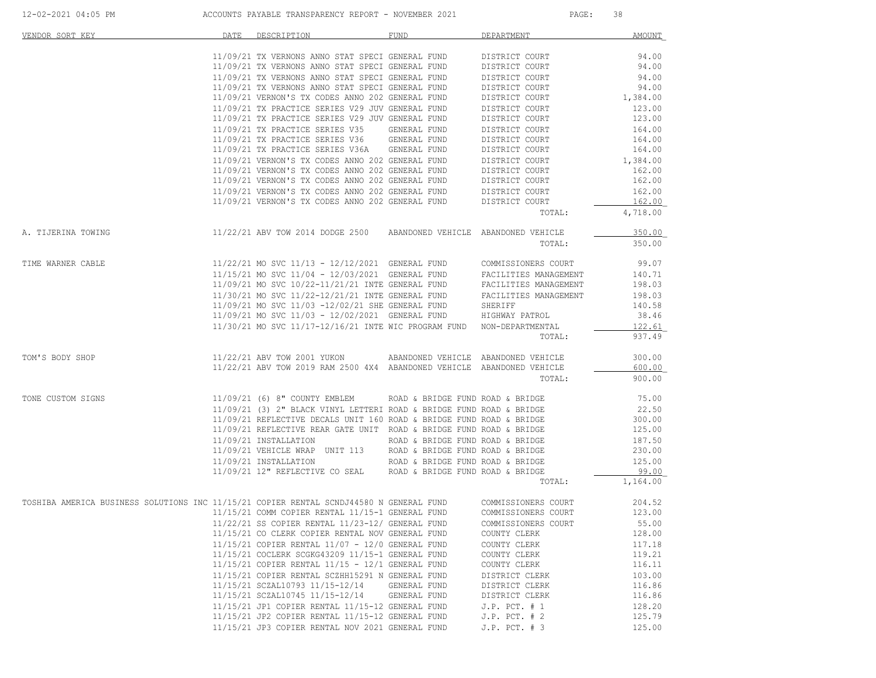| VENDOR SORT KEY                                                                         | DATE | DESCRIPTION                                                                                                    | <b>FUND</b>                      | DEPARTMENT                       | <b>AMOUNT</b>    |
|-----------------------------------------------------------------------------------------|------|----------------------------------------------------------------------------------------------------------------|----------------------------------|----------------------------------|------------------|
|                                                                                         |      | 11/09/21 TX VERNONS ANNO STAT SPECI GENERAL FUND                                                               |                                  | DISTRICT COURT                   | 94.00            |
|                                                                                         |      | 11/09/21 TX VERNONS ANNO STAT SPECI GENERAL FUND                                                               |                                  | DISTRICT COURT                   | 94.00            |
|                                                                                         |      | 11/09/21 TX VERNONS ANNO STAT SPECI GENERAL FUND                                                               |                                  | DISTRICT COURT                   | 94.00            |
|                                                                                         |      | 11/09/21 TX VERNONS ANNO STAT SPECI GENERAL FUND                                                               |                                  | DISTRICT COURT                   | 94.00            |
|                                                                                         |      | 11/09/21 VERNON'S TX CODES ANNO 202 GENERAL FUND                                                               |                                  | DISTRICT COURT<br>DISTRICT COURT | 1,384.00         |
|                                                                                         |      | 11/09/21 TX PRACTICE SERIES V29 JUV GENERAL FUND<br>11/09/21 TX PRACTICE SERIES V29 JUV GENERAL FUND           |                                  | DISTRICT COURT                   | 123.00<br>123.00 |
|                                                                                         |      | 11/09/21 TX PRACTICE SERIES V35                                                                                | GENERAL FUND                     | DISTRICT COURT                   | 164.00           |
|                                                                                         |      | 11/09/21 TX PRACTICE SERIES V36                                                                                | GENERAL FUND                     | DISTRICT COURT                   | 164.00           |
|                                                                                         |      | 11/09/21 TX PRACTICE SERIES V36A GENERAL FUND                                                                  |                                  | DISTRICT COURT                   | 164.00           |
|                                                                                         |      | 11/09/21 VERNON'S TX CODES ANNO 202 GENERAL FUND                                                               |                                  | DISTRICT COURT                   | 1,384.00         |
|                                                                                         |      | 11/09/21 VERNON'S TX CODES ANNO 202 GENERAL FUND                                                               |                                  | DISTRICT COURT                   | 162.00           |
|                                                                                         |      | 11/09/21 VERNON'S TX CODES ANNO 202 GENERAL FUND                                                               |                                  | DISTRICT COURT                   | 162.00           |
|                                                                                         |      | 11/09/21 VERNON'S TX CODES ANNO 202 GENERAL FUND<br>11/09/21 VERNON'S TX CODES ANNO 202 GENERAL FUND           |                                  | DISTRICT COURT<br>DISTRICT COURT | 162.00<br>162.00 |
|                                                                                         |      |                                                                                                                |                                  | TOTAL:                           | 4,718.00         |
|                                                                                         |      |                                                                                                                |                                  |                                  | 350.00           |
| A. TIJERINA TOWING                                                                      |      | 11/22/21 ABV TOW 2014 DODGE 2500 ABANDONED VEHICLE ABANDONED VEHICLE                                           |                                  | TOTAL:                           | 350.00           |
|                                                                                         |      |                                                                                                                |                                  |                                  |                  |
| TIME WARNER CABLE                                                                       |      |                                                                                                                |                                  | COMMISSIONERS COURT              | 99.07            |
|                                                                                         |      | 11/22/21 MO SVC 11/15 - 12/12/2021 GENERAL FUND<br>11/15/21 MO SVC 11/04 - 12/03/2021 GENERAL FUND             |                                  | FACILITIES MANAGEMENT            | 140.71           |
|                                                                                         |      | 11/09/21 MO SVC 10/22-11/21/21 INTE GENERAL FUND                                                               |                                  | FACILITIES MANAGEMENT            | 198.03           |
|                                                                                         |      | $11/30/21$ MO SVC $11/22-12/21/21$ INTE GENERAL FUND<br>$11/09/21$ MO SVC $11/03$ $-12/02/21$ SHE GENERAL FUND |                                  | FACILITIES MANAGEMENT<br>SHERIFF | 198.03<br>140.58 |
|                                                                                         |      | 11/09/21 MO SVC 11/03 - 12/02/2021 GENERAL FUND HIGHWAY PATROL                                                 |                                  |                                  | 38.46            |
|                                                                                         |      | $11/30/21$ MO SVC $11/17-12/16/21$ INTE WIC PROGRAM FUND NON-DEPARTMENTAL                                      |                                  |                                  | 122.61           |
|                                                                                         |      |                                                                                                                |                                  | TOTAL:                           | 937.49           |
| TOM'S BODY SHOP                                                                         |      | 11/22/21 ABV TOW 2001 YUKON ABANDONED VEHICLE ABANDONED VEHICLE                                                |                                  |                                  | 300.00           |
|                                                                                         |      | 11/22/21 ABV TOW 2019 RAM 2500 4X4 ABANDONED VEHICLE ABANDONED VEHICLE                                         |                                  |                                  | 600.00           |
|                                                                                         |      |                                                                                                                |                                  | TOTAL:                           | 900.00           |
| TONE CUSTOM SIGNS                                                                       |      | $11/09/21$ (6) 8" COUNTY EMBLEM ROAD & BRIDGE FUND ROAD & BRIDGE                                               |                                  |                                  | 75.00            |
|                                                                                         |      | 11/09/21 (3) 2" BLACK VINYL LETTERI ROAD & BRIDGE FUND ROAD & BRIDGE                                           |                                  |                                  | 22.50            |
|                                                                                         |      | 11/09/21 REFLECTIVE DECALS UNIT 160 ROAD & BRIDGE FUND ROAD & BRIDGE                                           |                                  |                                  | 300.00           |
|                                                                                         |      | 11/09/21 REFLECTIVE REAR GATE UNIT ROAD & BRIDGE FUND ROAD & BRIDGE                                            |                                  |                                  | 125.00           |
|                                                                                         |      | 11/09/21 INSTALLATION<br>$11/09/21$ VEHICLE WRAP UNIT 113 ROAD & BRIDGE FUND ROAD & BRIDGE                     | ROAD & BRIDGE FUND ROAD & BRIDGE |                                  | 187.50<br>230.00 |
|                                                                                         |      | 11/09/21 INSTALLATION                                                                                          | ROAD & BRIDGE FUND ROAD & BRIDGE |                                  | 125.00           |
|                                                                                         |      | 11/09/21 12" REFLECTIVE CO SEAL ROAD & BRIDGE FUND ROAD & BRIDGE                                               |                                  |                                  | 99.00            |
|                                                                                         |      |                                                                                                                |                                  | TOTAL:                           | 1,164.00         |
| TOSHIBA AMERICA BUSINESS SOLUTIONS INC 11/15/21 COPIER RENTAL SCNDJ44580 N GENERAL FUND |      |                                                                                                                |                                  | COMMISSIONERS COURT              | 204.52           |
|                                                                                         |      | 11/15/21 COMM COPIER RENTAL 11/15-1 GENERAL FUND                                                               |                                  | COMMISSIONERS COURT              | 123.00           |
|                                                                                         |      | 11/22/21 SS COPIER RENTAL 11/23-12/ GENERAL FUND                                                               |                                  | COMMISSIONERS COURT              | 55.00            |
|                                                                                         |      | 11/15/21 CO CLERK COPIER RENTAL NOV GENERAL FUND                                                               |                                  | COUNTY CLERK                     | 128.00           |
|                                                                                         |      | 11/15/21 COPIER RENTAL 11/07 - 12/0 GENERAL FUND                                                               |                                  | COUNTY CLERK                     | 117.18           |
|                                                                                         |      | 11/15/21 COCLERK SCGKG43209 11/15-1 GENERAL FUND<br>$11/15/21$ COPIER RENTAL $11/15$ - $12/1$ GENERAL FUND     |                                  | COUNTY CLERK<br>COUNTY CLERK     | 119.21<br>116.11 |
|                                                                                         |      | 11/15/21 COPIER RENTAL SCZHH15291 N GENERAL FUND                                                               |                                  | DISTRICT CLERK                   | 103.00           |
|                                                                                         |      | 11/15/21 SCZAL10793 11/15-12/14                                                                                | GENERAL FUND                     | DISTRICT CLERK                   | 116.86           |
|                                                                                         |      | 11/15/21 SCZAL10745 11/15-12/14                                                                                | GENERAL FUND                     | DISTRICT CLERK                   | 116.86           |
|                                                                                         |      | 11/15/21 JP1 COPIER RENTAL 11/15-12 GENERAL FUND                                                               |                                  | $J.P.$ PCT. $# 1$                | 128.20           |
|                                                                                         |      | 11/15/21 JP2 COPIER RENTAL 11/15-12 GENERAL FUND                                                               |                                  | $J.P.$ PCT. $# 2$                | 125.79           |
|                                                                                         |      | 11/15/21 JP3 COPIER RENTAL NOV 2021 GENERAL FUND                                                               |                                  | $J.P.$ PCT. $# 3$                | 125.00           |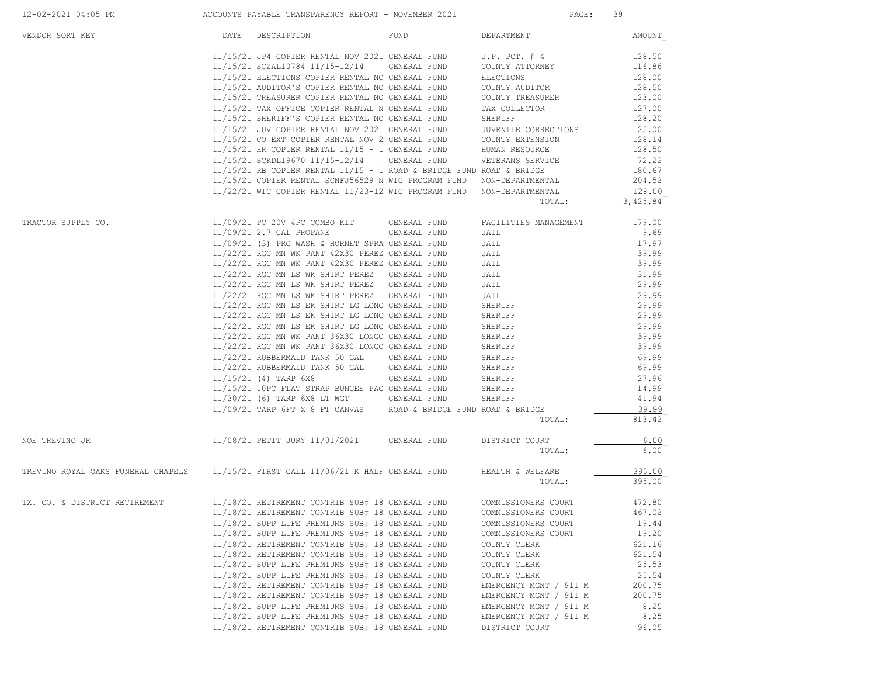| VENDOR SORT KEY                                                                     | DATE | DESCRIPTION                                                                                          | FUND         | DEPARTMENT                          | AMOUNT           |
|-------------------------------------------------------------------------------------|------|------------------------------------------------------------------------------------------------------|--------------|-------------------------------------|------------------|
|                                                                                     |      | 11/15/21 JP4 COPIER RENTAL NOV 2021 GENERAL FUND<br>11/15/21 SCZAL10784 11/15-12/14 GENERAL FUND     |              | $J.P.$ PCT. $#4$<br>COUNTY ATTORNEY | 128.50<br>116.86 |
|                                                                                     |      | 11/15/21 ELECTIONS COPIER RENTAL NO GENERAL FUND                                                     |              | ELECTIONS                           | 128.00           |
|                                                                                     |      | 11/15/21 AUDITOR'S COPIER RENTAL NO GENERAL FUND                                                     |              | COUNTY AUDITOR                      | 128.50           |
|                                                                                     |      | 11/15/21 TREASURER COPIER RENTAL NO GENERAL FUND                                                     |              | COUNTY TREASURER                    | 123.00           |
|                                                                                     |      | 11/15/21 TAX OFFICE COPIER RENTAL N GENERAL FUND                                                     |              | TAX COLLECTOR                       | 127.00           |
|                                                                                     |      | 11/15/21 SHERIFF'S COPIER RENTAL NO GENERAL FUND                                                     |              | SHERIFF                             | 128.20           |
|                                                                                     |      | 11/15/21 JUV COPIER RENTAL NOV 2021 GENERAL FUND                                                     |              | JUVENILE CORRECTIONS                | 125.00           |
|                                                                                     |      | 11/15/21 CO EXT COPIER RENTAL NOV 2 GENERAL FUND                                                     |              | COUNTY EXTENSION                    | 128.14           |
|                                                                                     |      | $11/15/21$ HR COPIER RENTAL $11/15$ - 1 GENERAL FUND                                                 |              | HUMAN RESOURCE                      | 128.50           |
|                                                                                     |      | 11/15/21 SCKDL19670 11/15-12/14                                                                      | GENERAL FUND | VETERANS SERVICE                    | 72.22            |
|                                                                                     |      | $11/15/21$ RB COPIER RENTAL $11/15$ - 1 ROAD & BRIDGE FUND ROAD & BRIDGE                             |              |                                     | 180.67           |
|                                                                                     |      | 11/15/21 COPIER RENTAL SCNFJ56529 N WIC PROGRAM FUND NON-DEPARTMENTAL                                |              |                                     | 204.52           |
|                                                                                     |      | $11/22/21$ WIC COPIER RENTAL $11/23-12$ WIC PROGRAM FUND                                             |              | NON-DEPARTMENTAL                    | 128.00           |
|                                                                                     |      |                                                                                                      |              | TOTAL:                              | 3,425.84         |
| TRACTOR SUPPLY CO.                                                                  |      | 11/09/21 PC 20V 4PC COMBO KIT                                                                        | GENERAL FUND | FACILITIES MANAGEMENT               | 179.00           |
|                                                                                     |      | 11/09/21 2.7 GAL PROPANE                                                                             | GENERAL FUND | JAIL                                | 9.69             |
|                                                                                     |      | 11/09/21 (3) PRO WASH & HORNET SPRA GENERAL FUND                                                     |              | JAIL                                | 17.97            |
|                                                                                     |      | 11/22/21 RGC MN WK PANT 42X30 PEREZ GENERAL FUND                                                     |              | JAIL                                | 39.99            |
|                                                                                     |      | 11/22/21 RGC MN WK PANT 42X30 PEREZ GENERAL FUND                                                     |              | JAIL                                | 39.99            |
|                                                                                     |      | 11/22/21 RGC MN LS WK SHIRT PEREZ GENERAL FUND                                                       |              | JAIL                                | 31.99            |
|                                                                                     |      | 11/22/21 RGC MN LS WK SHIRT PEREZ GENERAL FUND                                                       |              | JAIL                                | 29.99            |
|                                                                                     |      | 11/22/21 RGC MN LS WK SHIRT PEREZ GENERAL FUND                                                       |              | JAIL                                | 29.99            |
|                                                                                     |      | 11/22/21 RGC MN LS EK SHIRT LG LONG GENERAL FUND<br>11/22/21 RGC MN LS EK SHIRT LG LONG GENERAL FUND |              | SHERIFF                             | 29.99            |
|                                                                                     |      |                                                                                                      |              | SHERIFF                             | 29.99            |
|                                                                                     |      | 11/22/21 RGC MN LS EK SHIRT LG LONG GENERAL FUND<br>11/22/21 RGC MN WK PANT 36X30 LONGO GENERAL FUND |              | SHERIFF                             | 29.99<br>39.99   |
|                                                                                     |      | 11/22/21 RGC MN WK PANT 36X30 LONGO GENERAL FUND                                                     |              | SHERIFF<br>SHERIFF                  | 39.99            |
|                                                                                     |      | 11/22/21 RUBBERMAID TANK 50 GAL GENERAL FUND                                                         |              | SHERIFF                             | 69.99            |
|                                                                                     |      | 11/22/21 RUBBERMAID TANK 50 GAL GENERAL FUND                                                         |              | SHERIFF                             | 69.99            |
|                                                                                     |      | 11/15/21 (4) TARP 6X8                                                                                | GENERAL FUND | SHERIFF                             | 27.96            |
|                                                                                     |      | 11/15/21 10PC FLAT STRAP BUNGEE PAC GENERAL FUND                                                     |              | SHERIFF                             | 14.99            |
|                                                                                     |      | 11/30/21 (6) TARP 6X8 LT WGT GENERAL FUND                                                            |              | SHERIFF                             | 41.94            |
|                                                                                     |      | 11/09/21 TARP 6FT X 8 FT CANVAS ROAD & BRIDGE FUND ROAD & BRIDGE                                     |              |                                     | 39.99            |
|                                                                                     |      |                                                                                                      |              | TOTAL:                              | 813.42           |
| NOE TREVINO JR                                                                      |      | 11/08/21 PETIT JURY 11/01/2021 GENERAL FUND                                                          |              | DISTRICT COURT                      | 6.00             |
|                                                                                     |      |                                                                                                      |              | TOTAL:                              | 6.00             |
| TREVINO ROYAL OAKS FUNERAL CHAPELS 11/15/21 FIRST CALL 11/06/21 K HALF GENERAL FUND |      |                                                                                                      |              | HEALTH & WELFARE                    | 395.00           |
|                                                                                     |      |                                                                                                      |              | TOTAL:                              | 395.00           |
| TX. CO. & DISTRICT RETIREMENT                                                       |      | 11/18/21 RETIREMENT CONTRIB SUB# 18 GENERAL FUND                                                     |              | COMMISSIONERS COURT                 | 472.80           |
|                                                                                     |      | 11/18/21 RETIREMENT CONTRIB SUB# 18 GENERAL FUND                                                     |              | COMMISSIONERS COURT                 | 467.02           |
|                                                                                     |      | 11/18/21 SUPP LIFE PREMIUMS SUB# 18 GENERAL FUND                                                     |              | COMMISSIONERS COURT                 | 19.44            |
|                                                                                     |      | 11/18/21 SUPP LIFE PREMIUMS SUB# 18 GENERAL FUND                                                     |              | COMMISSIONERS COURT                 | 19.20            |
|                                                                                     |      | 11/18/21 RETIREMENT CONTRIB SUB# 18 GENERAL FUND                                                     |              | COUNTY CLERK                        | 621.16           |
|                                                                                     |      | 11/18/21 RETIREMENT CONTRIB SUB# 18 GENERAL FUND                                                     |              | COUNTY CLERK                        | 621.54           |
|                                                                                     |      | 11/18/21 SUPP LIFE PREMIUMS SUB# 18 GENERAL FUND                                                     |              | COUNTY CLERK                        | 25.53            |
|                                                                                     |      | 11/18/21 SUPP LIFE PREMIUMS SUB# 18 GENERAL FUND                                                     |              | COUNTY CLERK                        | 25.54            |
|                                                                                     |      | 11/18/21 RETIREMENT CONTRIB SUB# 18 GENERAL FUND                                                     |              | EMERGENCY MGNT / 911 M              | 200.75           |
|                                                                                     |      | 11/18/21 RETIREMENT CONTRIB SUB# 18 GENERAL FUND                                                     |              | EMERGENCY MGNT / 911 M              | 200.75           |
|                                                                                     |      | 11/18/21 SUPP LIFE PREMIUMS SUB# 18 GENERAL FUND                                                     |              | EMERGENCY MGNT / 911 M              | 8.25             |
|                                                                                     |      | 11/18/21 SUPP LIFE PREMIUMS SUB# 18 GENERAL FUND                                                     |              | EMERGENCY MGNT / 911 M              | 8.25             |
|                                                                                     |      | 11/18/21 RETIREMENT CONTRIB SUB# 18 GENERAL FUND                                                     |              | DISTRICT COURT                      | 96.05            |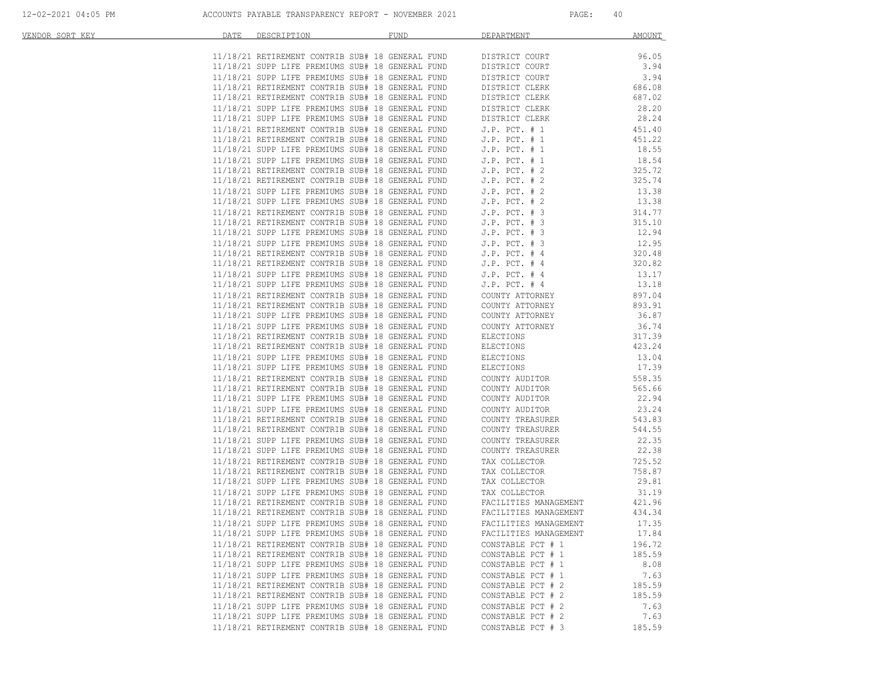| VENDOR SORT KEY | DATE | DESCRIPTION                                                                                          | <b>FUND</b> | DEPARTMENT                           | AMOUNT          |
|-----------------|------|------------------------------------------------------------------------------------------------------|-------------|--------------------------------------|-----------------|
|                 |      |                                                                                                      |             |                                      |                 |
|                 |      | 11/18/21 RETIREMENT CONTRIB SUB# 18 GENERAL FUND<br>בית המוזים החווה היום בשם השידו המוזי            |             | DISTRICT COURT                       | 96.05           |
|                 |      | 11/18/21 SUPP LIFE PREMIUMS SUB# 18 GENERAL FUND                                                     |             | DISTRICT COURT                       | 3.94            |
|                 |      | 11/18/21 SUPP LIFE PREMIUMS SUB# 18 GENERAL FUND                                                     |             | DISTRICT COURT                       | 3.94            |
|                 |      | 11/18/21 RETIREMENT CONTRIB SUB# 18 GENERAL FUND                                                     |             | DISTRICT CLERK                       | 686.08          |
|                 |      | 11/18/21 RETIREMENT CONTRIB SUB# 18 GENERAL FUND                                                     |             | DISTRICT CLERK                       | 687.02          |
|                 |      | 11/18/21 SUPP LIFE PREMIUMS SUB# 18 GENERAL FUND                                                     |             | DISTRICT CLERK                       | 28.20           |
|                 |      | 11/18/21 SUPP LIFE PREMIUMS SUB# 18 GENERAL FUND                                                     |             | DISTRICT CLERK                       | 28.24           |
|                 |      | 11/18/21 RETIREMENT CONTRIB SUB# 18 GENERAL FUND                                                     |             | $J.P.$ PCT. $# 1$                    | 451.40          |
|                 |      | 11/18/21 RETIREMENT CONTRIB SUB# 18 GENERAL FUND                                                     |             | $J.P.$ PCT. $# 1$                    | 451.22          |
|                 |      | 11/18/21 SUPP LIFE PREMIUMS SUB# 18 GENERAL FUND                                                     |             | $J.P.$ PCT. $# 1$                    | 18.55           |
|                 |      | 11/18/21 SUPP LIFE PREMIUMS SUB# 18 GENERAL FUND                                                     |             | $J.P.$ PCT. $# 1$                    | 18.54           |
|                 |      | 11/18/21 RETIREMENT CONTRIB SUB# 18 GENERAL FUND                                                     |             | $J.P.$ PCT. $# 2$                    | 325.72          |
|                 |      | 11/18/21 RETIREMENT CONTRIB SUB# 18 GENERAL FUND                                                     |             | $J.P.$ PCT. $# 2$                    | 325.74          |
|                 |      | 11/18/21 SUPP LIFE PREMIUMS SUB# 18 GENERAL FUND                                                     |             | $J.P.$ PCT. $# 2$                    | 13.38           |
|                 |      | 11/18/21 SUPP LIFE PREMIUMS SUB# 18 GENERAL FUND                                                     |             | $J.P.$ PCT. $# 2$                    | 13.38           |
|                 |      | 11/18/21 RETIREMENT CONTRIB SUB# 18 GENERAL FUND                                                     |             | $J.P.$ PCT. $# 3$                    | 314.77          |
|                 |      | 11/18/21 RETIREMENT CONTRIB SUB# 18 GENERAL FUND                                                     |             | $J.P.$ PCT. $# 3$                    | 315.10          |
|                 |      | 11/18/21 SUPP LIFE PREMIUMS SUB# 18 GENERAL FUND                                                     |             | $J.P.$ PCT. $# 3$                    | 12.94           |
|                 |      | 11/18/21 SUPP LIFE PREMIUMS SUB# 18 GENERAL FUND                                                     |             | $J.P.$ PCT. $# 3$                    | 12.95           |
|                 |      | 11/18/21 RETIREMENT CONTRIB SUB# 18 GENERAL FUND                                                     |             | $J.P.$ PCT. $#4$                     | 320.48          |
|                 |      | 11/18/21 RETIREMENT CONTRIB SUB# 18 GENERAL FUND                                                     |             | $J.P.$ PCT. $#4$                     | 320.82          |
|                 |      | 11/18/21 SUPP LIFE PREMIUMS SUB# 18 GENERAL FUND                                                     |             | $J.P.$ PCT. $#4$                     | 13.17           |
|                 |      | 11/18/21 SUPP LIFE PREMIUMS SUB# 18 GENERAL FUND                                                     |             | $J.P.$ PCT. $#4$                     | 13.18           |
|                 |      | 11/18/21 RETIREMENT CONTRIB SUB# 18 GENERAL FUND                                                     |             | COUNTY ATTORNEY                      | 897.04          |
|                 |      | 11/18/21 RETIREMENT CONTRIB SUB# 18 GENERAL FUND                                                     |             | COUNTY ATTORNEY                      | 893.91          |
|                 |      | 11/18/21 SUPP LIFE PREMIUMS SUB# 18 GENERAL FUND                                                     |             | COUNTY ATTORNEY                      | 36.87           |
|                 |      | 11/18/21 SUPP LIFE PREMIUMS SUB# 18 GENERAL FUND                                                     |             | COUNTY ATTORNEY                      | 36.74           |
|                 |      | 11/18/21 RETIREMENT CONTRIB SUB# 18 GENERAL FUND                                                     |             | ELECTIONS                            | 317.39          |
|                 |      | 11/18/21 RETIREMENT CONTRIB SUB# 18 GENERAL FUND                                                     |             | ELECTIONS                            | 423.24          |
|                 |      | 11/18/21 SUPP LIFE PREMIUMS SUB# 18 GENERAL FUND                                                     |             | ELECTIONS                            | 13.04           |
|                 |      | 11/18/21 SUPP LIFE PREMIUMS SUB# 18 GENERAL FUND                                                     |             | ELECTIONS                            | 17.39           |
|                 |      | 11/18/21 RETIREMENT CONTRIB SUB# 18 GENERAL FUND                                                     |             | COUNTY AUDITOR                       | 558.35          |
|                 |      | 11/18/21 RETIREMENT CONTRIB SUB# 18 GENERAL FUND<br>11/18/21 SUPP LIFE PREMIUMS SUB# 18 GENERAL FUND |             | COUNTY AUDITOR                       | 565.66<br>22.94 |
|                 |      |                                                                                                      |             | COUNTY AUDITOR                       | 23.24           |
|                 |      | 11/18/21 SUPP LIFE PREMIUMS SUB# 18 GENERAL FUND<br>11/18/21 RETIREMENT CONTRIB SUB# 18 GENERAL FUND |             | COUNTY AUDITOR                       | 543.83          |
|                 |      | 11/18/21 RETIREMENT CONTRIB SUB# 18 GENERAL FUND                                                     |             | COUNTY TREASURER<br>COUNTY TREASURER | 544.55          |
|                 |      | 11/18/21 SUPP LIFE PREMIUMS SUB# 18 GENERAL FUND                                                     |             | COUNTY TREASURER                     | 22.35           |
|                 |      | 11/18/21 SUPP LIFE PREMIUMS SUB# 18 GENERAL FUND                                                     |             | COUNTY TREASURER                     | 22.38           |
|                 |      | 11/18/21 RETIREMENT CONTRIB SUB# 18 GENERAL FUND                                                     |             | TAX COLLECTOR                        | 725.52          |
|                 |      | 11/18/21 RETIREMENT CONTRIB SUB# 18 GENERAL FUND                                                     |             | TAX COLLECTOR                        | 758.87          |
|                 |      | 11/18/21 SUPP LIFE PREMIUMS SUB# 18 GENERAL FUND                                                     |             | TAX COLLECTOR                        | 29.81           |
|                 |      | 11/18/21 SUPP LIFE PREMIUMS SUB# 18 GENERAL FUND                                                     |             | TAX COLLECTOR                        | 31.19           |
|                 |      | 11/18/21 RETIREMENT CONTRIB SUB# 18 GENERAL FUND                                                     |             | FACILITIES MANAGEMENT                | 421.96          |
|                 |      | 11/18/21 RETIREMENT CONTRIB SUB# 18 GENERAL FUND                                                     |             | FACILITIES MANAGEMENT                | 434.34          |
|                 |      | 11/18/21 SUPP LIFE PREMIUMS SUB# 18 GENERAL FUND                                                     |             | FACILITIES MANAGEMENT                | 17.35           |
|                 |      | 11/18/21 SUPP LIFE PREMIUMS SUB# 18 GENERAL FUND                                                     |             | FACILITIES MANAGEMENT                | 17.84           |
|                 |      | 11/18/21 RETIREMENT CONTRIB SUB# 18 GENERAL FUND                                                     |             | CONSTABLE PCT # 1                    | 196.72          |
|                 |      | 11/18/21 RETIREMENT CONTRIB SUB# 18 GENERAL FUND                                                     |             | CONSTABLE PCT # 1                    | 185.59          |
|                 |      | 11/18/21 SUPP LIFE PREMIUMS SUB# 18 GENERAL FUND                                                     |             | CONSTABLE PCT # 1                    | 8.08            |
|                 |      | 11/18/21 SUPP LIFE PREMIUMS SUB# 18 GENERAL FUND                                                     |             | CONSTABLE PCT # 1                    | 7.63            |
|                 |      | 11/18/21 RETIREMENT CONTRIB SUB# 18 GENERAL FUND                                                     |             | CONSTABLE PCT # 2                    | 185.59          |
|                 |      | 11/18/21 RETIREMENT CONTRIB SUB# 18 GENERAL FUND                                                     |             | CONSTABLE PCT # 2                    | 185.59          |
|                 |      | 11/18/21 SUPP LIFE PREMIUMS SUB# 18 GENERAL FUND                                                     |             | CONSTABLE PCT # 2                    | 7.63            |
|                 |      | 11/18/21 SUPP LIFE PREMIUMS SUB# 18 GENERAL FUND                                                     |             | CONSTABLE PCT # 2                    | 7.63            |
|                 |      | 11/18/21 RETIREMENT CONTRIB SUB# 18 GENERAL FUND                                                     |             | CONSTABLE PCT # 3                    | 185.59          |
|                 |      |                                                                                                      |             |                                      |                 |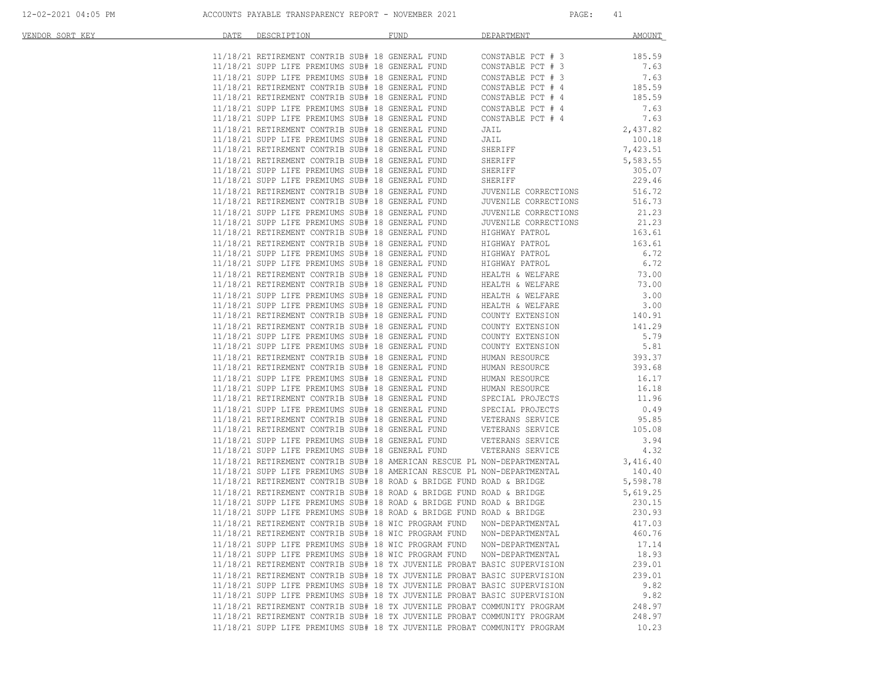| VENDOR SORT KEY | DATE DESCRIPTION                                                                                                                                                                                                                        | FUND | DEPARTMENT                                                            | <b>AMOUNT</b>        |
|-----------------|-----------------------------------------------------------------------------------------------------------------------------------------------------------------------------------------------------------------------------------------|------|-----------------------------------------------------------------------|----------------------|
|                 |                                                                                                                                                                                                                                         |      | CONSTABLE PCT # 3                                                     | 185.59               |
|                 | 11/18/21 RETIREMENT CONTRIB SUB# 18 GENERAL FUND<br>11/12/21 SUPP LIFE PREMIUMS SUB# 18 GENERAL FUND                                                                                                                                    |      |                                                                       |                      |
|                 | 11/18/21 SUPP LIFE PREMIUMS SUB# 18 GENERAL FUND                                                                                                                                                                                        |      | CONSTABLE PCT # 3                                                     | 7.63                 |
|                 | 11/18/21 SUPP LIFE PREMIUMS SUB# 18 GENERAL FUND                                                                                                                                                                                        |      | CONSTABLE PCT # 3                                                     | 7.63                 |
|                 | 11/18/21 RETIREMENT CONTRIB SUB# 18 GENERAL FUND                                                                                                                                                                                        |      | CONSTABLE PCT # 4                                                     | 185.59               |
|                 | 11/18/21 RETIREMENT CONTRIB SUB# 18 GENERAL FUND                                                                                                                                                                                        |      | CONSTABLE PCT # 4                                                     | 185.59               |
|                 | 11/18/21 SUPP LIFE PREMIUMS SUB# 18 GENERAL FUND                                                                                                                                                                                        |      | CONSTABLE PCT # 4<br>CONSTABLE PCT # 4                                | 7.63                 |
|                 | 11/18/21 SUPP LIFE PREMIUMS SUB# 18 GENERAL FUND                                                                                                                                                                                        |      |                                                                       | 7.63                 |
|                 | 11/18/21 RETIREMENT CONTRIB SUB# 18 GENERAL FUND                                                                                                                                                                                        |      | JAIL                                                                  | 2,437.82             |
|                 | 11/18/21 SUPP LIFE PREMIUMS SUB# 18 GENERAL FUND                                                                                                                                                                                        |      | JAIL                                                                  | 100.18               |
|                 | 11/18/21 RETIREMENT CONTRIB SUB# 18 GENERAL FUND                                                                                                                                                                                        |      | SHERIFF                                                               | 7,423.51             |
|                 | 11/18/21 RETIREMENT CONTRIB SUB# 18 GENERAL FUND                                                                                                                                                                                        |      | SHERIFF                                                               | 5,583.55             |
|                 | 11/18/21 SUPP LIFE PREMIUMS SUB# 18 GENERAL FUND                                                                                                                                                                                        |      | SILER<br>SHERIFF<br>SHERIFF                                           | 305.07               |
|                 | 11/18/21 SUPP LIFE PREMIUMS SUB# 18 GENERAL FUND                                                                                                                                                                                        |      |                                                                       | 229.46               |
|                 | 11/18/21 RETIREMENT CONTRIB SUB# 18 GENERAL FUND                                                                                                                                                                                        |      | JUVENILE CORRECTIONS                                                  | 516.72               |
|                 | 11/18/21 RETIREMENT CONTRIB SUB# 18 GENERAL FUND                                                                                                                                                                                        |      | JUVENILE CORRECTIONS                                                  | 516.73               |
|                 | 11/18/21 SUPP LIFE PREMIUMS SUB# 18 GENERAL FUND                                                                                                                                                                                        |      | JUVENILE CORRECTIONS                                                  | 21.23                |
|                 | 11/18/21 SUPP LIFE PREMIUMS SUB# 18 GENERAL FUND                                                                                                                                                                                        |      | JUVENILE CORRECTIONS                                                  | 21.23                |
|                 | 11/18/21 RETIREMENT CONTRIB SUB# 18 GENERAL FUND                                                                                                                                                                                        |      | HIGHWAY PATROL                                                        | 163.61               |
|                 | 11/18/21 RETIREMENT CONTRIB SUB# 18 GENERAL FUND                                                                                                                                                                                        |      | HIGHWAY PATROL                                                        | 163.61               |
|                 | 11/18/21 SUPP LIFE PREMIUMS SUB# 18 GENERAL FUND                                                                                                                                                                                        |      | HIGHWAY PATROL                                                        | 6.72                 |
|                 | 11/18/21 SUPP LIFE PREMIUMS SUB# 18 GENERAL FUND                                                                                                                                                                                        |      | HIGHWAY PATROL                                                        | 6.72                 |
|                 | 11/18/21 RETIREMENT CONTRIB SUB# 18 GENERAL FUND                                                                                                                                                                                        |      | HEALTH & WELFARE                                                      | 73.00                |
|                 | 11/18/21 RETIREMENT CONTRIB SUB# 18 GENERAL FUND                                                                                                                                                                                        |      | HEALTH & WELFARE                                                      | 73.00                |
|                 | 11/18/21 SUPP LIFE PREMIUMS SUB# 18 GENERAL FUND                                                                                                                                                                                        |      | HEALTH & WELFARE                                                      | 3.00                 |
|                 | 11/18/21 SUPP LIFE PREMIUMS SUB# 18 GENERAL FUND                                                                                                                                                                                        |      | HEALTH & WELFARE                                                      | 3.00                 |
|                 | 11/18/21 RETIREMENT CONTRIB SUB# 18 GENERAL FUND                                                                                                                                                                                        |      | COUNTY EXTENSION                                                      | 140.91               |
|                 | 11/18/21 RETIREMENT CONTRIB SUB# 18 GENERAL FUND                                                                                                                                                                                        |      | COUNTY EXTENSION                                                      | 141.29               |
|                 | 11/18/21 SUPP LIFE PREMIUMS SUB# 18 GENERAL FUND                                                                                                                                                                                        |      | COUNTY EXTENSION                                                      | 5.79                 |
|                 | 11/18/21 SUPP LIFE PREMIUMS SUB# 18 GENERAL FUND                                                                                                                                                                                        |      | COUNTY EXTENSION                                                      | 5.81                 |
|                 | 11/18/21 RETIREMENT CONTRIB SUB# 18 GENERAL FUND                                                                                                                                                                                        |      | HUMAN RESOURCE                                                        | 393.37               |
|                 | 11/18/21 RETIREMENT CONTRIB SUB# 18 GENERAL FUND                                                                                                                                                                                        |      | HUMAN RESOURCE                                                        | 393.68               |
|                 |                                                                                                                                                                                                                                         |      |                                                                       |                      |
|                 | 11/18/21 SUPP LIFE PREMIUMS SUB# 18 GENERAL FUND                                                                                                                                                                                        |      | HUMAN RESOURCE                                                        | 16.17                |
|                 | 11/18/21 SUPP LIFE PREMIUMS SUB# 18 GENERAL FUND                                                                                                                                                                                        |      | HUMAN RESOURCE                                                        | 16.18                |
|                 | 11/18/21 RETIREMENT CONTRIB SUB# 18 GENERAL FUND                                                                                                                                                                                        |      | SPECIAL PROJECTS                                                      | 11.96                |
|                 | 1/18/21 SUPP LIFE PREMIUMS SUB# 18 GENERAL FUND SPECIAL PROJECTS<br>11/18/21 RETIREMENT CONTRIB SUB# 18 GENERAL FUND VETERANS SERVICE<br>11/18/21 RETIREMENT CONTRIB SUB# 18 GENERAL FUND VETERANS SERVICE<br>11/18/21 SUPP LIFE PREMIU |      |                                                                       | 0.49                 |
|                 |                                                                                                                                                                                                                                         |      |                                                                       | 95.85                |
|                 |                                                                                                                                                                                                                                         |      |                                                                       | 105.08               |
|                 |                                                                                                                                                                                                                                         |      |                                                                       | 3.94                 |
|                 |                                                                                                                                                                                                                                         |      |                                                                       | 4.32                 |
|                 | 11/18/21 RETIREMENT CONTRIB SUB# 18 AMERICAN RESCUE PL NON-DEPARTMENTAL<br>11/18/21 SUPP LIFE PREMIUMS SUB# 18 AMERICAN RESCUE PL NON-DEPARTMENTAL                                                                                      |      |                                                                       | 3,416.40             |
|                 |                                                                                                                                                                                                                                         |      |                                                                       | 140.40               |
|                 | 11/18/21 RETIREMENT CONTRIB SUB# 18 ROAD & BRIDGE FUND ROAD & BRIDGE                                                                                                                                                                    |      |                                                                       | 5,598.78<br>5,619.25 |
|                 | 11/18/21 RETIREMENT CONTRIB SUB# 18 ROAD & BRIDGE FUND ROAD & BRIDGE                                                                                                                                                                    |      |                                                                       |                      |
|                 |                                                                                                                                                                                                                                         |      | 11/18/21 SUPP LIFE PREMIUMS SUB# 18 ROAD & BRIDGE FUND ROAD & BRIDGE  | 230.15               |
|                 | 11/18/21 SUPP LIFE PREMIUMS SUB# 18 ROAD & BRIDGE FUND ROAD & BRIDGE                                                                                                                                                                    |      |                                                                       | 230.93               |
|                 |                                                                                                                                                                                                                                         |      | 11/18/21 RETIREMENT CONTRIB SUB# 18 WIC PROGRAM FUND NON-DEPARTMENTAL | 417.03               |
|                 | 11/18/21 RETIREMENT CONTRIB SUB# 18 WIC PROGRAM FUND                                                                                                                                                                                    |      | NON-DEPARTMENTAL                                                      | 460.76               |
|                 | 11/18/21 SUPP LIFE PREMIUMS SUB# 18 WIC PROGRAM FUND NON-DEPARTMENTAL                                                                                                                                                                   |      |                                                                       | 17.14                |
|                 | 11/18/21 SUPP LIFE PREMIUMS SUB# 18 WIC PROGRAM FUND                                                                                                                                                                                    |      | NON-DEPARTMENTAL                                                      | 18.93                |
|                 | 11/18/21 RETIREMENT CONTRIB SUB# 18 TX JUVENILE PROBAT BASIC SUPERVISION                                                                                                                                                                |      |                                                                       | 239.01               |
|                 | 11/18/21 RETIREMENT CONTRIB SUB# 18 TX JUVENILE PROBAT BASIC SUPERVISION                                                                                                                                                                |      |                                                                       | 239.01               |
|                 | 11/18/21 SUPP LIFE PREMIUMS SUB# 18 TX JUVENILE PROBAT BASIC SUPERVISION                                                                                                                                                                |      |                                                                       | 9.82                 |
|                 | 11/18/21 SUPP LIFE PREMIUMS SUB# 18 TX JUVENILE PROBAT BASIC SUPERVISION                                                                                                                                                                |      |                                                                       | 9.82                 |
|                 | 11/18/21 RETIREMENT CONTRIB SUB# 18 TX JUVENILE PROBAT COMMUNITY PROGRAM                                                                                                                                                                |      |                                                                       | 248.97               |
|                 | 11/18/21 RETIREMENT CONTRIB SUB# 18 TX JUVENILE PROBAT COMMUNITY PROGRAM                                                                                                                                                                |      |                                                                       | 248.97               |
|                 | 11/18/21 SUPP LIFE PREMIUMS SUB# 18 TX JUVENILE PROBAT COMMUNITY PROGRAM                                                                                                                                                                |      |                                                                       | 10.23                |
|                 |                                                                                                                                                                                                                                         |      |                                                                       |                      |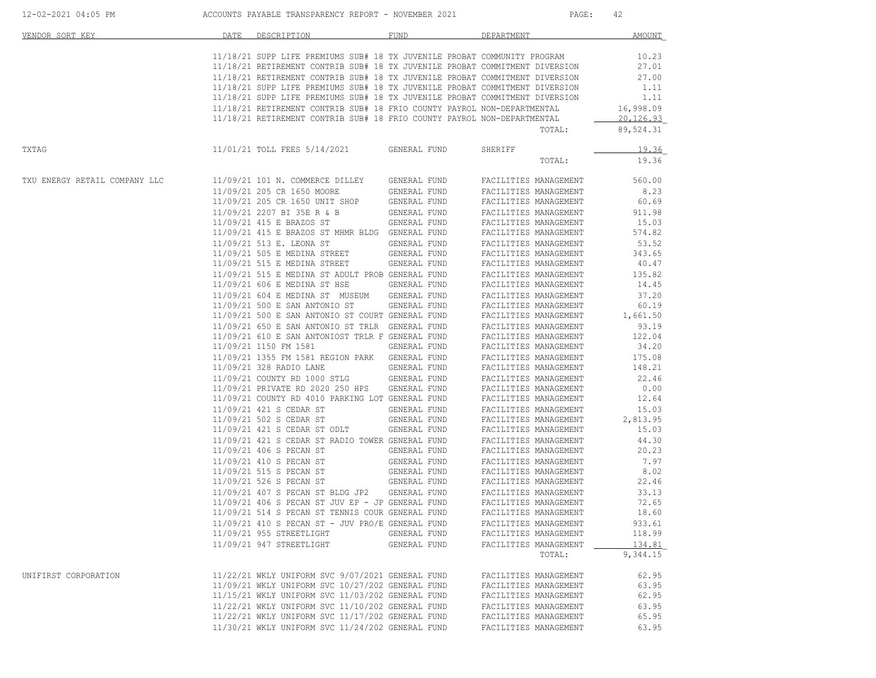| 12-02-2021 04:05 PM           | ACCOUNTS PAYABLE TRANSPARENCY REPORT - NOVEMBER 2021                                                                                                  |                              | $\mathtt{PAGE}$ :     | 42                     |
|-------------------------------|-------------------------------------------------------------------------------------------------------------------------------------------------------|------------------------------|-----------------------|------------------------|
| VENDOR SORT KEY               | DATE<br>DESCRIPTION                                                                                                                                   | FUND                         | DEPARTMENT            | AMOUNT                 |
|                               | 11/18/21 SUPP LIFE PREMIUMS SUB# 18 TX JUVENILE PROBAT COMMUNITY PROGRAM                                                                              |                              |                       | 10.23                  |
|                               | 11/18/21 RETIREMENT CONTRIB SUB# 18 TX JUVENILE PROBAT COMMITMENT DIVERSION                                                                           |                              |                       | 27.01                  |
|                               | 11/18/21 RETIREMENT CONTRIB SUB# 18 TX JUVENILE PROBAT COMMITMENT DIVERSION                                                                           |                              |                       | 27.00                  |
|                               |                                                                                                                                                       |                              |                       |                        |
|                               | 11/18/21 SUPP LIFE PREMIUMS SUB# 18 TX JUVENILE PROBAT COMMITMENT DIVERSION                                                                           |                              |                       | 1.11                   |
|                               | 11/18/21 SUPP LIFE PREMIUMS SUB# 18 TX JUVENILE PROBAT COMMITMENT DIVERSION                                                                           |                              |                       | 1.11                   |
|                               | 11/18/21 RETIREMENT CONTRIB SUB# 18 FRIO COUNTY PAYROL NON-DEPARTMENTAL                                                                               |                              |                       | 16,998.09              |
|                               | 11/18/21 RETIREMENT CONTRIB SUB# 18 FRIO COUNTY PAYROL NON-DEPARTMENTAL                                                                               |                              | TOTAL:                | 20,126.93<br>89,524.31 |
|                               |                                                                                                                                                       |                              |                       |                        |
| TXTAG                         | 11/01/21 TOLL FEES 5/14/2021 GENERAL FUND                                                                                                             |                              | SHERIFF               | 19.36                  |
|                               |                                                                                                                                                       |                              | TOTAL:                | 19.36                  |
| TXU ENERGY RETAIL COMPANY LLC | 11/09/21 101 N. COMMERCE DILLEY GENERAL FUND                                                                                                          |                              | FACILITIES MANAGEMENT | 560.00                 |
|                               | 11/09/21 205 CR 1650 MOORE                                                                                                                            | GENERAL FUND                 | FACILITIES MANAGEMENT | 8.23                   |
|                               | 11/09/21 205 CR 1650 UNIT SHOP                                                                                                                        |                              | FACILITIES MANAGEMENT | 60.69                  |
|                               | 11/09/21 2207 BI 35E R & B                                                                                                                            | GENERAL FUND<br>GENERAL FUND | FACILITIES MANAGEMENT | 911.98                 |
|                               |                                                                                                                                                       |                              | FACILITIES MANAGEMENT | 15.03                  |
|                               | 11/09/21 415 E BRAZOS ST GENERAL FUND<br>11/09/21 415 E BRAZOS ST MHMR BLDG GENERAL FUND                                                              |                              |                       | 574.82                 |
|                               |                                                                                                                                                       |                              | FACILITIES MANAGEMENT |                        |
|                               | 11/09/21 513 E. LEONA ST                                                                                                                              | GENERAL FUND                 | FACILITIES MANAGEMENT | 53.52                  |
|                               | 11/09/21 505 E MEDINA STREET<br>11/09/21 515 E MEDINA STREET                                                                                          | GENERAL FUND<br>GENERAL FUND | FACILITIES MANAGEMENT | 343.65                 |
|                               |                                                                                                                                                       |                              | FACILITIES MANAGEMENT | 40.47                  |
|                               | 11/09/21 515 E MEDINA ST ADULT PROB GENERAL FUND<br>11/09/21 606 E MEDINA ST HSE GENERAL FUND                                                         |                              | FACILITIES MANAGEMENT | 135.82                 |
|                               |                                                                                                                                                       |                              | FACILITIES MANAGEMENT | 14.45                  |
|                               | 11/09/21 604 E MEDINA ST MUSEUM                                                                                                                       |                              | FACILITIES MANAGEMENT | 37.20                  |
|                               | 11/09/21 500 E SAN ANTONIO ST                                                                                                                         | GENERAL FUND<br>GENERAL FUND | FACILITIES MANAGEMENT | 60.19                  |
|                               | 11/09/21 500 E SAN ANTONIO ST COURT GENERAL FUND<br>11/09/21 650 E SAN ANTONIO ST TRLR GENERAL FUND<br>11/09/21 610 E SAN ANTONIOST TRLR GENERAL FUND |                              | FACILITIES MANAGEMENT | 1,661.50               |
|                               |                                                                                                                                                       |                              | FACILITIES MANAGEMENT | 93.19                  |
|                               |                                                                                                                                                       |                              |                       |                        |
|                               |                                                                                                                                                       |                              | FACILITIES MANAGEMENT | 122.04                 |
|                               | 11/09/21 1150 FM 1581<br>11/09/21 1355 FM 1581 REGION PARK GENERAL FUND                                                                               |                              | FACILITIES MANAGEMENT | 34.20                  |
|                               |                                                                                                                                                       |                              | FACILITIES MANAGEMENT | 175.08                 |
|                               | 11/09/21 328 RADIO LANE                                                                                                                               | GENERAL FUND<br>GENERAL FUND | FACILITIES MANAGEMENT | 148.21                 |
|                               | 11/09/21 COUNTY RD 1000 STLG                                                                                                                          |                              | FACILITIES MANAGEMENT | 22.46                  |
|                               |                                                                                                                                                       |                              | FACILITIES MANAGEMENT | 0.00                   |
|                               | 11/09/21 PRIVATE RD 2020 250 HPS GENERAL FUND<br>11/09/21 COUNTY RD 4010 PARKING LOT GENERAL FUND                                                     |                              | FACILITIES MANAGEMENT | 12.64                  |
|                               | 11/09/21 421 S CEDAR ST                                                                                                                               | GENERAL FUND                 | FACILITIES MANAGEMENT | 15.03                  |
|                               | 11/09/21 502 S CEDAR ST                                                                                                                               |                              | FACILITIES MANAGEMENT | 2,813.95               |
|                               | 11/09/21 421 S CEDAR ST ODLT                                                                                                                          | GENERAL FUND<br>GENERAL FUND | FACILITIES MANAGEMENT | 15.03                  |
|                               |                                                                                                                                                       |                              | FACILITIES MANAGEMENT | 44.30                  |
|                               | 11/09/21 421 S CEDAR ST RADIO TOWER GENERAL FUND<br>11/09/21 406 S PECAN ST GENERAL FUND                                                              |                              | FACILITIES MANAGEMENT | 20.23                  |
|                               |                                                                                                                                                       |                              |                       |                        |
|                               | 11/09/21 410 S PECAN ST<br>$11/09/21 410 S PECAN ST11/09/21 515 S PECAN ST11/09/21 526 S PECAN STGENERAL FUNDCENERAL FUND$                            |                              | FACILITIES MANAGEMENT | 7.97                   |
|                               |                                                                                                                                                       |                              | FACILITIES MANAGEMENT | 8.02                   |
|                               |                                                                                                                                                       |                              | FACILITIES MANAGEMENT | 22.46                  |
|                               | 11/09/21 407 S PECAN ST BLDG JP2 GENERAL FUND                                                                                                         |                              | FACILITIES MANAGEMENT | 33.13                  |
|                               | $11/09/21$ 406 S PECAN ST JUV EP - JP GENERAL FUND                                                                                                    |                              | FACILITIES MANAGEMENT | 72.65                  |
|                               | 11/09/21 514 S PECAN ST TENNIS COUR GENERAL FUND                                                                                                      |                              | FACILITIES MANAGEMENT | 18.60                  |
|                               | $11/09/21$ 410 S PECAN ST - JUV PRO/E GENERAL FUND                                                                                                    |                              | FACILITIES MANAGEMENT | 933.61                 |
|                               | 11/09/21 955 STREETLIGHT                                                                                                                              | GENERAL FUND                 | FACILITIES MANAGEMENT | 118.99                 |
|                               | 11/09/21 947 STREETLIGHT                                                                                                                              | GENERAL FUND                 | FACILITIES MANAGEMENT | 134.81                 |
|                               |                                                                                                                                                       |                              | TOTAL:                | 9,344.15               |
|                               |                                                                                                                                                       |                              |                       |                        |
| UNIFIRST CORPORATION          | 11/22/21 WKLY UNIFORM SVC 9/07/2021 GENERAL FUND                                                                                                      |                              | FACILITIES MANAGEMENT | 62.95                  |
|                               | 11/09/21 WKLY UNIFORM SVC 10/27/202 GENERAL FUND                                                                                                      |                              | FACILITIES MANAGEMENT | 63.95                  |
|                               | 11/15/21 WKLY UNIFORM SVC 11/03/202 GENERAL FUND                                                                                                      |                              | FACILITIES MANAGEMENT | 62.95                  |
|                               | 11/22/21 WKLY UNIFORM SVC 11/10/202 GENERAL FUND                                                                                                      |                              | FACILITIES MANAGEMENT | 63.95                  |
|                               | 11/22/21 WKLY UNIFORM SVC 11/17/202 GENERAL FUND                                                                                                      |                              | FACILITIES MANAGEMENT | 65.95                  |
|                               | 11/30/21 WKLY UNIFORM SVC 11/24/202 GENERAL FUND                                                                                                      |                              | FACILITIES MANAGEMENT | 63.95                  |
|                               |                                                                                                                                                       |                              |                       |                        |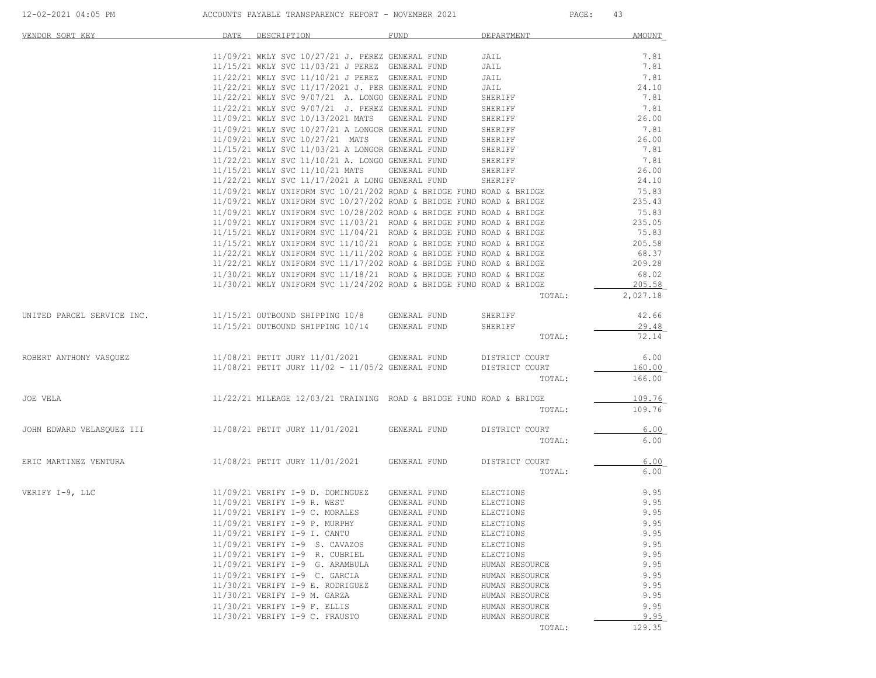| VENDOR SORT KEY            | DATE | DESCRIPTION                                                                                                                                    | <b>FUND</b>  | DEPARTMENT     | <b>AMOUNT</b>   |
|----------------------------|------|------------------------------------------------------------------------------------------------------------------------------------------------|--------------|----------------|-----------------|
|                            |      | 11/09/21 WKLY SVC 10/27/21 J. PEREZ GENERAL FUND                                                                                               |              | JAIL           | 7.81            |
|                            |      | 11/15/21 WKLY SVC 11/03/21 J PEREZ GENERAL FUND                                                                                                |              | JAIL           | 7.81            |
|                            |      | 11/22/21 WKLY SVC 11/10/21 J PEREZ GENERAL FUND                                                                                                |              | JAIL           | 7.81            |
|                            |      | 11/22/21 WKLY SVC 11/17/2021 J. PER GENERAL FUND                                                                                               |              | JAIL           | 24.10           |
|                            |      | 11/22/21 WKLY SVC 9/07/21 A. LONGO GENERAL FUND                                                                                                |              | SHERIFF        | 7.81            |
|                            |      | 11/22/21 WKLY SVC 9/07/21 J. PEREZ GENERAL FUND                                                                                                |              | SHERIFF        | 7.81            |
|                            |      | 11/09/21 WKLY SVC 10/13/2021 MATS GENERAL FUND                                                                                                 |              | SHERIFF        | 26.00           |
|                            |      | 11/09/21 WKLY SVC 10/27/21 A LONGOR GENERAL FUND                                                                                               |              | SHERIFF        | 7.81            |
|                            |      | 11/09/21 WKLY SVC 10/27/21 MATS                                                                                                                | GENERAL FUND | SHERIFF        | 26.00           |
|                            |      | 11/15/21 WKLY SVC 11/03/21 A LONGOR GENERAL FUND                                                                                               |              | SHERIFF        | 7.81            |
|                            |      | 11/22/21 WKLY SVC 11/10/21 A. LONGO GENERAL FUND                                                                                               |              | SHERIFF        | 7.81            |
|                            |      | 11/15/21 WKLY SVC 11/10/21 MATS                                                                                                                | GENERAL FUND | SHERIFF        | 26.00           |
|                            |      | 11/22/21 WKLY SVC 11/17/2021 A LONG GENERAL FUND                                                                                               |              | SHERIFF        | 24.10           |
|                            |      | $11/09/21$ WKLY UNIFORM SVC $10/21/202$ ROAD & BRIDGE FUND ROAD & BRIDGE                                                                       |              |                | 75.83           |
|                            |      | $11/09/21$ WKLY UNIFORM SVC $10/27/202$ ROAD & BRIDGE FUND ROAD & BRIDGE                                                                       |              |                | 235.43          |
|                            |      | $11/09/21$ WKLY UNIFORM SVC $10/28/202$ ROAD & BRIDGE FUND ROAD & BRIDGE                                                                       |              |                | 75.83<br>235.05 |
|                            |      | $11/09/21$ WKLY UNIFORM SVC $11/03/21$ ROAD & BRIDGE FUND ROAD & BRIDGE<br>11/15/21 WKLY UNIFORM SVC 11/04/21 ROAD & BRIDGE FUND ROAD & BRIDGE |              |                | 75.83           |
|                            |      | $11/15/21$ WKLY UNIFORM SVC $11/10/21$ ROAD & BRIDGE FUND ROAD & BRIDGE                                                                        |              |                | 205.58          |
|                            |      | $11/22/21$ WKLY UNIFORM SVC $11/11/202$ ROAD & BRIDGE FUND ROAD & BRIDGE                                                                       |              |                | 68.37           |
|                            |      | $11/22/21$ WKLY UNIFORM SVC $11/17/202$ ROAD & BRIDGE FUND ROAD & BRIDGE                                                                       |              |                | 209.28          |
|                            |      | $11/30/21$ WKLY UNIFORM SVC $11/18/21$ ROAD & BRIDGE FUND ROAD & BRIDGE                                                                        |              |                | 68.02           |
|                            |      | $11/30/21$ WKLY UNIFORM SVC $11/24/202$ ROAD & BRIDGE FUND ROAD & BRIDGE                                                                       |              |                | 205.58          |
|                            |      |                                                                                                                                                |              | TOTAL:         | 2,027.18        |
| UNITED PARCEL SERVICE INC. |      | 11/15/21 OUTBOUND SHIPPING 10/8 GENERAL FUND                                                                                                   |              | SHERIFF        | 42.66           |
|                            |      | 11/15/21 OUTBOUND SHIPPING 10/14 GENERAL FUND                                                                                                  |              | SHERIFF        | 29.48           |
|                            |      |                                                                                                                                                |              | TOTAL:         | 72.14           |
| ROBERT ANTHONY VASQUEZ     |      | 11/08/21 PETIT JURY 11/01/2021                                                                                                                 | GENERAL FUND | DISTRICT COURT | 6.00            |
|                            |      | $11/08/21$ PETIT JURY $11/02 - 11/05/2$ GENERAL FUND                                                                                           |              | DISTRICT COURT | 160.00          |
|                            |      |                                                                                                                                                |              | TOTAL:         | 166.00          |
| JOE VELA                   |      | $11/22/21$ MILEAGE $12/03/21$ TRAINING ROAD & BRIDGE FUND ROAD & BRIDGE                                                                        |              |                | 109.76          |
|                            |      |                                                                                                                                                |              | TOTAL:         | 109.76          |
|                            |      |                                                                                                                                                |              |                |                 |
| JOHN EDWARD VELASQUEZ III  |      | 11/08/21 PETIT JURY 11/01/2021 GENERAL FUND                                                                                                    |              | DISTRICT COURT | 6.00            |
|                            |      |                                                                                                                                                |              | TOTAL:         | 6.00            |
| ERIC MARTINEZ VENTURA      |      | 11/08/21 PETIT JURY 11/01/2021                                                                                                                 | GENERAL FUND | DISTRICT COURT | 6.00            |
|                            |      |                                                                                                                                                |              | TOTAL:         | 6.00            |
| VERIFY I-9, LLC            |      | 11/09/21 VERIFY I-9 D. DOMINGUEZ                                                                                                               | GENERAL FUND | ELECTIONS      | 9.95            |
|                            |      | 11/09/21 VERIFY I-9 R. WEST                                                                                                                    | GENERAL FUND | ELECTIONS      | 9.95            |
|                            |      | 11/09/21 VERIFY I-9 C. MORALES                                                                                                                 | GENERAL FUND | ELECTIONS      | 9.95            |
|                            |      | 11/09/21 VERIFY I-9 P. MURPHY                                                                                                                  | GENERAL FUND | ELECTIONS      | 9.95            |
|                            |      | 11/09/21 VERIFY I-9 I. CANTU                                                                                                                   | GENERAL FUND | ELECTIONS      | 9.95            |
|                            |      | 11/09/21 VERIFY I-9 S. CAVAZOS                                                                                                                 | GENERAL FUND | ELECTIONS      | 9.95            |
|                            |      | 11/09/21 VERIFY I-9 R. CUBRIEL                                                                                                                 | GENERAL FUND | ELECTIONS      | 9.95            |
|                            |      | 11/09/21 VERIFY I-9 G. ARAMBULA                                                                                                                | GENERAL FUND | HUMAN RESOURCE | 9.95            |
|                            |      | 11/09/21 VERIFY I-9 C. GARCIA                                                                                                                  | GENERAL FUND | HUMAN RESOURCE | 9.95            |
|                            |      | 11/30/21 VERIFY I-9 E. RODRIGUEZ                                                                                                               | GENERAL FUND | HUMAN RESOURCE | 9.95            |
|                            |      | 11/30/21 VERIFY I-9 M. GARZA                                                                                                                   | GENERAL FUND | HUMAN RESOURCE | 9.95            |
|                            |      | 11/30/21 VERIFY I-9 F. ELLIS                                                                                                                   | GENERAL FUND | HUMAN RESOURCE | 9.95            |
|                            |      | 11/30/21 VERIFY I-9 C. FRAUSTO                                                                                                                 | GENERAL FUND | HUMAN RESOURCE | 9.95<br>129.35  |
|                            |      |                                                                                                                                                |              | TOTAL:         |                 |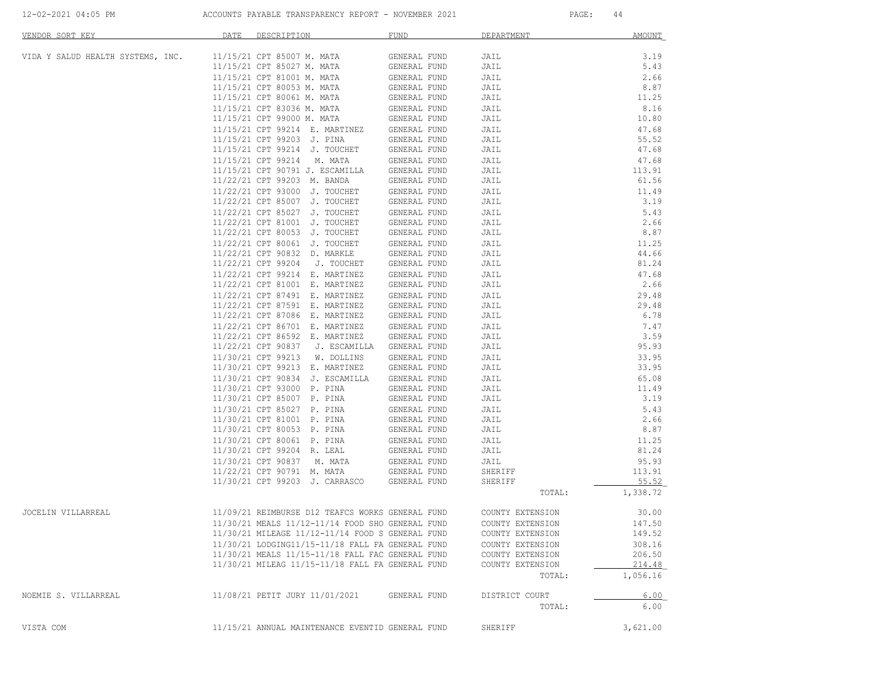| VENDOR SORT KEY                   | DATE | DESCRIPTION                                        | FUND                         | DEPARTMENT       | <b>AMOUNT</b> |
|-----------------------------------|------|----------------------------------------------------|------------------------------|------------------|---------------|
| VIDA Y SALUD HEALTH SYSTEMS, INC. |      | 11/15/21 CPT 85007 M. MATA                         | GENERAL FUND                 | JAIL             | 3.19          |
|                                   |      | 11/15/21 CPT 85027 M. MATA                         | GENERAL FUND                 | JAIL             | 5.43          |
|                                   |      | 11/15/21 CPT 81001 M. MATA                         | GENERAL FUND                 | JAIL             | 2.66          |
|                                   |      | 11/15/21 CPT 80053 M. MATA                         | GENERAL FUND                 | JAIL             | 8.87          |
|                                   |      | 11/15/21 CPT 80061 M. MATA                         | GENERAL FUND                 | JAIL             | 11.25         |
|                                   |      | 11/15/21 CPT 83036 M. MATA                         | GENERAL FUND                 | JAIL             | 8.16          |
|                                   |      | 11/15/21 CPT 99000 M. MATA                         | GENERAL FUND                 | JAIL             | 10.80         |
|                                   |      | 11/15/21 CPT 99214 E. MARTINEZ                     | GENERAL FUND                 | JAIL             | 47.68         |
|                                   |      | 11/15/21 CPT 99203 J. PINA                         | GENERAL FUND                 | JAIL             | 55.52         |
|                                   |      | 11/15/21 CPT 99214 J. TOUCHET                      | GENERAL FUND                 | JAIL             | 47.68         |
|                                   |      | 11/15/21 CPT 99214 M. MATA                         | GENERAL FUND                 | JAIL             | 47.68         |
|                                   |      | 11/15/21 CPT 90791 J. ESCAMILLA                    | GENERAL FUND                 | JAIL             | 113.91        |
|                                   |      | 11/22/21 CPT 99203 M. BANDA                        | GENERAL FUND                 | JAIL             | 61.56         |
|                                   |      | 11/22/21 CPT 93000 J. TOUCHET                      | GENERAL FUND                 | JAIL             | 11.49         |
|                                   |      | 11/22/21 CPT 85007 J. TOUCHET                      | GENERAL FUND                 | JAIL             | 3.19          |
|                                   |      | 11/22/21 CPT 85027 J. TOUCHET                      | GENERAL FUND                 | JAIL             | 5.43          |
|                                   |      | 11/22/21 CPT 81001 J. TOUCHET                      | GENERAL FUND                 | JAIL             | 2.66          |
|                                   |      | 11/22/21 CPT 80053 J. TOUCHET                      | GENERAL FUND                 | JAIL             | 8.87          |
|                                   |      | 11/22/21 CPT 80061 J. TOUCHET                      |                              |                  | 11.25         |
|                                   |      |                                                    | GENERAL FUND<br>GENERAL FUND | JAIL             | 44.66         |
|                                   |      | 11/22/21 CPT 90832 D. MARKLE<br>11/22/21 CPT 99204 |                              | JAIL             | 81.24         |
|                                   |      | J. TOUCHET                                         | GENERAL FUND                 | JAIL             |               |
|                                   |      | 11/22/21 CPT 99214 E. MARTINEZ                     | GENERAL FUND                 | JAIL             | 47.68         |
|                                   |      | 11/22/21 CPT 81001 E. MARTINEZ                     | GENERAL FUND                 | JAIL             | 2.66          |
|                                   |      | 11/22/21 CPT 87491 E. MARTINEZ                     | GENERAL FUND                 | JAIL             | 29.48         |
|                                   |      | 11/22/21 CPT 87591 E. MARTINEZ                     | GENERAL FUND                 | JAIL             | 29.48         |
|                                   |      | 11/22/21 CPT 87086 E. MARTINEZ                     | GENERAL FUND                 | JAIL             | 6.78          |
|                                   |      | 11/22/21 CPT 86701 E. MARTINEZ                     | GENERAL FUND                 | JAIL             | 7.47          |
|                                   |      | 11/22/21 CPT 86592 E. MARTINEZ                     | GENERAL FUND                 | JAIL             | 3.59          |
|                                   |      | 11/22/21 CPT 90837 J. ESCAMILLA                    | GENERAL FUND                 | JAIL             | 95.93         |
|                                   |      | 11/30/21 CPT 99213 W. DOLLINS                      | GENERAL FUND                 | JAIL             | 33.95         |
|                                   |      | 11/30/21 CPT 99213 E. MARTINEZ                     | GENERAL FUND                 | JAIL             | 33.95         |
|                                   |      | 11/30/21 CPT 90834 J. ESCAMILLA                    | GENERAL FUND                 | JAIL             | 65.08         |
|                                   |      | 11/30/21 CPT 93000 P. PINA                         | GENERAL FUND                 | JAIL             | 11.49         |
|                                   |      | 11/30/21 CPT 85007 P. PINA                         | GENERAL FUND                 | JAIL             | 3.19          |
|                                   |      | 11/30/21 CPT 85027 P. PINA                         | GENERAL FUND                 | JAIL             | 5.43          |
|                                   |      | 11/30/21 CPT 81001 P. PINA                         | GENERAL FUND                 | JAIL             | 2.66          |
|                                   |      | 11/30/21 CPT 80053 P. PINA                         | GENERAL FUND                 | JAIL             | 8.87          |
|                                   |      | 11/30/21 CPT 80061 P. PINA                         | GENERAL FUND                 | JAIL             | 11.25         |
|                                   |      | 11/30/21 CPT 99204 R. LEAL                         | GENERAL FUND                 | JAIL             | 81.24         |
|                                   |      | 11/30/21 CPT 90837 M. MATA                         | GENERAL FUND                 | JAIL             | 95.93         |
|                                   |      | 11/22/21 CPT 90791 M. MATA                         | GENERAL FUND                 | SHERIFF          | 113.91        |
|                                   |      | 11/30/21 CPT 99203 J. CARRASCO                     | GENERAL FUND                 | SHERIFF          | 55.52         |
|                                   |      |                                                    |                              | TOTAL:           | 1,338.72      |
| JOCELIN VILLARREAL                |      | 11/09/21 REIMBURSE D12 TEAFCS WORKS GENERAL FUND   |                              | COUNTY EXTENSION | 30.00         |
|                                   |      | 11/30/21 MEALS 11/12-11/14 FOOD SHO GENERAL FUND   |                              | COUNTY EXTENSION | 147.50        |
|                                   |      | 11/30/21 MILEAGE 11/12-11/14 FOOD S GENERAL FUND   |                              | COUNTY EXTENSION | 149.52        |
|                                   |      | 11/30/21 LODGING11/15-11/18 FALL FA GENERAL FUND   |                              | COUNTY EXTENSION | 308.16        |
|                                   |      | 11/30/21 MEALS 11/15-11/18 FALL FAC GENERAL FUND   |                              | COUNTY EXTENSION | 206.50        |
|                                   |      | 11/30/21 MILEAG 11/15-11/18 FALL FA GENERAL FUND   |                              | COUNTY EXTENSION | 214.48        |
|                                   |      |                                                    |                              | TOTAL:           | 1,056.16      |
| NOEMIE S. VILLARREAL              |      | 11/08/21 PETIT JURY 11/01/2021                     | GENERAL FUND                 | DISTRICT COURT   | 6.00          |
|                                   |      |                                                    |                              | TOTAL:           | 6.00          |
|                                   |      |                                                    |                              |                  |               |
| VISTA COM                         |      | 11/15/21 ANNUAL MAINTENANCE EVENTID GENERAL FUND   |                              | SHERIFF          | 3,621.00      |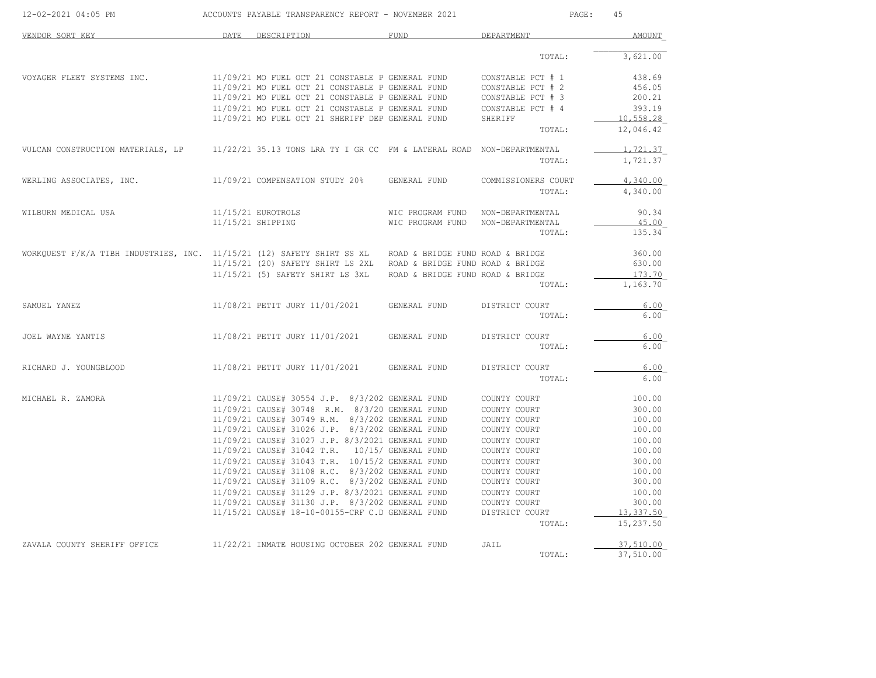| 12-02-2021 04:05 PM                                                                                     | ACCOUNTS PAYABLE TRANSPARENCY REPORT - NOVEMBER 2021                                                | PAGE:<br>45                       |                              |                  |
|---------------------------------------------------------------------------------------------------------|-----------------------------------------------------------------------------------------------------|-----------------------------------|------------------------------|------------------|
| VENDOR SORT KEY                                                                                         | DATE DESCRIPTION                                                                                    | <b>FUND</b>                       | DEPARTMENT                   | <b>AMOUNT</b>    |
|                                                                                                         |                                                                                                     |                                   | TOTAL:                       | 3,621.00         |
| VOYAGER FLEET SYSTEMS INC.                                                                              | 11/09/21 MO FUEL OCT 21 CONSTABLE P GENERAL FUND                                                    |                                   | CONSTABLE PCT # 1            | 438.69           |
|                                                                                                         | 11/09/21 MO FUEL OCT 21 CONSTABLE P GENERAL FUND                                                    |                                   | CONSTABLE PCT # 2            | 456.05           |
|                                                                                                         | 11/09/21 MO FUEL OCT 21 CONSTABLE P GENERAL FUND                                                    |                                   | CONSTABLE PCT # 3            | 200.21           |
|                                                                                                         | 11/09/21 MO FUEL OCT 21 CONSTABLE P GENERAL FUND                                                    |                                   | CONSTABLE PCT # 4            | 393.19           |
|                                                                                                         | 11/09/21 MO FUEL OCT 21 SHERIFF DEP GENERAL FUND                                                    |                                   | SHERIFF                      | 10,558.28        |
|                                                                                                         |                                                                                                     |                                   | TOTAL:                       | 12,046.42        |
| VULCAN CONSTRUCTION MATERIALS, LP                                                                       | 11/22/21 35.13 TONS LRA TY I GR CC FM & LATERAL ROAD NON-DEPARTMENTAL                               |                                   |                              | 1,721.37         |
|                                                                                                         |                                                                                                     |                                   | TOTAL:                       | 1,721.37         |
| WERLING ASSOCIATES, INC.                                                                                | 11/09/21 COMPENSATION STUDY 20% GENERAL FUND                                                        |                                   | COMMISSIONERS COURT          | 4,340.00         |
|                                                                                                         |                                                                                                     |                                   | TOTAL:                       | 4,340.00         |
| WILBURN MEDICAL USA                                                                                     | 11/15/21 EUROTROLS                                                                                  | WIC PROGRAM FUND NON-DEPARTMENTAL |                              | 90.34            |
|                                                                                                         | 11/15/21 SHIPPING                                                                                   | WIC PROGRAM FUND NON-DEPARTMENTAL |                              | 45.00            |
|                                                                                                         |                                                                                                     |                                   | TOTAL:                       | 135.34           |
| WORKQUEST F/K/A TIBH INDUSTRIES, INC. 11/15/21 (12) SAFETY SHIRT SS XL ROAD & BRIDGE FUND ROAD & BRIDGE |                                                                                                     |                                   |                              | 360.00           |
|                                                                                                         | 11/15/21 (20) SAFETY SHIRT LS 2XL ROAD & BRIDGE FUND ROAD & BRIDGE                                  |                                   |                              | 630.00           |
|                                                                                                         | 11/15/21 (5) SAFETY SHIRT LS 3XL ROAD & BRIDGE FUND ROAD & BRIDGE                                   |                                   |                              | 173.70           |
|                                                                                                         |                                                                                                     |                                   | TOTAL:                       | 1,163.70         |
| SAMUEL YANEZ                                                                                            | 11/08/21 PETIT JURY 11/01/2021                                                                      | GENERAL FUND                      | DISTRICT COURT               | 6.00             |
|                                                                                                         |                                                                                                     |                                   | TOTAL:                       | 6.00             |
| JOEL WAYNE YANTIS                                                                                       | 11/08/21 PETIT JURY 11/01/2021                                                                      | GENERAL FUND                      | DISTRICT COURT               | 6.00             |
|                                                                                                         |                                                                                                     |                                   | TOTAL:                       | 6.00             |
| RICHARD J. YOUNGBLOOD                                                                                   | 11/08/21 PETIT JURY 11/01/2021                                                                      | GENERAL FUND                      | DISTRICT COURT               | 6.00             |
|                                                                                                         |                                                                                                     |                                   | TOTAL:                       | 6.00             |
| MICHAEL R. ZAMORA                                                                                       | 11/09/21 CAUSE# 30554 J.P. 8/3/202 GENERAL FUND                                                     |                                   | COUNTY COURT                 | 100.00           |
|                                                                                                         | 11/09/21 CAUSE# 30748 R.M. 8/3/20 GENERAL FUND                                                      |                                   | COUNTY COURT                 | 300.00           |
|                                                                                                         | 11/09/21 CAUSE# 30749 R.M. 8/3/202 GENERAL FUND                                                     |                                   | COUNTY COURT                 | 100.00           |
|                                                                                                         | 11/09/21 CAUSE# 31026 J.P. 8/3/202 GENERAL FUND                                                     |                                   | COUNTY COURT                 | 100.00           |
|                                                                                                         | 11/09/21 CAUSE# 31027 J.P. 8/3/2021 GENERAL FUND                                                    |                                   | COUNTY COURT                 | 100.00           |
|                                                                                                         | 11/09/21 CAUSE# 31042 T.R. 10/15/ GENERAL FUND                                                      |                                   | COUNTY COURT                 | 100.00           |
|                                                                                                         | 11/09/21 CAUSE# 31043 T.R. 10/15/2 GENERAL FUND                                                     |                                   | COUNTY COURT                 | 300.00           |
|                                                                                                         | 11/09/21 CAUSE# 31108 R.C. 8/3/202 GENERAL FUND                                                     |                                   | COUNTY COURT                 | 100.00           |
|                                                                                                         | 11/09/21 CAUSE# 31109 R.C. 8/3/202 GENERAL FUND                                                     |                                   | COUNTY COURT                 | 300.00<br>100.00 |
|                                                                                                         | 11/09/21 CAUSE# 31129 J.P. 8/3/2021 GENERAL FUND<br>11/09/21 CAUSE# 31130 J.P. 8/3/202 GENERAL FUND |                                   | COUNTY COURT<br>COUNTY COURT | 300.00           |
|                                                                                                         | 11/15/21 CAUSE# 18-10-00155-CRF C.D GENERAL FUND                                                    |                                   | DISTRICT COURT               | 13,337.50        |
|                                                                                                         |                                                                                                     |                                   | TOTAL:                       | 15,237.50        |
| ZAVALA COUNTY SHERIFF OFFICE                                                                            | 11/22/21 INMATE HOUSING OCTOBER 202 GENERAL FUND                                                    |                                   | JAIL                         | 37,510.00        |
|                                                                                                         |                                                                                                     |                                   | TOTAL:                       | 37,510.00        |
|                                                                                                         |                                                                                                     |                                   |                              |                  |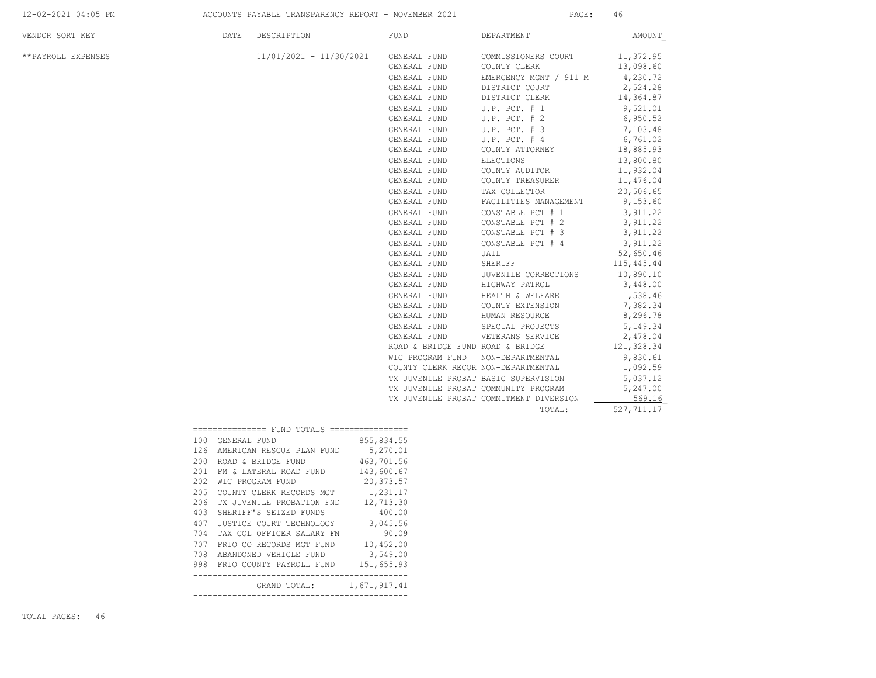| VENDOR SORT KEY    | DATE<br>DESCRIPTION                                                                                                                                                                                                                                                                                                                                                                                                                                             | FUND                                                                                                                                                                                                                                                                                                                                                                                                                                                                                                                                                                                                                                        | DEPARTMENT                                                                                                                                                                                                                                                                                                                                                                                                                                                                                                                                                                  | <b>AMOUNT</b>                                                                                                                                                                                                                                                                                                                                                                                                            |
|--------------------|-----------------------------------------------------------------------------------------------------------------------------------------------------------------------------------------------------------------------------------------------------------------------------------------------------------------------------------------------------------------------------------------------------------------------------------------------------------------|---------------------------------------------------------------------------------------------------------------------------------------------------------------------------------------------------------------------------------------------------------------------------------------------------------------------------------------------------------------------------------------------------------------------------------------------------------------------------------------------------------------------------------------------------------------------------------------------------------------------------------------------|-----------------------------------------------------------------------------------------------------------------------------------------------------------------------------------------------------------------------------------------------------------------------------------------------------------------------------------------------------------------------------------------------------------------------------------------------------------------------------------------------------------------------------------------------------------------------------|--------------------------------------------------------------------------------------------------------------------------------------------------------------------------------------------------------------------------------------------------------------------------------------------------------------------------------------------------------------------------------------------------------------------------|
| **PAYROLL EXPENSES | $11/01/2021 - 11/30/2021$                                                                                                                                                                                                                                                                                                                                                                                                                                       | GENERAL FUND<br>GENERAL FUND<br>GENERAL FUND<br>GENERAL FUND<br>GENERAL FUND<br>GENERAL FUND<br>GENERAL FUND<br>GENERAL FUND<br>GENERAL FUND<br>GENERAL FUND<br>GENERAL FUND<br>GENERAL FUND<br>GENERAL FUND<br>GENERAL FUND<br>GENERAL FUND<br>GENERAL FUND<br>GENERAL FUND<br>GENERAL FUND<br>GENERAL FUND<br>GENERAL FUND<br>GENERAL FUND<br>GENERAL FUND<br>GENERAL FUND<br>GENERAL FUND<br>GENERAL FUND<br>GENERAL FUND<br>GENERAL FUND<br>GENERAL FUND<br>ROAD & BRIDGE FUND ROAD & BRIDGE<br>WIC PROGRAM FUND<br>COUNTY CLERK RECOR NON-DEPARTMENTAL<br>TX JUVENILE PROBAT BASIC SUPERVISION<br>TX JUVENILE PROBAT COMMUNITY PROGRAM | COMMISSIONERS COURT<br>COUNTY CLERK<br>EMERGENCY MGNT / 911 M<br>DISTRICT COURT<br>DISTRICT CLERK<br>$J.P.$ PCT. $# 1$<br>$J.P.$ PCT. $# 2$<br>$J.P.$ PCT. $# 3$<br>$J.P.$ PCT. $#4$<br>COUNTY ATTORNEY<br>ELECTIONS<br>COUNTY AUDITOR<br>COUNTY TREASURER<br>TAX COLLECTOR<br>FACILITIES MANAGEMENT<br>CONSTABLE PCT # 1<br>CONSTABLE PCT # 2<br>CONSTABLE PCT # 3<br>CONSTABLE PCT # 4<br>JAIL<br>SHERIFF<br>JUVENILE CORRECTIONS<br>HIGHWAY PATROL<br>HEALTH & WELFARE<br>COUNTY EXTENSION<br>HUMAN RESOURCE<br>SPECIAL PROJECTS<br>VETERANS SERVICE<br>NON-DEPARTMENTAL | 11,372.95<br>13,098.60<br>4,230.72<br>2,524.28<br>14,364.87<br>9,521.01<br>6,950.52<br>7,103.48<br>6,761.02<br>18,885.93<br>13,800.80<br>11,932.04<br>11,476.04<br>20,506.65<br>9,153.60<br>3,911.22<br>3,911.22<br>3,911.22<br>3,911.22<br>52,650.46<br>115,445.44<br>10,890.10<br>3,448.00<br>1,538.46<br>7,382.34<br>8,296.78<br>5, 149. 34<br>2,478.04<br>121,328.34<br>9,830.61<br>1,092.59<br>5,037.12<br>5,247.00 |
|                    |                                                                                                                                                                                                                                                                                                                                                                                                                                                                 |                                                                                                                                                                                                                                                                                                                                                                                                                                                                                                                                                                                                                                             | TX JUVENILE PROBAT COMMITMENT DIVERSION<br>TOTAL:                                                                                                                                                                                                                                                                                                                                                                                                                                                                                                                           | 569.16<br>527,711.17                                                                                                                                                                                                                                                                                                                                                                                                     |
|                    | =============== FUND TOTALS ================<br>100 GENERAL FUND<br>126 AMERICAN RESCUE PLAN FUND<br>200 ROAD & BRIDGE FUND<br>201 FM & LATERAL ROAD FUND<br>202 WIC PROGRAM FUND<br>205 COUNTY CLERK RECORDS MGT<br>206 TX JUVENILE PROBATION FND<br>403 SHERIFF'S SEIZED FUNDS<br>407 JUSTICE COURT TECHNOLOGY<br>704 TAX COL OFFICER SALARY FN<br>707 FRIO CO RECORDS MGT FUND<br>708 ABANDONED VEHICLE FUND<br>998 FRIO COUNTY PAYROLL FUND<br>GRAND TOTAL: | 855,834.55<br>5,270.01<br>463,701.56<br>143,600.67<br>20, 373.57<br>1,231.17<br>12,713.30<br>400.00<br>3,045.56<br>90.09<br>10,452.00<br>3,549.00<br>151,655.93<br>1,671,917.41                                                                                                                                                                                                                                                                                                                                                                                                                                                             |                                                                                                                                                                                                                                                                                                                                                                                                                                                                                                                                                                             |                                                                                                                                                                                                                                                                                                                                                                                                                          |

TOTAL PAGES: 46